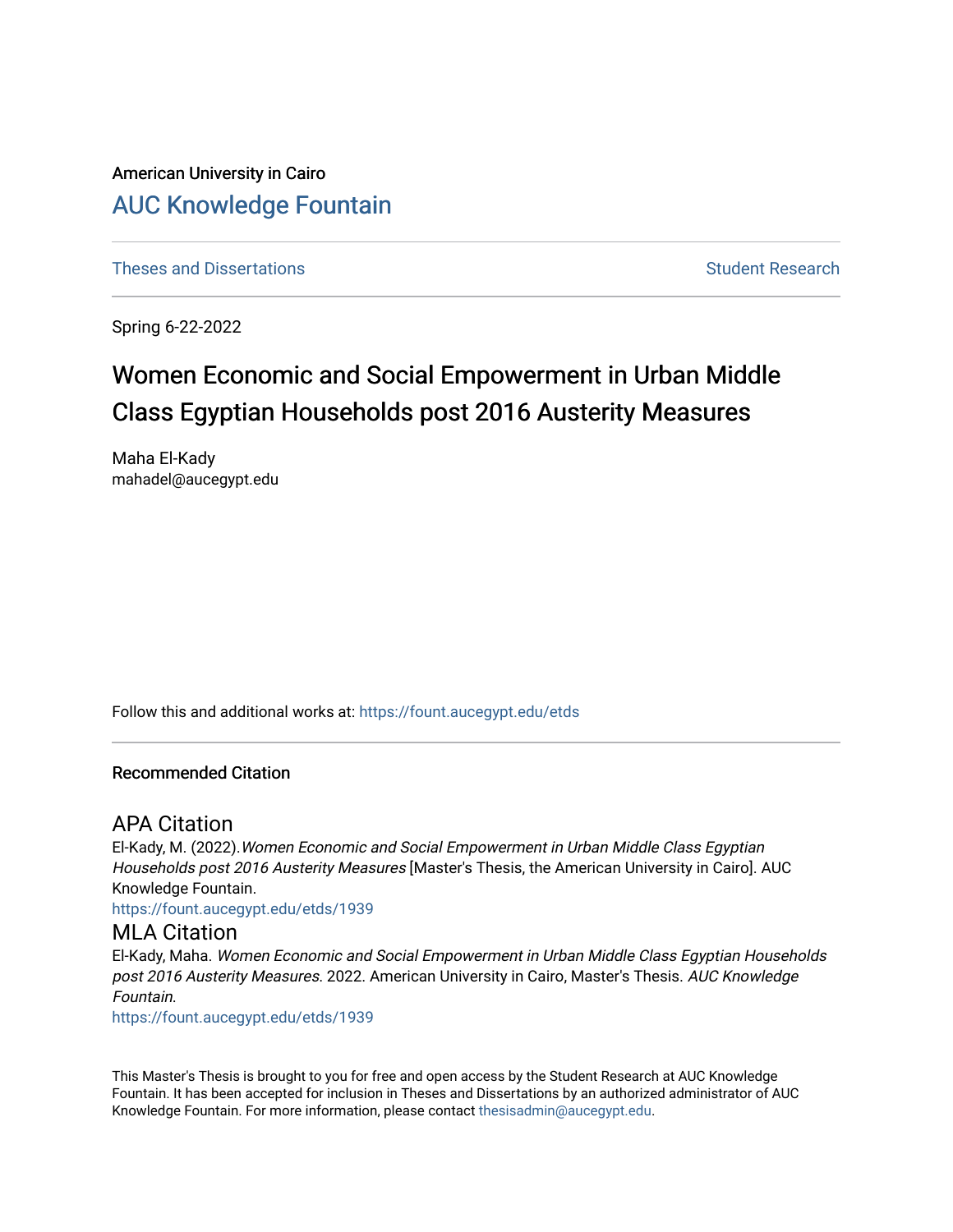American University in Cairo [AUC Knowledge Fountain](https://fount.aucegypt.edu/) 

[Theses and Dissertations](https://fount.aucegypt.edu/etds) [Student Research](https://fount.aucegypt.edu/student_research) Student Research

Spring 6-22-2022

# Women Economic and Social Empowerment in Urban Middle Class Egyptian Households post 2016 Austerity Measures

Maha El-Kady mahadel@aucegypt.edu

Follow this and additional works at: [https://fount.aucegypt.edu/etds](https://fount.aucegypt.edu/etds?utm_source=fount.aucegypt.edu%2Fetds%2F1939&utm_medium=PDF&utm_campaign=PDFCoverPages) 

#### Recommended Citation

# APA Citation

El-Kady, M. (2022).Women Economic and Social Empowerment in Urban Middle Class Egyptian Households post 2016 Austerity Measures [Master's Thesis, the American University in Cairo]. AUC Knowledge Fountain.

[https://fount.aucegypt.edu/etds/1939](https://fount.aucegypt.edu/etds/1939?utm_source=fount.aucegypt.edu%2Fetds%2F1939&utm_medium=PDF&utm_campaign=PDFCoverPages)

## MLA Citation

El-Kady, Maha. Women Economic and Social Empowerment in Urban Middle Class Egyptian Households post 2016 Austerity Measures. 2022. American University in Cairo, Master's Thesis. AUC Knowledge Fountain.

[https://fount.aucegypt.edu/etds/1939](https://fount.aucegypt.edu/etds/1939?utm_source=fount.aucegypt.edu%2Fetds%2F1939&utm_medium=PDF&utm_campaign=PDFCoverPages)

This Master's Thesis is brought to you for free and open access by the Student Research at AUC Knowledge Fountain. It has been accepted for inclusion in Theses and Dissertations by an authorized administrator of AUC Knowledge Fountain. For more information, please contact [thesisadmin@aucegypt.edu.](mailto:thesisadmin@aucegypt.edu)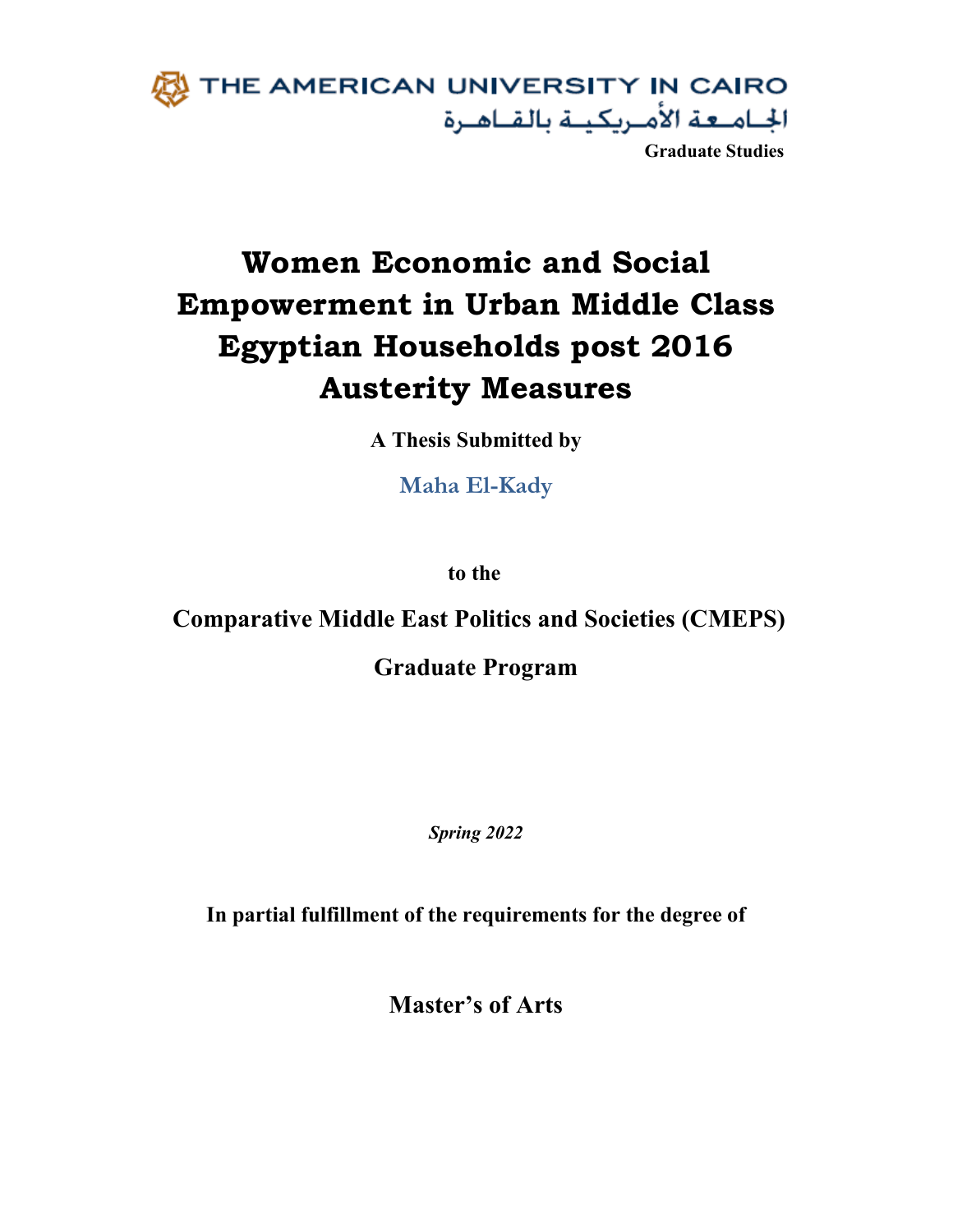

**Women Economic and Social Empowerment in Urban Middle Class Egyptian Households post 2016 Austerity Measures**

**A Thesis Submitted by**

**Maha El-Kady**

**to the**

**Comparative Middle East Politics and Societies (CMEPS)**

**Graduate Program** 

*Spring 2022*

**In partial fulfillment of the requirements for the degree of** 

**Master's of Arts**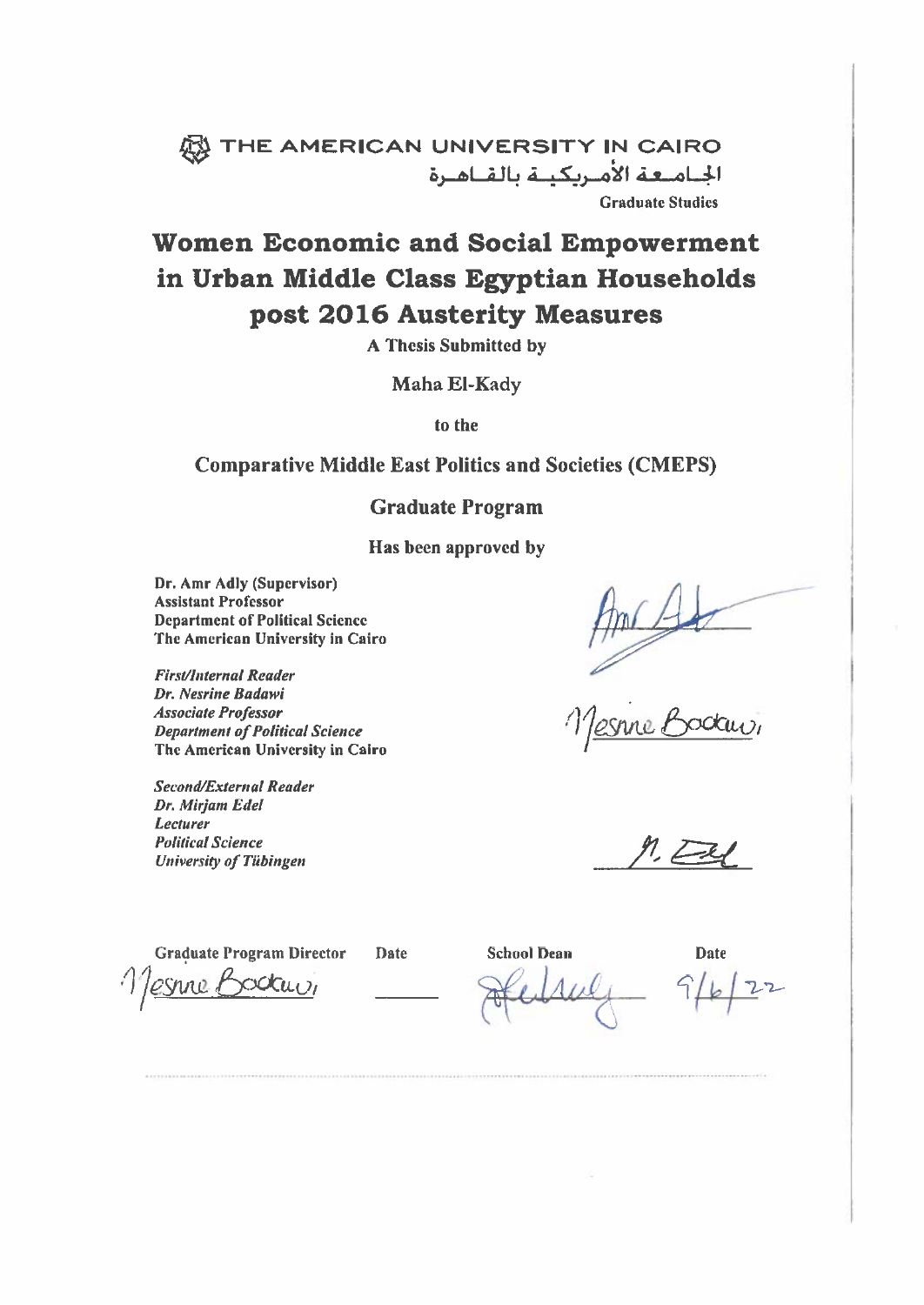# W THE AMERICAN UNIVERSITY IN CAIRO الجامعة الأمريكينة بالقناهرة **Graduate Studies**

# **Women Economic and Social Empowerment** in Urban Middle Class Egyptian Households post 2016 Austerity Measures

**A Thesis Submitted by** 

Maha El-Kady

to the

# **Comparative Middle East Politics and Societies (CMEPS)**

## **Graduate Program**

Has been approved by

Dr. Amr Adly (Supervisor) **Assistant Professor Department of Political Science** The American University in Cairo

**First/Internal Reader** Dr. Nesrine Badawi **Associate Professor Department of Political Science** The American University in Cairo

**Second/External Reader** Dr. Mirjam Edel Lecturer **Political Science University of Tübingen** 

**Graduate Program Director** odai<sub>UI</sub> esnne L

**Date** 

**School Dean** 

**Date**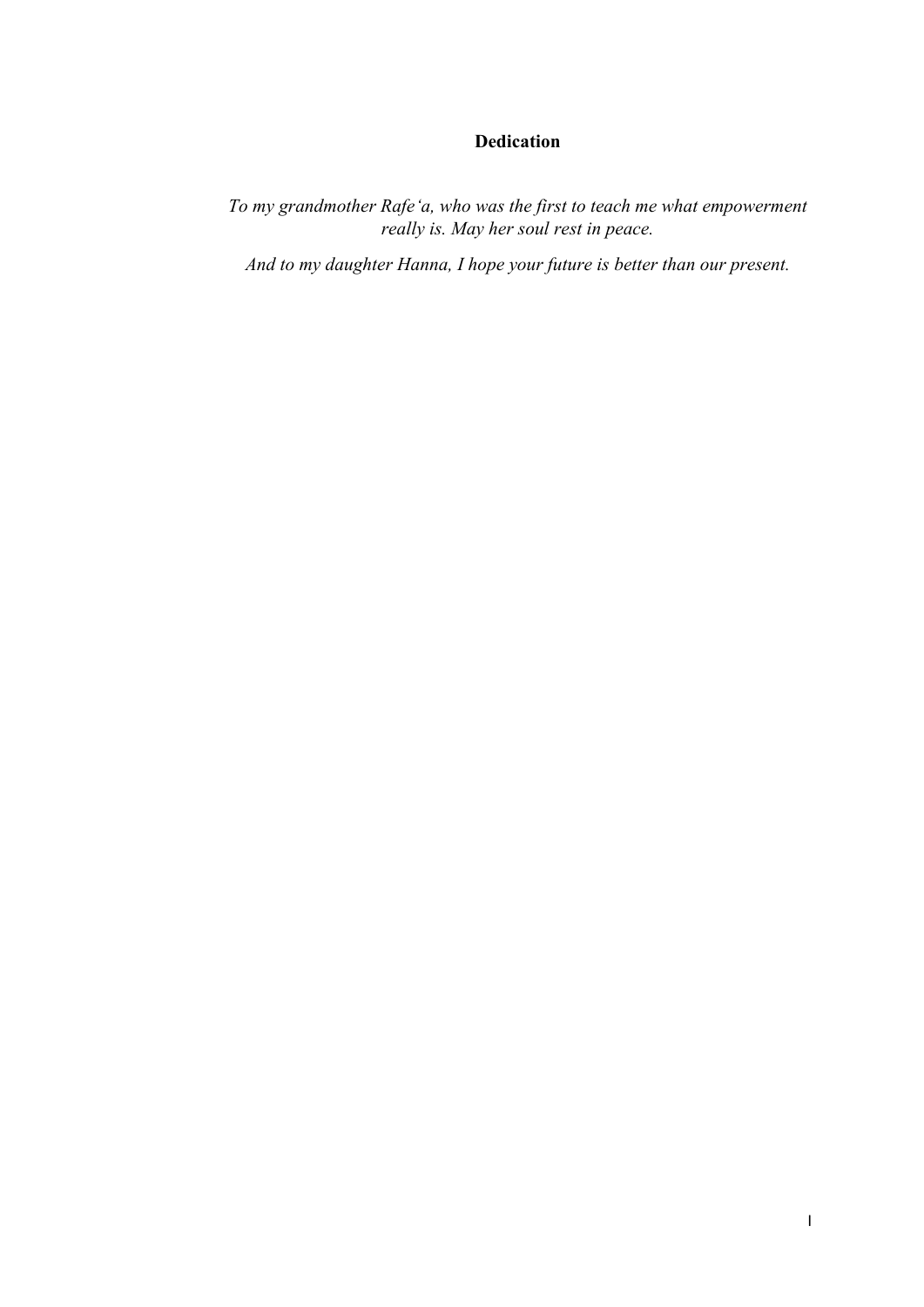# **Dedication**

<span id="page-3-0"></span>*To my grandmother Rafeʻa, who was the first to teach me what empowerment really is. May her soul rest in peace.*

*And to my daughter Hanna, I hope your future is better than our present.*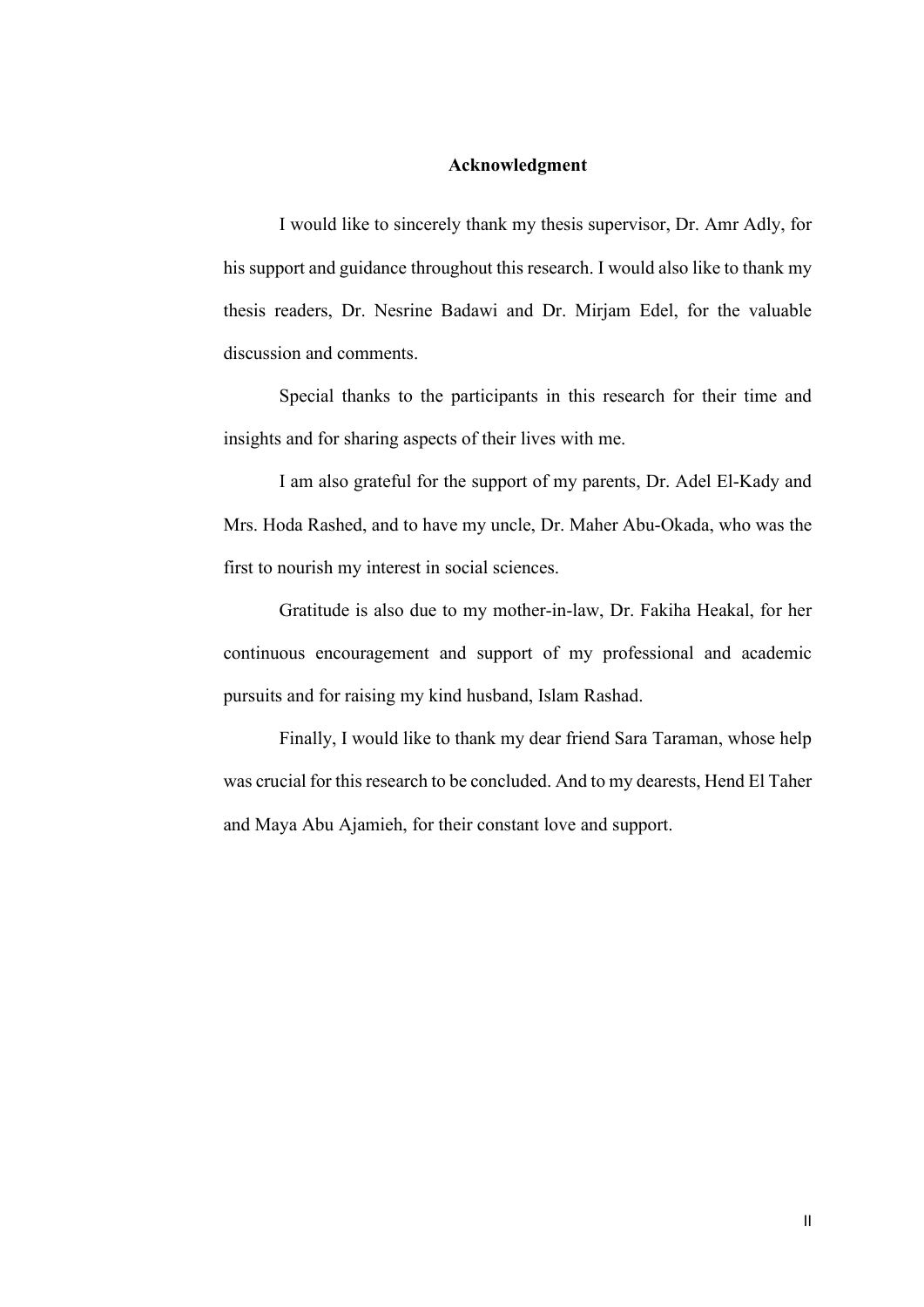#### **Acknowledgment**

<span id="page-4-0"></span>I would like to sincerely thank my thesis supervisor, Dr. Amr Adly, for his support and guidance throughout this research. I would also like to thank my thesis readers, Dr. Nesrine Badawi and Dr. Mirjam Edel, for the valuable discussion and comments.

Special thanks to the participants in this research for their time and insights and for sharing aspects of their lives with me.

I am also grateful for the support of my parents, Dr. Adel El-Kady and Mrs. Hoda Rashed, and to have my uncle, Dr. Maher Abu-Okada, who was the first to nourish my interest in social sciences.

Gratitude is also due to my mother-in-law, Dr. Fakiha Heakal, for her continuous encouragement and support of my professional and academic pursuits and for raising my kind husband, Islam Rashad.

Finally, I would like to thank my dear friend Sara Taraman, whose help was crucial for this research to be concluded. And to my dearests, Hend El Taher and Maya Abu Ajamieh, for their constant love and support.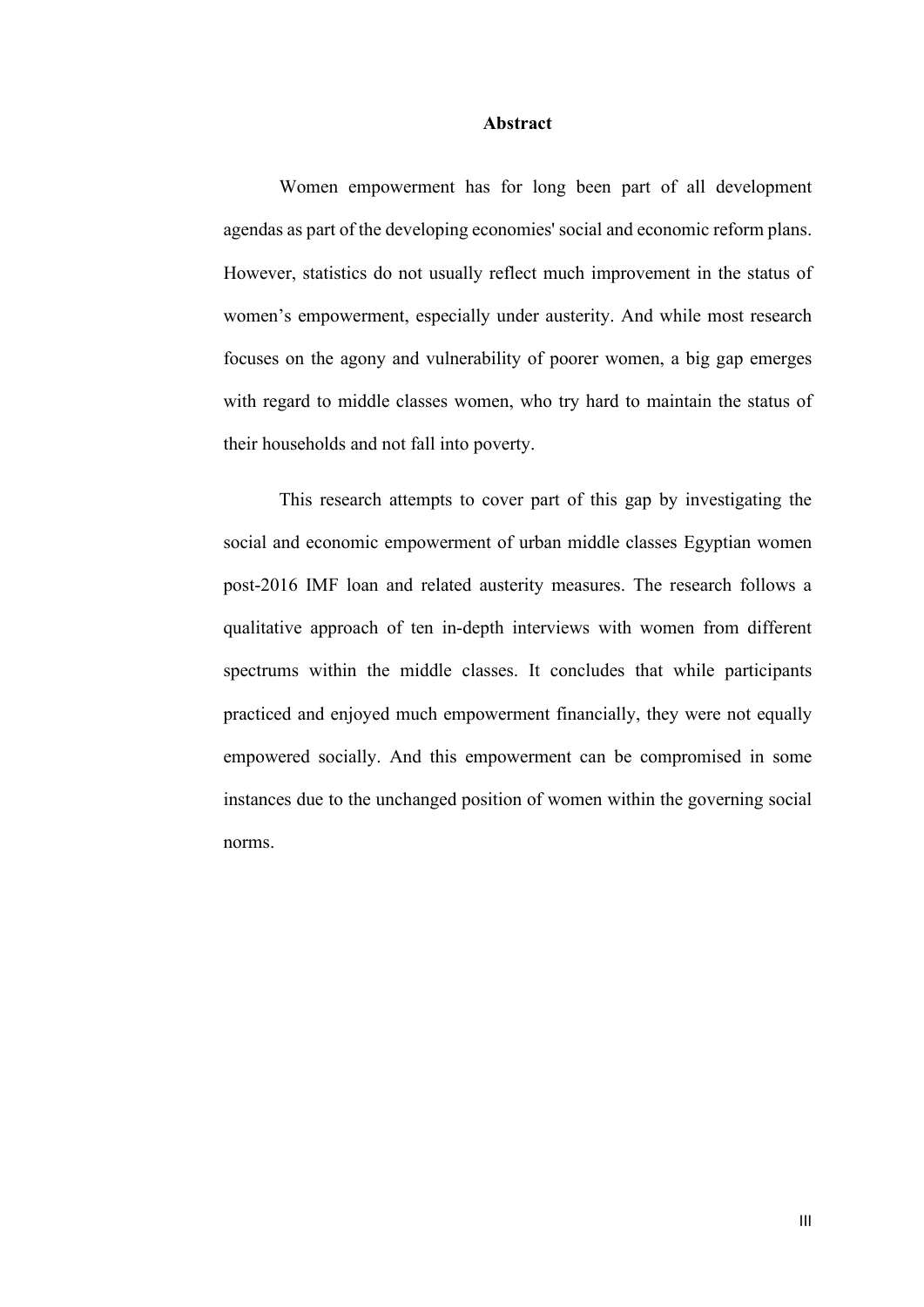#### **Abstract**

<span id="page-5-0"></span>Women empowerment has for long been part of all development agendas as part of the developing economies' social and economic reform plans. However, statistics do not usually reflect much improvement in the status of women's empowerment, especially under austerity. And while most research focuses on the agony and vulnerability of poorer women, a big gap emerges with regard to middle classes women, who try hard to maintain the status of their households and not fall into poverty.

This research attempts to cover part of this gap by investigating the social and economic empowerment of urban middle classes Egyptian women post-2016 IMF loan and related austerity measures. The research follows a qualitative approach of ten in-depth interviews with women from different spectrums within the middle classes. It concludes that while participants practiced and enjoyed much empowerment financially, they were not equally empowered socially. And this empowerment can be compromised in some instances due to the unchanged position of women within the governing social norms.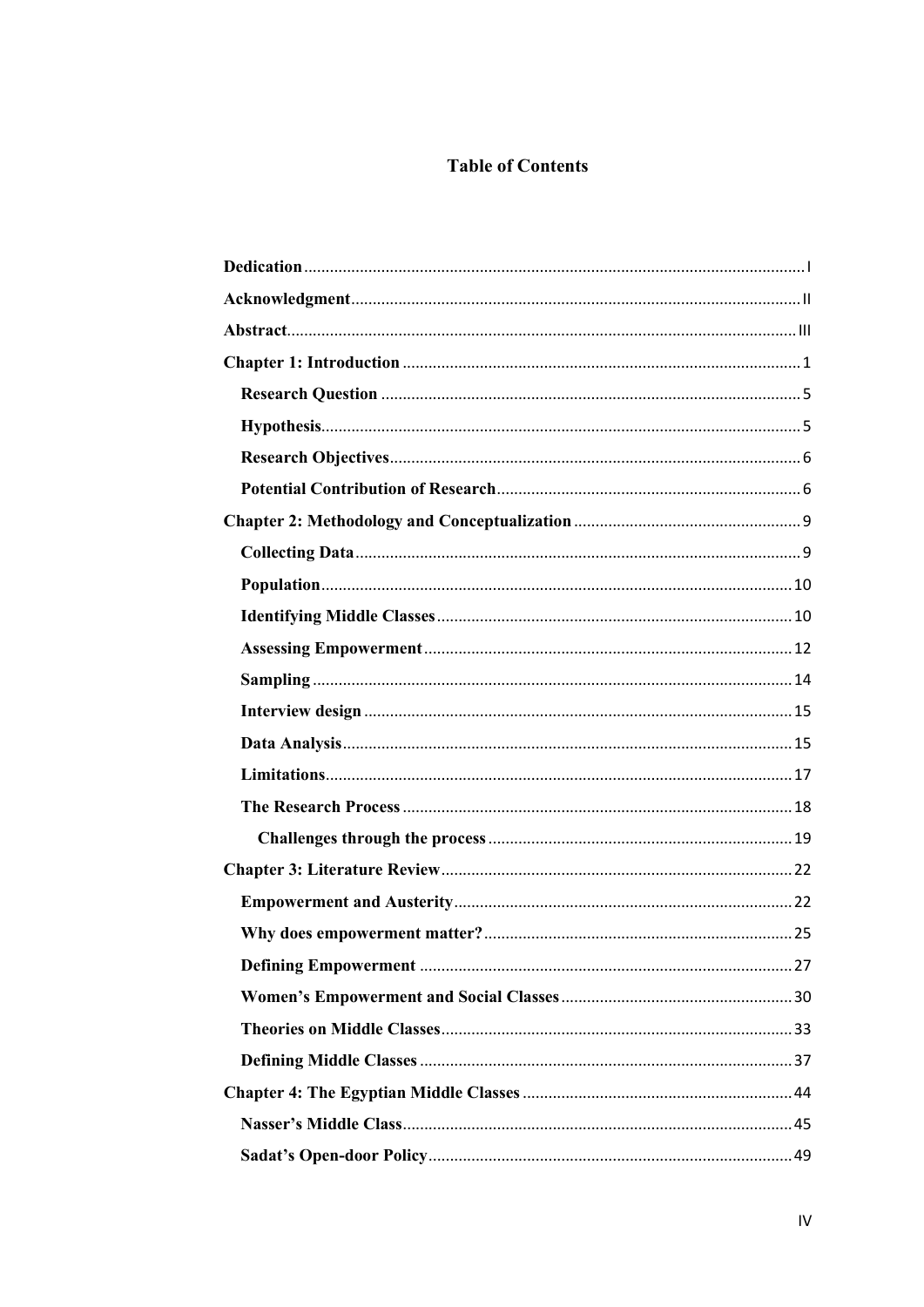# **Table of Contents**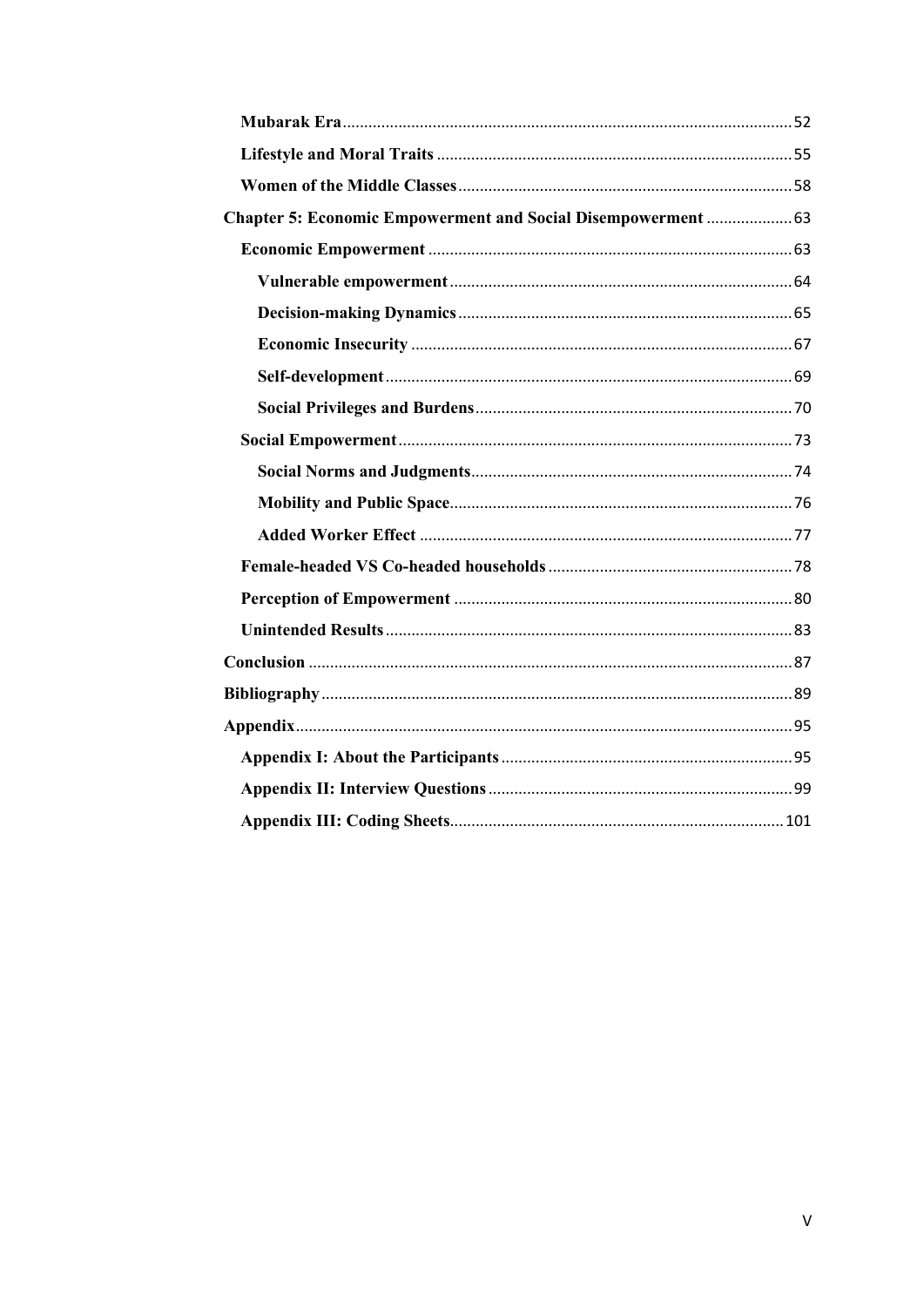| Chapter 5: Economic Empowerment and Social Disempowerment  63 |  |
|---------------------------------------------------------------|--|
|                                                               |  |
|                                                               |  |
|                                                               |  |
|                                                               |  |
|                                                               |  |
|                                                               |  |
|                                                               |  |
|                                                               |  |
|                                                               |  |
|                                                               |  |
|                                                               |  |
|                                                               |  |
|                                                               |  |
|                                                               |  |
|                                                               |  |
|                                                               |  |
|                                                               |  |
|                                                               |  |
|                                                               |  |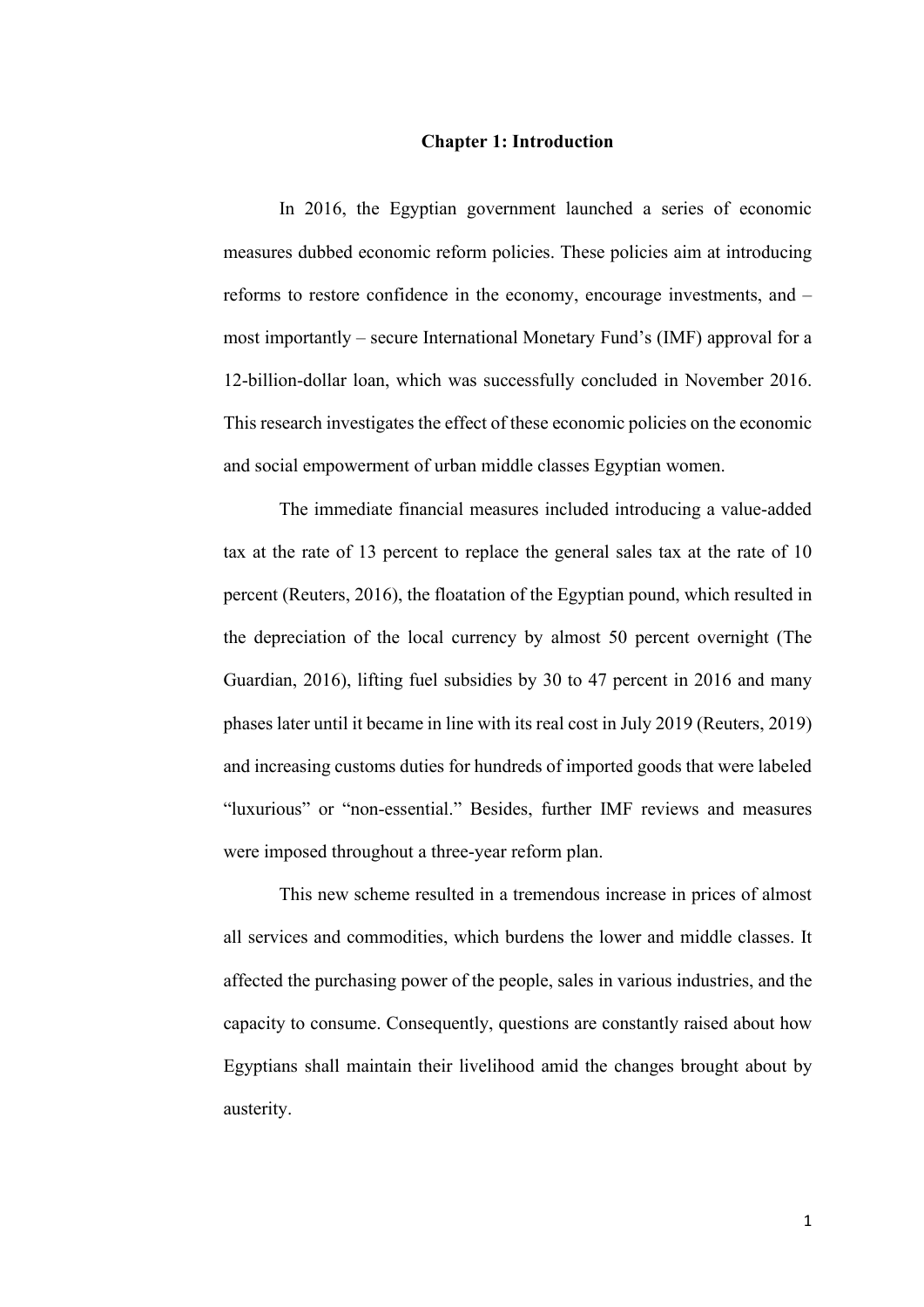#### **Chapter 1: Introduction**

<span id="page-8-0"></span>In 2016, the Egyptian government launched a series of economic measures dubbed economic reform policies. These policies aim at introducing reforms to restore confidence in the economy, encourage investments, and – most importantly – secure International Monetary Fund's (IMF) approval for a 12-billion-dollar loan, which was successfully concluded in November 2016. This research investigates the effect of these economic policies on the economic and social empowerment of urban middle classes Egyptian women.

The immediate financial measures included introducing a value-added tax at the rate of 13 percent to replace the general sales tax at the rate of 10 percent (Reuters, 2016), the floatation of the Egyptian pound, which resulted in the depreciation of the local currency by almost 50 percent overnight (The Guardian, 2016), lifting fuel subsidies by 30 to 47 percent in 2016 and many phases later until it became in line with its real cost in July 2019 (Reuters, 2019) and increasing customs duties for hundreds of imported goods that were labeled "luxurious" or "non-essential." Besides, further IMF reviews and measures were imposed throughout a three-year reform plan.

This new scheme resulted in a tremendous increase in prices of almost all services and commodities, which burdens the lower and middle classes. It affected the purchasing power of the people, sales in various industries, and the capacity to consume. Consequently, questions are constantly raised about how Egyptians shall maintain their livelihood amid the changes brought about by austerity.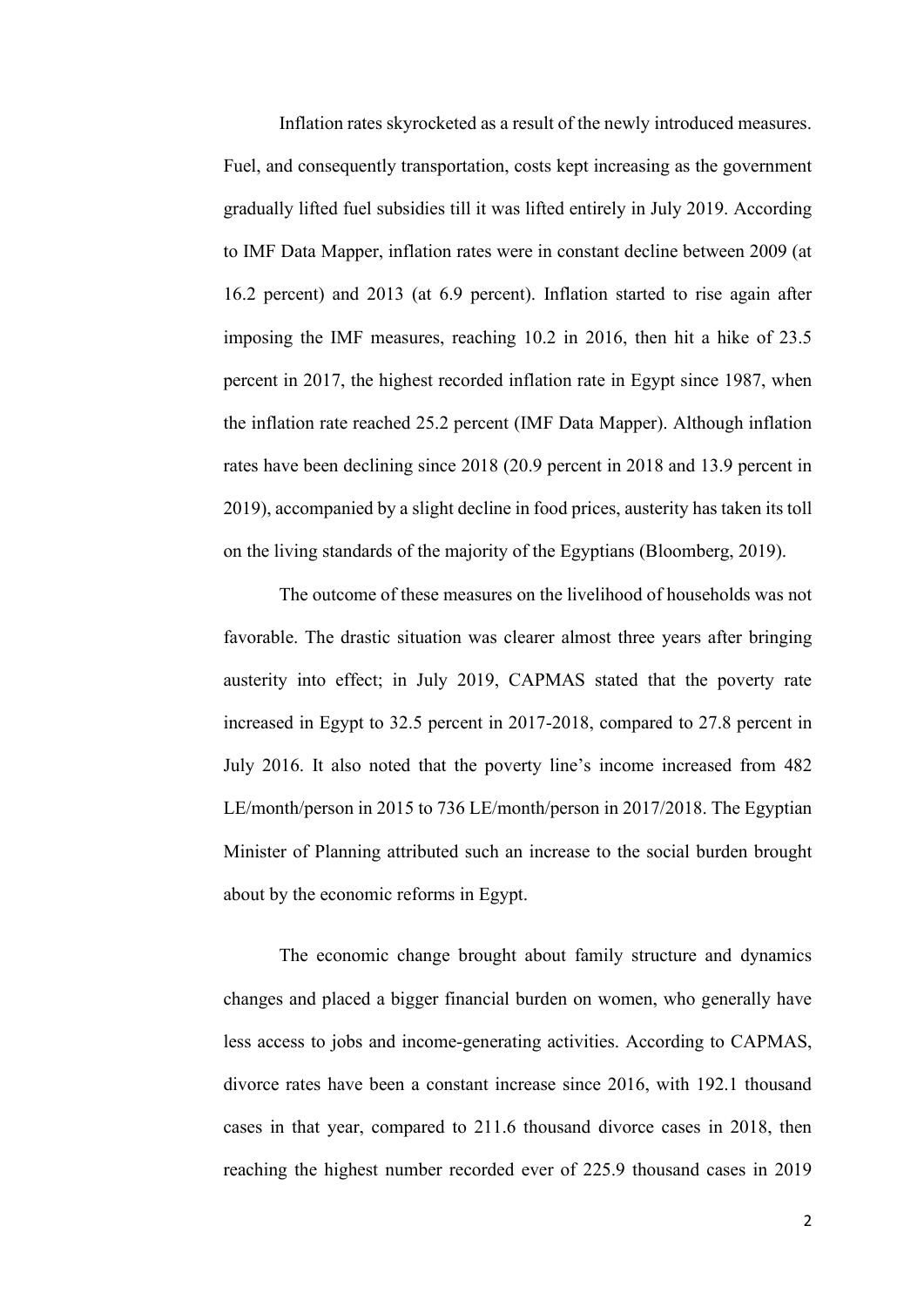Inflation rates skyrocketed as a result of the newly introduced measures. Fuel, and consequently transportation, costs kept increasing as the government gradually lifted fuel subsidies till it was lifted entirely in July 2019. According to IMF Data Mapper, inflation rates were in constant decline between 2009 (at 16.2 percent) and 2013 (at 6.9 percent). Inflation started to rise again after imposing the IMF measures, reaching 10.2 in 2016, then hit a hike of 23.5 percent in 2017, the highest recorded inflation rate in Egypt since 1987, when the inflation rate reached 25.2 percent (IMF Data Mapper). Although inflation rates have been declining since 2018 (20.9 percent in 2018 and 13.9 percent in 2019), accompanied by a slight decline in food prices, austerity has taken its toll on the living standards of the majority of the Egyptians (Bloomberg, 2019).

The outcome of these measures on the livelihood of households was not favorable. The drastic situation was clearer almost three years after bringing austerity into effect; in July 2019, CAPMAS stated that the poverty rate increased in Egypt to 32.5 percent in 2017-2018, compared to 27.8 percent in July 2016. It also noted that the poverty line's income increased from 482 LE/month/person in 2015 to 736 LE/month/person in 2017/2018. The Egyptian Minister of Planning attributed such an increase to the social burden brought about by the economic reforms in Egypt.

The economic change brought about family structure and dynamics changes and placed a bigger financial burden on women, who generally have less access to jobs and income-generating activities. According to CAPMAS, divorce rates have been a constant increase since 2016, with 192.1 thousand cases in that year, compared to 211.6 thousand divorce cases in 2018, then reaching the highest number recorded ever of 225.9 thousand cases in 2019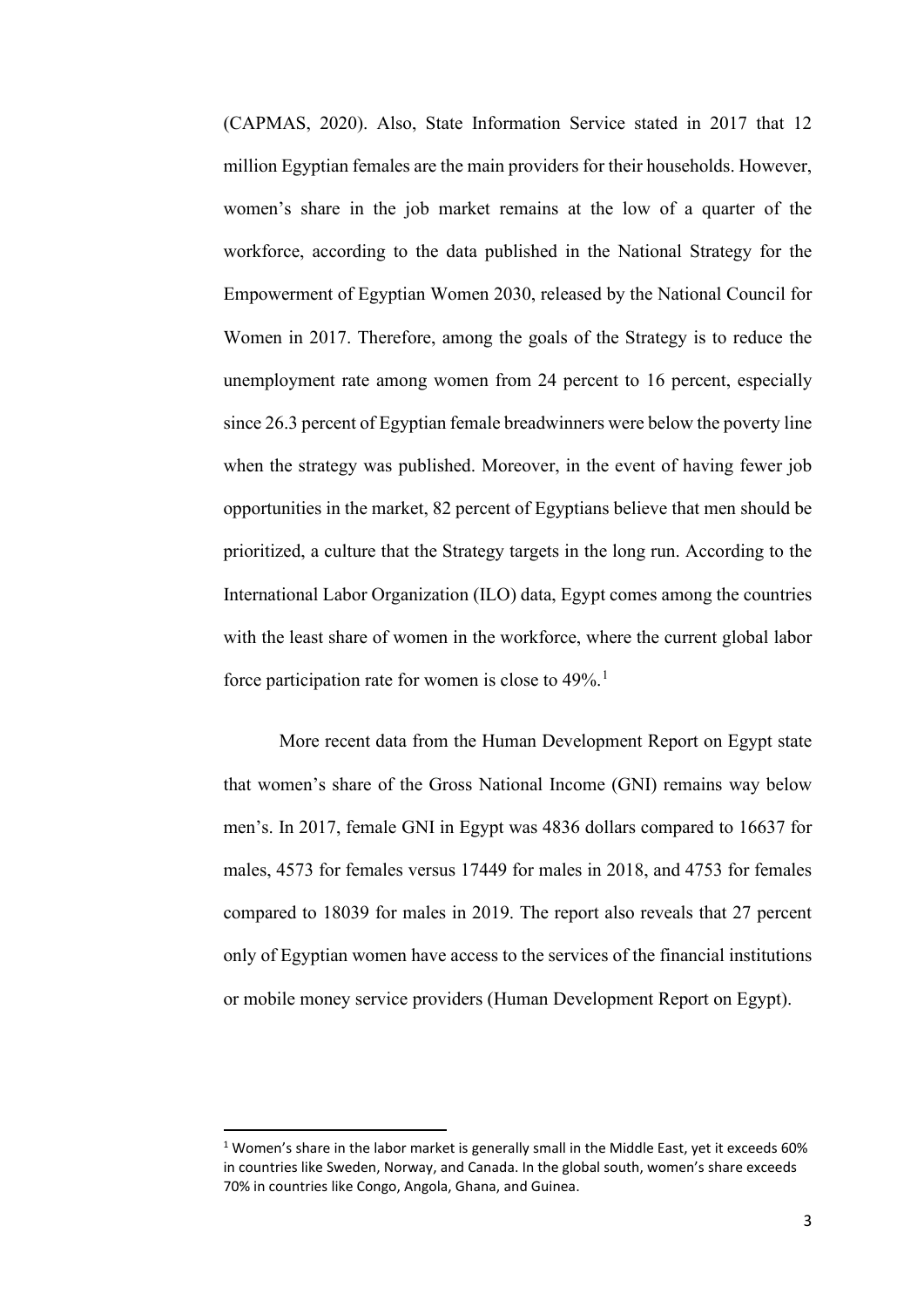(CAPMAS, 2020). Also, State Information Service stated in 2017 that 12 million Egyptian females are the main providers for their households. However, women's share in the job market remains at the low of a quarter of the workforce, according to the data published in the National Strategy for the Empowerment of Egyptian Women 2030, released by the National Council for Women in 2017. Therefore, among the goals of the Strategy is to reduce the unemployment rate among women from 24 percent to 16 percent, especially since 26.3 percent of Egyptian female breadwinners were below the poverty line when the strategy was published. Moreover, in the event of having fewer job opportunities in the market, 82 percent of Egyptians believe that men should be prioritized, a culture that the Strategy targets in the long run. According to the International Labor Organization (ILO) data, Egypt comes among the countries with the least share of women in the workforce, where the current global labor force participation rate for women is close to  $49\%$ <sup>[1](#page-10-0)</sup>.

More recent data from the Human Development Report on Egypt state that women's share of the Gross National Income (GNI) remains way below men's. In 2017, female GNI in Egypt was 4836 dollars compared to 16637 for males, 4573 for females versus 17449 for males in 2018, and 4753 for females compared to 18039 for males in 2019. The report also reveals that 27 percent only of Egyptian women have access to the services of the financial institutions or mobile money service providers (Human Development Report on Egypt).

<span id="page-10-0"></span><sup>&</sup>lt;sup>1</sup> Women's share in the labor market is generally small in the Middle East, yet it exceeds 60% in countries like Sweden, Norway, and Canada. In the global south, women's share exceeds 70% in countries like Congo, Angola, Ghana, and Guinea.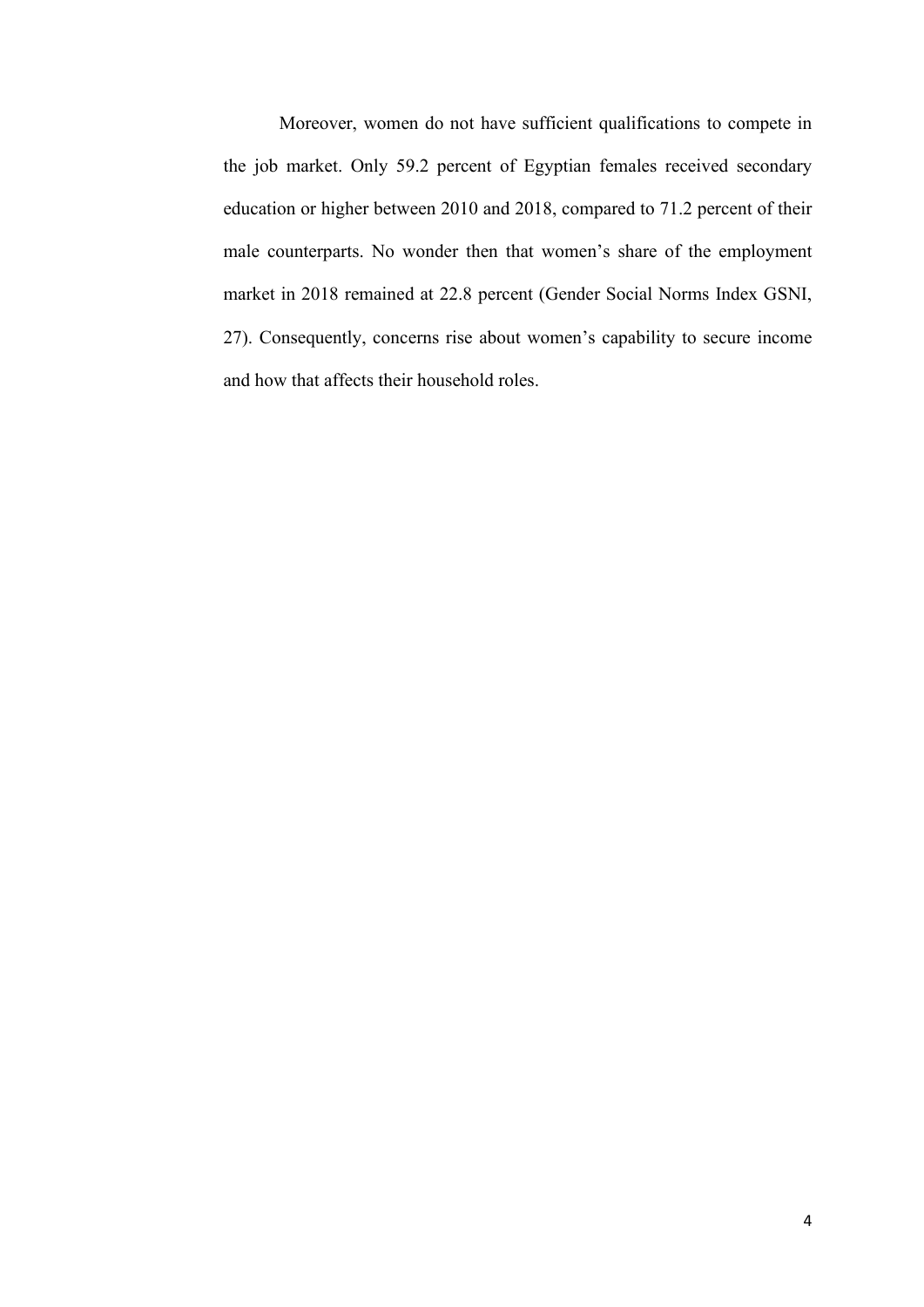Moreover, women do not have sufficient qualifications to compete in the job market. Only 59.2 percent of Egyptian females received secondary education or higher between 2010 and 2018, compared to 71.2 percent of their male counterparts. No wonder then that women's share of the employment market in 2018 remained at 22.8 percent (Gender Social Norms Index GSNI, 27). Consequently, concerns rise about women's capability to secure income and how that affects their household roles.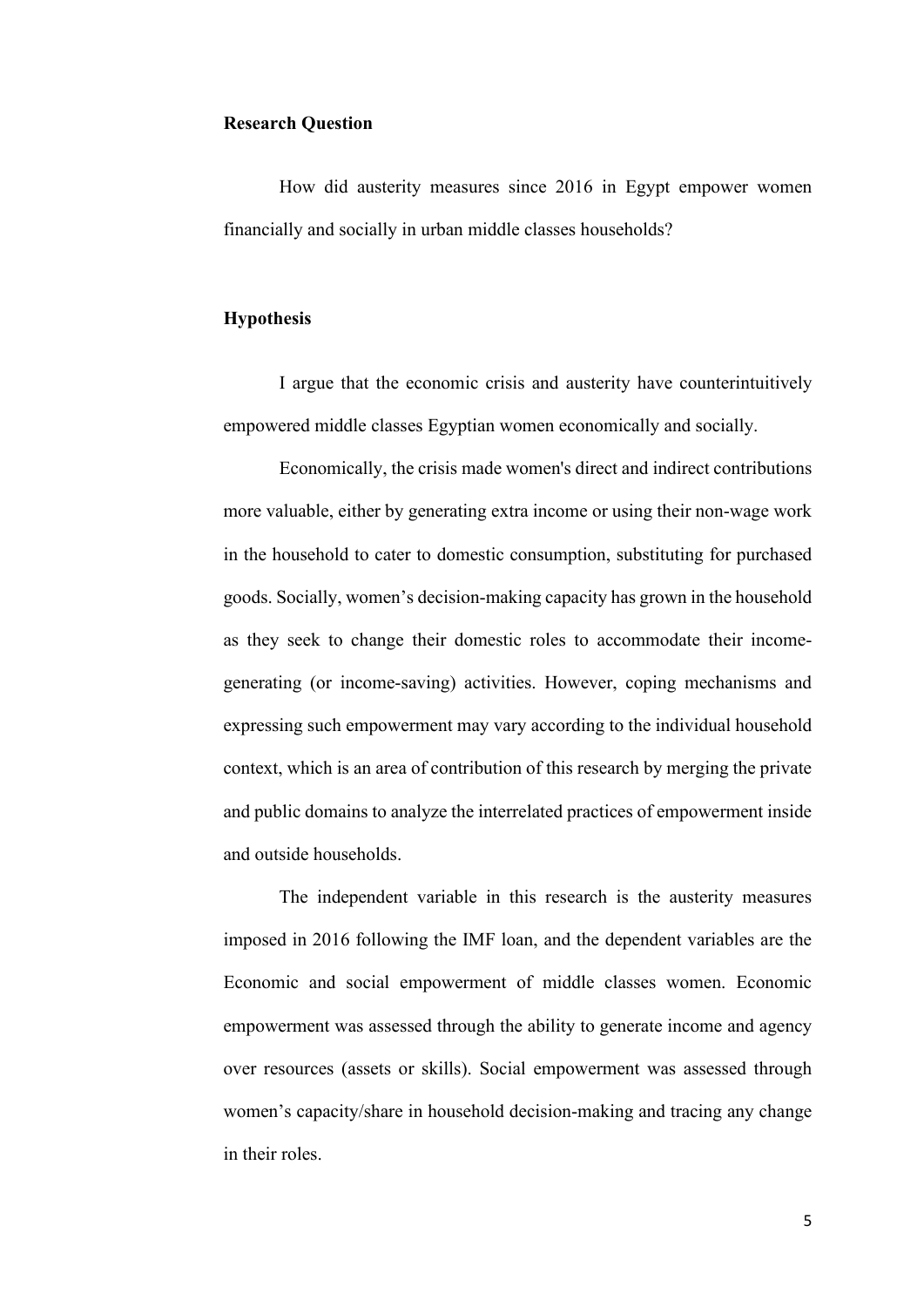### <span id="page-12-0"></span>**Research Question**

How did austerity measures since 2016 in Egypt empower women financially and socially in urban middle classes households?

### <span id="page-12-1"></span>**Hypothesis**

I argue that the economic crisis and austerity have counterintuitively empowered middle classes Egyptian women economically and socially.

Economically, the crisis made women's direct and indirect contributions more valuable, either by generating extra income or using their non-wage work in the household to cater to domestic consumption, substituting for purchased goods. Socially, women's decision-making capacity has grown in the household as they seek to change their domestic roles to accommodate their incomegenerating (or income-saving) activities. However, coping mechanisms and expressing such empowerment may vary according to the individual household context, which is an area of contribution of this research by merging the private and public domains to analyze the interrelated practices of empowerment inside and outside households.

The independent variable in this research is the austerity measures imposed in 2016 following the IMF loan, and the dependent variables are the Economic and social empowerment of middle classes women. Economic empowerment was assessed through the ability to generate income and agency over resources (assets or skills). Social empowerment was assessed through women's capacity/share in household decision-making and tracing any change in their roles.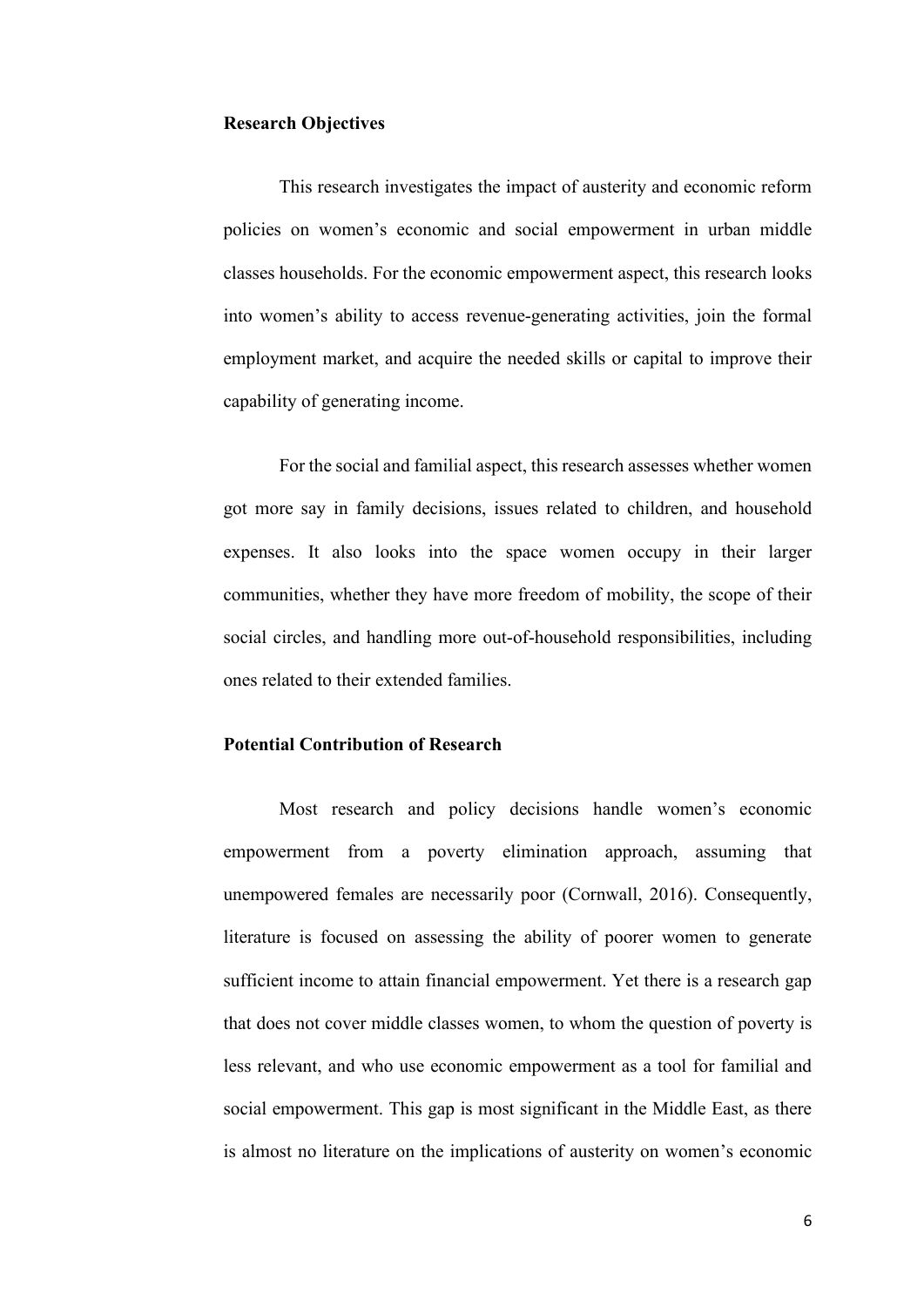### <span id="page-13-0"></span>**Research Objectives**

This research investigates the impact of austerity and economic reform policies on women's economic and social empowerment in urban middle classes households. For the economic empowerment aspect, this research looks into women's ability to access revenue-generating activities, join the formal employment market, and acquire the needed skills or capital to improve their capability of generating income.

For the social and familial aspect, this research assesses whether women got more say in family decisions, issues related to children, and household expenses. It also looks into the space women occupy in their larger communities, whether they have more freedom of mobility, the scope of their social circles, and handling more out-of-household responsibilities, including ones related to their extended families.

# <span id="page-13-1"></span>**Potential Contribution of Research**

Most research and policy decisions handle women's economic empowerment from a poverty elimination approach, assuming that unempowered females are necessarily poor (Cornwall, 2016). Consequently, literature is focused on assessing the ability of poorer women to generate sufficient income to attain financial empowerment. Yet there is a research gap that does not cover middle classes women, to whom the question of poverty is less relevant, and who use economic empowerment as a tool for familial and social empowerment. This gap is most significant in the Middle East, as there is almost no literature on the implications of austerity on women's economic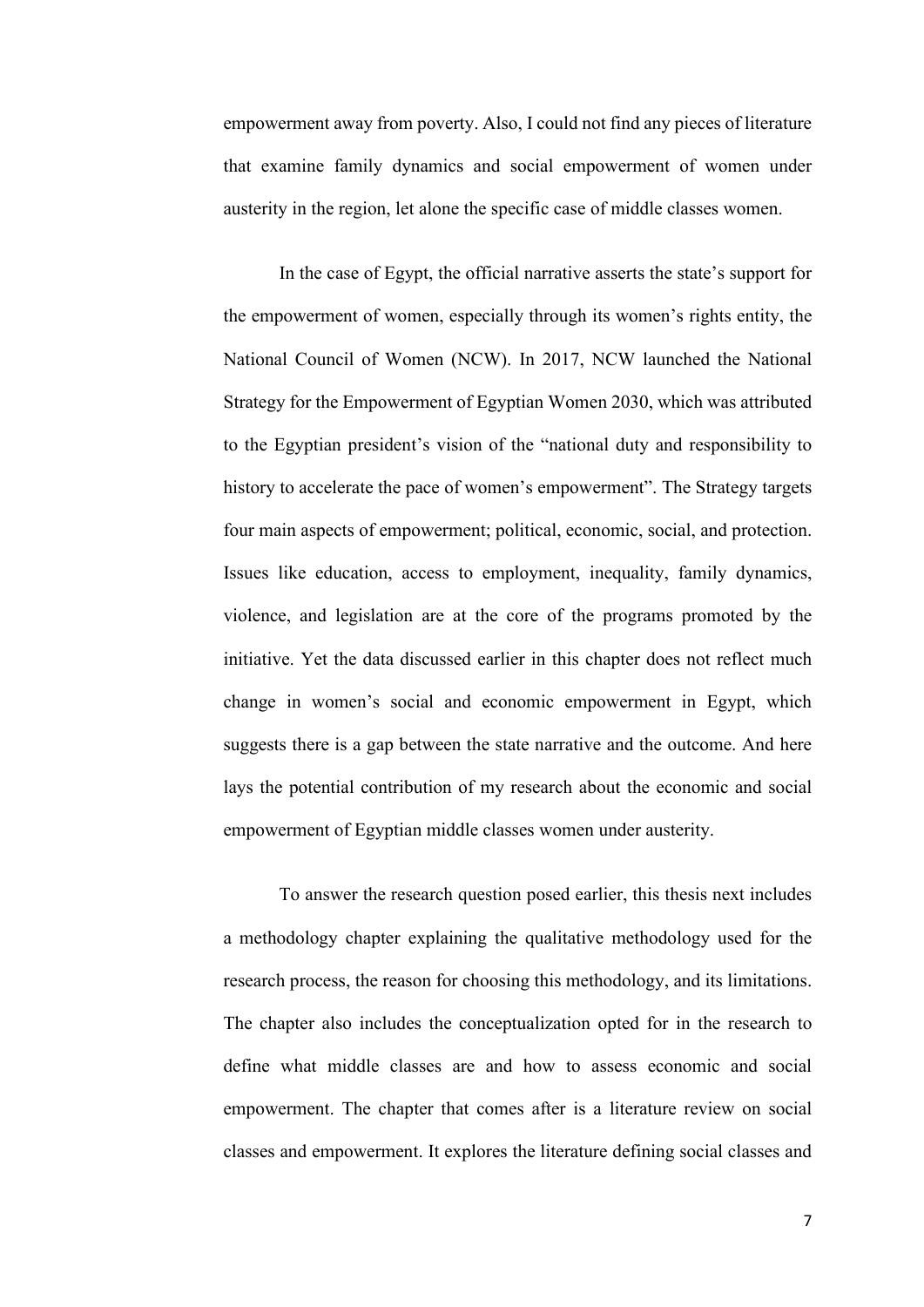empowerment away from poverty. Also, I could not find any pieces of literature that examine family dynamics and social empowerment of women under austerity in the region, let alone the specific case of middle classes women.

In the case of Egypt, the official narrative asserts the state's support for the empowerment of women, especially through its women's rights entity, the National Council of Women (NCW). In 2017, NCW launched the National Strategy for the Empowerment of Egyptian Women 2030, which was attributed to the Egyptian president's vision of the "national duty and responsibility to history to accelerate the pace of women's empowerment". The Strategy targets four main aspects of empowerment; political, economic, social, and protection. Issues like education, access to employment, inequality, family dynamics, violence, and legislation are at the core of the programs promoted by the initiative. Yet the data discussed earlier in this chapter does not reflect much change in women's social and economic empowerment in Egypt, which suggests there is a gap between the state narrative and the outcome. And here lays the potential contribution of my research about the economic and social empowerment of Egyptian middle classes women under austerity.

To answer the research question posed earlier, this thesis next includes a methodology chapter explaining the qualitative methodology used for the research process, the reason for choosing this methodology, and its limitations. The chapter also includes the conceptualization opted for in the research to define what middle classes are and how to assess economic and social empowerment. The chapter that comes after is a literature review on social classes and empowerment. It explores the literature defining social classes and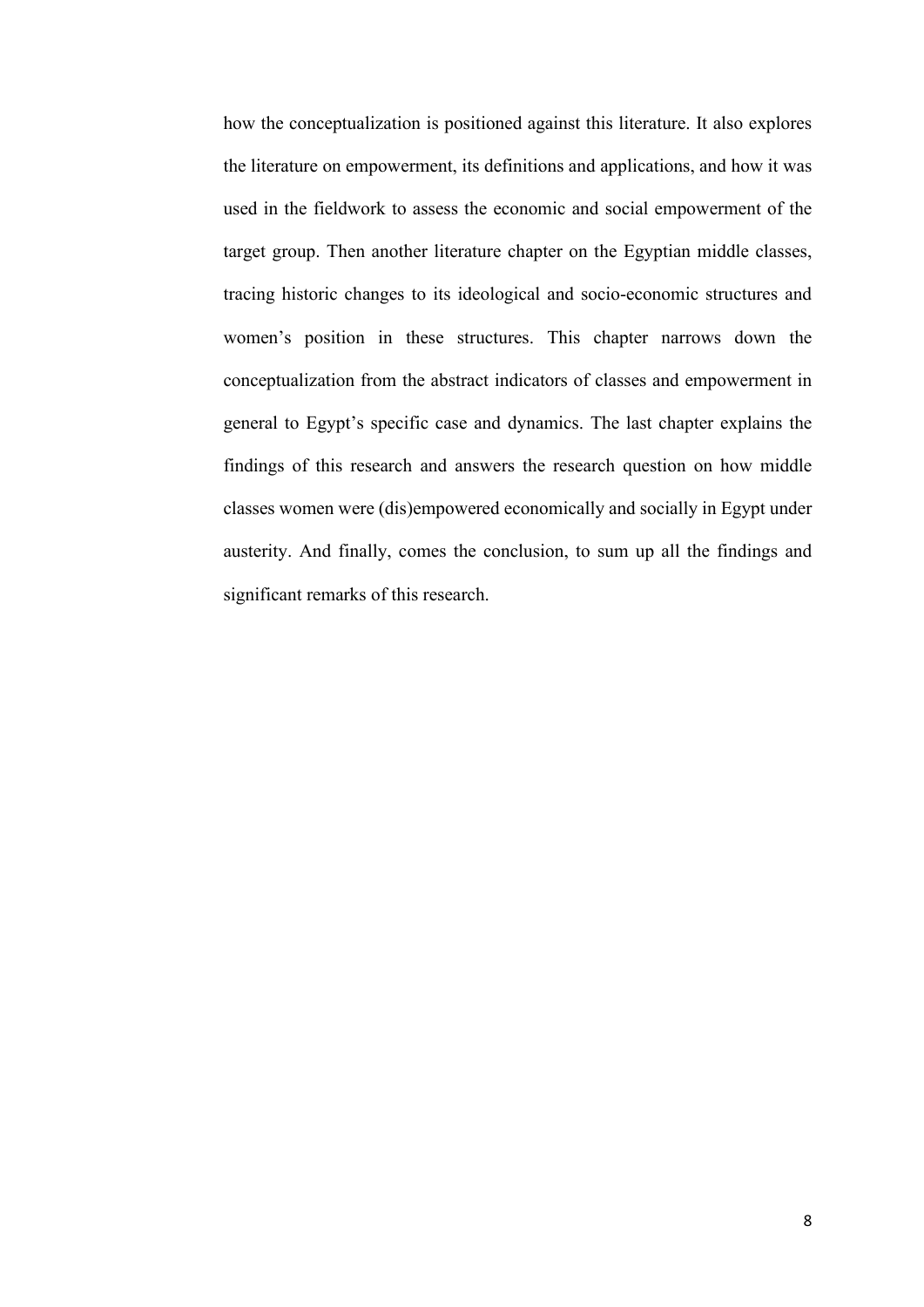how the conceptualization is positioned against this literature. It also explores the literature on empowerment, its definitions and applications, and how it was used in the fieldwork to assess the economic and social empowerment of the target group. Then another literature chapter on the Egyptian middle classes, tracing historic changes to its ideological and socio-economic structures and women's position in these structures. This chapter narrows down the conceptualization from the abstract indicators of classes and empowerment in general to Egypt's specific case and dynamics. The last chapter explains the findings of this research and answers the research question on how middle classes women were (dis)empowered economically and socially in Egypt under austerity. And finally, comes the conclusion, to sum up all the findings and significant remarks of this research.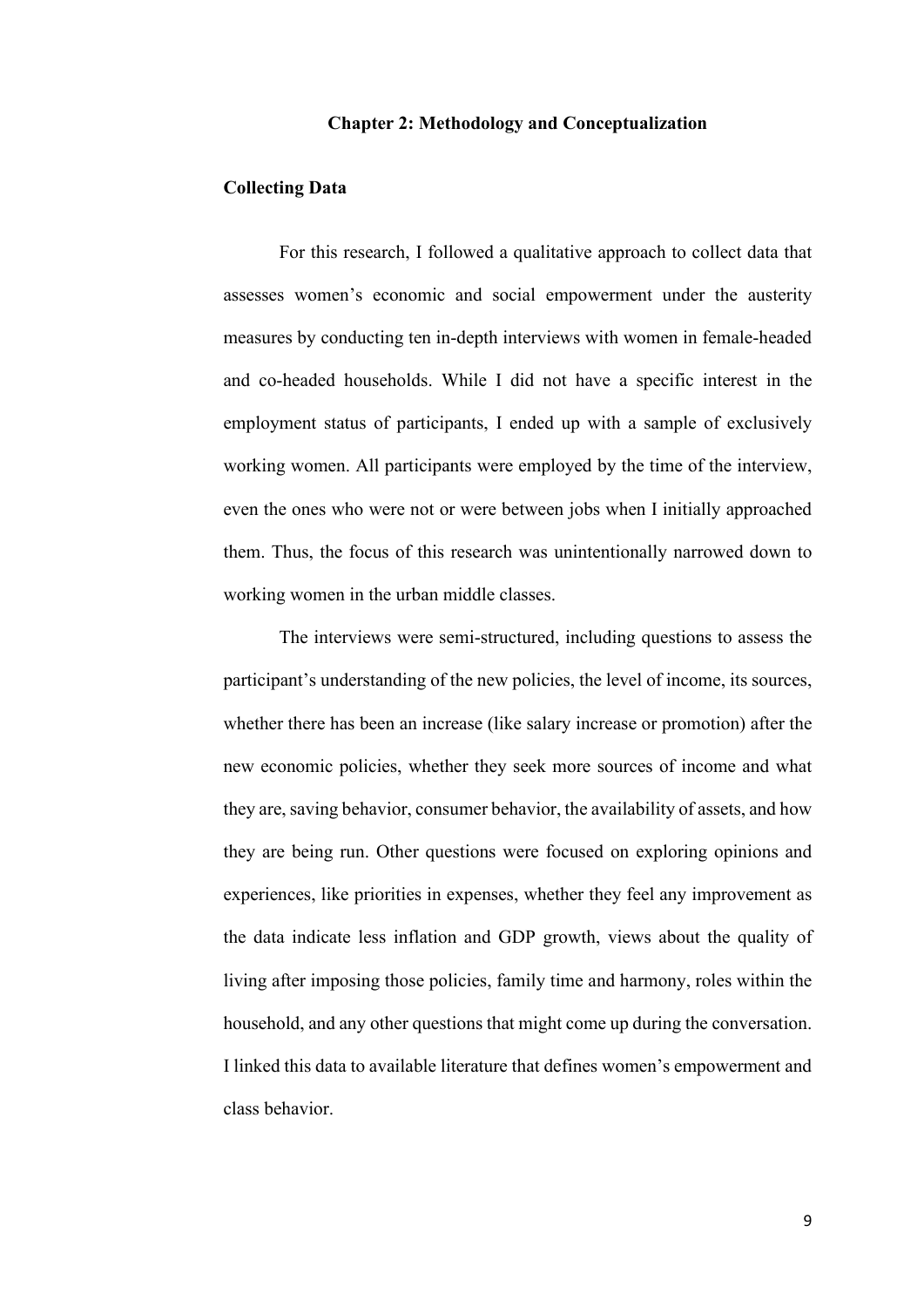#### **Chapter 2: Methodology and Conceptualization**

#### <span id="page-16-1"></span><span id="page-16-0"></span>**Collecting Data**

For this research, I followed a qualitative approach to collect data that assesses women's economic and social empowerment under the austerity measures by conducting ten in-depth interviews with women in female-headed and co-headed households. While I did not have a specific interest in the employment status of participants, I ended up with a sample of exclusively working women. All participants were employed by the time of the interview, even the ones who were not or were between jobs when I initially approached them. Thus, the focus of this research was unintentionally narrowed down to working women in the urban middle classes.

The interviews were semi-structured, including questions to assess the participant's understanding of the new policies, the level of income, its sources, whether there has been an increase (like salary increase or promotion) after the new economic policies, whether they seek more sources of income and what they are, saving behavior, consumer behavior, the availability of assets, and how they are being run. Other questions were focused on exploring opinions and experiences, like priorities in expenses, whether they feel any improvement as the data indicate less inflation and GDP growth, views about the quality of living after imposing those policies, family time and harmony, roles within the household, and any other questions that might come up during the conversation. I linked this data to available literature that defines women's empowerment and class behavior.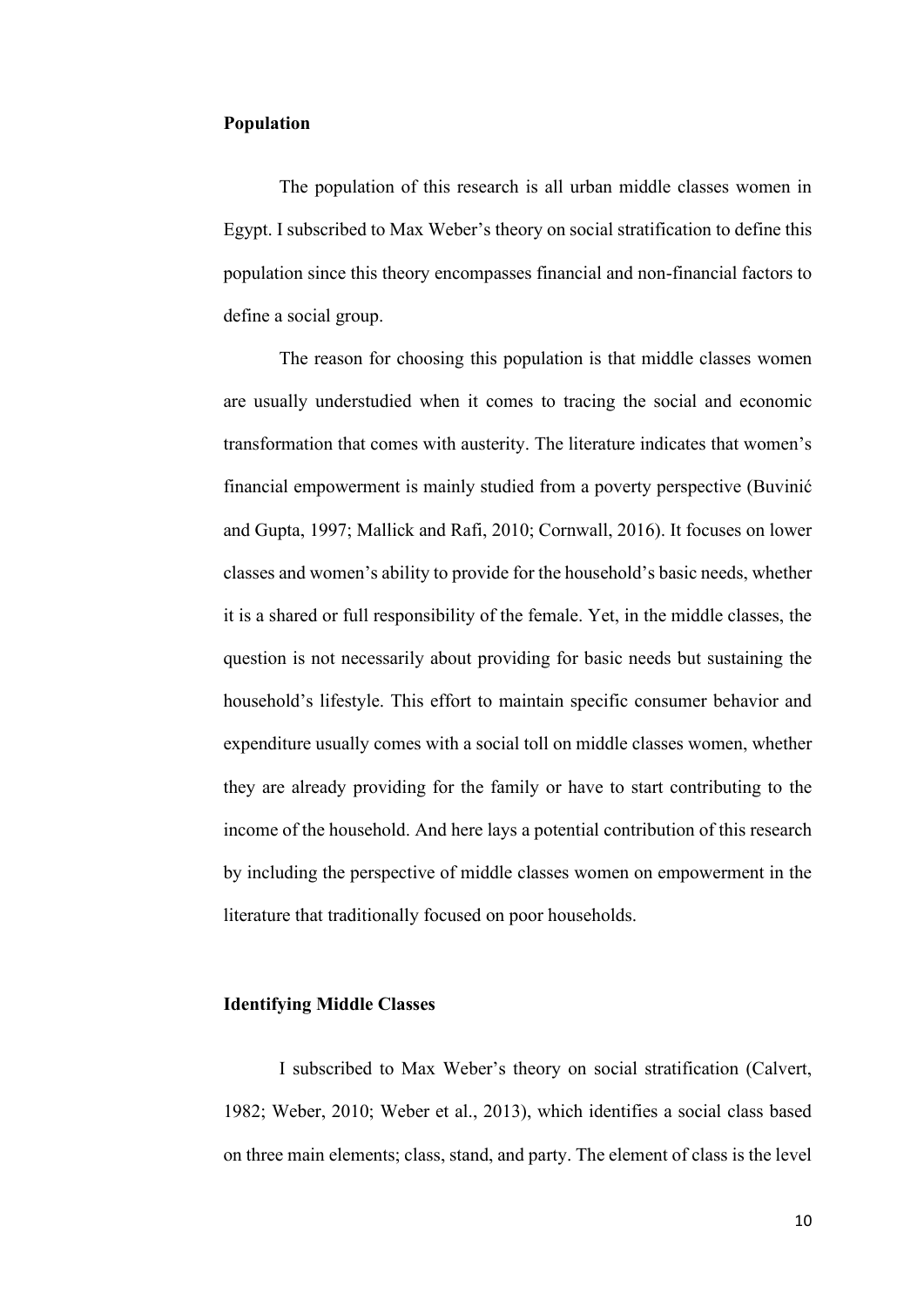#### <span id="page-17-0"></span>**Population**

The population of this research is all urban middle classes women in Egypt. I subscribed to Max Weber's theory on social stratification to define this population since this theory encompasses financial and non-financial factors to define a social group.

The reason for choosing this population is that middle classes women are usually understudied when it comes to tracing the social and economic transformation that comes with austerity. The literature indicates that women's financial empowerment is mainly studied from a poverty perspective (Buvinić and Gupta, 1997; Mallick and Rafi, 2010; Cornwall, 2016). It focuses on lower classes and women's ability to provide for the household's basic needs, whether it is a shared or full responsibility of the female. Yet, in the middle classes, the question is not necessarily about providing for basic needs but sustaining the household's lifestyle. This effort to maintain specific consumer behavior and expenditure usually comes with a social toll on middle classes women, whether they are already providing for the family or have to start contributing to the income of the household. And here lays a potential contribution of this research by including the perspective of middle classes women on empowerment in the literature that traditionally focused on poor households.

#### <span id="page-17-1"></span>**Identifying Middle Classes**

I subscribed to Max Weber's theory on social stratification (Calvert, 1982; Weber, 2010; Weber et al., 2013), which identifies a social class based on three main elements; class, stand, and party. The element of class is the level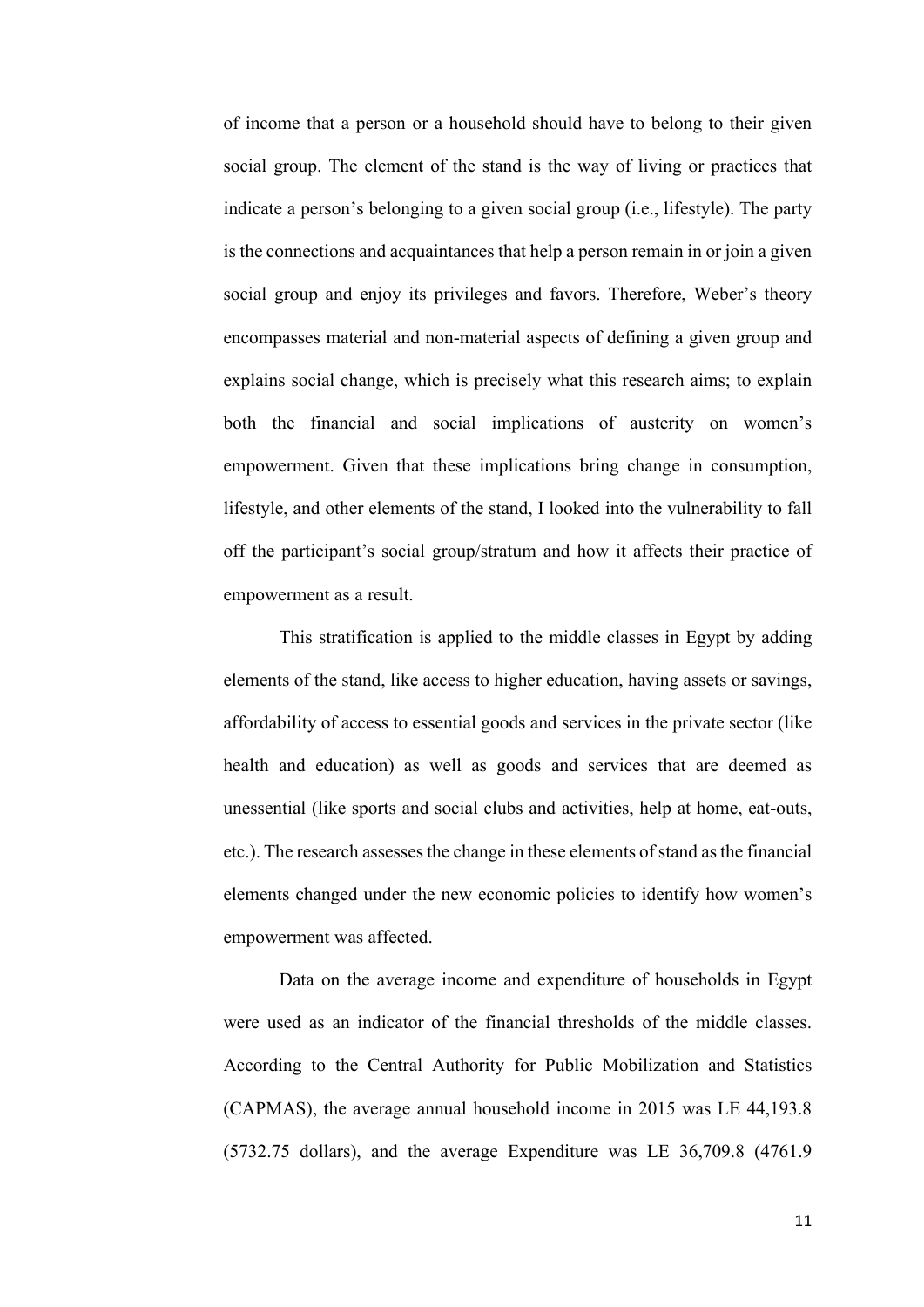of income that a person or a household should have to belong to their given social group. The element of the stand is the way of living or practices that indicate a person's belonging to a given social group (i.e., lifestyle). The party is the connections and acquaintances that help a person remain in or join a given social group and enjoy its privileges and favors. Therefore, Weber's theory encompasses material and non-material aspects of defining a given group and explains social change, which is precisely what this research aims; to explain both the financial and social implications of austerity on women's empowerment. Given that these implications bring change in consumption, lifestyle, and other elements of the stand, I looked into the vulnerability to fall off the participant's social group/stratum and how it affects their practice of empowerment as a result.

This stratification is applied to the middle classes in Egypt by adding elements of the stand, like access to higher education, having assets or savings, affordability of access to essential goods and services in the private sector (like health and education) as well as goods and services that are deemed as unessential (like sports and social clubs and activities, help at home, eat-outs, etc.). The research assesses the change in these elements of stand as the financial elements changed under the new economic policies to identify how women's empowerment was affected.

Data on the average income and expenditure of households in Egypt were used as an indicator of the financial thresholds of the middle classes. According to the Central Authority for Public Mobilization and Statistics (CAPMAS), the average annual household income in 2015 was LE 44,193.8 (5732.75 dollars), and the average Expenditure was LE 36,709.8 (4761.9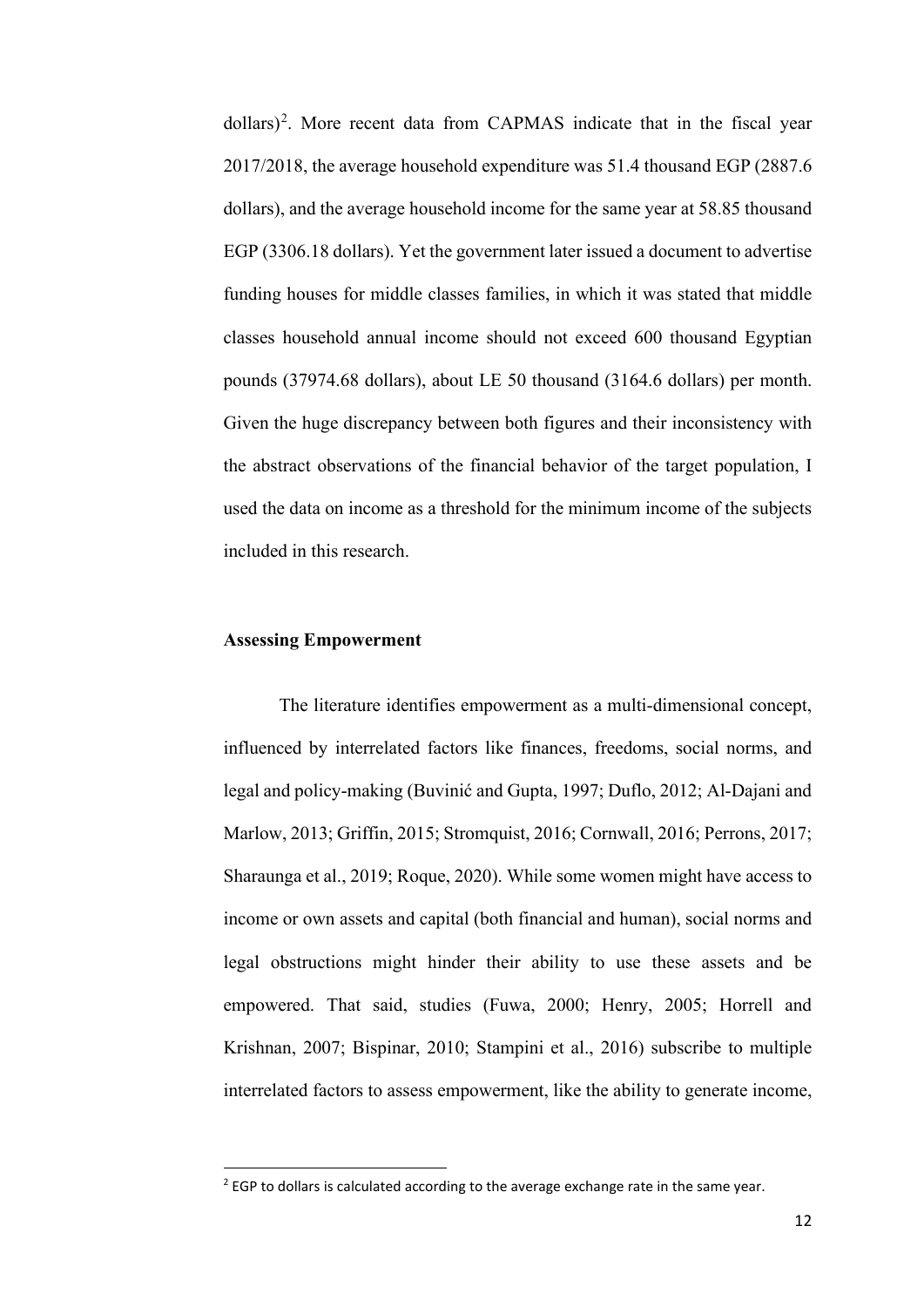dollars)<sup>[2](#page-19-1)</sup>. More recent data from CAPMAS indicate that in the fiscal year 2017/2018, the average household expenditure was 51.4 thousand EGP (2887.6 dollars), and the average household income for the same year at 58.85 thousand EGP (3306.18 dollars). Yet the government later issued a document to advertise funding houses for middle classes families, in which it was stated that middle classes household annual income should not exceed 600 thousand Egyptian pounds (37974.68 dollars), about LE 50 thousand (3164.6 dollars) per month. Given the huge discrepancy between both figures and their inconsistency with the abstract observations of the financial behavior of the target population, I used the data on income as a threshold for the minimum income of the subjects included in this research.

#### <span id="page-19-0"></span>**Assessing Empowerment**

The literature identifies empowerment as a multi-dimensional concept, influenced by interrelated factors like finances, freedoms, social norms, and legal and policy-making (Buvinić and Gupta, 1997; Duflo, 2012; Al-Dajani and Marlow, 2013; Griffin, 2015; Stromquist, 2016; Cornwall, 2016; Perrons, 2017; Sharaunga et al., 2019; Roque, 2020). While some women might have access to income or own assets and capital (both financial and human), social norms and legal obstructions might hinder their ability to use these assets and be empowered. That said, studies (Fuwa, 2000; Henry, 2005; Horrell and Krishnan, 2007; Bispinar, 2010; Stampini et al., 2016) subscribe to multiple interrelated factors to assess empowerment, like the ability to generate income,

<span id="page-19-1"></span><sup>&</sup>lt;sup>2</sup> EGP to dollars is calculated according to the average exchange rate in the same vear.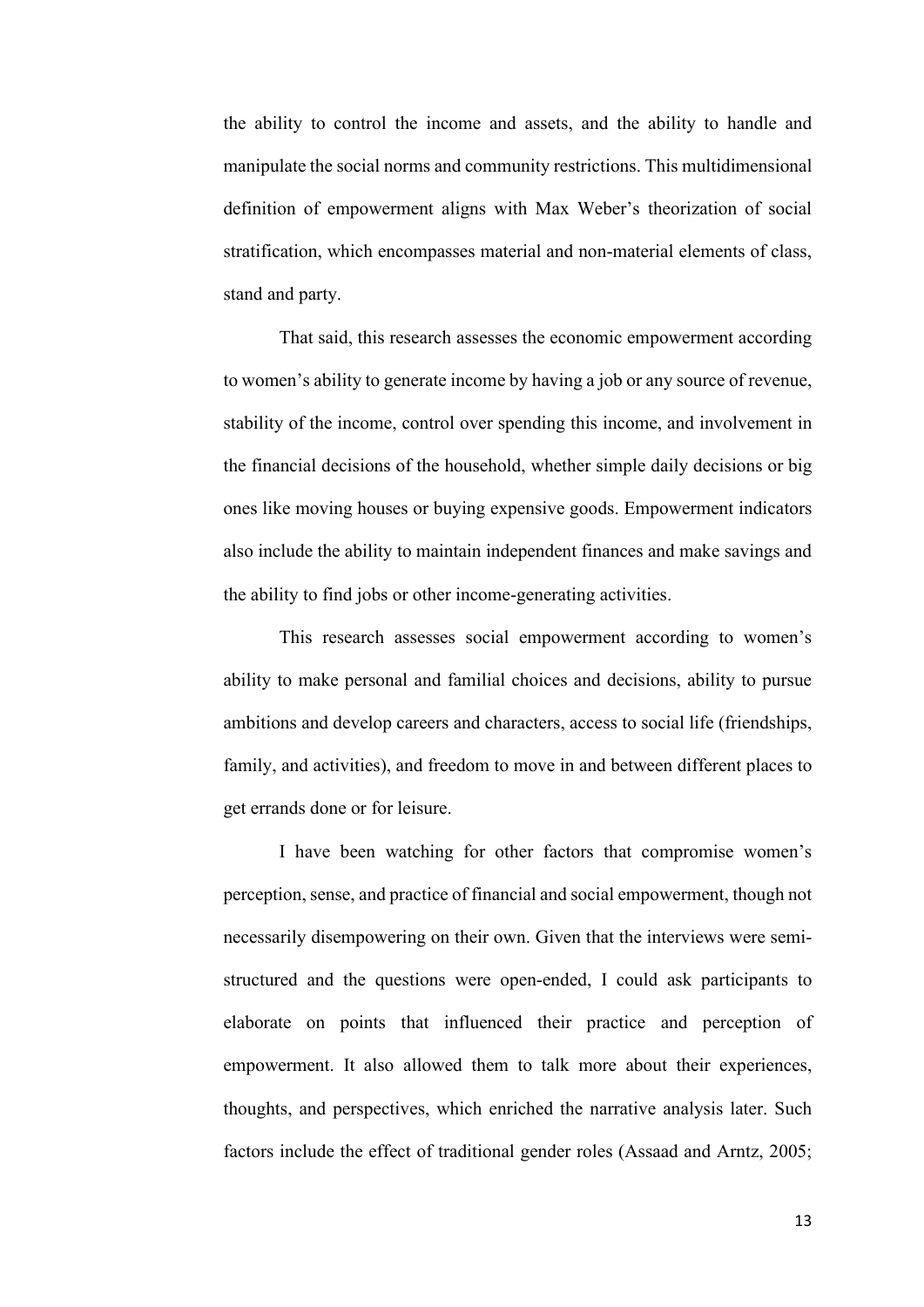the ability to control the income and assets, and the ability to handle and manipulate the social norms and community restrictions. This multidimensional definition of empowerment aligns with Max Weber's theorization of social stratification, which encompasses material and non-material elements of class, stand and party.

That said, this research assesses the economic empowerment according to women's ability to generate income by having a job or any source of revenue, stability of the income, control over spending this income, and involvement in the financial decisions of the household, whether simple daily decisions or big ones like moving houses or buying expensive goods. Empowerment indicators also include the ability to maintain independent finances and make savings and the ability to find jobs or other income-generating activities.

This research assesses social empowerment according to women's ability to make personal and familial choices and decisions, ability to pursue ambitions and develop careers and characters, access to social life (friendships, family, and activities), and freedom to move in and between different places to get errands done or for leisure.

I have been watching for other factors that compromise women's perception, sense, and practice of financial and social empowerment, though not necessarily disempowering on their own. Given that the interviews were semistructured and the questions were open-ended, I could ask participants to elaborate on points that influenced their practice and perception of empowerment. It also allowed them to talk more about their experiences, thoughts, and perspectives, which enriched the narrative analysis later. Such factors include the effect of traditional gender roles (Assaad and Arntz, 2005;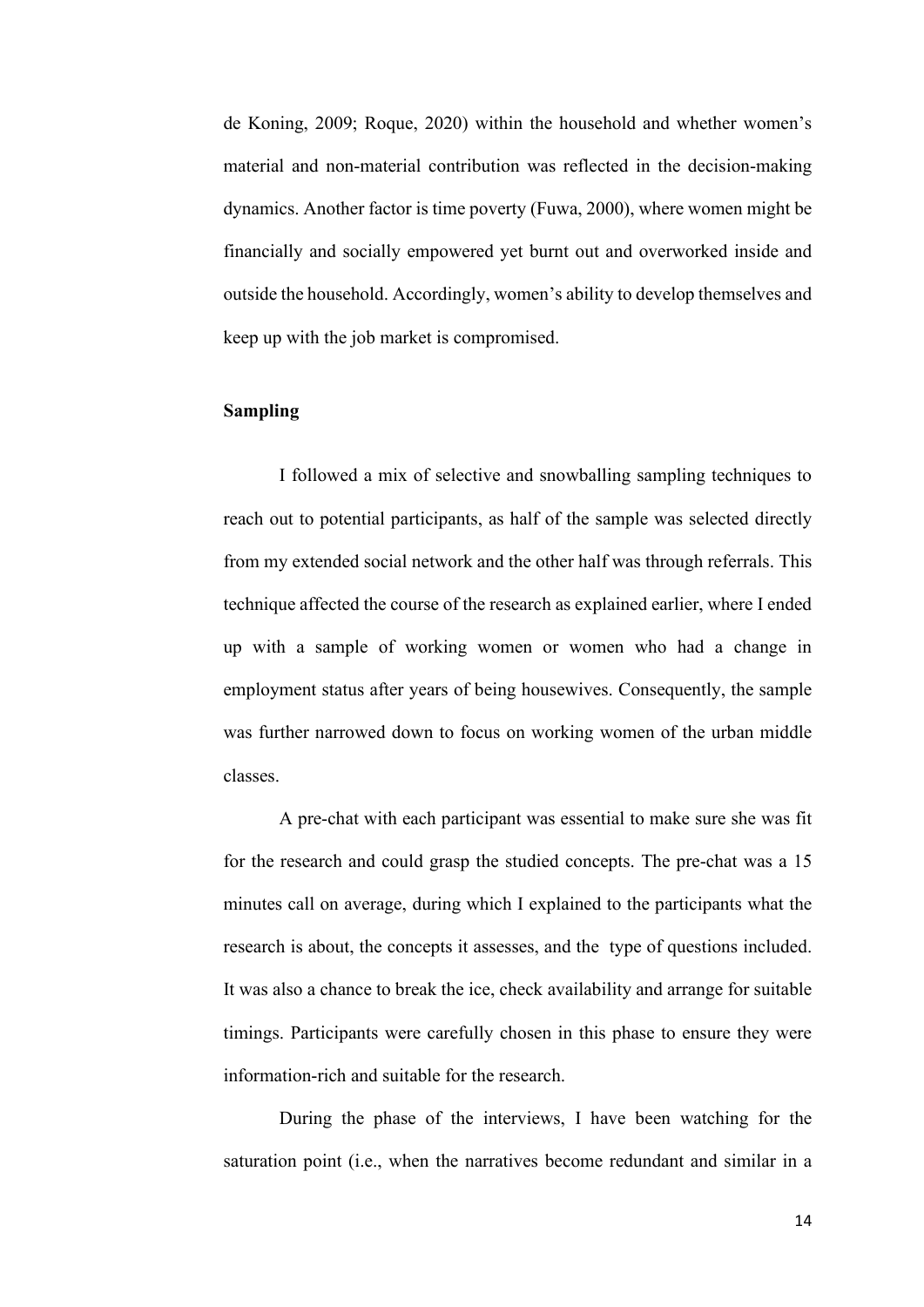de Koning, 2009; Roque, 2020) within the household and whether women's material and non-material contribution was reflected in the decision-making dynamics. Another factor is time poverty (Fuwa, 2000), where women might be financially and socially empowered yet burnt out and overworked inside and outside the household. Accordingly, women's ability to develop themselves and keep up with the job market is compromised.

## <span id="page-21-0"></span>**Sampling**

I followed a mix of selective and snowballing sampling techniques to reach out to potential participants, as half of the sample was selected directly from my extended social network and the other half was through referrals. This technique affected the course of the research as explained earlier, where I ended up with a sample of working women or women who had a change in employment status after years of being housewives. Consequently, the sample was further narrowed down to focus on working women of the urban middle classes.

A pre-chat with each participant was essential to make sure she was fit for the research and could grasp the studied concepts. The pre-chat was a 15 minutes call on average, during which I explained to the participants what the research is about, the concepts it assesses, and the type of questions included. It was also a chance to break the ice, check availability and arrange for suitable timings. Participants were carefully chosen in this phase to ensure they were information-rich and suitable for the research.

During the phase of the interviews, I have been watching for the saturation point (i.e., when the narratives become redundant and similar in a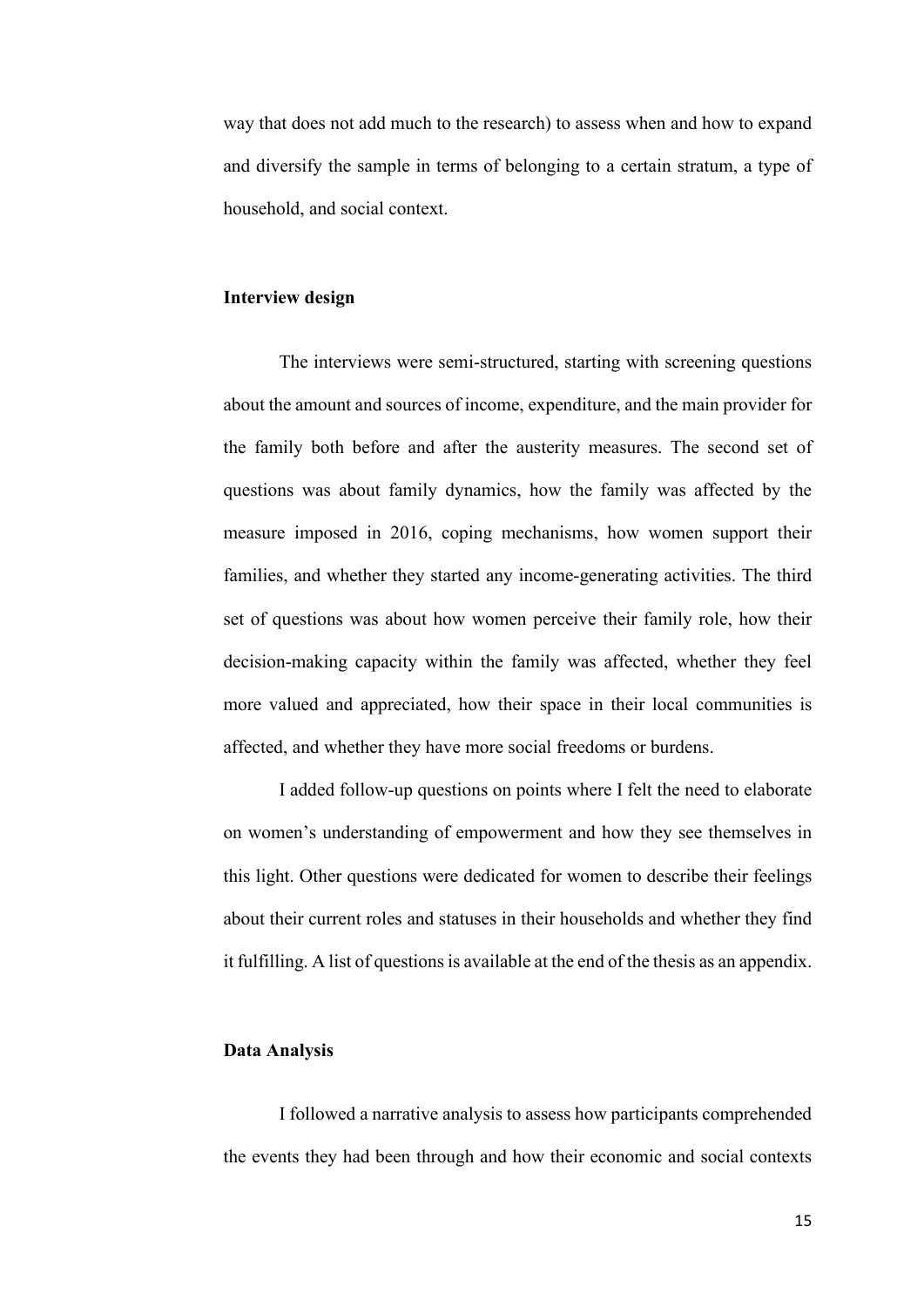way that does not add much to the research) to assess when and how to expand and diversify the sample in terms of belonging to a certain stratum, a type of household, and social context.

#### <span id="page-22-0"></span>**Interview design**

The interviews were semi-structured, starting with screening questions about the amount and sources of income, expenditure, and the main provider for the family both before and after the austerity measures. The second set of questions was about family dynamics, how the family was affected by the measure imposed in 2016, coping mechanisms, how women support their families, and whether they started any income-generating activities. The third set of questions was about how women perceive their family role, how their decision-making capacity within the family was affected, whether they feel more valued and appreciated, how their space in their local communities is affected, and whether they have more social freedoms or burdens.

I added follow-up questions on points where I felt the need to elaborate on women's understanding of empowerment and how they see themselves in this light. Other questions were dedicated for women to describe their feelings about their current roles and statuses in their households and whether they find it fulfilling. A list of questions is available at the end of the thesis as an appendix.

#### <span id="page-22-1"></span>**Data Analysis**

I followed a narrative analysis to assess how participants comprehended the events they had been through and how their economic and social contexts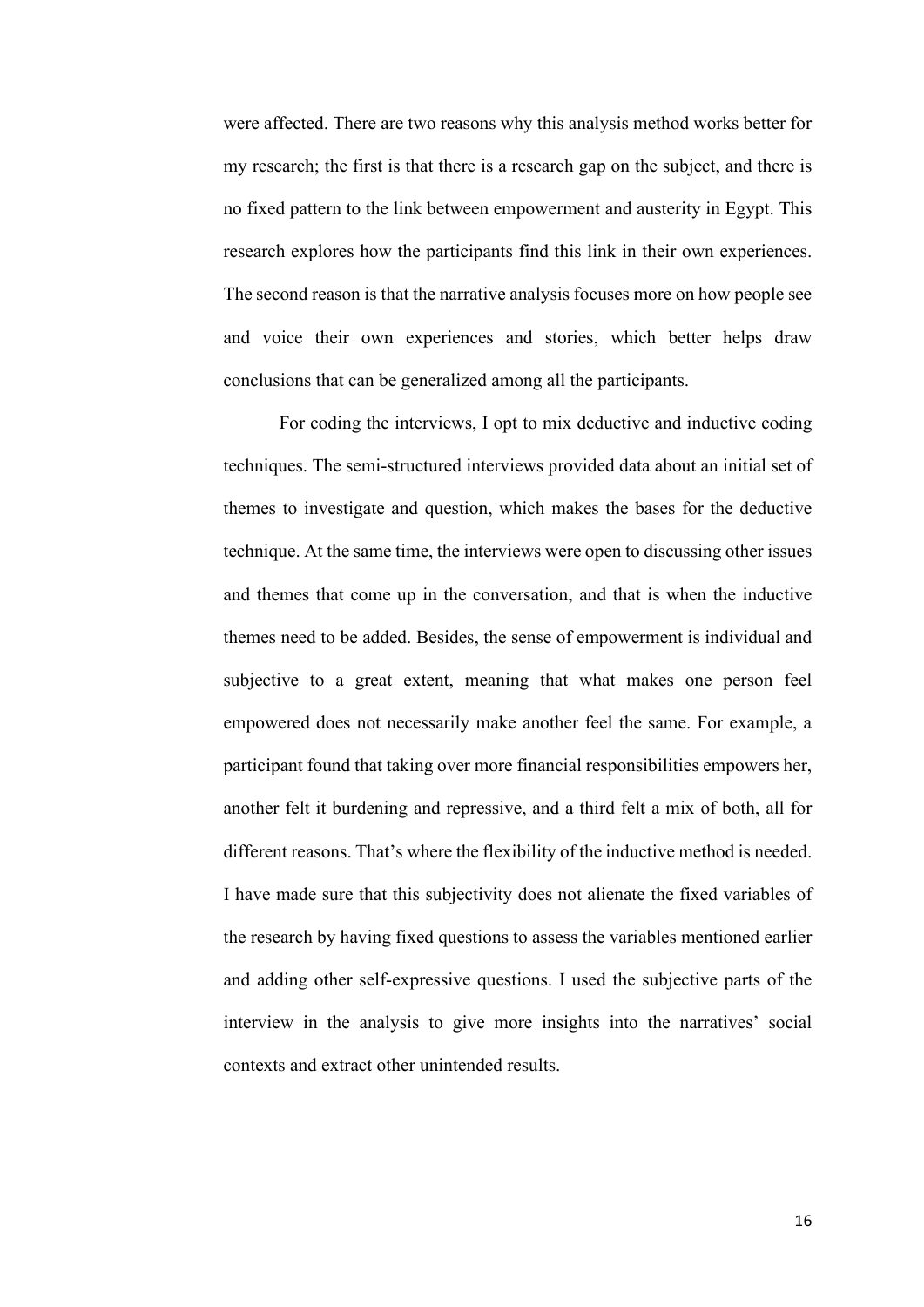were affected. There are two reasons why this analysis method works better for my research; the first is that there is a research gap on the subject, and there is no fixed pattern to the link between empowerment and austerity in Egypt. This research explores how the participants find this link in their own experiences. The second reason is that the narrative analysis focuses more on how people see and voice their own experiences and stories, which better helps draw conclusions that can be generalized among all the participants.

For coding the interviews, I opt to mix deductive and inductive coding techniques. The semi-structured interviews provided data about an initial set of themes to investigate and question, which makes the bases for the deductive technique. At the same time, the interviews were open to discussing other issues and themes that come up in the conversation, and that is when the inductive themes need to be added. Besides, the sense of empowerment is individual and subjective to a great extent, meaning that what makes one person feel empowered does not necessarily make another feel the same. For example, a participant found that taking over more financial responsibilities empowers her, another felt it burdening and repressive, and a third felt a mix of both, all for different reasons. That's where the flexibility of the inductive method is needed. I have made sure that this subjectivity does not alienate the fixed variables of the research by having fixed questions to assess the variables mentioned earlier and adding other self-expressive questions. I used the subjective parts of the interview in the analysis to give more insights into the narratives' social contexts and extract other unintended results.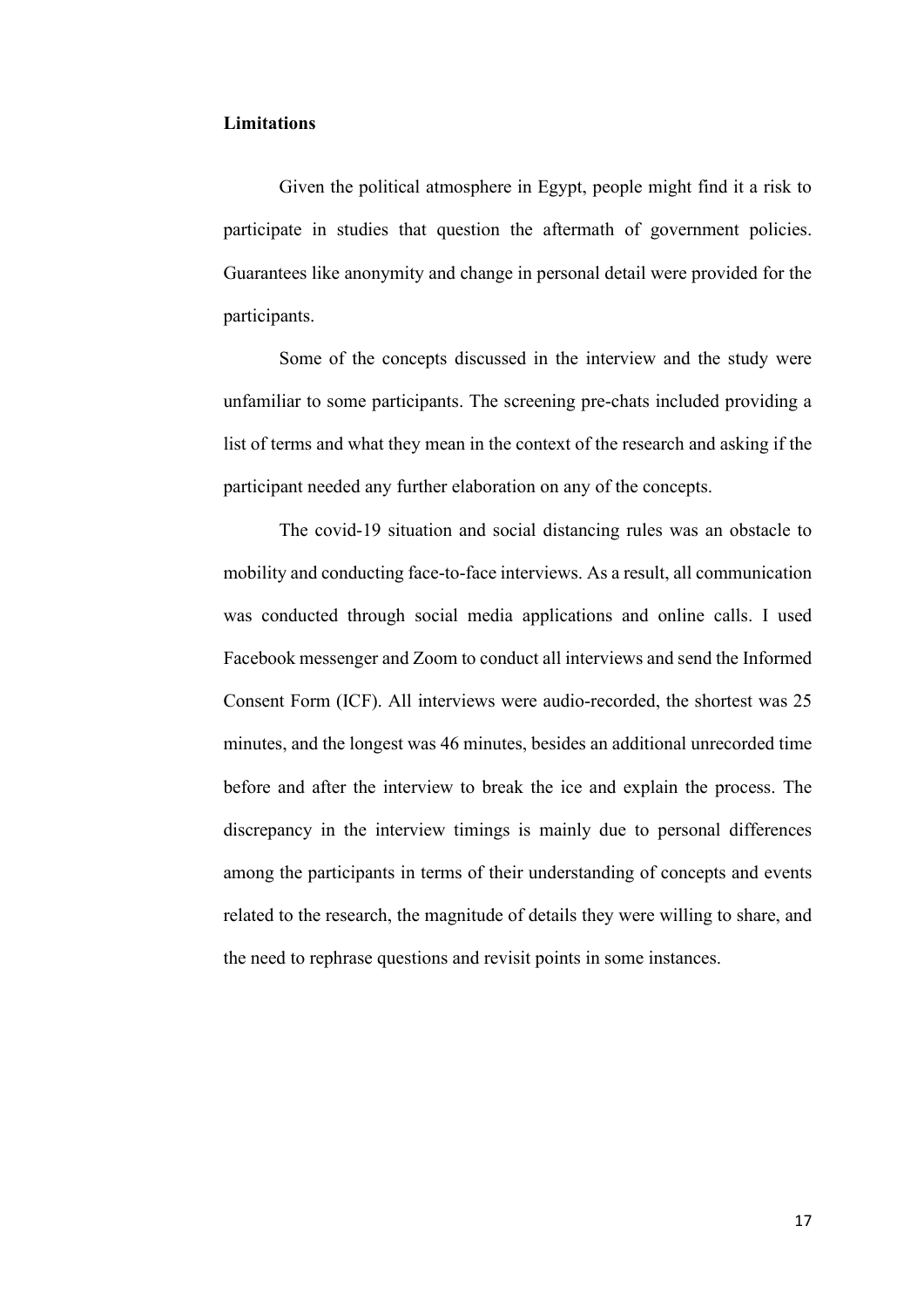#### <span id="page-24-0"></span>**Limitations**

Given the political atmosphere in Egypt, people might find it a risk to participate in studies that question the aftermath of government policies. Guarantees like anonymity and change in personal detail were provided for the participants.

Some of the concepts discussed in the interview and the study were unfamiliar to some participants. The screening pre-chats included providing a list of terms and what they mean in the context of the research and asking if the participant needed any further elaboration on any of the concepts.

The covid-19 situation and social distancing rules was an obstacle to mobility and conducting face-to-face interviews. As a result, all communication was conducted through social media applications and online calls. I used Facebook messenger and Zoom to conduct all interviews and send the Informed Consent Form (ICF). All interviews were audio-recorded, the shortest was 25 minutes, and the longest was 46 minutes, besides an additional unrecorded time before and after the interview to break the ice and explain the process. The discrepancy in the interview timings is mainly due to personal differences among the participants in terms of their understanding of concepts and events related to the research, the magnitude of details they were willing to share, and the need to rephrase questions and revisit points in some instances.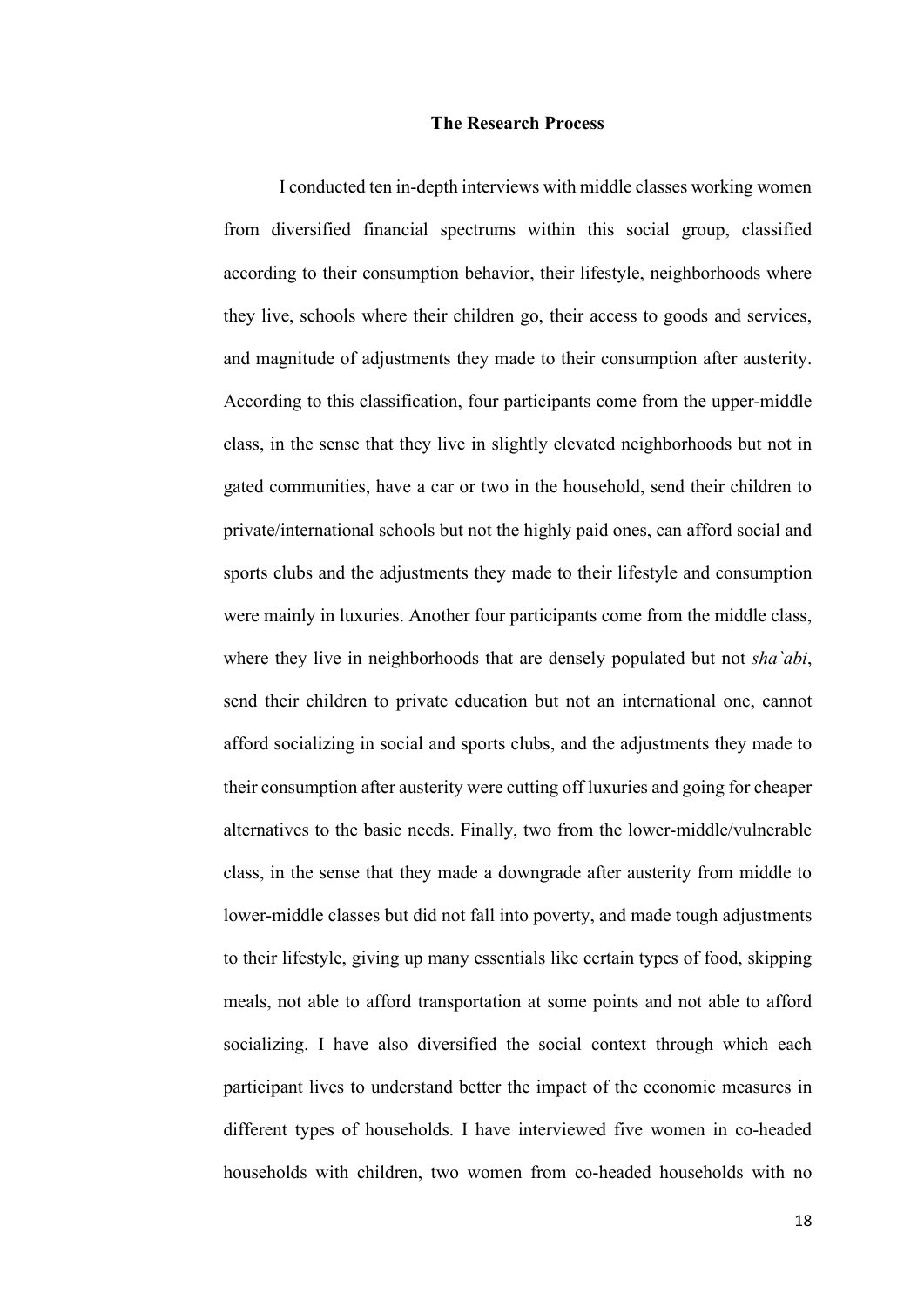#### **The Research Process**

<span id="page-25-0"></span>I conducted ten in-depth interviews with middle classes working women from diversified financial spectrums within this social group, classified according to their consumption behavior, their lifestyle, neighborhoods where they live, schools where their children go, their access to goods and services, and magnitude of adjustments they made to their consumption after austerity. According to this classification, four participants come from the upper-middle class, in the sense that they live in slightly elevated neighborhoods but not in gated communities, have a car or two in the household, send their children to private/international schools but not the highly paid ones, can afford social and sports clubs and the adjustments they made to their lifestyle and consumption were mainly in luxuries. Another four participants come from the middle class, where they live in neighborhoods that are densely populated but not *sha`abi*, send their children to private education but not an international one, cannot afford socializing in social and sports clubs, and the adjustments they made to their consumption after austerity were cutting off luxuries and going for cheaper alternatives to the basic needs. Finally, two from the lower-middle/vulnerable class, in the sense that they made a downgrade after austerity from middle to lower-middle classes but did not fall into poverty, and made tough adjustments to their lifestyle, giving up many essentials like certain types of food, skipping meals, not able to afford transportation at some points and not able to afford socializing. I have also diversified the social context through which each participant lives to understand better the impact of the economic measures in different types of households. I have interviewed five women in co-headed households with children, two women from co-headed households with no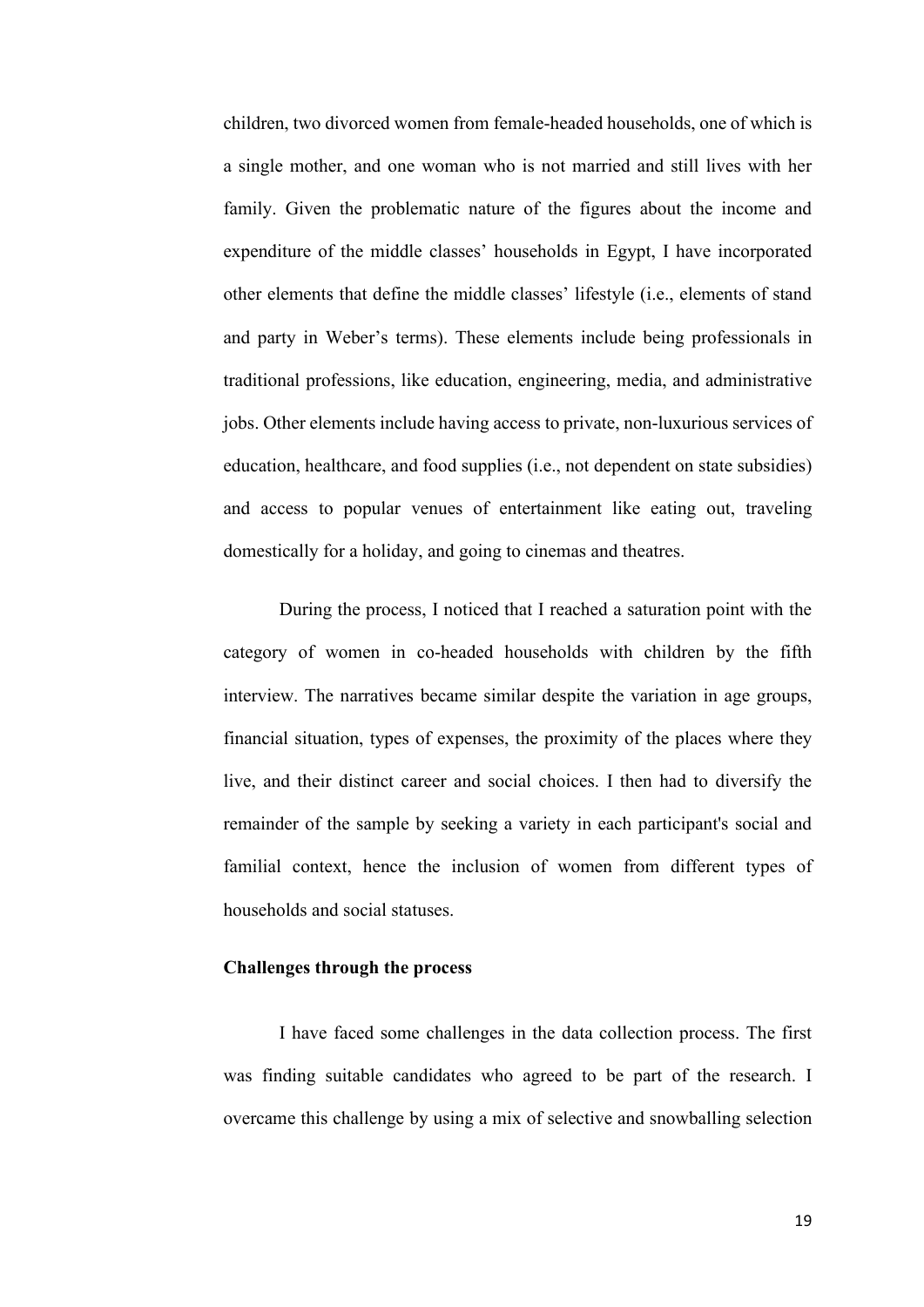children, two divorced women from female-headed households, one of which is a single mother, and one woman who is not married and still lives with her family. Given the problematic nature of the figures about the income and expenditure of the middle classes' households in Egypt, I have incorporated other elements that define the middle classes' lifestyle (i.e., elements of stand and party in Weber's terms). These elements include being professionals in traditional professions, like education, engineering, media, and administrative jobs. Other elements include having access to private, non-luxurious services of education, healthcare, and food supplies (i.e., not dependent on state subsidies) and access to popular venues of entertainment like eating out, traveling domestically for a holiday, and going to cinemas and theatres.

During the process, I noticed that I reached a saturation point with the category of women in co-headed households with children by the fifth interview. The narratives became similar despite the variation in age groups, financial situation, types of expenses, the proximity of the places where they live, and their distinct career and social choices. I then had to diversify the remainder of the sample by seeking a variety in each participant's social and familial context, hence the inclusion of women from different types of households and social statuses.

## <span id="page-26-0"></span>**Challenges through the process**

I have faced some challenges in the data collection process. The first was finding suitable candidates who agreed to be part of the research. I overcame this challenge by using a mix of selective and snowballing selection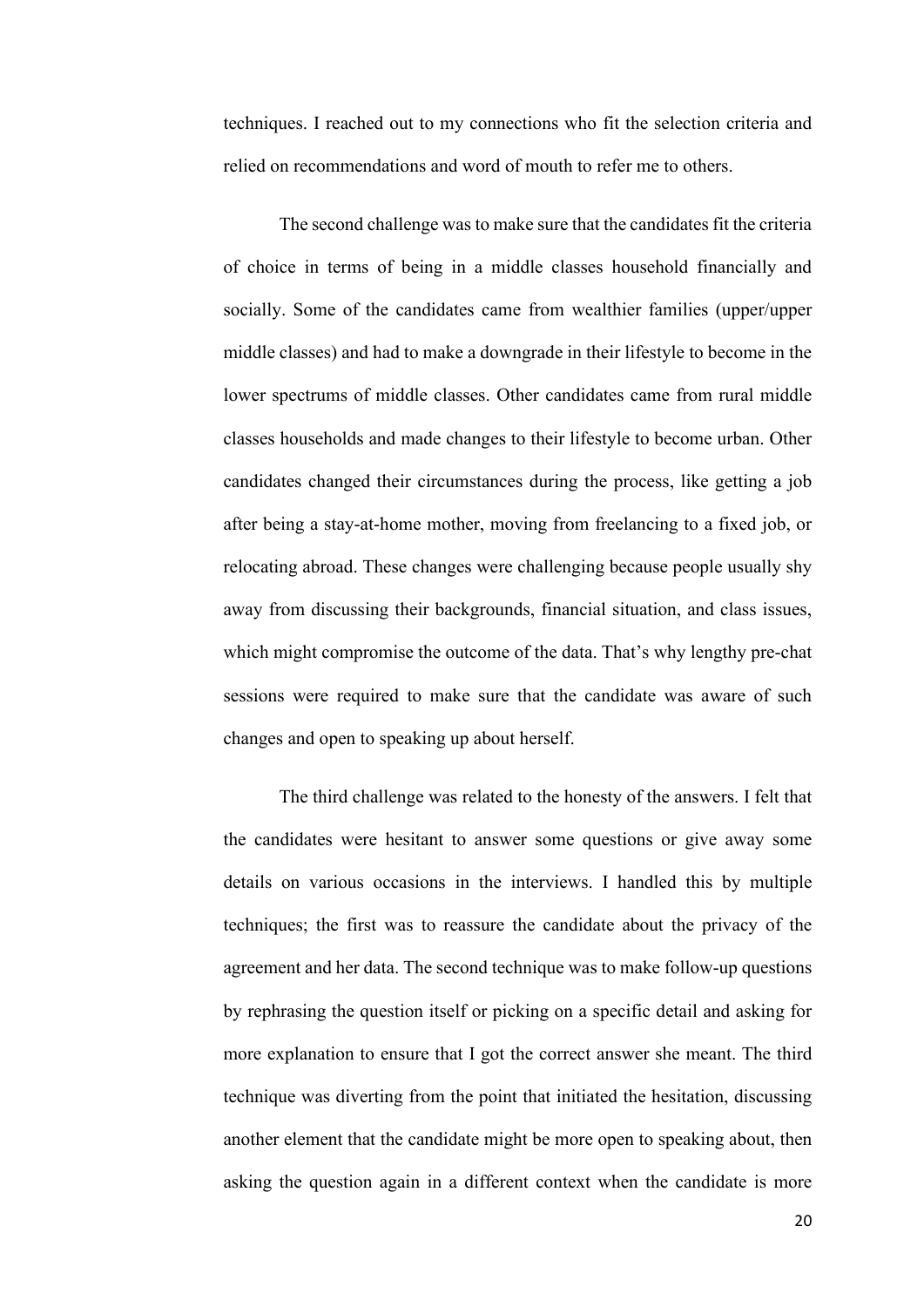techniques. I reached out to my connections who fit the selection criteria and relied on recommendations and word of mouth to refer me to others.

The second challenge was to make sure that the candidates fit the criteria of choice in terms of being in a middle classes household financially and socially. Some of the candidates came from wealthier families (upper/upper middle classes) and had to make a downgrade in their lifestyle to become in the lower spectrums of middle classes. Other candidates came from rural middle classes households and made changes to their lifestyle to become urban. Other candidates changed their circumstances during the process, like getting a job after being a stay-at-home mother, moving from freelancing to a fixed job, or relocating abroad. These changes were challenging because people usually shy away from discussing their backgrounds, financial situation, and class issues, which might compromise the outcome of the data. That's why lengthy pre-chat sessions were required to make sure that the candidate was aware of such changes and open to speaking up about herself.

The third challenge was related to the honesty of the answers. I felt that the candidates were hesitant to answer some questions or give away some details on various occasions in the interviews. I handled this by multiple techniques; the first was to reassure the candidate about the privacy of the agreement and her data. The second technique was to make follow-up questions by rephrasing the question itself or picking on a specific detail and asking for more explanation to ensure that I got the correct answer she meant. The third technique was diverting from the point that initiated the hesitation, discussing another element that the candidate might be more open to speaking about, then asking the question again in a different context when the candidate is more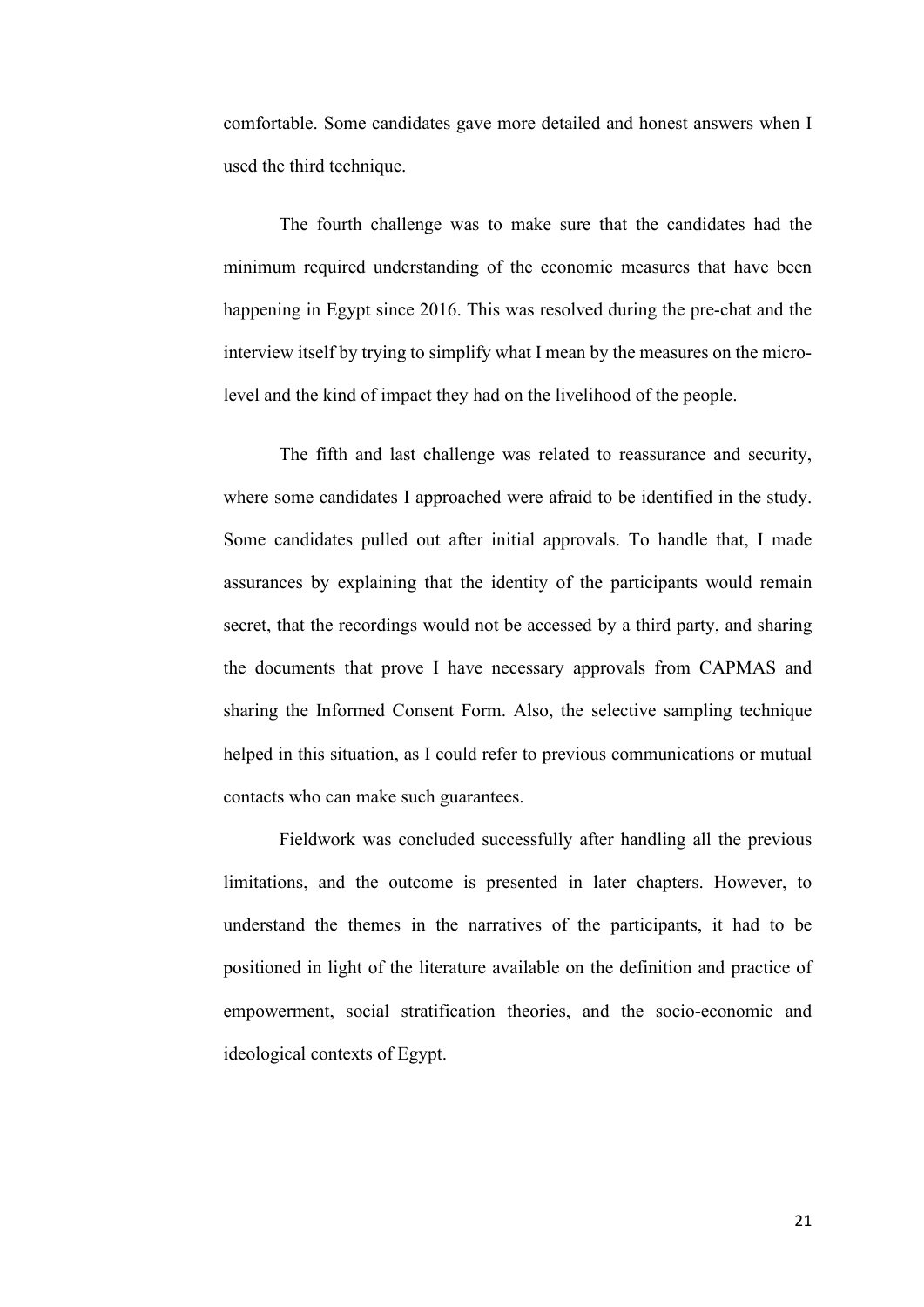comfortable. Some candidates gave more detailed and honest answers when I used the third technique.

The fourth challenge was to make sure that the candidates had the minimum required understanding of the economic measures that have been happening in Egypt since 2016. This was resolved during the pre-chat and the interview itself by trying to simplify what I mean by the measures on the microlevel and the kind of impact they had on the livelihood of the people.

The fifth and last challenge was related to reassurance and security, where some candidates I approached were afraid to be identified in the study. Some candidates pulled out after initial approvals. To handle that, I made assurances by explaining that the identity of the participants would remain secret, that the recordings would not be accessed by a third party, and sharing the documents that prove I have necessary approvals from CAPMAS and sharing the Informed Consent Form. Also, the selective sampling technique helped in this situation, as I could refer to previous communications or mutual contacts who can make such guarantees.

Fieldwork was concluded successfully after handling all the previous limitations, and the outcome is presented in later chapters. However, to understand the themes in the narratives of the participants, it had to be positioned in light of the literature available on the definition and practice of empowerment, social stratification theories, and the socio-economic and ideological contexts of Egypt.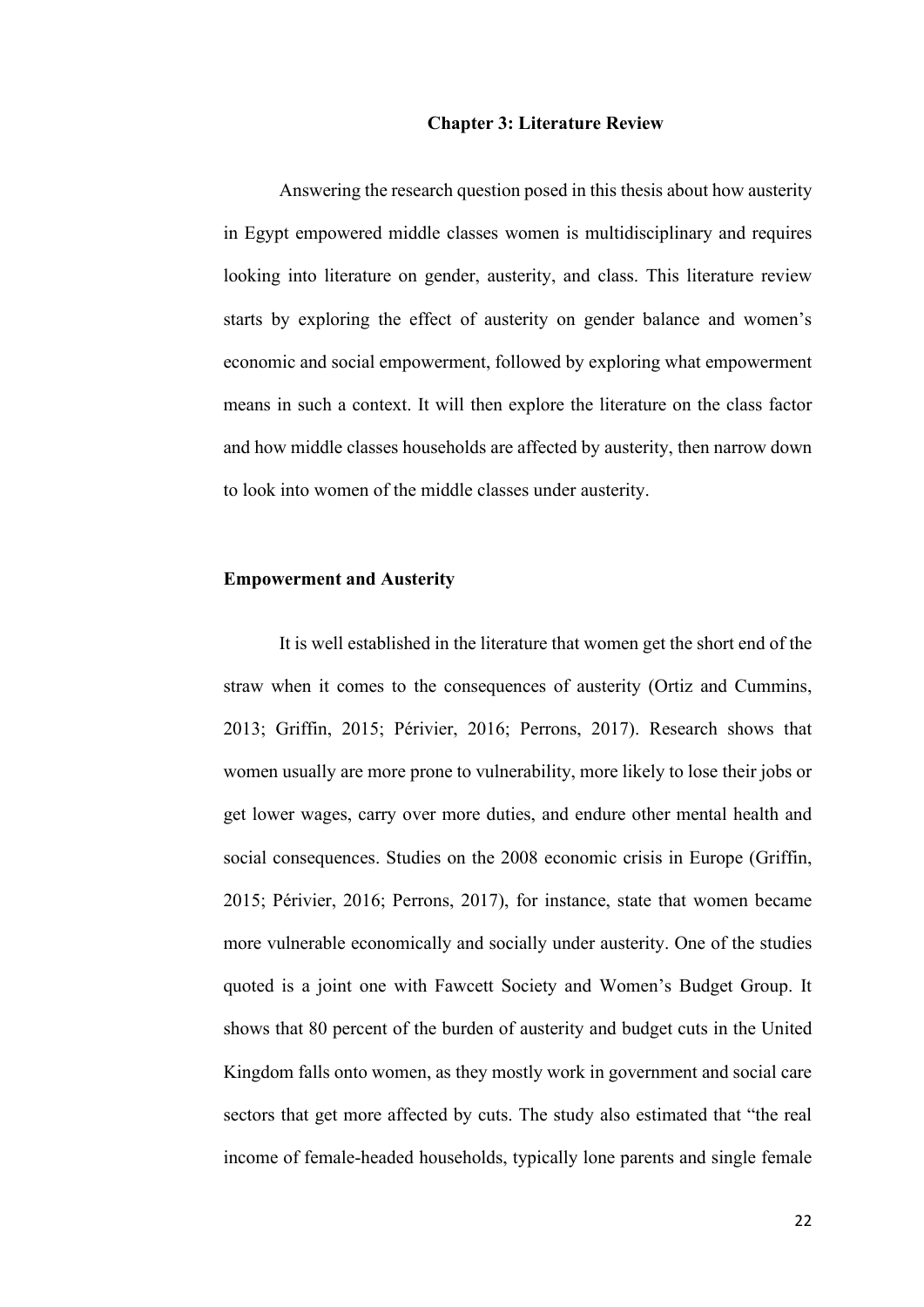#### **Chapter 3: Literature Review**

<span id="page-29-0"></span>Answering the research question posed in this thesis about how austerity in Egypt empowered middle classes women is multidisciplinary and requires looking into literature on gender, austerity, and class. This literature review starts by exploring the effect of austerity on gender balance and women's economic and social empowerment, followed by exploring what empowerment means in such a context. It will then explore the literature on the class factor and how middle classes households are affected by austerity, then narrow down to look into women of the middle classes under austerity.

#### <span id="page-29-1"></span>**Empowerment and Austerity**

It is well established in the literature that women get the short end of the straw when it comes to the consequences of austerity (Ortiz and Cummins, 2013; Griffin, 2015; Périvier, 2016; Perrons, 2017). Research shows that women usually are more prone to vulnerability, more likely to lose their jobs or get lower wages, carry over more duties, and endure other mental health and social consequences. Studies on the 2008 economic crisis in Europe (Griffin, 2015; Périvier, 2016; Perrons, 2017), for instance, state that women became more vulnerable economically and socially under austerity. One of the studies quoted is a joint one with Fawcett Society and Women's Budget Group. It shows that 80 percent of the burden of austerity and budget cuts in the United Kingdom falls onto women, as they mostly work in government and social care sectors that get more affected by cuts. The study also estimated that "the real income of female-headed households, typically lone parents and single female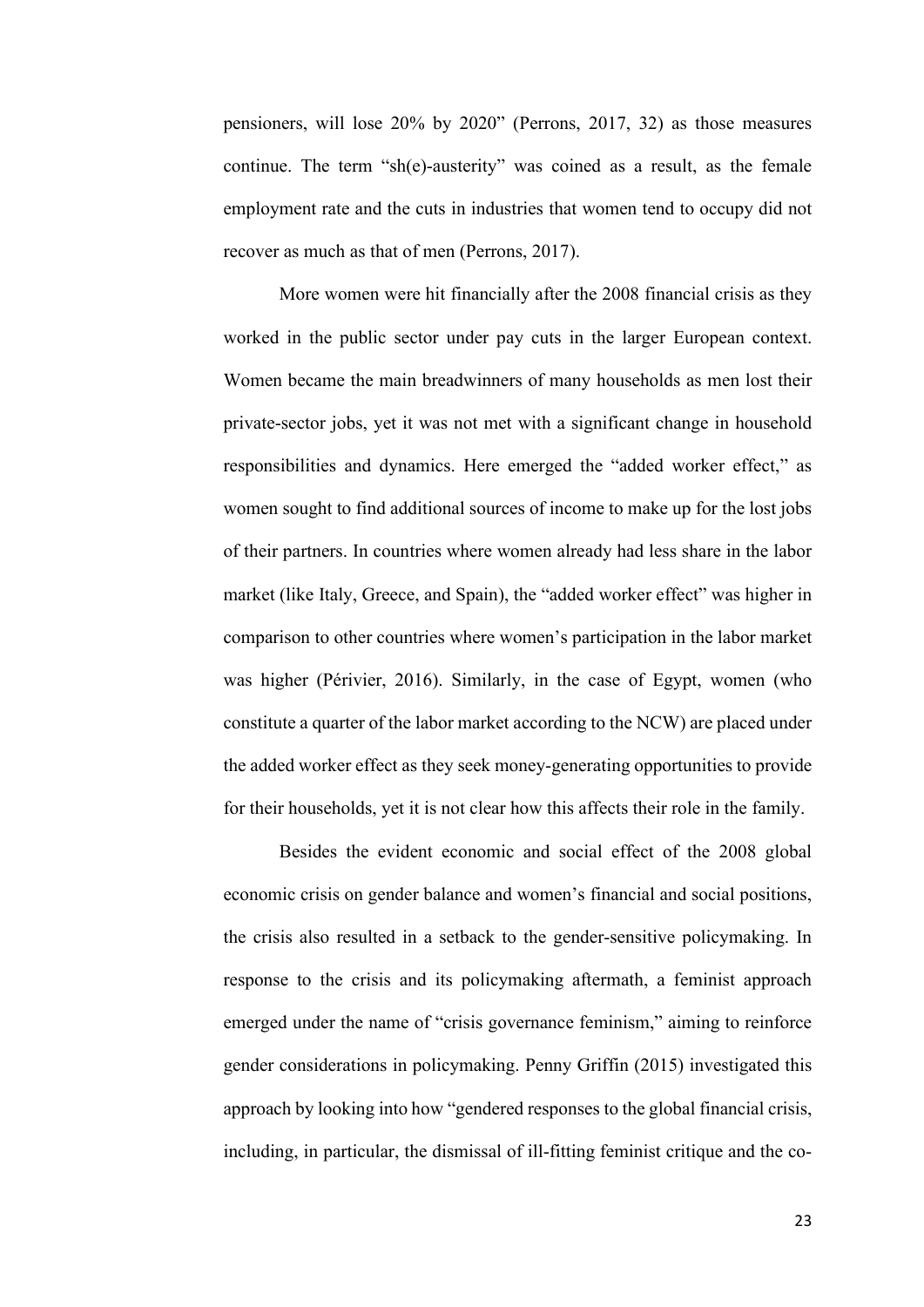pensioners, will lose 20% by 2020" (Perrons, 2017, 32) as those measures continue. The term "sh(e)-austerity" was coined as a result, as the female employment rate and the cuts in industries that women tend to occupy did not recover as much as that of men (Perrons, 2017).

More women were hit financially after the 2008 financial crisis as they worked in the public sector under pay cuts in the larger European context. Women became the main breadwinners of many households as men lost their private-sector jobs, yet it was not met with a significant change in household responsibilities and dynamics. Here emerged the "added worker effect," as women sought to find additional sources of income to make up for the lost jobs of their partners. In countries where women already had less share in the labor market (like Italy, Greece, and Spain), the "added worker effect" was higher in comparison to other countries where women's participation in the labor market was higher (Périvier, 2016). Similarly, in the case of Egypt, women (who constitute a quarter of the labor market according to the NCW) are placed under the added worker effect as they seek money-generating opportunities to provide for their households, yet it is not clear how this affects their role in the family.

Besides the evident economic and social effect of the 2008 global economic crisis on gender balance and women's financial and social positions, the crisis also resulted in a setback to the gender-sensitive policymaking. In response to the crisis and its policymaking aftermath, a feminist approach emerged under the name of "crisis governance feminism," aiming to reinforce gender considerations in policymaking. Penny Griffin (2015) investigated this approach by looking into how "gendered responses to the global financial crisis, including, in particular, the dismissal of ill-fitting feminist critique and the co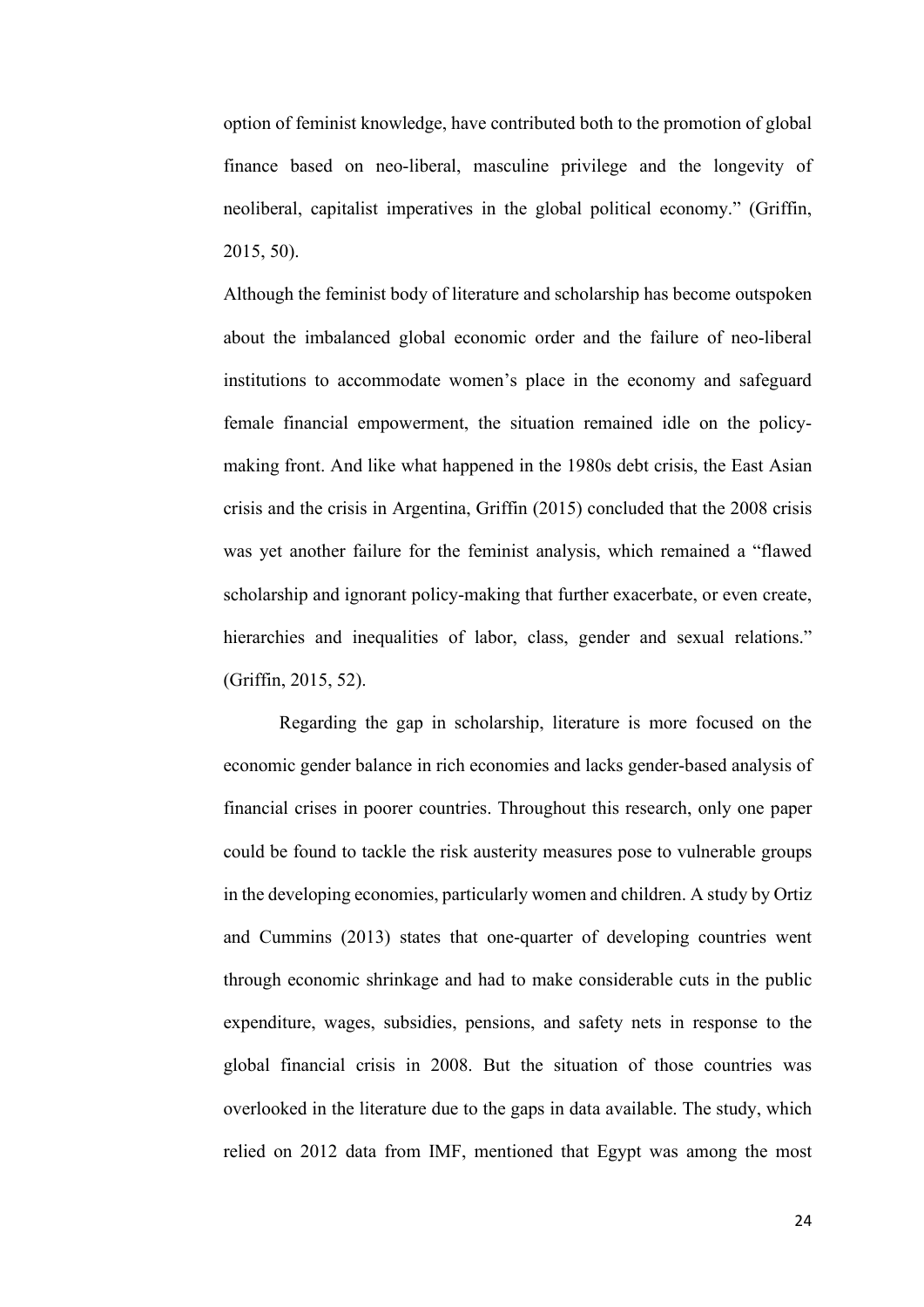option of feminist knowledge, have contributed both to the promotion of global finance based on neo-liberal, masculine privilege and the longevity of neoliberal, capitalist imperatives in the global political economy." (Griffin, 2015, 50).

Although the feminist body of literature and scholarship has become outspoken about the imbalanced global economic order and the failure of neo-liberal institutions to accommodate women's place in the economy and safeguard female financial empowerment, the situation remained idle on the policymaking front. And like what happened in the 1980s debt crisis, the East Asian crisis and the crisis in Argentina, Griffin (2015) concluded that the 2008 crisis was yet another failure for the feminist analysis, which remained a "flawed scholarship and ignorant policy-making that further exacerbate, or even create, hierarchies and inequalities of labor, class, gender and sexual relations." (Griffin, 2015, 52).

Regarding the gap in scholarship, literature is more focused on the economic gender balance in rich economies and lacks gender-based analysis of financial crises in poorer countries. Throughout this research, only one paper could be found to tackle the risk austerity measures pose to vulnerable groups in the developing economies, particularly women and children. A study by Ortiz and Cummins (2013) states that one-quarter of developing countries went through economic shrinkage and had to make considerable cuts in the public expenditure, wages, subsidies, pensions, and safety nets in response to the global financial crisis in 2008. But the situation of those countries was overlooked in the literature due to the gaps in data available. The study, which relied on 2012 data from IMF, mentioned that Egypt was among the most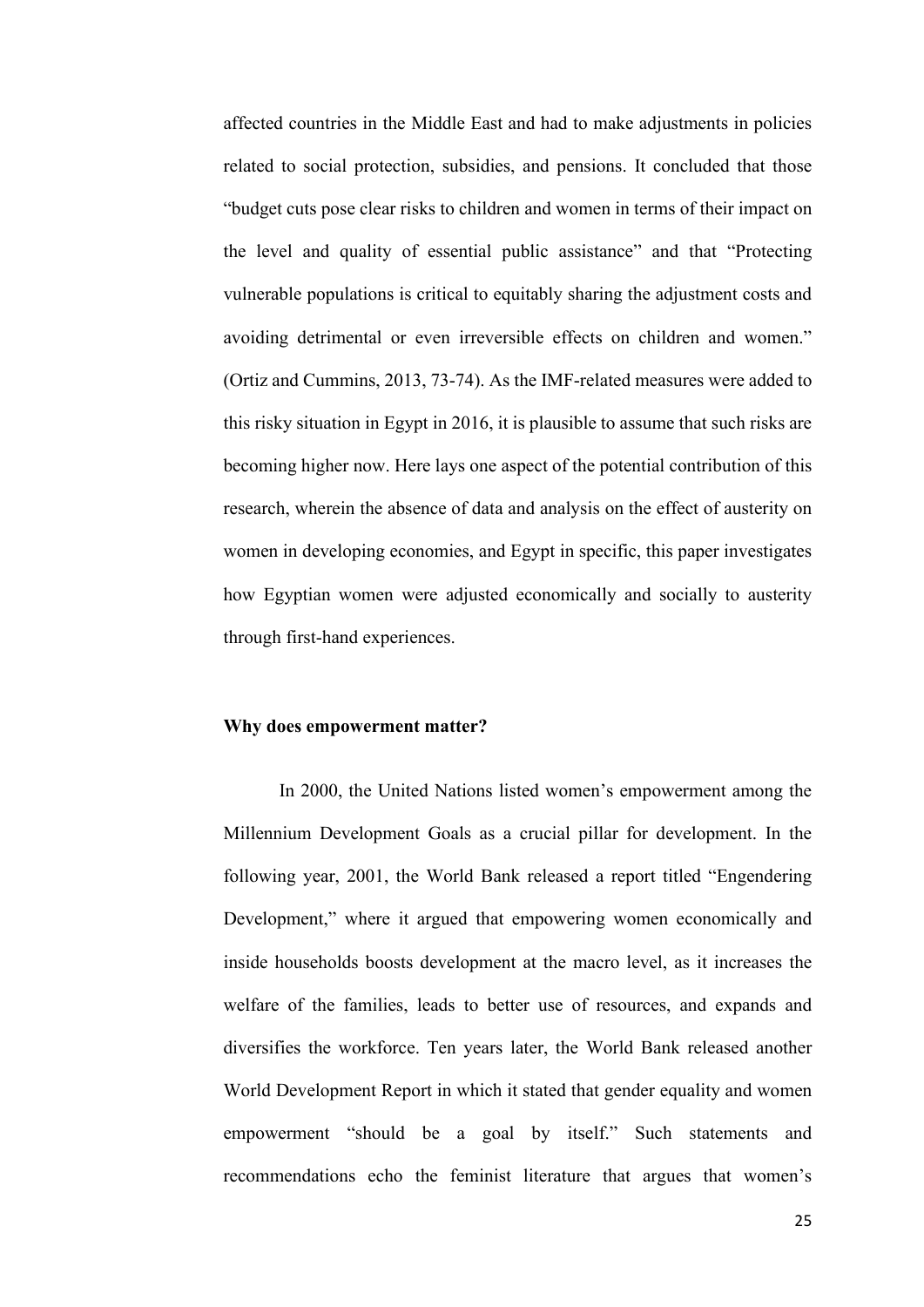affected countries in the Middle East and had to make adjustments in policies related to social protection, subsidies, and pensions. It concluded that those "budget cuts pose clear risks to children and women in terms of their impact on the level and quality of essential public assistance" and that "Protecting vulnerable populations is critical to equitably sharing the adjustment costs and avoiding detrimental or even irreversible effects on children and women." (Ortiz and Cummins, 2013, 73-74). As the IMF-related measures were added to this risky situation in Egypt in 2016, it is plausible to assume that such risks are becoming higher now. Here lays one aspect of the potential contribution of this research, wherein the absence of data and analysis on the effect of austerity on women in developing economies, and Egypt in specific, this paper investigates how Egyptian women were adjusted economically and socially to austerity through first-hand experiences.

#### <span id="page-32-0"></span>**Why does empowerment matter?**

In 2000, the United Nations listed women's empowerment among the Millennium Development Goals as a crucial pillar for development. In the following year, 2001, the World Bank released a report titled "Engendering Development," where it argued that empowering women economically and inside households boosts development at the macro level, as it increases the welfare of the families, leads to better use of resources, and expands and diversifies the workforce. Ten years later, the World Bank released another World Development Report in which it stated that gender equality and women empowerment "should be a goal by itself." Such statements and recommendations echo the feminist literature that argues that women's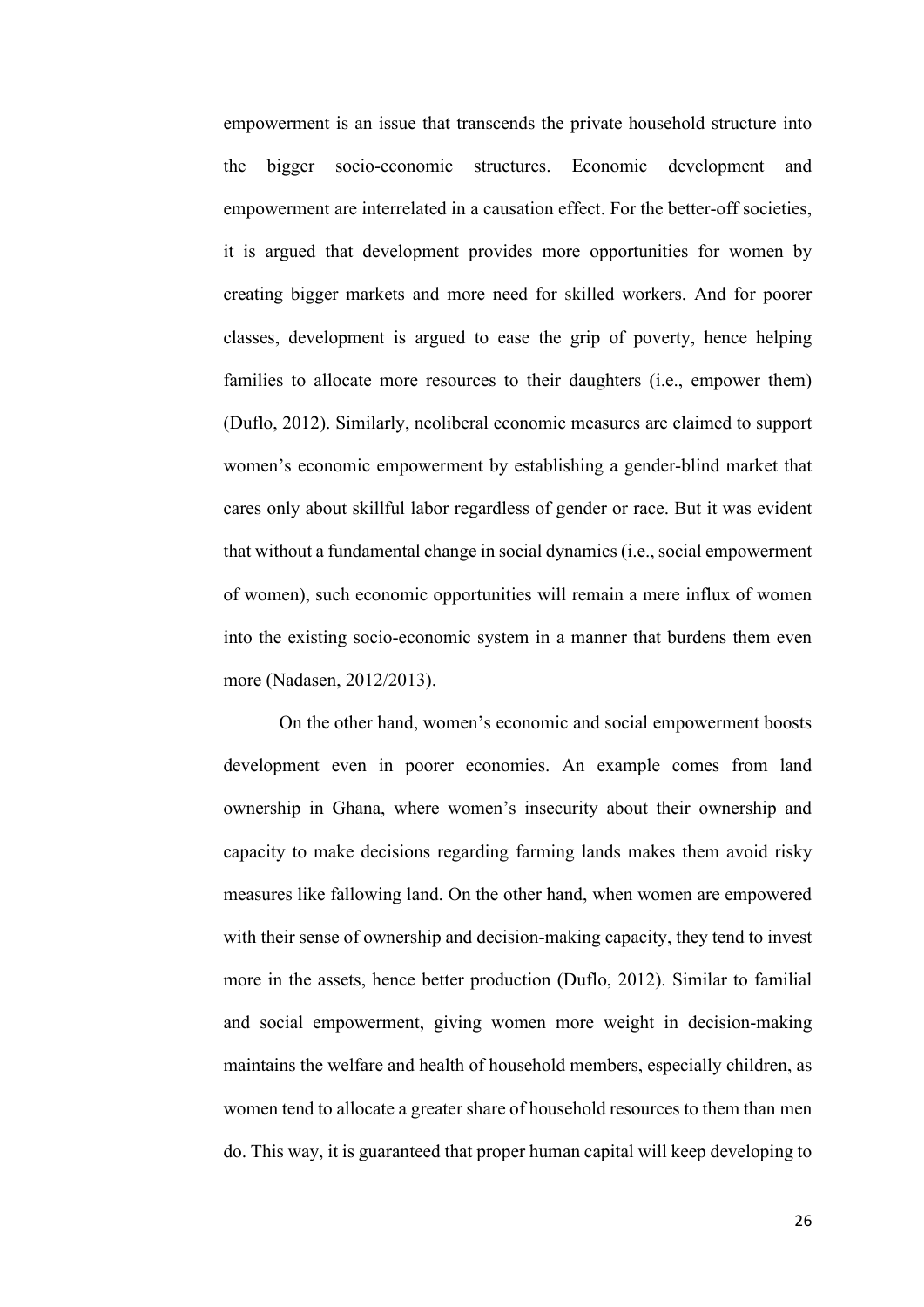empowerment is an issue that transcends the private household structure into the bigger socio-economic structures. Economic development and empowerment are interrelated in a causation effect. For the better-off societies, it is argued that development provides more opportunities for women by creating bigger markets and more need for skilled workers. And for poorer classes, development is argued to ease the grip of poverty, hence helping families to allocate more resources to their daughters (i.e., empower them) (Duflo, 2012). Similarly, neoliberal economic measures are claimed to support women's economic empowerment by establishing a gender-blind market that cares only about skillful labor regardless of gender or race. But it was evident that without a fundamental change in social dynamics (i.e., social empowerment of women), such economic opportunities will remain a mere influx of women into the existing socio-economic system in a manner that burdens them even more (Nadasen, 2012/2013).

On the other hand, women's economic and social empowerment boosts development even in poorer economies. An example comes from land ownership in Ghana, where women's insecurity about their ownership and capacity to make decisions regarding farming lands makes them avoid risky measures like fallowing land. On the other hand, when women are empowered with their sense of ownership and decision-making capacity, they tend to invest more in the assets, hence better production (Duflo, 2012). Similar to familial and social empowerment, giving women more weight in decision-making maintains the welfare and health of household members, especially children, as women tend to allocate a greater share of household resources to them than men do. This way, it is guaranteed that proper human capital will keep developing to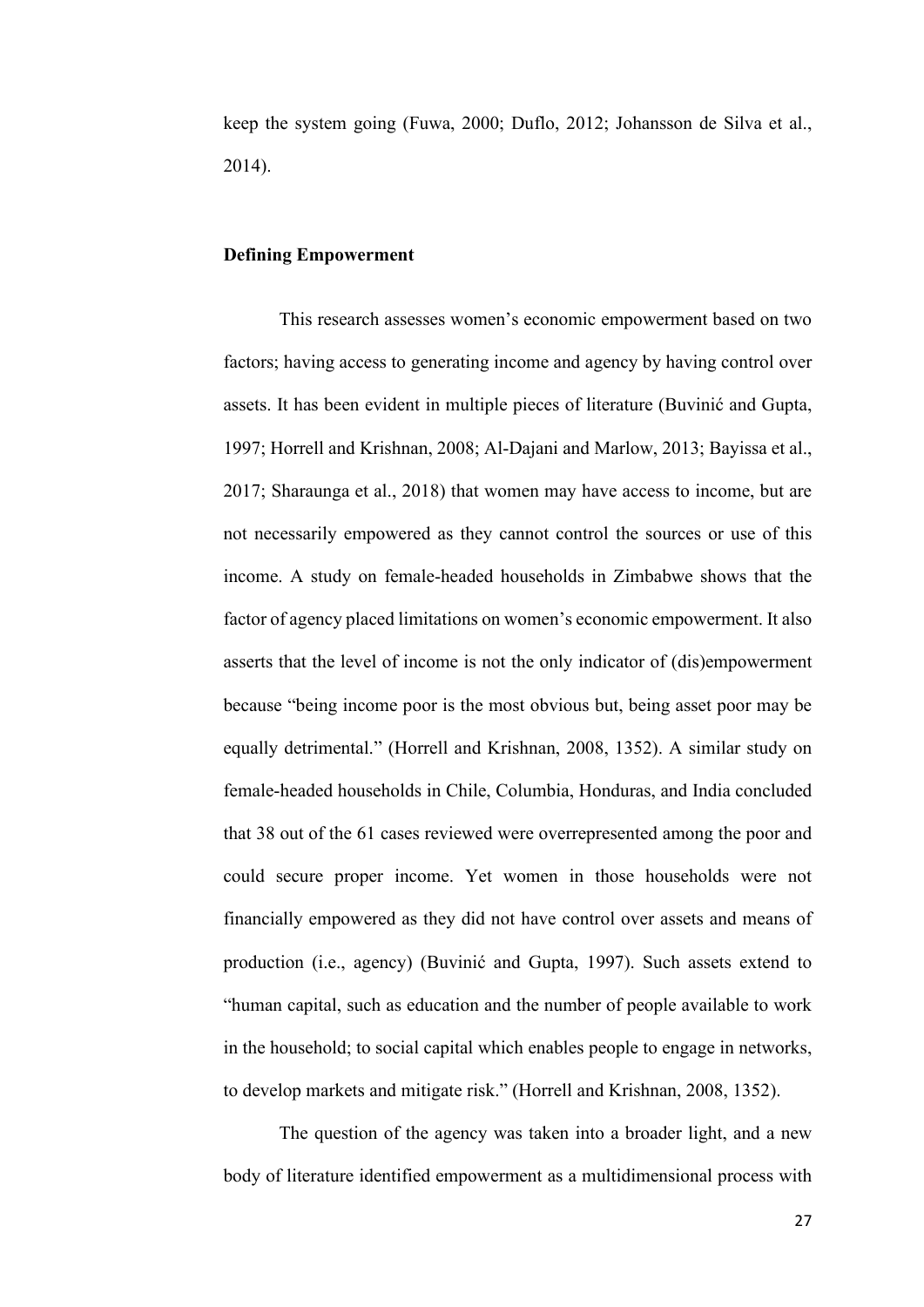keep the system going (Fuwa, 2000; Duflo, 2012; Johansson de Silva et al., 2014).

#### <span id="page-34-0"></span>**Defining Empowerment**

This research assesses women's economic empowerment based on two factors; having access to generating income and agency by having control over assets. It has been evident in multiple pieces of literature (Buvinić and Gupta, 1997; Horrell and Krishnan, 2008; Al-Dajani and Marlow, 2013; Bayissa et al., 2017; Sharaunga et al., 2018) that women may have access to income, but are not necessarily empowered as they cannot control the sources or use of this income. A study on female-headed households in Zimbabwe shows that the factor of agency placed limitations on women's economic empowerment. It also asserts that the level of income is not the only indicator of (dis)empowerment because "being income poor is the most obvious but, being asset poor may be equally detrimental." (Horrell and Krishnan, 2008, 1352). A similar study on female-headed households in Chile, Columbia, Honduras, and India concluded that 38 out of the 61 cases reviewed were overrepresented among the poor and could secure proper income. Yet women in those households were not financially empowered as they did not have control over assets and means of production (i.e., agency) (Buvinić and Gupta, 1997). Such assets extend to "human capital, such as education and the number of people available to work in the household; to social capital which enables people to engage in networks, to develop markets and mitigate risk." (Horrell and Krishnan, 2008, 1352).

The question of the agency was taken into a broader light, and a new body of literature identified empowerment as a multidimensional process with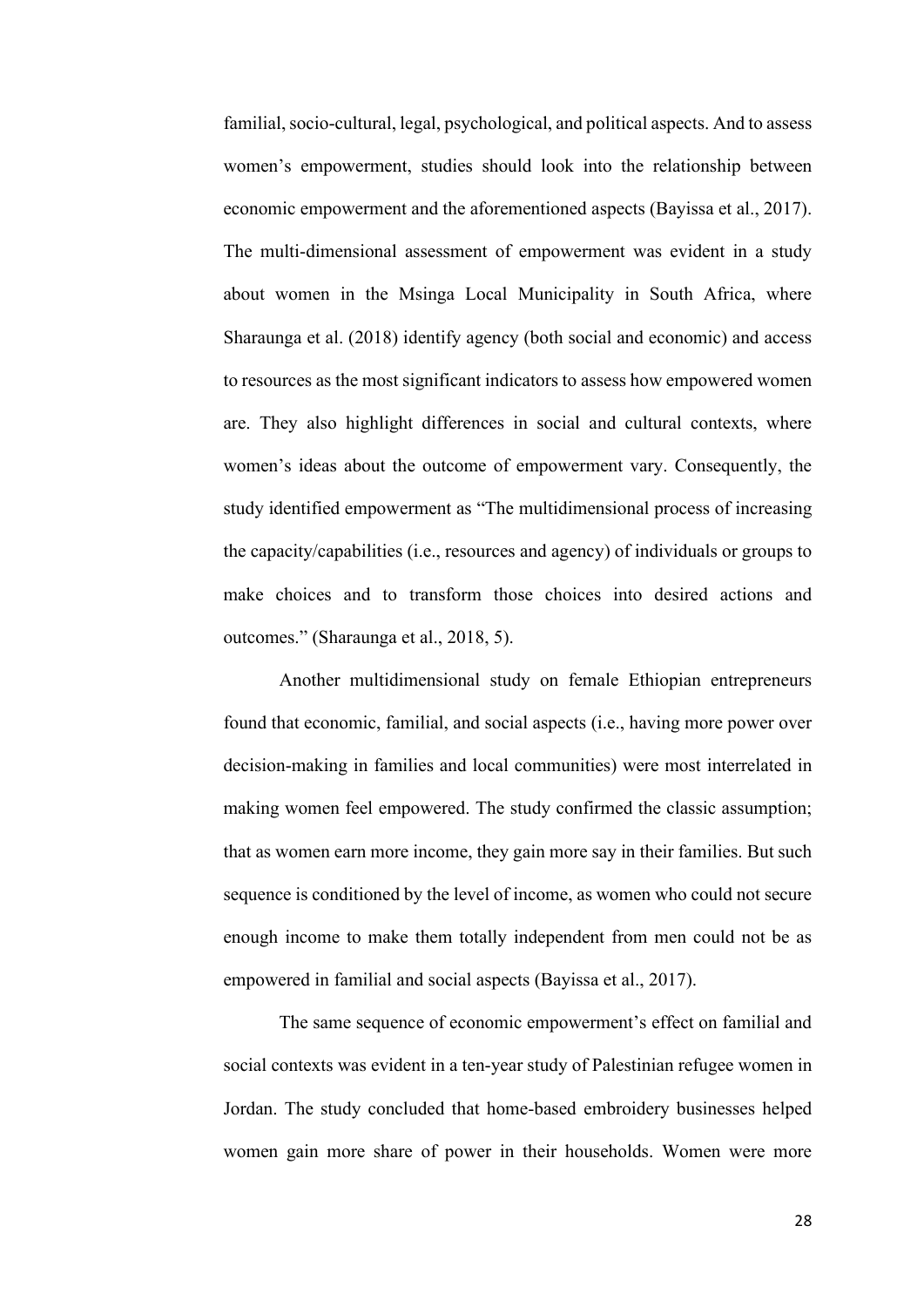familial, socio-cultural, legal, psychological, and political aspects. And to assess women's empowerment, studies should look into the relationship between economic empowerment and the aforementioned aspects (Bayissa et al., 2017). The multi-dimensional assessment of empowerment was evident in a study about women in the Msinga Local Municipality in South Africa, where Sharaunga et al. (2018) identify agency (both social and economic) and access to resources as the most significant indicators to assess how empowered women are. They also highlight differences in social and cultural contexts, where women's ideas about the outcome of empowerment vary. Consequently, the study identified empowerment as "The multidimensional process of increasing the capacity/capabilities (i.e., resources and agency) of individuals or groups to make choices and to transform those choices into desired actions and outcomes." (Sharaunga et al., 2018, 5).

Another multidimensional study on female Ethiopian entrepreneurs found that economic, familial, and social aspects (i.e., having more power over decision-making in families and local communities) were most interrelated in making women feel empowered. The study confirmed the classic assumption; that as women earn more income, they gain more say in their families. But such sequence is conditioned by the level of income, as women who could not secure enough income to make them totally independent from men could not be as empowered in familial and social aspects (Bayissa et al., 2017).

The same sequence of economic empowerment's effect on familial and social contexts was evident in a ten-year study of Palestinian refugee women in Jordan. The study concluded that home-based embroidery businesses helped women gain more share of power in their households. Women were more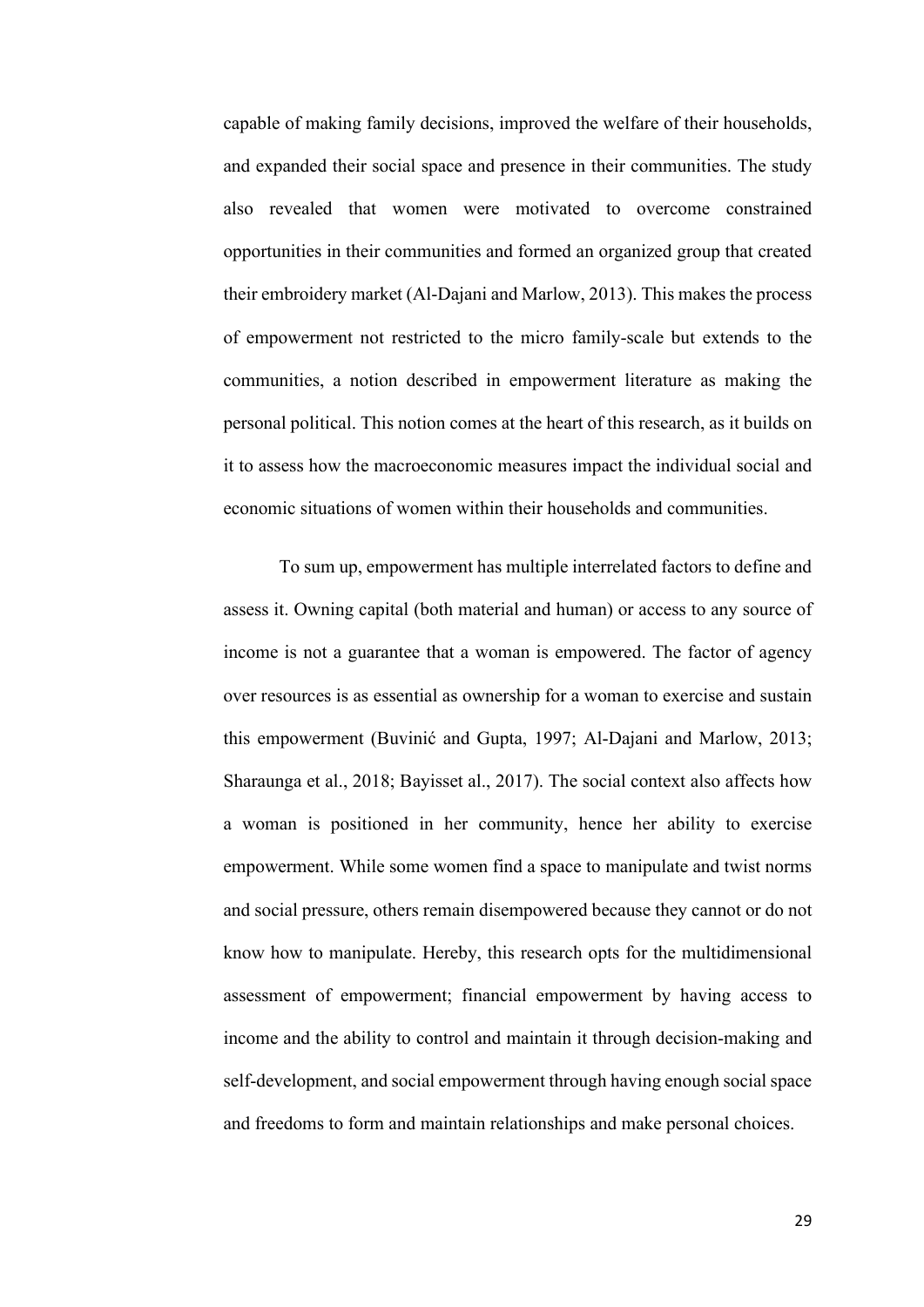capable of making family decisions, improved the welfare of their households, and expanded their social space and presence in their communities. The study also revealed that women were motivated to overcome constrained opportunities in their communities and formed an organized group that created their embroidery market (Al-Dajani and Marlow, 2013). This makes the process of empowerment not restricted to the micro family-scale but extends to the communities, a notion described in empowerment literature as making the personal political. This notion comes at the heart of this research, as it builds on it to assess how the macroeconomic measures impact the individual social and economic situations of women within their households and communities.

To sum up, empowerment has multiple interrelated factors to define and assess it. Owning capital (both material and human) or access to any source of income is not a guarantee that a woman is empowered. The factor of agency over resources is as essential as ownership for a woman to exercise and sustain this empowerment (Buvinić and Gupta, 1997; Al-Dajani and Marlow, 2013; Sharaunga et al., 2018; Bayisset al., 2017). The social context also affects how a woman is positioned in her community, hence her ability to exercise empowerment. While some women find a space to manipulate and twist norms and social pressure, others remain disempowered because they cannot or do not know how to manipulate. Hereby, this research opts for the multidimensional assessment of empowerment; financial empowerment by having access to income and the ability to control and maintain it through decision-making and self-development, and social empowerment through having enough social space and freedoms to form and maintain relationships and make personal choices.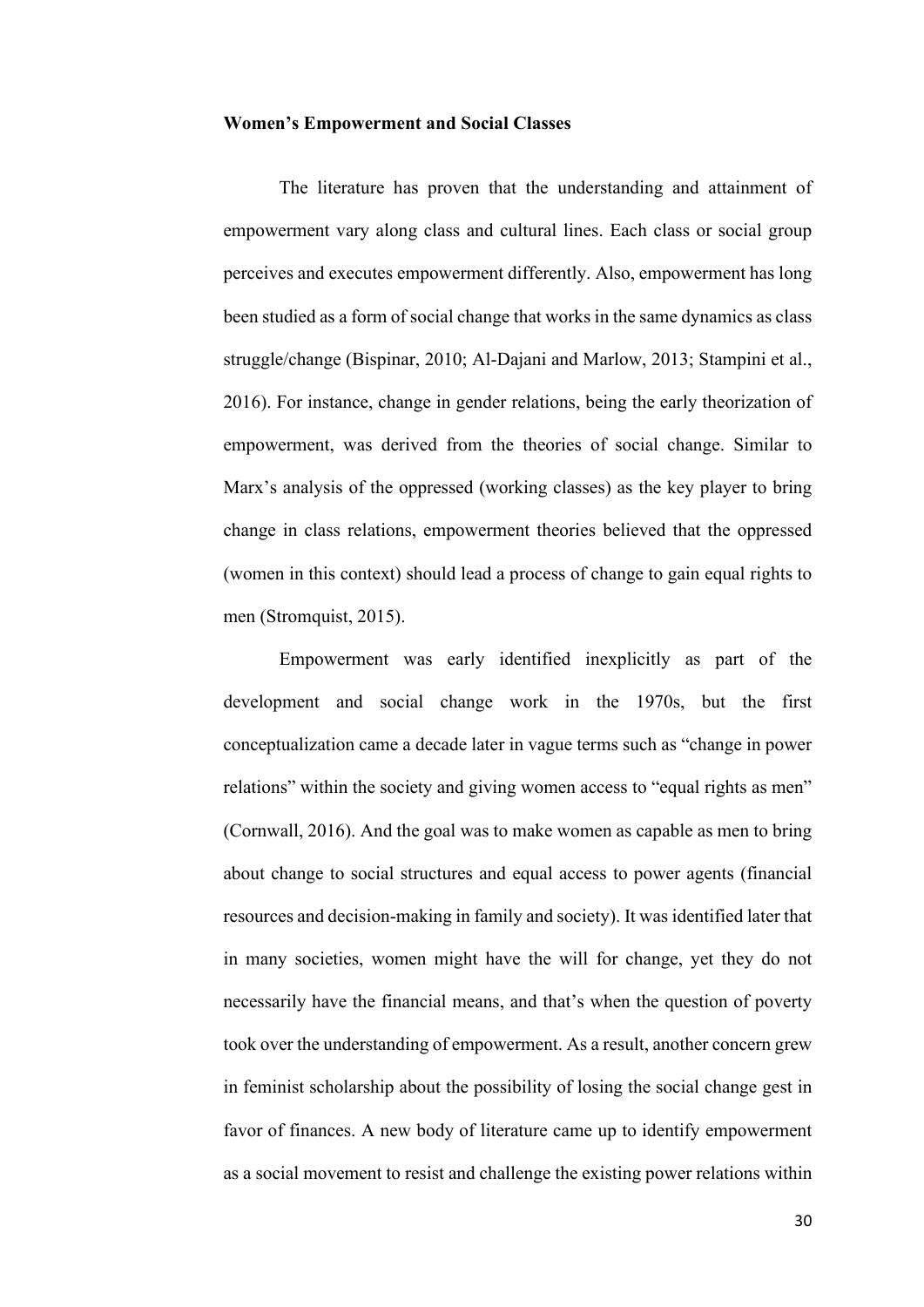#### **Women's Empowerment and Social Classes**

The literature has proven that the understanding and attainment of empowerment vary along class and cultural lines. Each class or social group perceives and executes empowerment differently. Also, empowerment has long been studied as a form of social change that works in the same dynamics as class struggle/change (Bispinar, 2010; Al-Dajani and Marlow, 2013; Stampini et al., 2016). For instance, change in gender relations, being the early theorization of empowerment, was derived from the theories of social change. Similar to Marx's analysis of the oppressed (working classes) as the key player to bring change in class relations, empowerment theories believed that the oppressed (women in this context) should lead a process of change to gain equal rights to men (Stromquist, 2015).

Empowerment was early identified inexplicitly as part of the development and social change work in the 1970s, but the first conceptualization came a decade later in vague terms such as "change in power relations" within the society and giving women access to "equal rights as men" (Cornwall, 2016). And the goal was to make women as capable as men to bring about change to social structures and equal access to power agents (financial resources and decision-making in family and society). It was identified later that in many societies, women might have the will for change, yet they do not necessarily have the financial means, and that's when the question of poverty took over the understanding of empowerment. As a result, another concern grew in feminist scholarship about the possibility of losing the social change gest in favor of finances. A new body of literature came up to identify empowerment as a social movement to resist and challenge the existing power relations within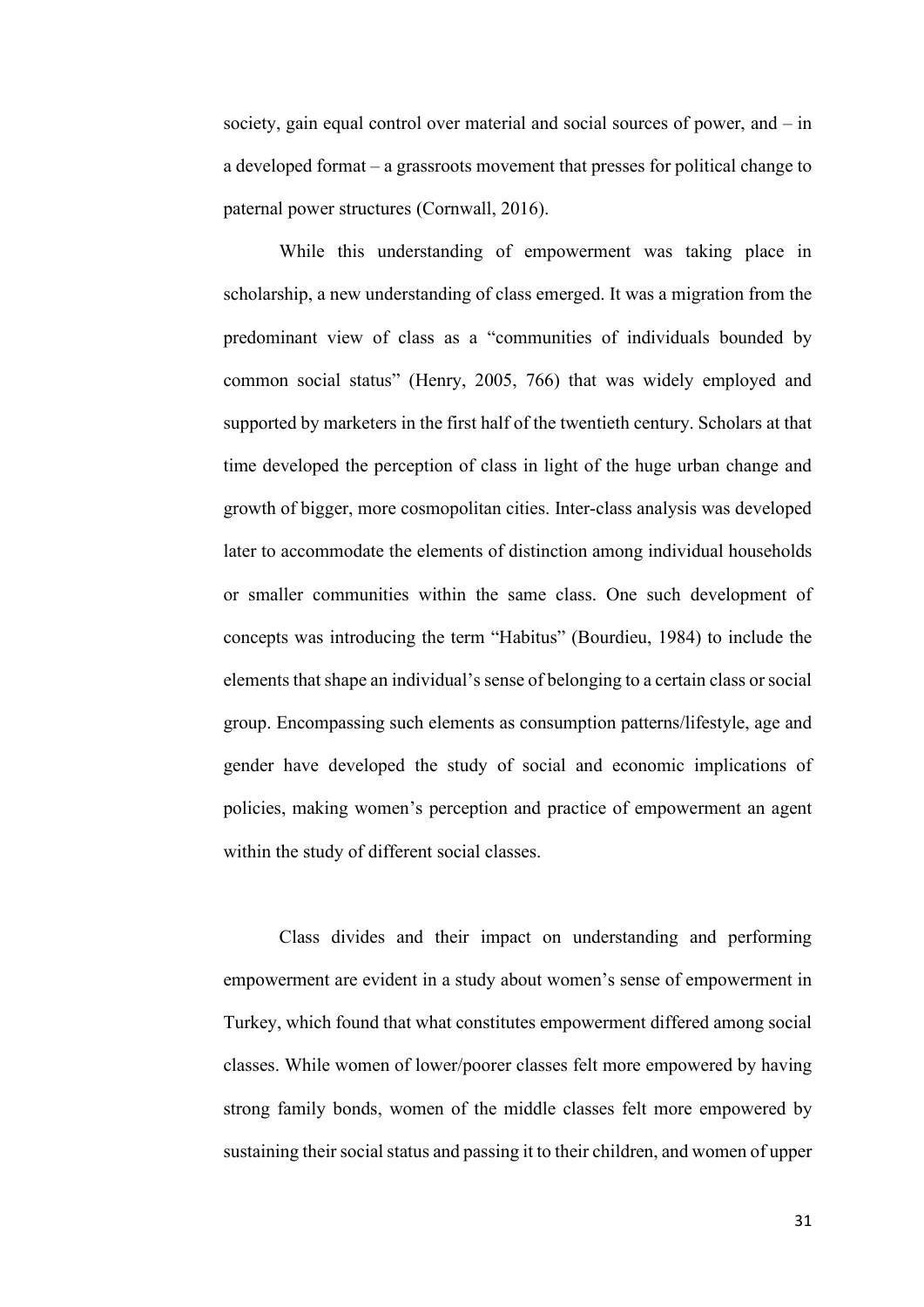society, gain equal control over material and social sources of power, and – in a developed format – a grassroots movement that presses for political change to paternal power structures (Cornwall, 2016).

While this understanding of empowerment was taking place in scholarship, a new understanding of class emerged. It was a migration from the predominant view of class as a "communities of individuals bounded by common social status" (Henry, 2005, 766) that was widely employed and supported by marketers in the first half of the twentieth century. Scholars at that time developed the perception of class in light of the huge urban change and growth of bigger, more cosmopolitan cities. Inter-class analysis was developed later to accommodate the elements of distinction among individual households or smaller communities within the same class. One such development of concepts was introducing the term "Habitus" (Bourdieu, 1984) to include the elements that shape an individual'ssense of belonging to a certain class or social group. Encompassing such elements as consumption patterns/lifestyle, age and gender have developed the study of social and economic implications of policies, making women's perception and practice of empowerment an agent within the study of different social classes.

Class divides and their impact on understanding and performing empowerment are evident in a study about women's sense of empowerment in Turkey, which found that what constitutes empowerment differed among social classes. While women of lower/poorer classes felt more empowered by having strong family bonds, women of the middle classes felt more empowered by sustaining their social status and passing it to their children, and women of upper

31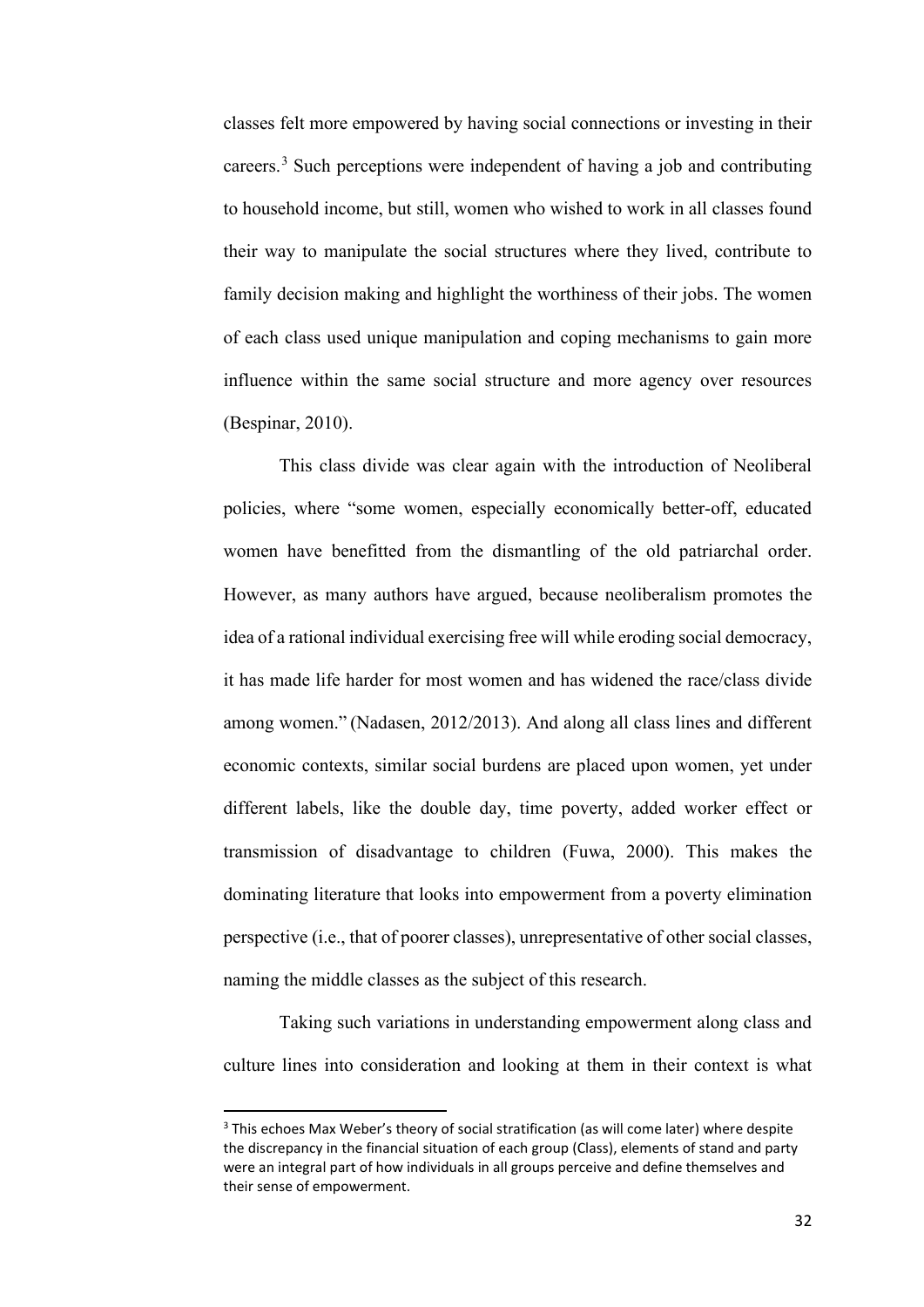classes felt more empowered by having social connections or investing in their careers.[3](#page-39-0) Such perceptions were independent of having a job and contributing to household income, but still, women who wished to work in all classes found their way to manipulate the social structures where they lived, contribute to family decision making and highlight the worthiness of their jobs. The women of each class used unique manipulation and coping mechanisms to gain more influence within the same social structure and more agency over resources (Bespinar, 2010).

This class divide was clear again with the introduction of Neoliberal policies, where "some women, especially economically better-off, educated women have benefitted from the dismantling of the old patriarchal order. However, as many authors have argued, because neoliberalism promotes the idea of a rational individual exercising free will while eroding social democracy, it has made life harder for most women and has widened the race/class divide among women." (Nadasen, 2012/2013). And along all class lines and different economic contexts, similar social burdens are placed upon women, yet under different labels, like the double day, time poverty, added worker effect or transmission of disadvantage to children (Fuwa, 2000). This makes the dominating literature that looks into empowerment from a poverty elimination perspective (i.e., that of poorer classes), unrepresentative of other social classes, naming the middle classes as the subject of this research.

Taking such variations in understanding empowerment along class and culture lines into consideration and looking at them in their context is what

<span id="page-39-0"></span><sup>&</sup>lt;sup>3</sup> This echoes Max Weber's theory of social stratification (as will come later) where despite the discrepancy in the financial situation of each group (Class), elements of stand and party were an integral part of how individuals in all groups perceive and define themselves and their sense of empowerment.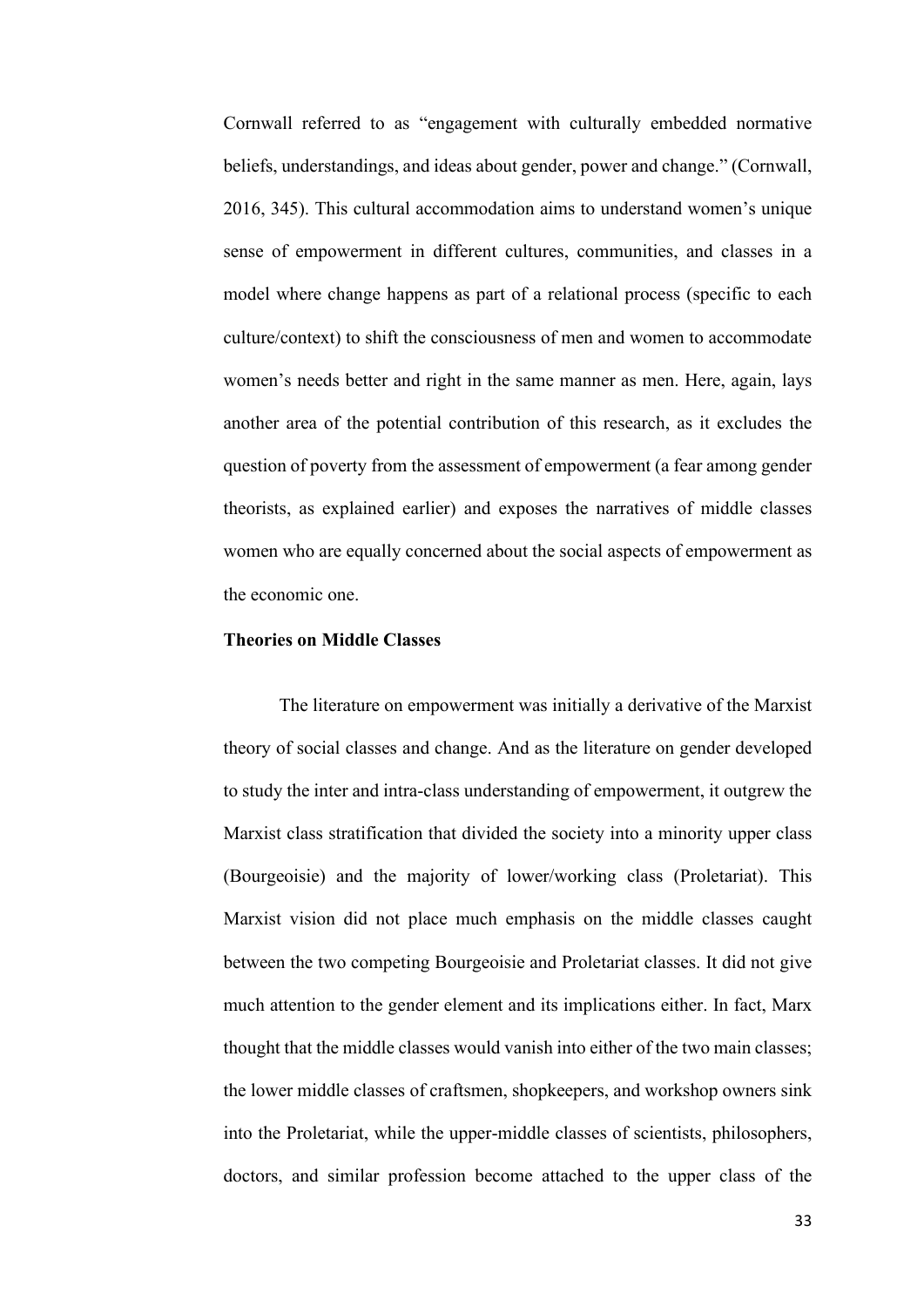Cornwall referred to as "engagement with culturally embedded normative beliefs, understandings, and ideas about gender, power and change." (Cornwall, 2016, 345). This cultural accommodation aims to understand women's unique sense of empowerment in different cultures, communities, and classes in a model where change happens as part of a relational process (specific to each culture/context) to shift the consciousness of men and women to accommodate women's needs better and right in the same manner as men. Here, again, lays another area of the potential contribution of this research, as it excludes the question of poverty from the assessment of empowerment (a fear among gender theorists, as explained earlier) and exposes the narratives of middle classes women who are equally concerned about the social aspects of empowerment as the economic one.

# **Theories on Middle Classes**

The literature on empowerment was initially a derivative of the Marxist theory of social classes and change. And as the literature on gender developed to study the inter and intra-class understanding of empowerment, it outgrew the Marxist class stratification that divided the society into a minority upper class (Bourgeoisie) and the majority of lower/working class (Proletariat). This Marxist vision did not place much emphasis on the middle classes caught between the two competing Bourgeoisie and Proletariat classes. It did not give much attention to the gender element and its implications either. In fact, Marx thought that the middle classes would vanish into either of the two main classes; the lower middle classes of craftsmen, shopkeepers, and workshop owners sink into the Proletariat, while the upper-middle classes of scientists, philosophers, doctors, and similar profession become attached to the upper class of the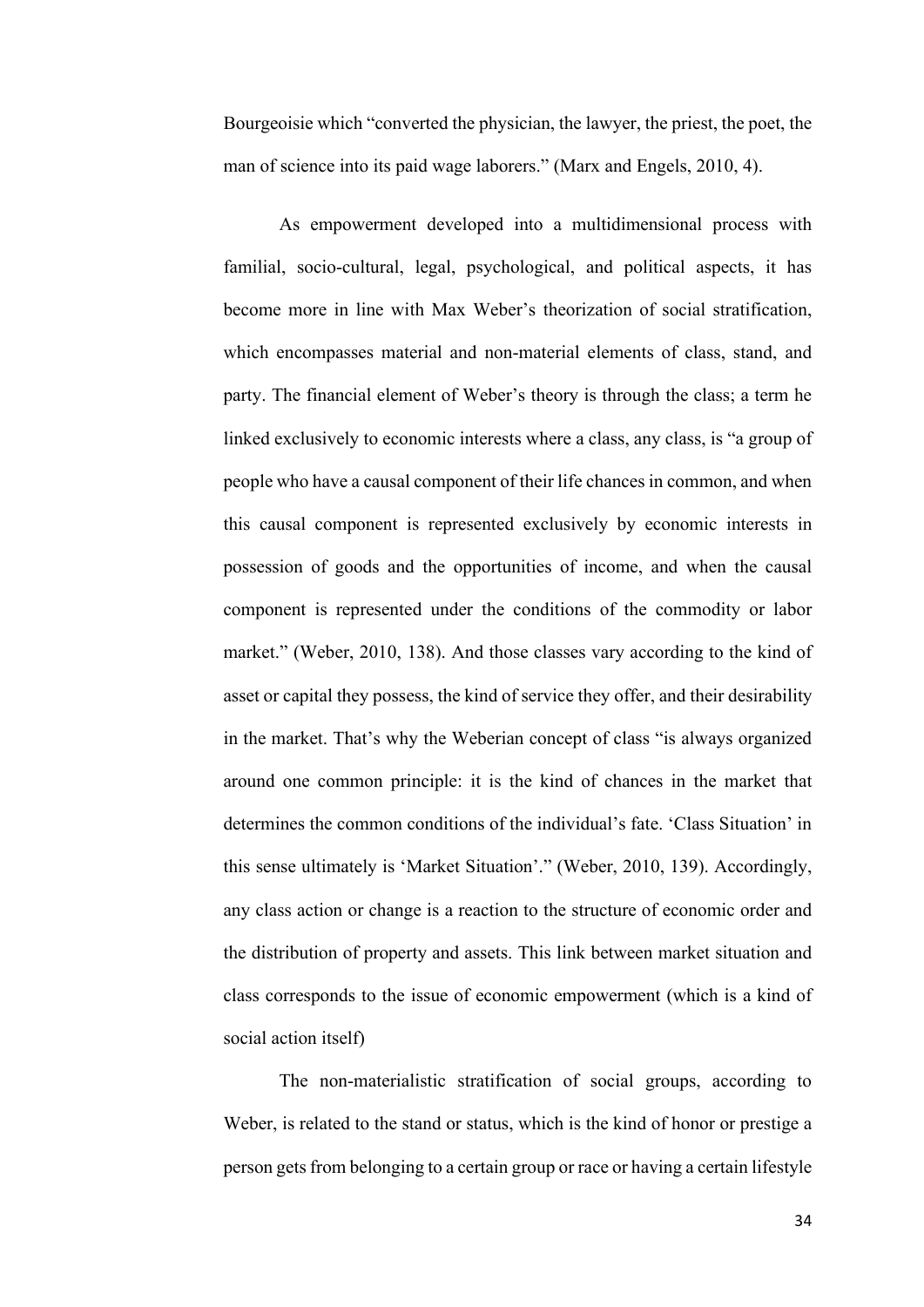Bourgeoisie which "converted the physician, the lawyer, the priest, the poet, the man of science into its paid wage laborers." (Marx and Engels, 2010, 4).

As empowerment developed into a multidimensional process with familial, socio-cultural, legal, psychological, and political aspects, it has become more in line with Max Weber's theorization of social stratification, which encompasses material and non-material elements of class, stand, and party. The financial element of Weber's theory is through the class; a term he linked exclusively to economic interests where a class, any class, is "a group of people who have a causal component of their life chances in common, and when this causal component is represented exclusively by economic interests in possession of goods and the opportunities of income, and when the causal component is represented under the conditions of the commodity or labor market." (Weber, 2010, 138). And those classes vary according to the kind of asset or capital they possess, the kind of service they offer, and their desirability in the market. That's why the Weberian concept of class "is always organized around one common principle: it is the kind of chances in the market that determines the common conditions of the individual's fate. 'Class Situation' in this sense ultimately is 'Market Situation'." (Weber, 2010, 139). Accordingly, any class action or change is a reaction to the structure of economic order and the distribution of property and assets. This link between market situation and class corresponds to the issue of economic empowerment (which is a kind of social action itself)

The non-materialistic stratification of social groups, according to Weber, is related to the stand or status, which is the kind of honor or prestige a person gets from belonging to a certain group or race or having a certain lifestyle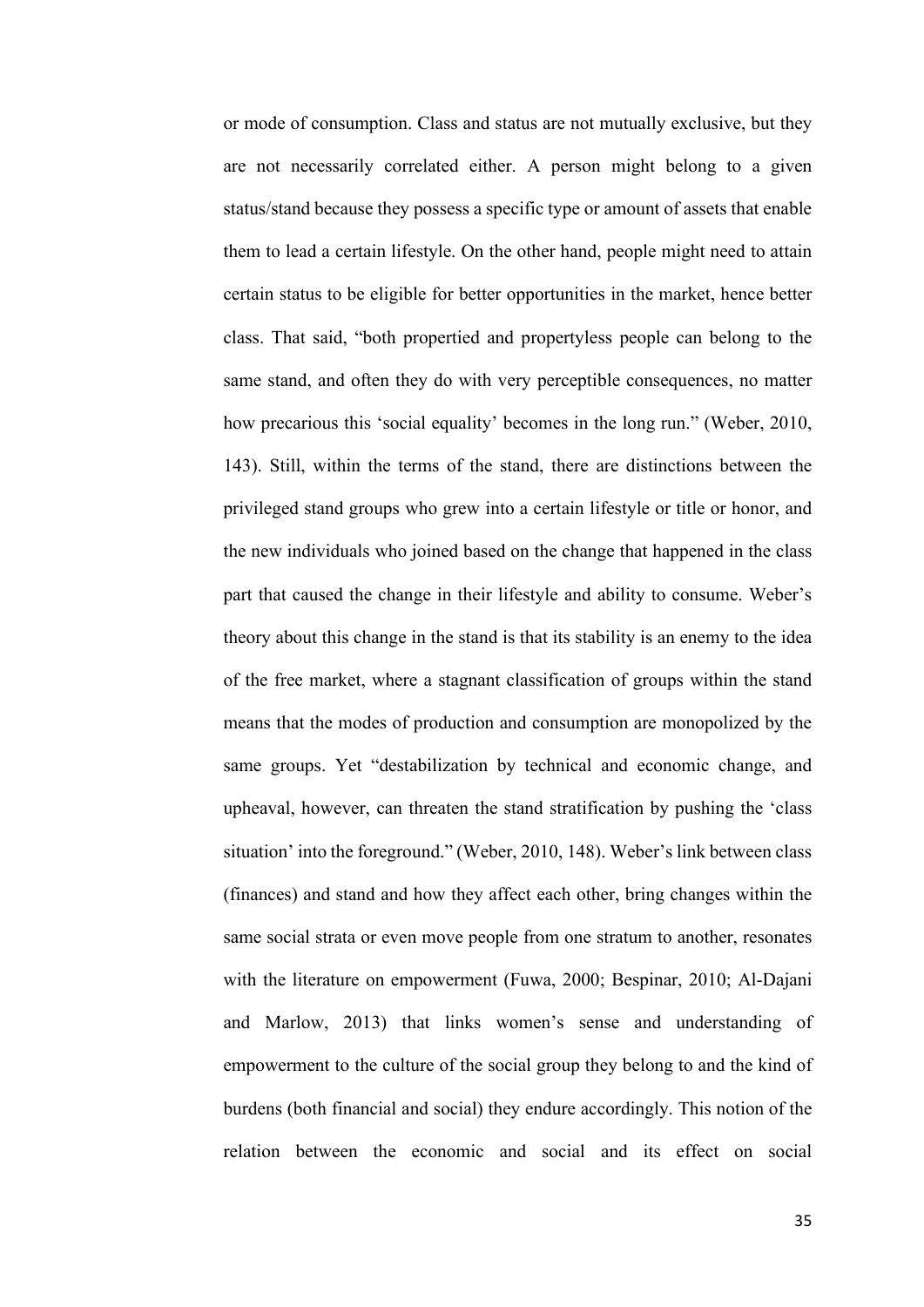or mode of consumption. Class and status are not mutually exclusive, but they are not necessarily correlated either. A person might belong to a given status/stand because they possess a specific type or amount of assets that enable them to lead a certain lifestyle. On the other hand, people might need to attain certain status to be eligible for better opportunities in the market, hence better class. That said, "both propertied and propertyless people can belong to the same stand, and often they do with very perceptible consequences, no matter how precarious this 'social equality' becomes in the long run." (Weber, 2010, 143). Still, within the terms of the stand, there are distinctions between the privileged stand groups who grew into a certain lifestyle or title or honor, and the new individuals who joined based on the change that happened in the class part that caused the change in their lifestyle and ability to consume. Weber's theory about this change in the stand is that its stability is an enemy to the idea of the free market, where a stagnant classification of groups within the stand means that the modes of production and consumption are monopolized by the same groups. Yet "destabilization by technical and economic change, and upheaval, however, can threaten the stand stratification by pushing the 'class situation' into the foreground." (Weber, 2010, 148). Weber's link between class (finances) and stand and how they affect each other, bring changes within the same social strata or even move people from one stratum to another, resonates with the literature on empowerment (Fuwa, 2000; Bespinar, 2010; Al-Dajani and Marlow, 2013) that links women's sense and understanding of empowerment to the culture of the social group they belong to and the kind of burdens (both financial and social) they endure accordingly. This notion of the relation between the economic and social and its effect on social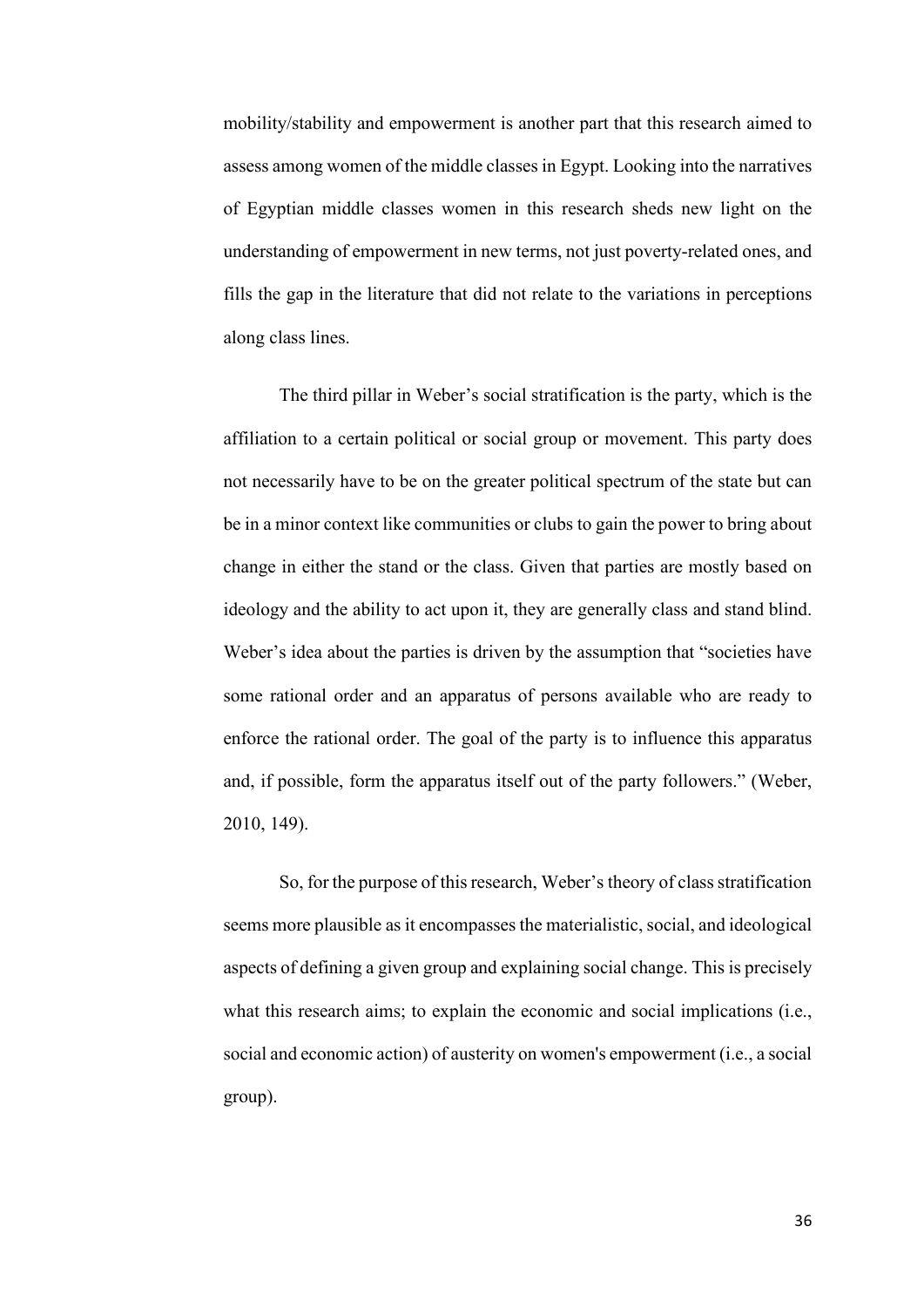mobility/stability and empowerment is another part that this research aimed to assess among women of the middle classes in Egypt. Looking into the narratives of Egyptian middle classes women in this research sheds new light on the understanding of empowerment in new terms, not just poverty-related ones, and fills the gap in the literature that did not relate to the variations in perceptions along class lines.

The third pillar in Weber's social stratification is the party, which is the affiliation to a certain political or social group or movement. This party does not necessarily have to be on the greater political spectrum of the state but can be in a minor context like communities or clubs to gain the power to bring about change in either the stand or the class. Given that parties are mostly based on ideology and the ability to act upon it, they are generally class and stand blind. Weber's idea about the parties is driven by the assumption that "societies have some rational order and an apparatus of persons available who are ready to enforce the rational order. The goal of the party is to influence this apparatus and, if possible, form the apparatus itself out of the party followers." (Weber, 2010, 149).

So, for the purpose of this research, Weber's theory of class stratification seems more plausible as it encompasses the materialistic, social, and ideological aspects of defining a given group and explaining social change. This is precisely what this research aims; to explain the economic and social implications (i.e., social and economic action) of austerity on women's empowerment (i.e., a social group).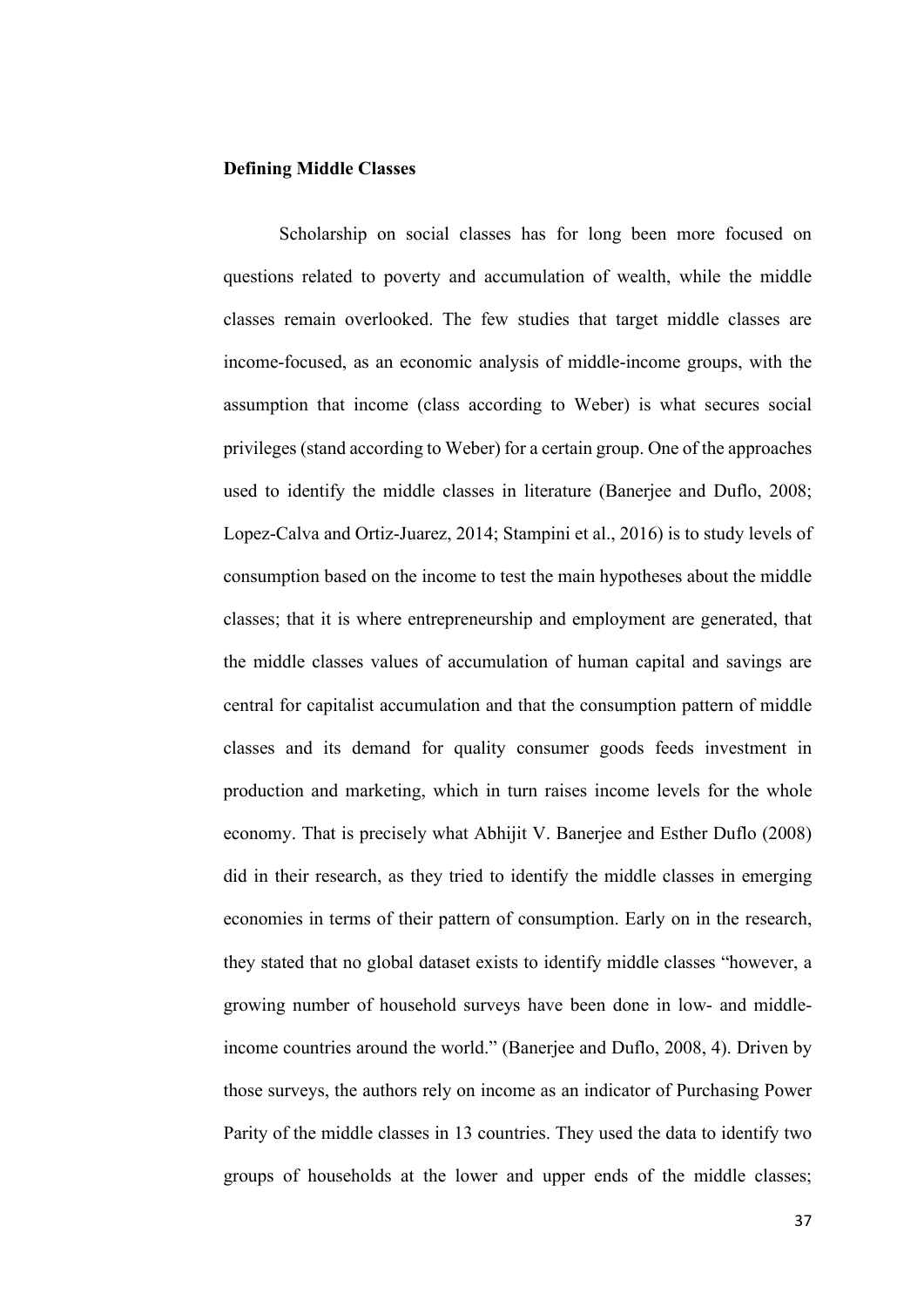## **Defining Middle Classes**

Scholarship on social classes has for long been more focused on questions related to poverty and accumulation of wealth, while the middle classes remain overlooked. The few studies that target middle classes are income-focused, as an economic analysis of middle-income groups, with the assumption that income (class according to Weber) is what secures social privileges (stand according to Weber) for a certain group. One of the approaches used to identify the middle classes in literature (Banerjee and Duflo, 2008; Lopez-Calva and Ortiz-Juarez, 2014; Stampini et al., 2016) is to study levels of consumption based on the income to test the main hypotheses about the middle classes; that it is where entrepreneurship and employment are generated, that the middle classes values of accumulation of human capital and savings are central for capitalist accumulation and that the consumption pattern of middle classes and its demand for quality consumer goods feeds investment in production and marketing, which in turn raises income levels for the whole economy. That is precisely what Abhijit V. Banerjee and Esther Duflo (2008) did in their research, as they tried to identify the middle classes in emerging economies in terms of their pattern of consumption. Early on in the research, they stated that no global dataset exists to identify middle classes "however, a growing number of household surveys have been done in low- and middleincome countries around the world." (Banerjee and Duflo, 2008, 4). Driven by those surveys, the authors rely on income as an indicator of Purchasing Power Parity of the middle classes in 13 countries. They used the data to identify two groups of households at the lower and upper ends of the middle classes;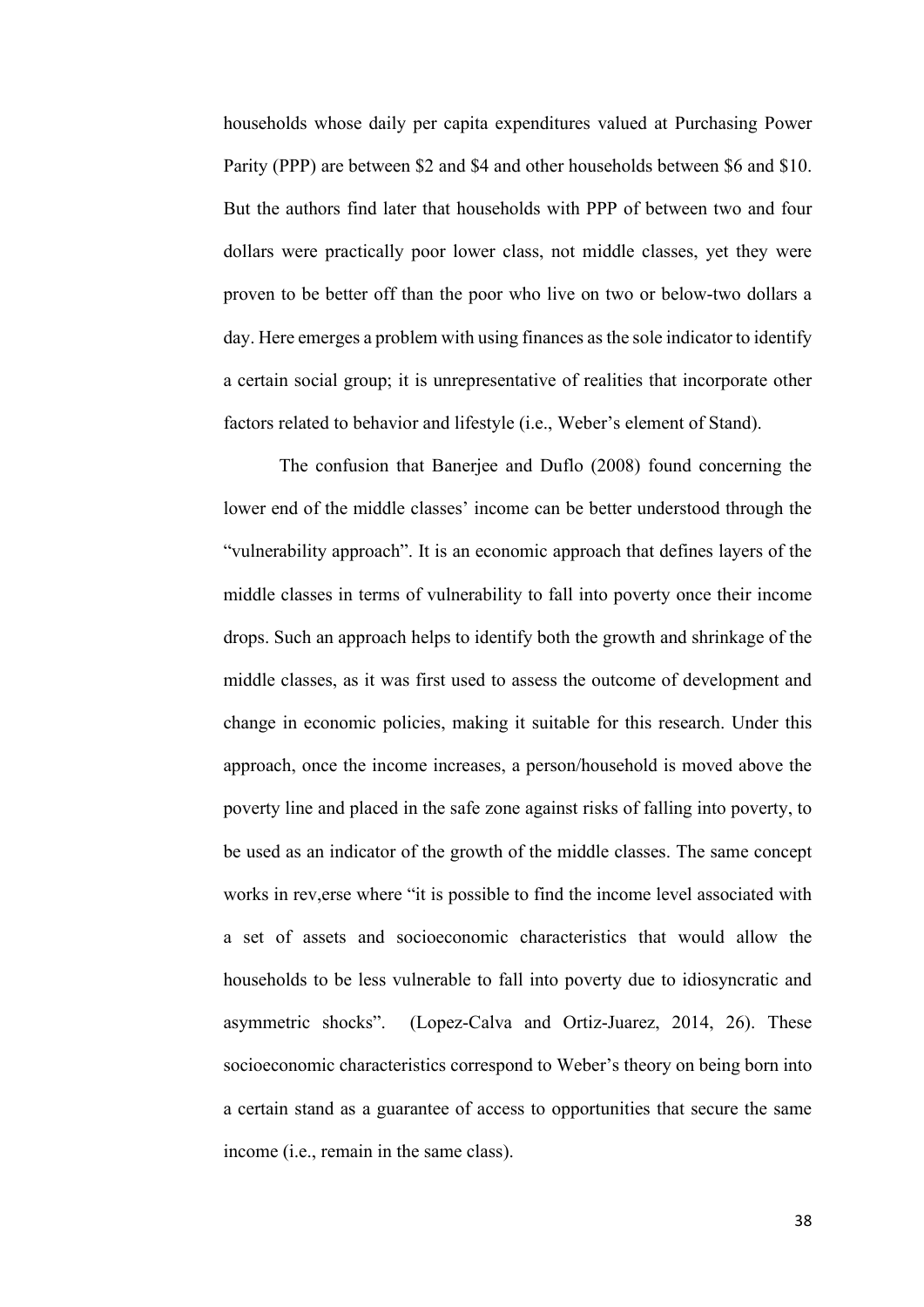households whose daily per capita expenditures valued at Purchasing Power Parity (PPP) are between \$2 and \$4 and other households between \$6 and \$10. But the authors find later that households with PPP of between two and four dollars were practically poor lower class, not middle classes, yet they were proven to be better off than the poor who live on two or below-two dollars a day. Here emerges a problem with using finances as the sole indicator to identify a certain social group; it is unrepresentative of realities that incorporate other factors related to behavior and lifestyle (i.e., Weber's element of Stand).

The confusion that Banerjee and Duflo (2008) found concerning the lower end of the middle classes' income can be better understood through the "vulnerability approach". It is an economic approach that defines layers of the middle classes in terms of vulnerability to fall into poverty once their income drops. Such an approach helps to identify both the growth and shrinkage of the middle classes, as it was first used to assess the outcome of development and change in economic policies, making it suitable for this research. Under this approach, once the income increases, a person/household is moved above the poverty line and placed in the safe zone against risks of falling into poverty, to be used as an indicator of the growth of the middle classes. The same concept works in rev,erse where "it is possible to find the income level associated with a set of assets and socioeconomic characteristics that would allow the households to be less vulnerable to fall into poverty due to idiosyncratic and asymmetric shocks". (Lopez-Calva and Ortiz-Juarez, 2014, 26). These socioeconomic characteristics correspond to Weber's theory on being born into a certain stand as a guarantee of access to opportunities that secure the same income (i.e., remain in the same class).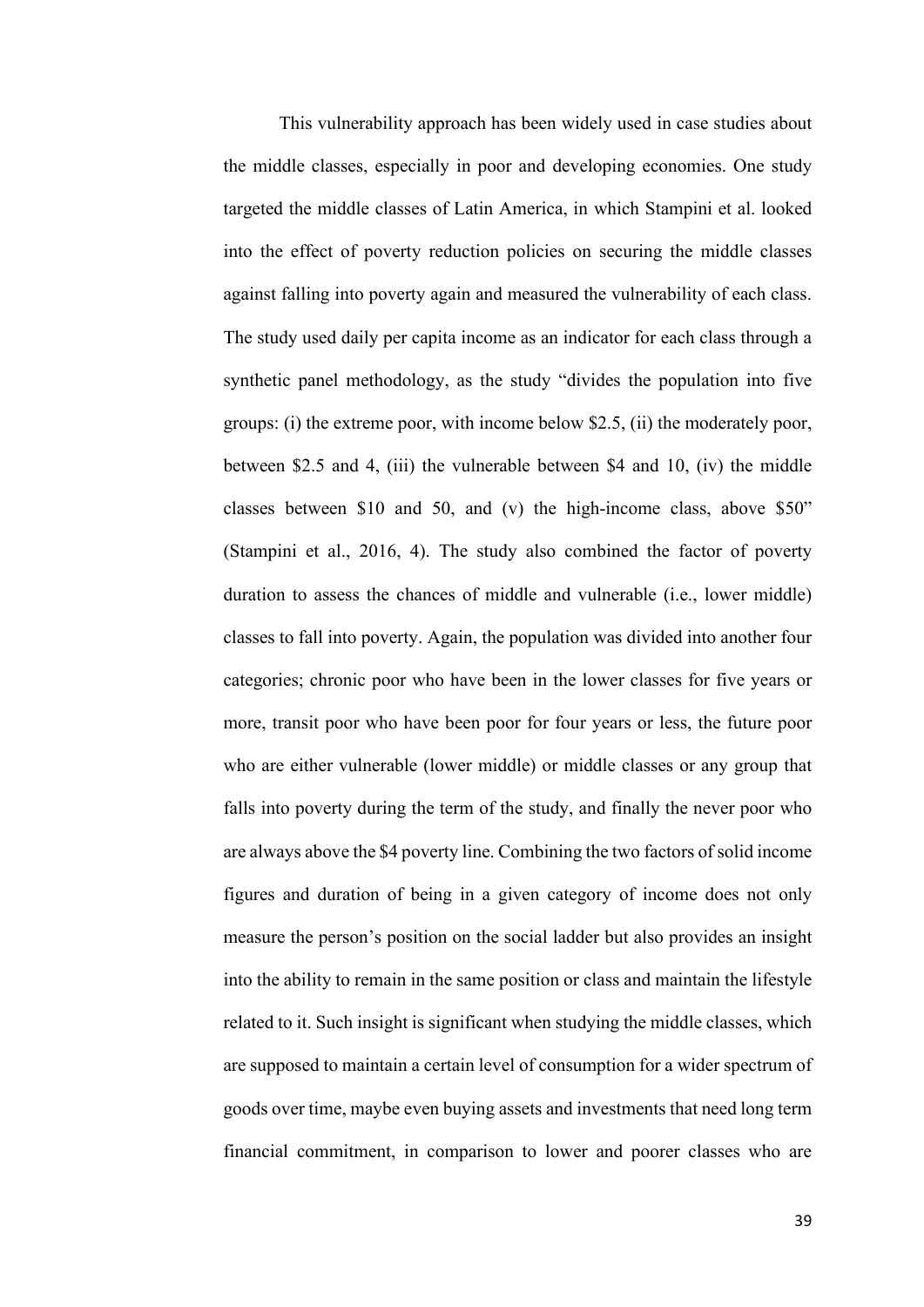This vulnerability approach has been widely used in case studies about the middle classes, especially in poor and developing economies. One study targeted the middle classes of Latin America, in which Stampini et al. looked into the effect of poverty reduction policies on securing the middle classes against falling into poverty again and measured the vulnerability of each class. The study used daily per capita income as an indicator for each class through a synthetic panel methodology, as the study "divides the population into five groups: (i) the extreme poor, with income below \$2.5, (ii) the moderately poor, between \$2.5 and 4, (iii) the vulnerable between \$4 and 10, (iv) the middle classes between \$10 and 50, and (v) the high-income class, above \$50" (Stampini et al., 2016, 4). The study also combined the factor of poverty duration to assess the chances of middle and vulnerable (i.e., lower middle) classes to fall into poverty. Again, the population was divided into another four categories; chronic poor who have been in the lower classes for five years or more, transit poor who have been poor for four years or less, the future poor who are either vulnerable (lower middle) or middle classes or any group that falls into poverty during the term of the study, and finally the never poor who are always above the \$4 poverty line. Combining the two factors of solid income figures and duration of being in a given category of income does not only measure the person's position on the social ladder but also provides an insight into the ability to remain in the same position or class and maintain the lifestyle related to it. Such insight is significant when studying the middle classes, which are supposed to maintain a certain level of consumption for a wider spectrum of goods over time, maybe even buying assets and investments that need long term financial commitment, in comparison to lower and poorer classes who are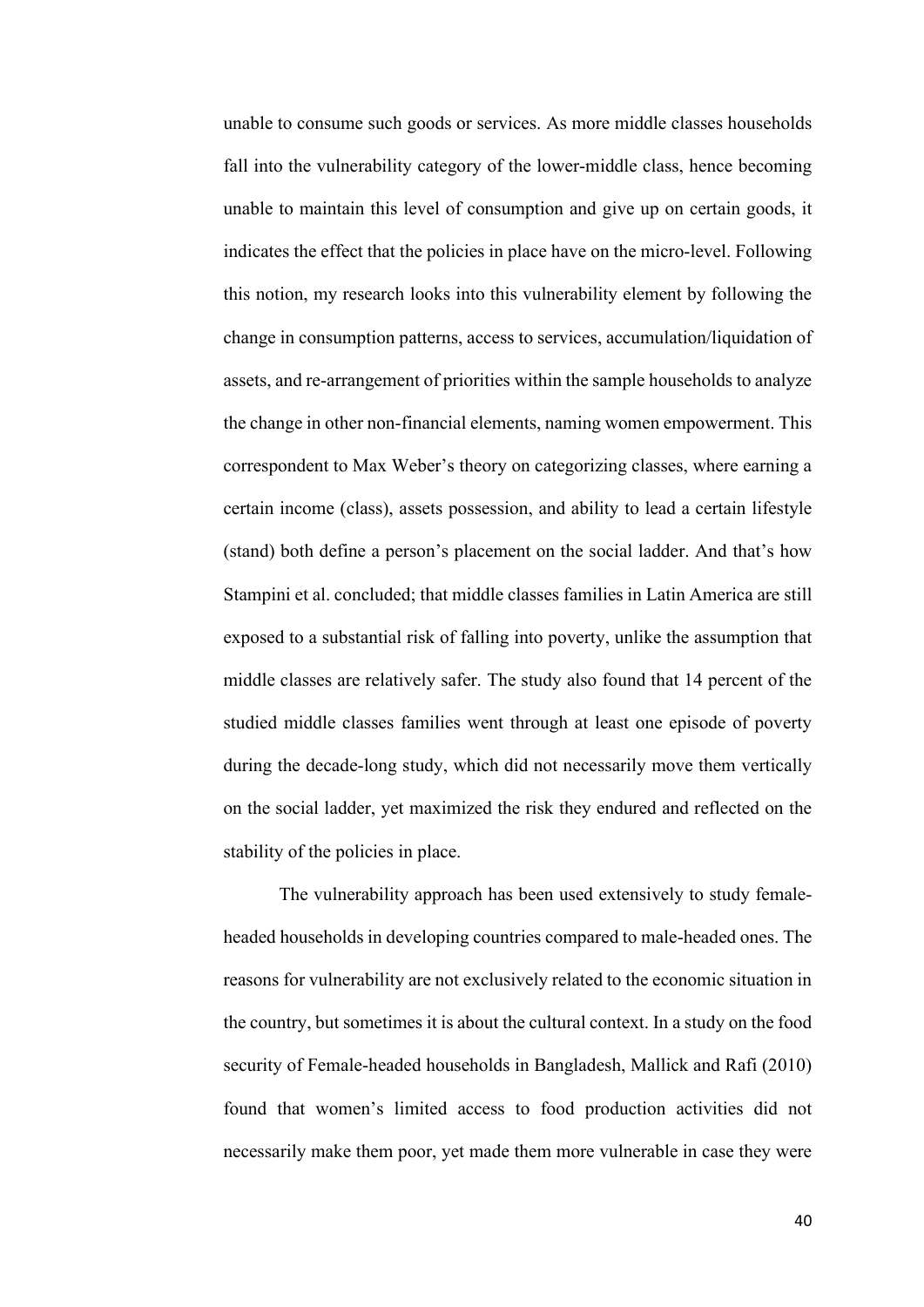unable to consume such goods or services. As more middle classes households fall into the vulnerability category of the lower-middle class, hence becoming unable to maintain this level of consumption and give up on certain goods, it indicates the effect that the policies in place have on the micro-level. Following this notion, my research looks into this vulnerability element by following the change in consumption patterns, access to services, accumulation/liquidation of assets, and re-arrangement of priorities within the sample households to analyze the change in other non-financial elements, naming women empowerment. This correspondent to Max Weber's theory on categorizing classes, where earning a certain income (class), assets possession, and ability to lead a certain lifestyle (stand) both define a person's placement on the social ladder. And that's how Stampini et al. concluded; that middle classes families in Latin America are still exposed to a substantial risk of falling into poverty, unlike the assumption that middle classes are relatively safer. The study also found that 14 percent of the studied middle classes families went through at least one episode of poverty during the decade-long study, which did not necessarily move them vertically on the social ladder, yet maximized the risk they endured and reflected on the stability of the policies in place.

The vulnerability approach has been used extensively to study femaleheaded households in developing countries compared to male-headed ones. The reasons for vulnerability are not exclusively related to the economic situation in the country, but sometimes it is about the cultural context. In a study on the food security of Female-headed households in Bangladesh, Mallick and Rafi (2010) found that women's limited access to food production activities did not necessarily make them poor, yet made them more vulnerable in case they were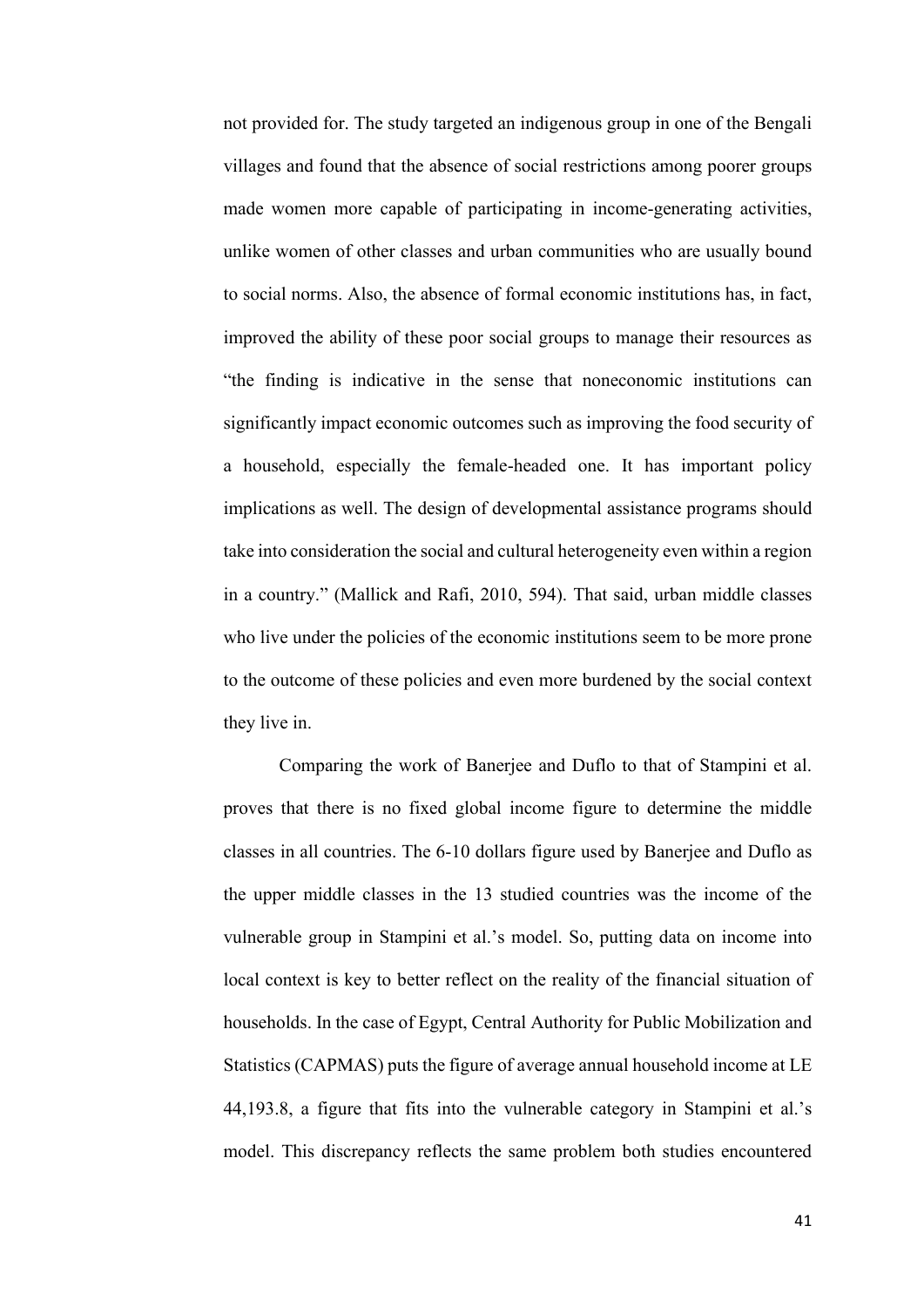not provided for. The study targeted an indigenous group in one of the Bengali villages and found that the absence of social restrictions among poorer groups made women more capable of participating in income-generating activities, unlike women of other classes and urban communities who are usually bound to social norms. Also, the absence of formal economic institutions has, in fact, improved the ability of these poor social groups to manage their resources as "the finding is indicative in the sense that noneconomic institutions can significantly impact economic outcomes such as improving the food security of a household, especially the female-headed one. It has important policy implications as well. The design of developmental assistance programs should take into consideration the social and cultural heterogeneity even within a region in a country." (Mallick and Rafi, 2010, 594). That said, urban middle classes who live under the policies of the economic institutions seem to be more prone to the outcome of these policies and even more burdened by the social context they live in.

Comparing the work of Banerjee and Duflo to that of Stampini et al. proves that there is no fixed global income figure to determine the middle classes in all countries. The 6-10 dollars figure used by Banerjee and Duflo as the upper middle classes in the 13 studied countries was the income of the vulnerable group in Stampini et al.'s model. So, putting data on income into local context is key to better reflect on the reality of the financial situation of households. In the case of Egypt, Central Authority for Public Mobilization and Statistics (CAPMAS) puts the figure of average annual household income at LE 44,193.8, a figure that fits into the vulnerable category in Stampini et al.'s model. This discrepancy reflects the same problem both studies encountered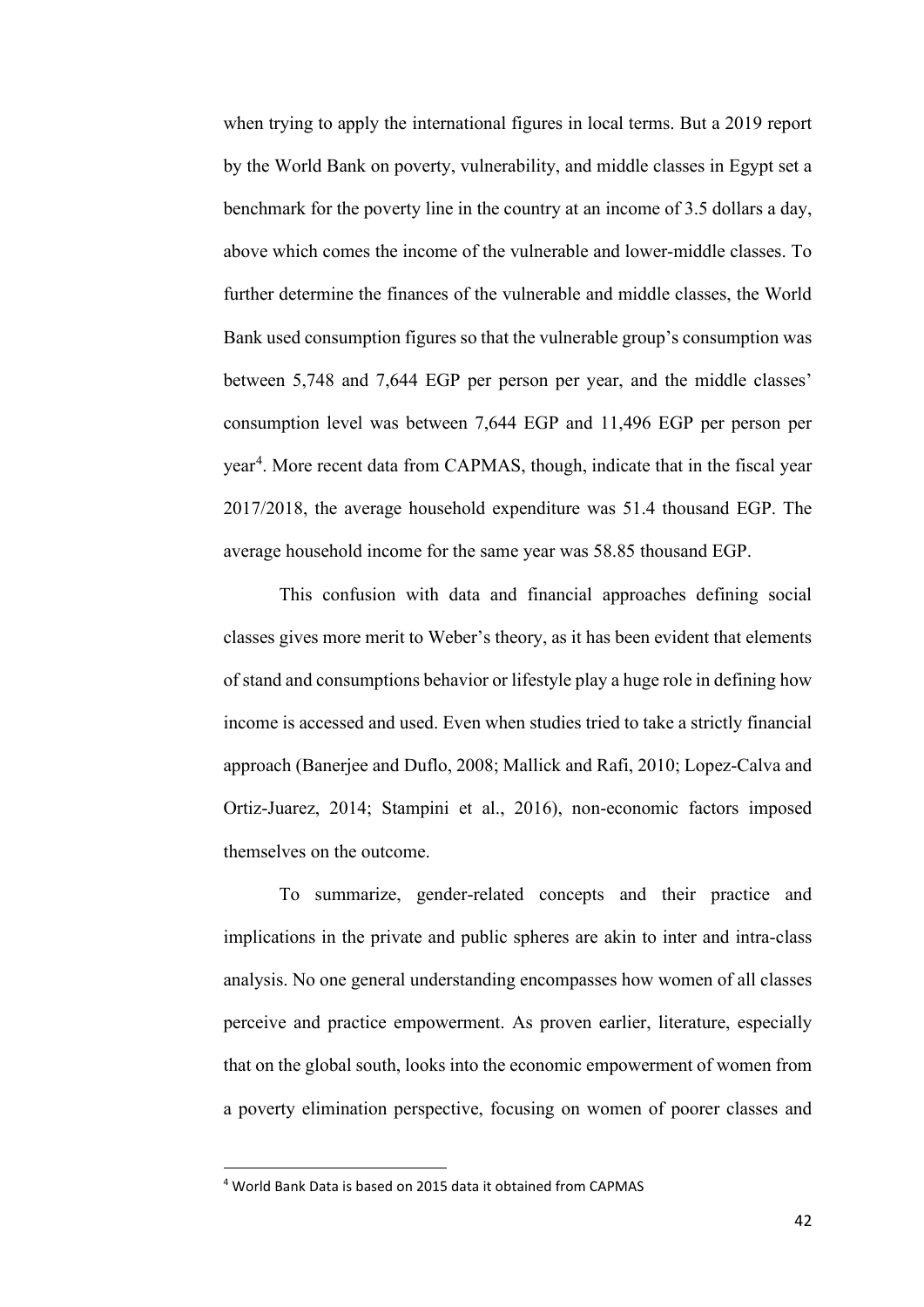when trying to apply the international figures in local terms. But a 2019 report by the World Bank on poverty, vulnerability, and middle classes in Egypt set a benchmark for the poverty line in the country at an income of 3.5 dollars a day, above which comes the income of the vulnerable and lower-middle classes. To further determine the finances of the vulnerable and middle classes, the World Bank used consumption figures so that the vulnerable group's consumption was between 5,748 and 7,644 EGP per person per year, and the middle classes' consumption level was between 7,644 EGP and 11,496 EGP per person per year<sup>[4](#page-49-0)</sup>. More recent data from CAPMAS, though, indicate that in the fiscal year 2017/2018, the average household expenditure was 51.4 thousand EGP. The average household income for the same year was 58.85 thousand EGP.

This confusion with data and financial approaches defining social classes gives more merit to Weber's theory, as it has been evident that elements of stand and consumptions behavior or lifestyle play a huge role in defining how income is accessed and used. Even when studies tried to take a strictly financial approach (Banerjee and Duflo, 2008; Mallick and Rafi, 2010; Lopez-Calva and Ortiz-Juarez, 2014; Stampini et al., 2016), non-economic factors imposed themselves on the outcome.

To summarize, gender-related concepts and their practice and implications in the private and public spheres are akin to inter and intra-class analysis. No one general understanding encompasses how women of all classes perceive and practice empowerment. As proven earlier, literature, especially that on the global south, looks into the economic empowerment of women from a poverty elimination perspective, focusing on women of poorer classes and

<span id="page-49-0"></span><sup>4</sup> World Bank Data is based on 2015 data it obtained from CAPMAS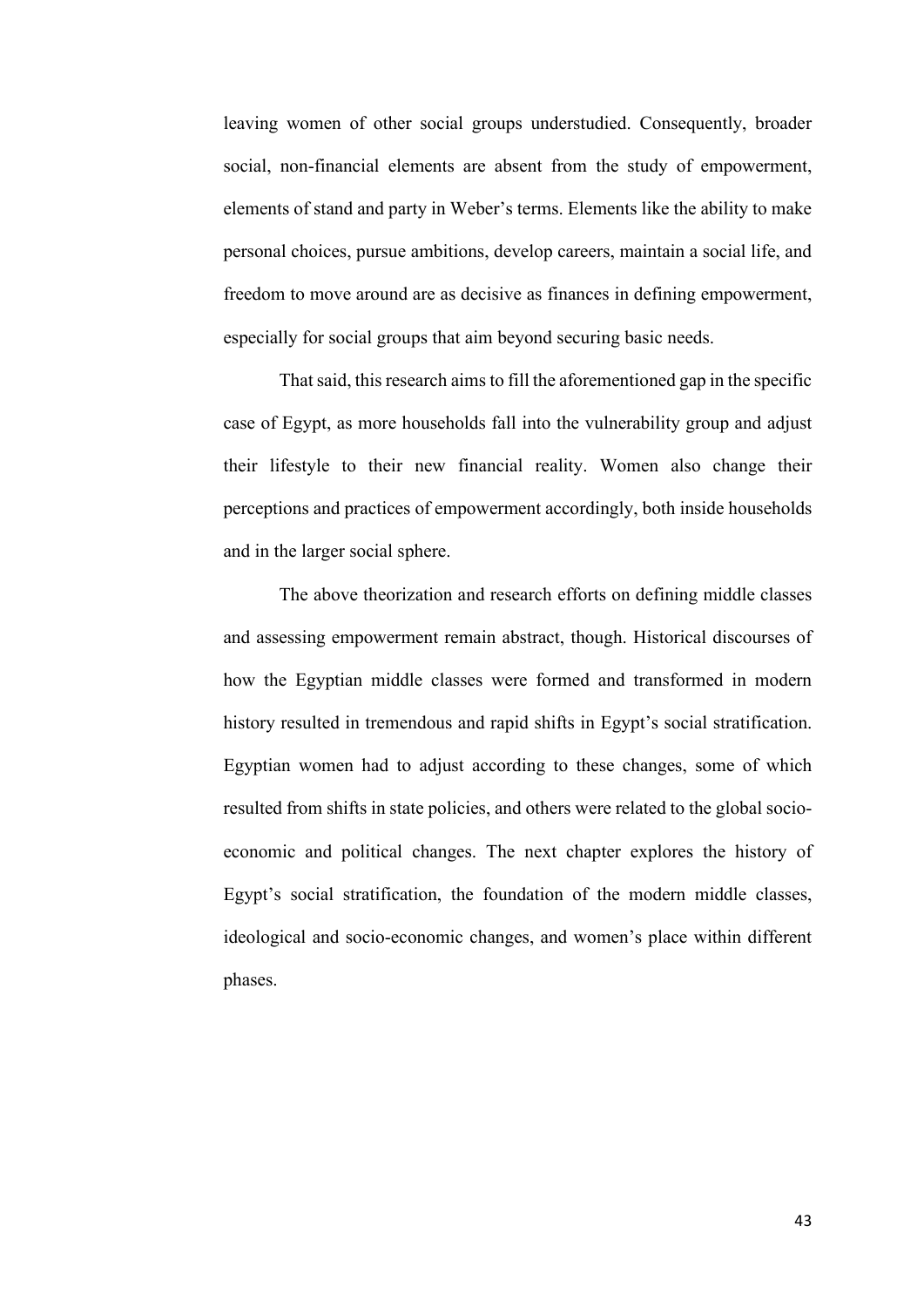leaving women of other social groups understudied. Consequently, broader social, non-financial elements are absent from the study of empowerment, elements of stand and party in Weber's terms. Elements like the ability to make personal choices, pursue ambitions, develop careers, maintain a social life, and freedom to move around are as decisive as finances in defining empowerment, especially for social groups that aim beyond securing basic needs.

That said, this research aims to fill the aforementioned gap in the specific case of Egypt, as more households fall into the vulnerability group and adjust their lifestyle to their new financial reality. Women also change their perceptions and practices of empowerment accordingly, both inside households and in the larger social sphere.

The above theorization and research efforts on defining middle classes and assessing empowerment remain abstract, though. Historical discourses of how the Egyptian middle classes were formed and transformed in modern history resulted in tremendous and rapid shifts in Egypt's social stratification. Egyptian women had to adjust according to these changes, some of which resulted from shifts in state policies, and others were related to the global socioeconomic and political changes. The next chapter explores the history of Egypt's social stratification, the foundation of the modern middle classes, ideological and socio-economic changes, and women's place within different phases.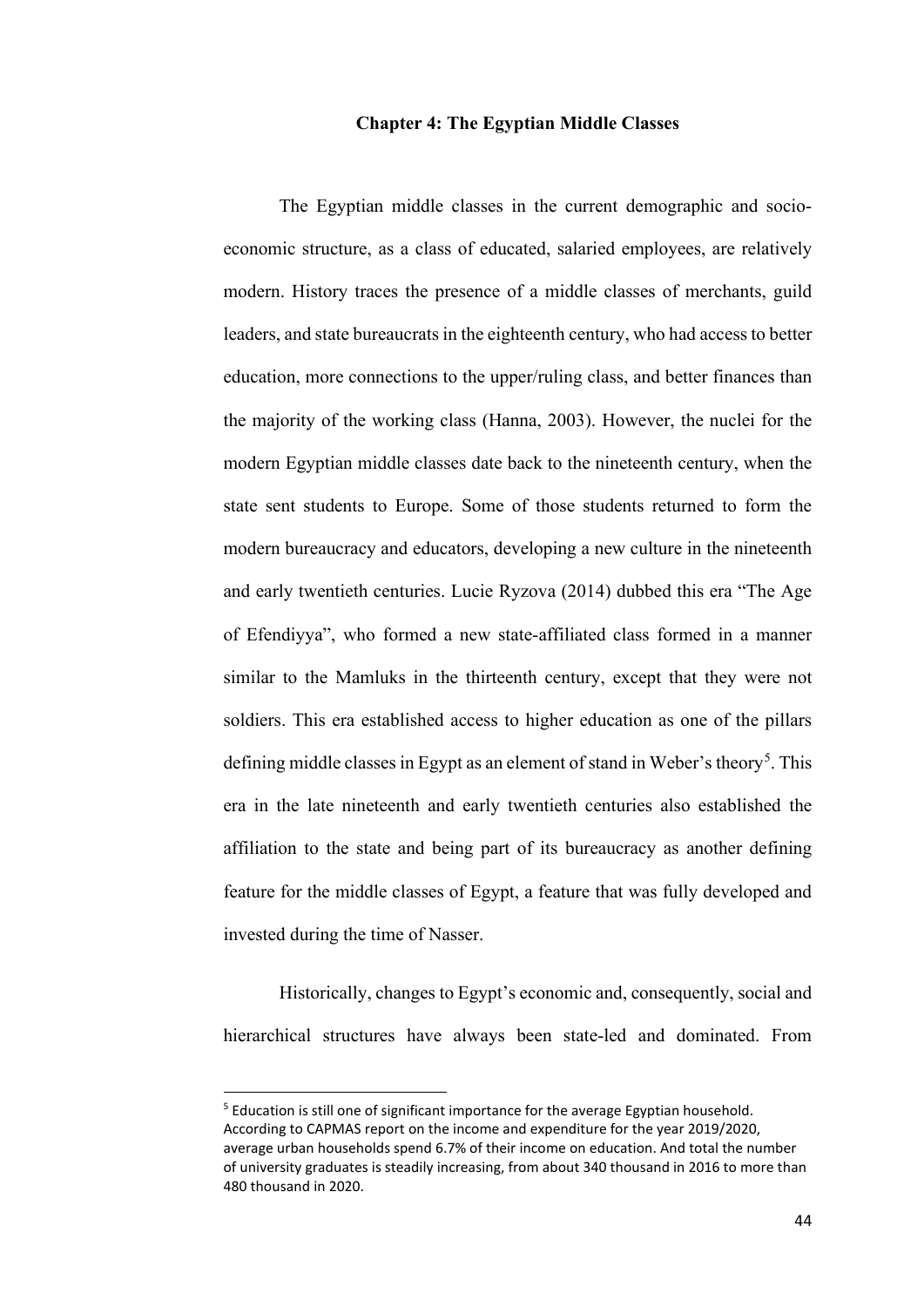## **Chapter 4: The Egyptian Middle Classes**

The Egyptian middle classes in the current demographic and socioeconomic structure, as a class of educated, salaried employees, are relatively modern. History traces the presence of a middle classes of merchants, guild leaders, and state bureaucrats in the eighteenth century, who had access to better education, more connections to the upper/ruling class, and better finances than the majority of the working class (Hanna, 2003). However, the nuclei for the modern Egyptian middle classes date back to the nineteenth century, when the state sent students to Europe. Some of those students returned to form the modern bureaucracy and educators, developing a new culture in the nineteenth and early twentieth centuries. Lucie Ryzova (2014) dubbed this era "The Age of Efendiyya", who formed a new state-affiliated class formed in a manner similar to the Mamluks in the thirteenth century, except that they were not soldiers. This era established access to higher education as one of the pillars defining middle classes in Egypt as an element of stand in Weber's theory<sup>[5](#page-51-0)</sup>. This era in the late nineteenth and early twentieth centuries also established the affiliation to the state and being part of its bureaucracy as another defining feature for the middle classes of Egypt, a feature that was fully developed and invested during the time of Nasser.

Historically, changes to Egypt's economic and, consequently, social and hierarchical structures have always been state-led and dominated. From

<span id="page-51-0"></span><sup>&</sup>lt;sup>5</sup> Education is still one of significant importance for the average Egyptian household. According to CAPMAS report on the income and expenditure for the year 2019/2020, average urban households spend 6.7% of their income on education. And total the number of university graduates is steadily increasing, from about 340 thousand in 2016 to more than 480 thousand in 2020.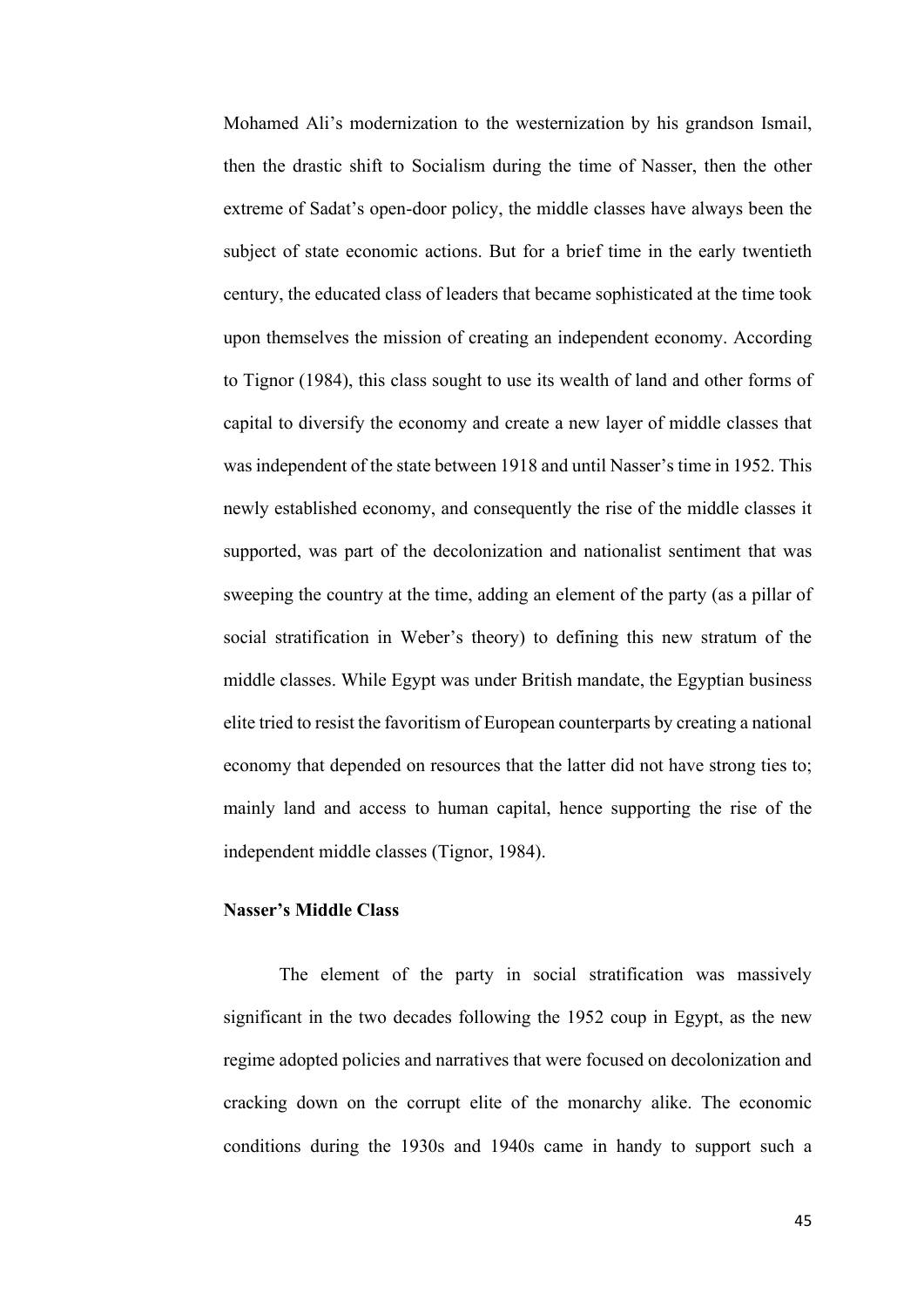Mohamed Ali's modernization to the westernization by his grandson Ismail, then the drastic shift to Socialism during the time of Nasser, then the other extreme of Sadat's open-door policy, the middle classes have always been the subject of state economic actions. But for a brief time in the early twentieth century, the educated class of leaders that became sophisticated at the time took upon themselves the mission of creating an independent economy. According to Tignor (1984), this class sought to use its wealth of land and other forms of capital to diversify the economy and create a new layer of middle classes that was independent of the state between 1918 and until Nasser's time in 1952. This newly established economy, and consequently the rise of the middle classes it supported, was part of the decolonization and nationalist sentiment that was sweeping the country at the time, adding an element of the party (as a pillar of social stratification in Weber's theory) to defining this new stratum of the middle classes. While Egypt was under British mandate, the Egyptian business elite tried to resist the favoritism of European counterparts by creating a national economy that depended on resources that the latter did not have strong ties to; mainly land and access to human capital, hence supporting the rise of the independent middle classes (Tignor, 1984).

# **Nasser's Middle Class**

The element of the party in social stratification was massively significant in the two decades following the 1952 coup in Egypt, as the new regime adopted policies and narratives that were focused on decolonization and cracking down on the corrupt elite of the monarchy alike. The economic conditions during the 1930s and 1940s came in handy to support such a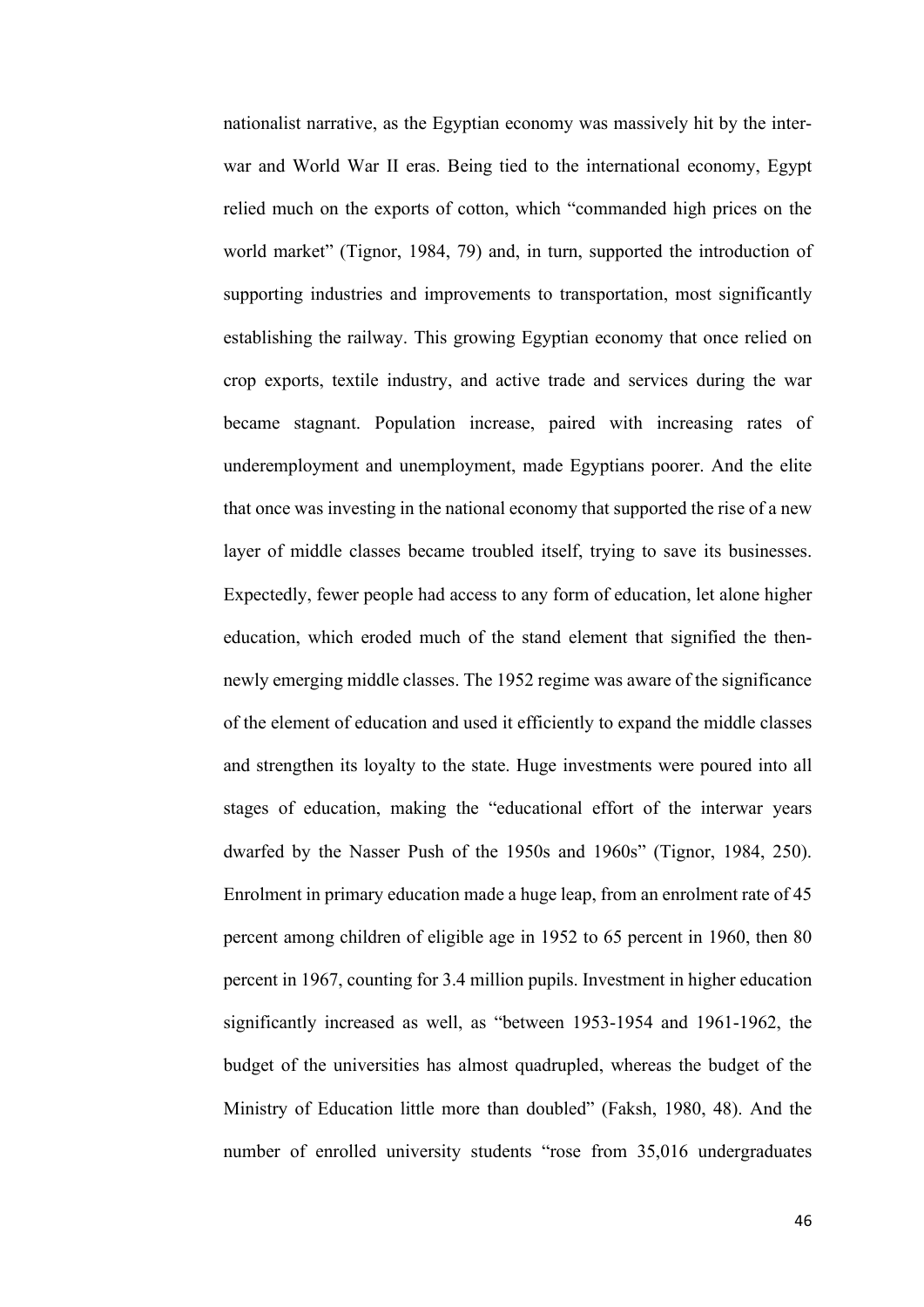nationalist narrative, as the Egyptian economy was massively hit by the interwar and World War II eras. Being tied to the international economy, Egypt relied much on the exports of cotton, which "commanded high prices on the world market" (Tignor, 1984, 79) and, in turn, supported the introduction of supporting industries and improvements to transportation, most significantly establishing the railway. This growing Egyptian economy that once relied on crop exports, textile industry, and active trade and services during the war became stagnant. Population increase, paired with increasing rates of underemployment and unemployment, made Egyptians poorer. And the elite that once was investing in the national economy that supported the rise of a new layer of middle classes became troubled itself, trying to save its businesses. Expectedly, fewer people had access to any form of education, let alone higher education, which eroded much of the stand element that signified the thennewly emerging middle classes. The 1952 regime was aware of the significance of the element of education and used it efficiently to expand the middle classes and strengthen its loyalty to the state. Huge investments were poured into all stages of education, making the "educational effort of the interwar years dwarfed by the Nasser Push of the 1950s and 1960s" (Tignor, 1984, 250). Enrolment in primary education made a huge leap, from an enrolment rate of 45 percent among children of eligible age in 1952 to 65 percent in 1960, then 80 percent in 1967, counting for 3.4 million pupils. Investment in higher education significantly increased as well, as "between 1953-1954 and 1961-1962, the budget of the universities has almost quadrupled, whereas the budget of the Ministry of Education little more than doubled" (Faksh, 1980, 48). And the number of enrolled university students "rose from 35,016 undergraduates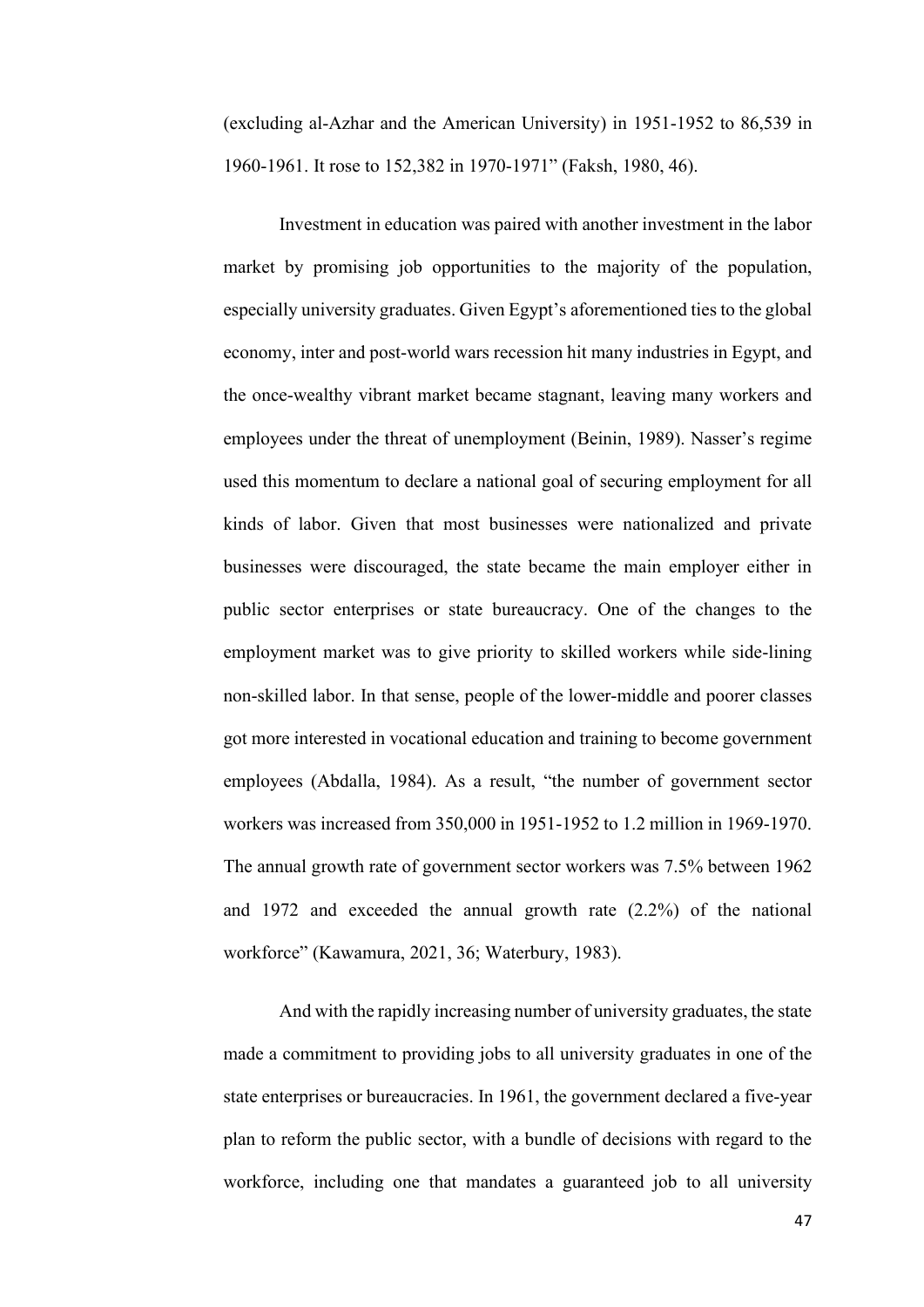(excluding al-Azhar and the American University) in 1951-1952 to 86,539 in 1960-1961. It rose to 152,382 in 1970-1971" (Faksh, 1980, 46).

Investment in education was paired with another investment in the labor market by promising job opportunities to the majority of the population, especially university graduates. Given Egypt's aforementioned ties to the global economy, inter and post-world wars recession hit many industries in Egypt, and the once-wealthy vibrant market became stagnant, leaving many workers and employees under the threat of unemployment (Beinin, 1989). Nasser's regime used this momentum to declare a national goal of securing employment for all kinds of labor. Given that most businesses were nationalized and private businesses were discouraged, the state became the main employer either in public sector enterprises or state bureaucracy. One of the changes to the employment market was to give priority to skilled workers while side-lining non-skilled labor. In that sense, people of the lower-middle and poorer classes got more interested in vocational education and training to become government employees (Abdalla, 1984). As a result, "the number of government sector workers was increased from 350,000 in 1951-1952 to 1.2 million in 1969-1970. The annual growth rate of government sector workers was 7.5% between 1962 and 1972 and exceeded the annual growth rate (2.2%) of the national workforce" (Kawamura, 2021, 36; Waterbury, 1983).

And with the rapidly increasing number of university graduates, the state made a commitment to providing jobs to all university graduates in one of the state enterprises or bureaucracies. In 1961, the government declared a five-year plan to reform the public sector, with a bundle of decisions with regard to the workforce, including one that mandates a guaranteed job to all university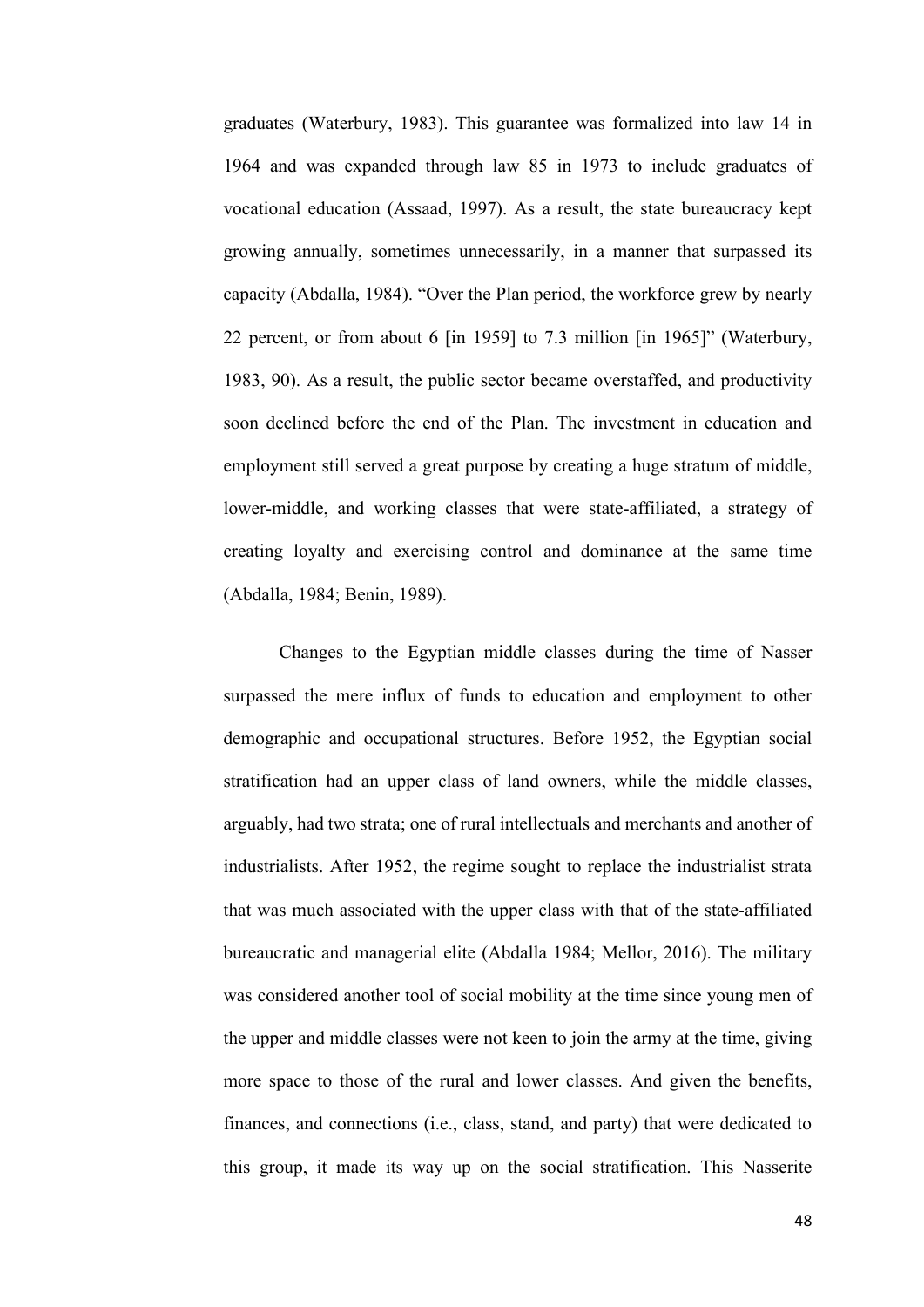graduates (Waterbury, 1983). This guarantee was formalized into law 14 in 1964 and was expanded through law 85 in 1973 to include graduates of vocational education (Assaad, 1997). As a result, the state bureaucracy kept growing annually, sometimes unnecessarily, in a manner that surpassed its capacity (Abdalla, 1984). "Over the Plan period, the workforce grew by nearly 22 percent, or from about 6 [in 1959] to 7.3 million [in 1965]" (Waterbury, 1983, 90). As a result, the public sector became overstaffed, and productivity soon declined before the end of the Plan. The investment in education and employment still served a great purpose by creating a huge stratum of middle, lower-middle, and working classes that were state-affiliated, a strategy of creating loyalty and exercising control and dominance at the same time (Abdalla, 1984; Benin, 1989).

Changes to the Egyptian middle classes during the time of Nasser surpassed the mere influx of funds to education and employment to other demographic and occupational structures. Before 1952, the Egyptian social stratification had an upper class of land owners, while the middle classes, arguably, had two strata; one of rural intellectuals and merchants and another of industrialists. After 1952, the regime sought to replace the industrialist strata that was much associated with the upper class with that of the state-affiliated bureaucratic and managerial elite (Abdalla 1984; Mellor, 2016). The military was considered another tool of social mobility at the time since young men of the upper and middle classes were not keen to join the army at the time, giving more space to those of the rural and lower classes. And given the benefits, finances, and connections (i.e., class, stand, and party) that were dedicated to this group, it made its way up on the social stratification. This Nasserite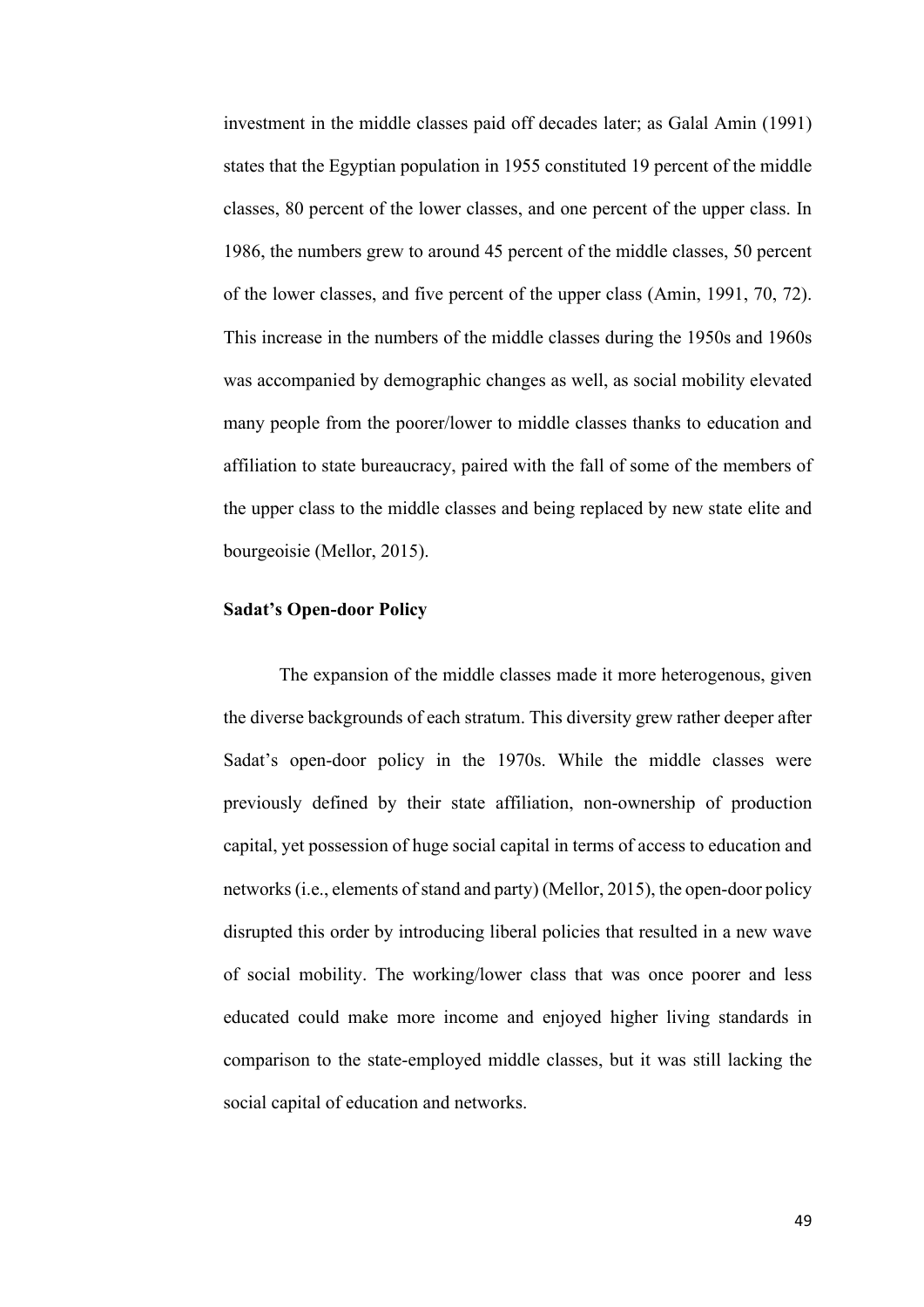investment in the middle classes paid off decades later; as Galal Amin (1991) states that the Egyptian population in 1955 constituted 19 percent of the middle classes, 80 percent of the lower classes, and one percent of the upper class. In 1986, the numbers grew to around 45 percent of the middle classes, 50 percent of the lower classes, and five percent of the upper class (Amin, 1991, 70, 72). This increase in the numbers of the middle classes during the 1950s and 1960s was accompanied by demographic changes as well, as social mobility elevated many people from the poorer/lower to middle classes thanks to education and affiliation to state bureaucracy, paired with the fall of some of the members of the upper class to the middle classes and being replaced by new state elite and bourgeoisie (Mellor, 2015).

## **Sadat's Open-door Policy**

The expansion of the middle classes made it more heterogenous, given the diverse backgrounds of each stratum. This diversity grew rather deeper after Sadat's open-door policy in the 1970s. While the middle classes were previously defined by their state affiliation, non-ownership of production capital, yet possession of huge social capital in terms of access to education and networks (i.e., elements of stand and party) (Mellor, 2015), the open-door policy disrupted this order by introducing liberal policies that resulted in a new wave of social mobility. The working/lower class that was once poorer and less educated could make more income and enjoyed higher living standards in comparison to the state-employed middle classes, but it was still lacking the social capital of education and networks.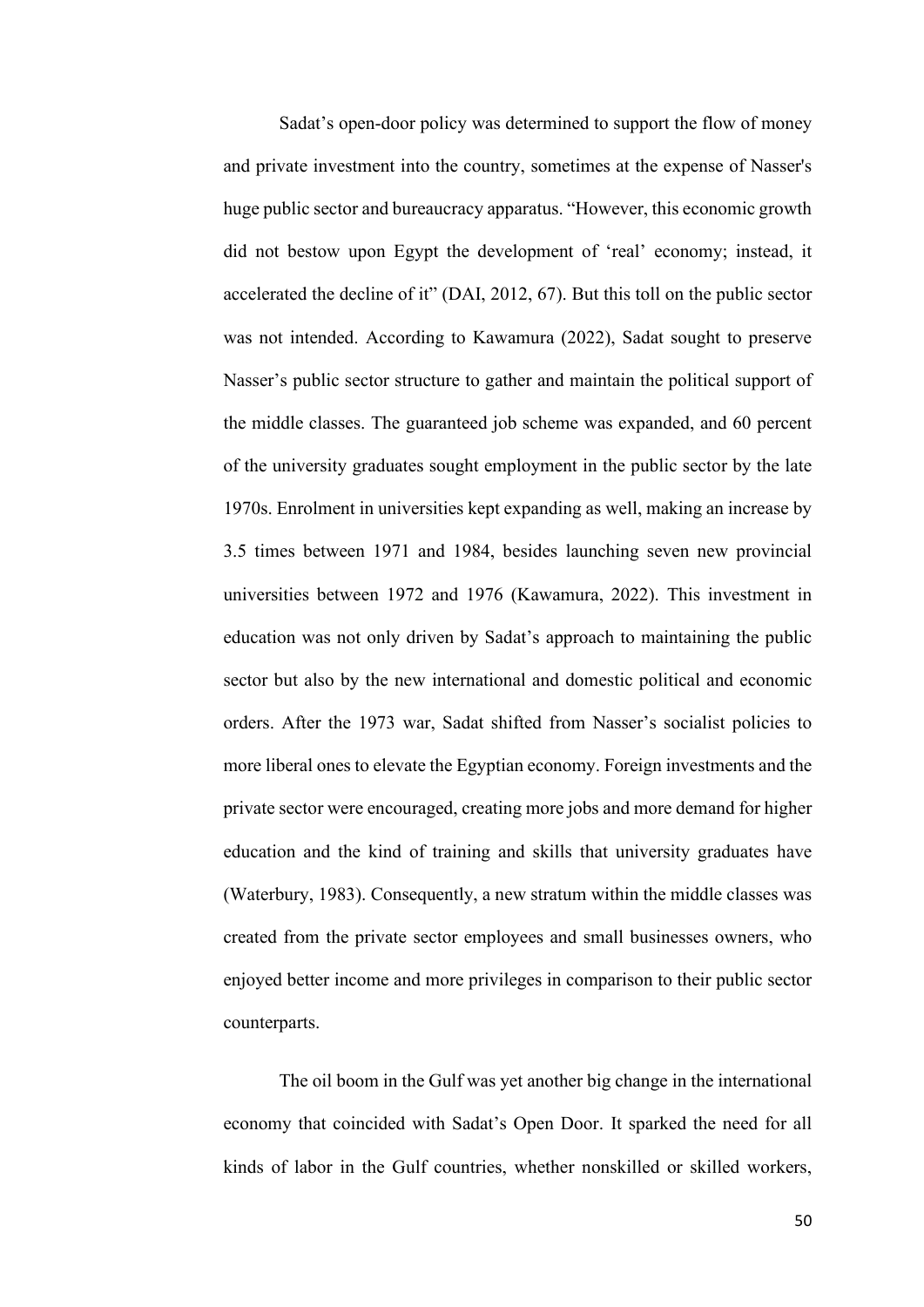Sadat's open-door policy was determined to support the flow of money and private investment into the country, sometimes at the expense of Nasser's huge public sector and bureaucracy apparatus. "However, this economic growth did not bestow upon Egypt the development of 'real' economy; instead, it accelerated the decline of it" (DAI, 2012, 67). But this toll on the public sector was not intended. According to Kawamura (2022), Sadat sought to preserve Nasser's public sector structure to gather and maintain the political support of the middle classes. The guaranteed job scheme was expanded, and 60 percent of the university graduates sought employment in the public sector by the late 1970s. Enrolment in universities kept expanding as well, making an increase by 3.5 times between 1971 and 1984, besides launching seven new provincial universities between 1972 and 1976 (Kawamura, 2022). This investment in education was not only driven by Sadat's approach to maintaining the public sector but also by the new international and domestic political and economic orders. After the 1973 war, Sadat shifted from Nasser's socialist policies to more liberal ones to elevate the Egyptian economy. Foreign investments and the private sector were encouraged, creating more jobs and more demand for higher education and the kind of training and skills that university graduates have (Waterbury, 1983). Consequently, a new stratum within the middle classes was created from the private sector employees and small businesses owners, who enjoyed better income and more privileges in comparison to their public sector counterparts.

The oil boom in the Gulf was yet another big change in the international economy that coincided with Sadat's Open Door. It sparked the need for all kinds of labor in the Gulf countries, whether nonskilled or skilled workers,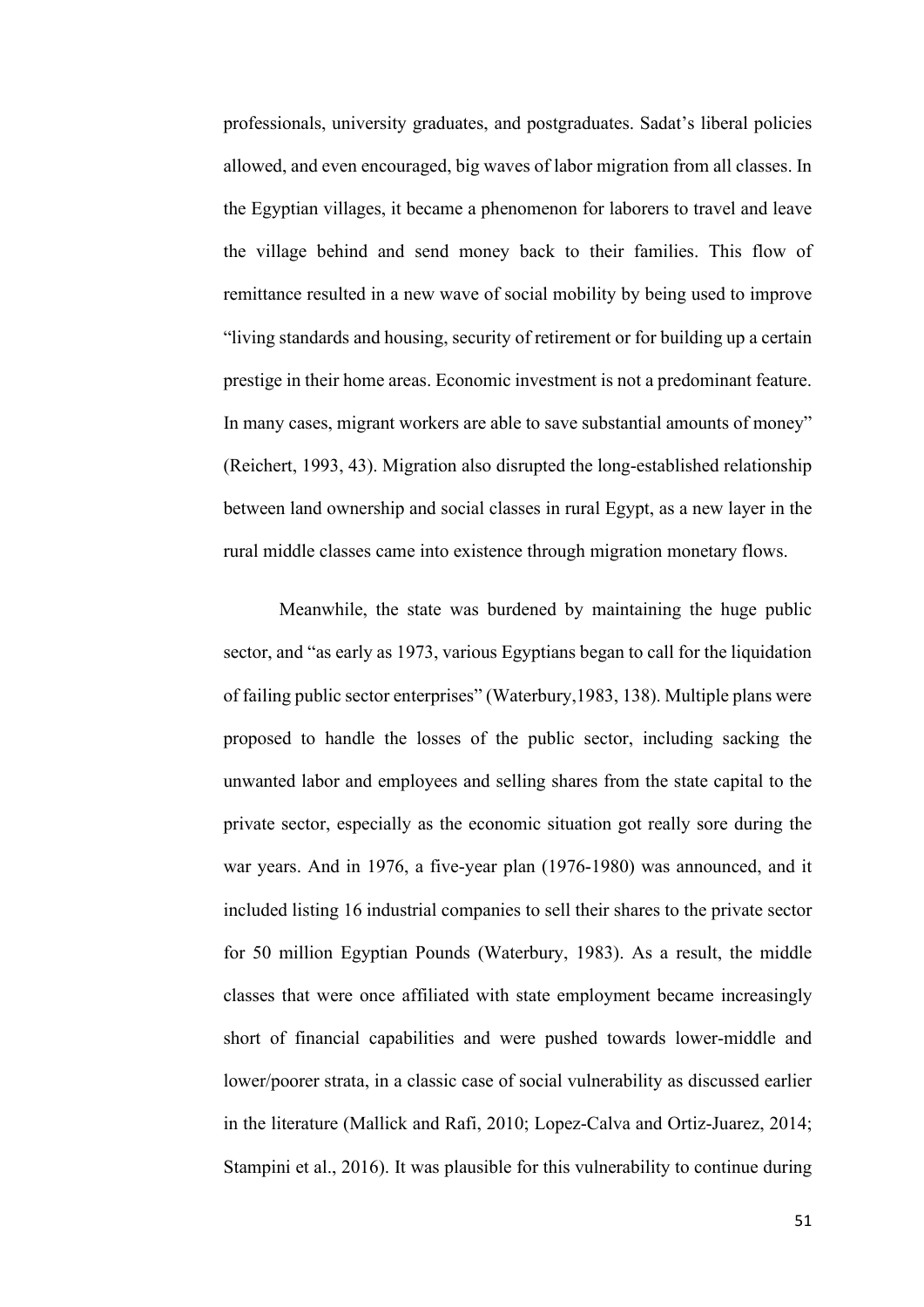professionals, university graduates, and postgraduates. Sadat's liberal policies allowed, and even encouraged, big waves of labor migration from all classes. In the Egyptian villages, it became a phenomenon for laborers to travel and leave the village behind and send money back to their families. This flow of remittance resulted in a new wave of social mobility by being used to improve "living standards and housing, security of retirement or for building up a certain prestige in their home areas. Economic investment is not a predominant feature. In many cases, migrant workers are able to save substantial amounts of money" (Reichert, 1993, 43). Migration also disrupted the long-established relationship between land ownership and social classes in rural Egypt, as a new layer in the rural middle classes came into existence through migration monetary flows.

Meanwhile, the state was burdened by maintaining the huge public sector, and "as early as 1973, various Egyptians began to call for the liquidation of failing public sector enterprises" (Waterbury,1983, 138). Multiple plans were proposed to handle the losses of the public sector, including sacking the unwanted labor and employees and selling shares from the state capital to the private sector, especially as the economic situation got really sore during the war years. And in 1976, a five-year plan (1976-1980) was announced, and it included listing 16 industrial companies to sell their shares to the private sector for 50 million Egyptian Pounds (Waterbury, 1983). As a result, the middle classes that were once affiliated with state employment became increasingly short of financial capabilities and were pushed towards lower-middle and lower/poorer strata, in a classic case of social vulnerability as discussed earlier in the literature (Mallick and Rafi, 2010; Lopez-Calva and Ortiz-Juarez, 2014; Stampini et al., 2016). It was plausible for this vulnerability to continue during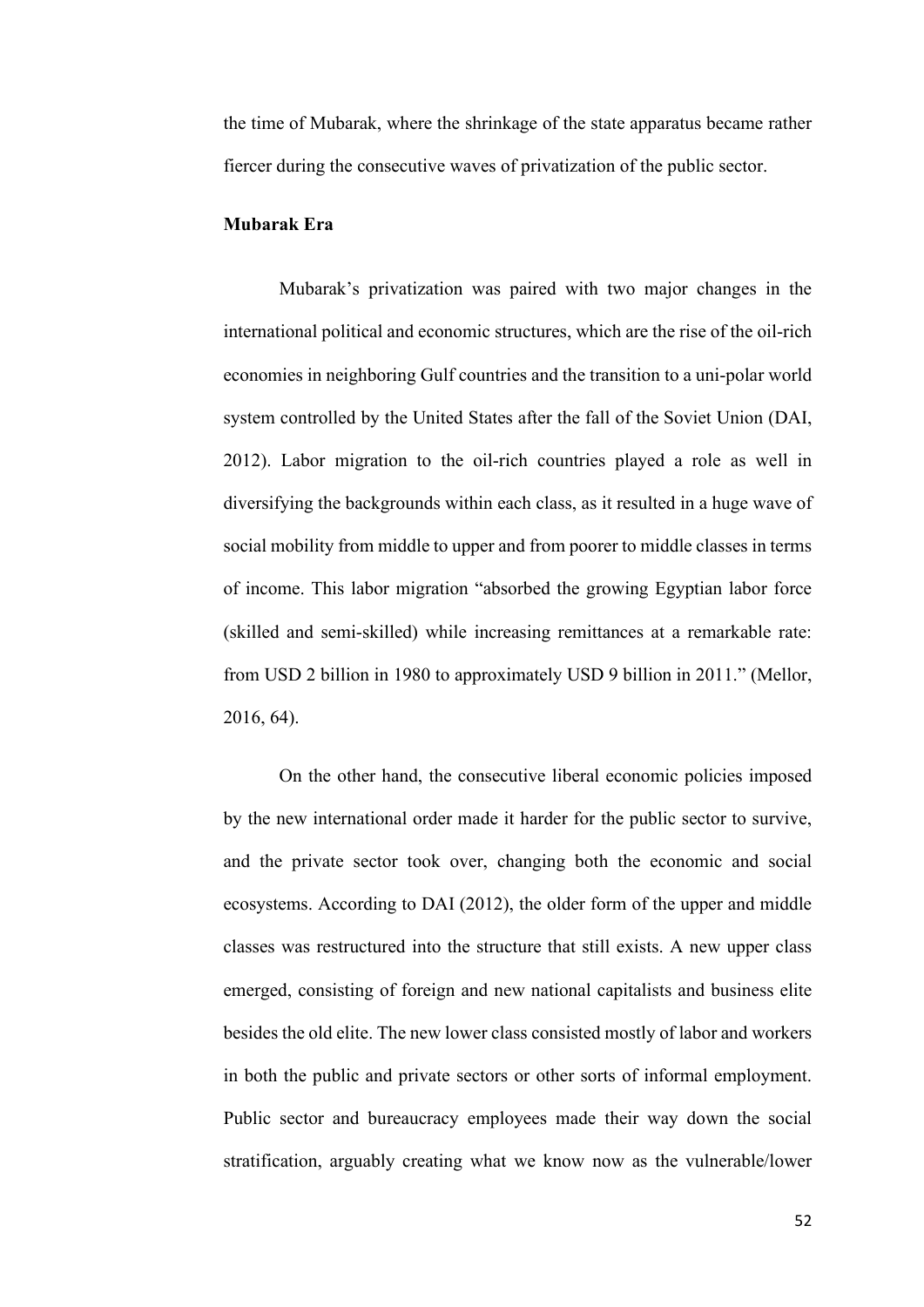the time of Mubarak, where the shrinkage of the state apparatus became rather fiercer during the consecutive waves of privatization of the public sector.

## **Mubarak Era**

Mubarak's privatization was paired with two major changes in the international political and economic structures, which are the rise of the oil-rich economies in neighboring Gulf countries and the transition to a uni-polar world system controlled by the United States after the fall of the Soviet Union (DAI, 2012). Labor migration to the oil-rich countries played a role as well in diversifying the backgrounds within each class, as it resulted in a huge wave of social mobility from middle to upper and from poorer to middle classes in terms of income. This labor migration "absorbed the growing Egyptian labor force (skilled and semi-skilled) while increasing remittances at a remarkable rate: from USD 2 billion in 1980 to approximately USD 9 billion in 2011." (Mellor, 2016, 64).

On the other hand, the consecutive liberal economic policies imposed by the new international order made it harder for the public sector to survive, and the private sector took over, changing both the economic and social ecosystems. According to DAI (2012), the older form of the upper and middle classes was restructured into the structure that still exists. A new upper class emerged, consisting of foreign and new national capitalists and business elite besides the old elite. The new lower class consisted mostly of labor and workers in both the public and private sectors or other sorts of informal employment. Public sector and bureaucracy employees made their way down the social stratification, arguably creating what we know now as the vulnerable/lower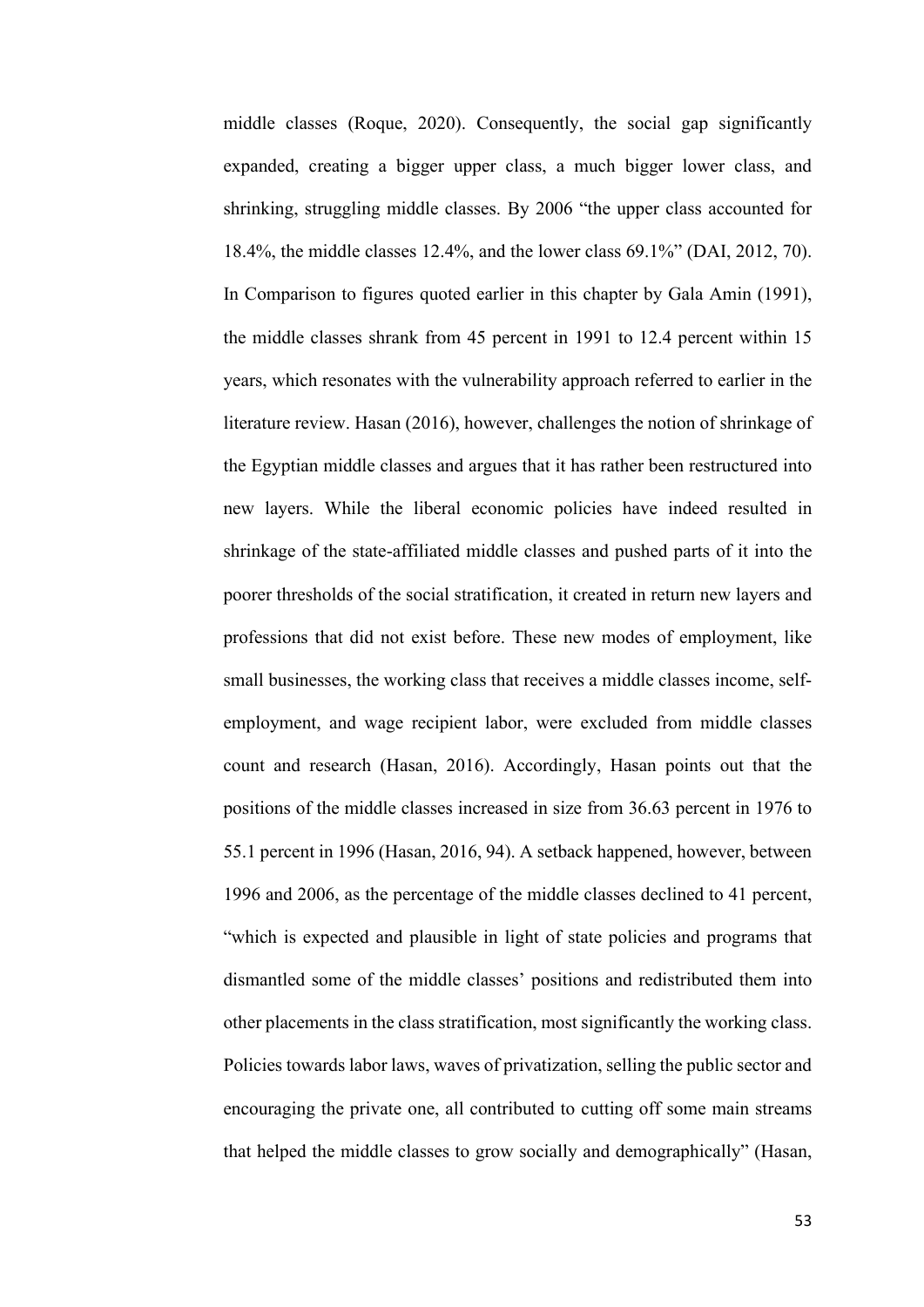middle classes (Roque, 2020). Consequently, the social gap significantly expanded, creating a bigger upper class, a much bigger lower class, and shrinking, struggling middle classes. By 2006 "the upper class accounted for 18.4%, the middle classes 12.4%, and the lower class 69.1%" (DAI, 2012, 70). In Comparison to figures quoted earlier in this chapter by Gala Amin (1991), the middle classes shrank from 45 percent in 1991 to 12.4 percent within 15 years, which resonates with the vulnerability approach referred to earlier in the literature review. Hasan (2016), however, challenges the notion of shrinkage of the Egyptian middle classes and argues that it has rather been restructured into new layers. While the liberal economic policies have indeed resulted in shrinkage of the state-affiliated middle classes and pushed parts of it into the poorer thresholds of the social stratification, it created in return new layers and professions that did not exist before. These new modes of employment, like small businesses, the working class that receives a middle classes income, selfemployment, and wage recipient labor, were excluded from middle classes count and research (Hasan, 2016). Accordingly, Hasan points out that the positions of the middle classes increased in size from 36.63 percent in 1976 to 55.1 percent in 1996 (Hasan, 2016, 94). A setback happened, however, between 1996 and 2006, as the percentage of the middle classes declined to 41 percent, "which is expected and plausible in light of state policies and programs that dismantled some of the middle classes' positions and redistributed them into other placements in the class stratification, most significantly the working class. Policies towards labor laws, waves of privatization, selling the public sector and encouraging the private one, all contributed to cutting off some main streams that helped the middle classes to grow socially and demographically" (Hasan,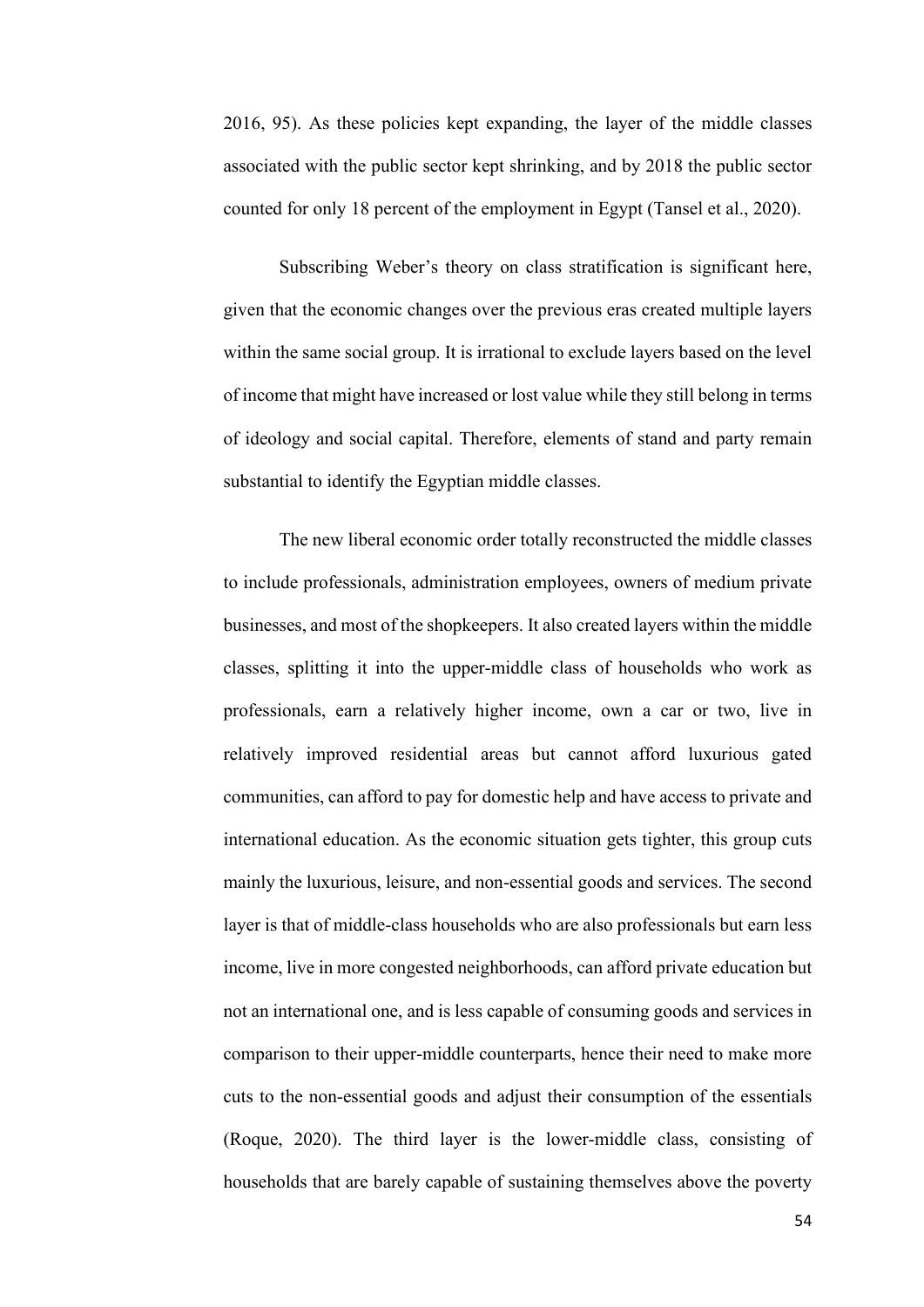2016, 95). As these policies kept expanding, the layer of the middle classes associated with the public sector kept shrinking, and by 2018 the public sector counted for only 18 percent of the employment in Egypt (Tansel et al., 2020).

Subscribing Weber's theory on class stratification is significant here, given that the economic changes over the previous eras created multiple layers within the same social group. It is irrational to exclude layers based on the level of income that might have increased or lost value while they still belong in terms of ideology and social capital. Therefore, elements of stand and party remain substantial to identify the Egyptian middle classes.

The new liberal economic order totally reconstructed the middle classes to include professionals, administration employees, owners of medium private businesses, and most of the shopkeepers. It also created layers within the middle classes, splitting it into the upper-middle class of households who work as professionals, earn a relatively higher income, own a car or two, live in relatively improved residential areas but cannot afford luxurious gated communities, can afford to pay for domestic help and have access to private and international education. As the economic situation gets tighter, this group cuts mainly the luxurious, leisure, and non-essential goods and services. The second layer is that of middle-class households who are also professionals but earn less income, live in more congested neighborhoods, can afford private education but not an international one, and is less capable of consuming goods and services in comparison to their upper-middle counterparts, hence their need to make more cuts to the non-essential goods and adjust their consumption of the essentials (Roque, 2020). The third layer is the lower-middle class, consisting of households that are barely capable of sustaining themselves above the poverty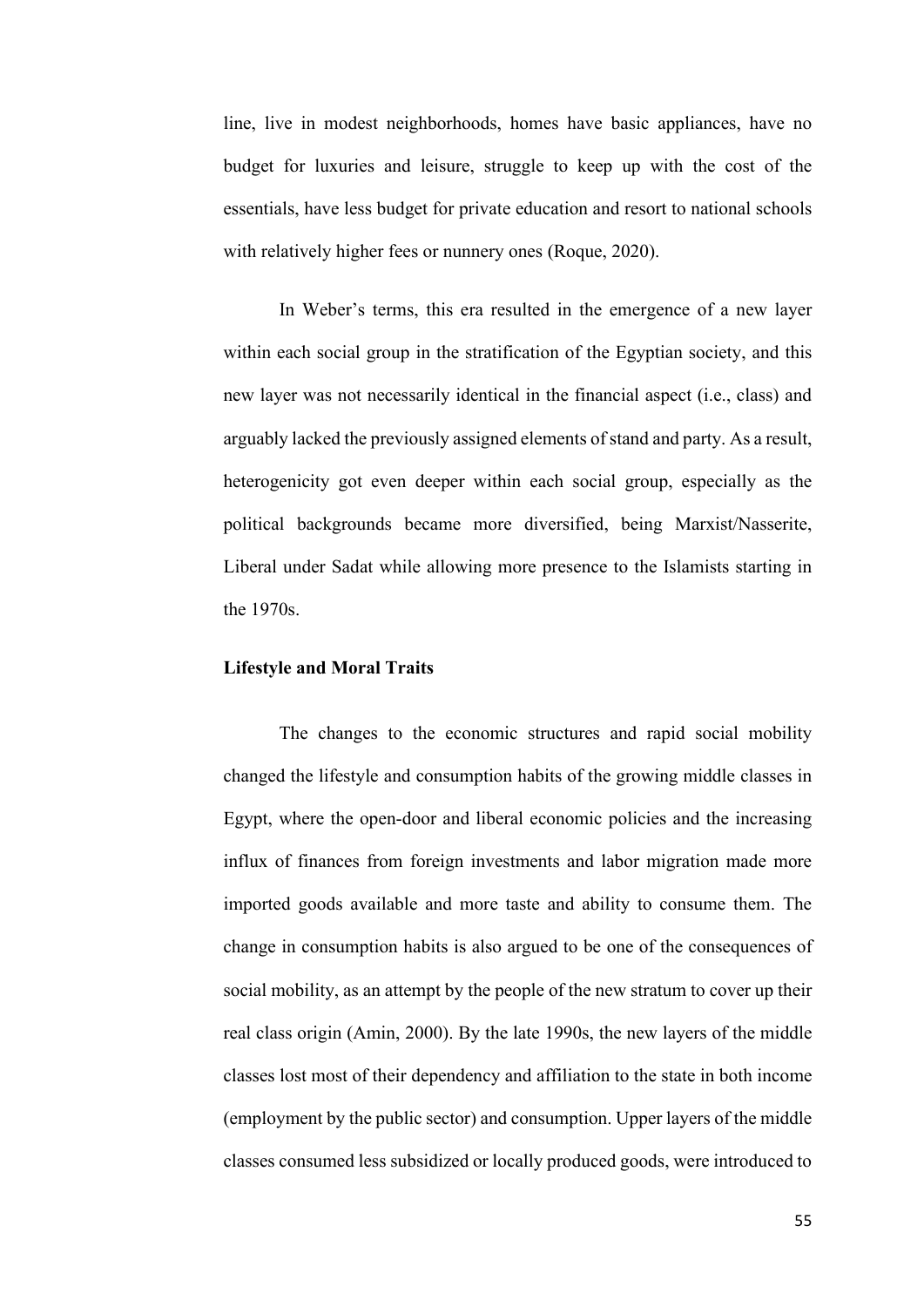line, live in modest neighborhoods, homes have basic appliances, have no budget for luxuries and leisure, struggle to keep up with the cost of the essentials, have less budget for private education and resort to national schools with relatively higher fees or nunnery ones (Roque, 2020).

In Weber's terms, this era resulted in the emergence of a new layer within each social group in the stratification of the Egyptian society, and this new layer was not necessarily identical in the financial aspect (i.e., class) and arguably lacked the previously assigned elements of stand and party. As a result, heterogenicity got even deeper within each social group, especially as the political backgrounds became more diversified, being Marxist/Nasserite, Liberal under Sadat while allowing more presence to the Islamists starting in the 1970s.

### **Lifestyle and Moral Traits**

The changes to the economic structures and rapid social mobility changed the lifestyle and consumption habits of the growing middle classes in Egypt, where the open-door and liberal economic policies and the increasing influx of finances from foreign investments and labor migration made more imported goods available and more taste and ability to consume them. The change in consumption habits is also argued to be one of the consequences of social mobility, as an attempt by the people of the new stratum to cover up their real class origin (Amin, 2000). By the late 1990s, the new layers of the middle classes lost most of their dependency and affiliation to the state in both income (employment by the public sector) and consumption. Upper layers of the middle classes consumed less subsidized or locally produced goods, were introduced to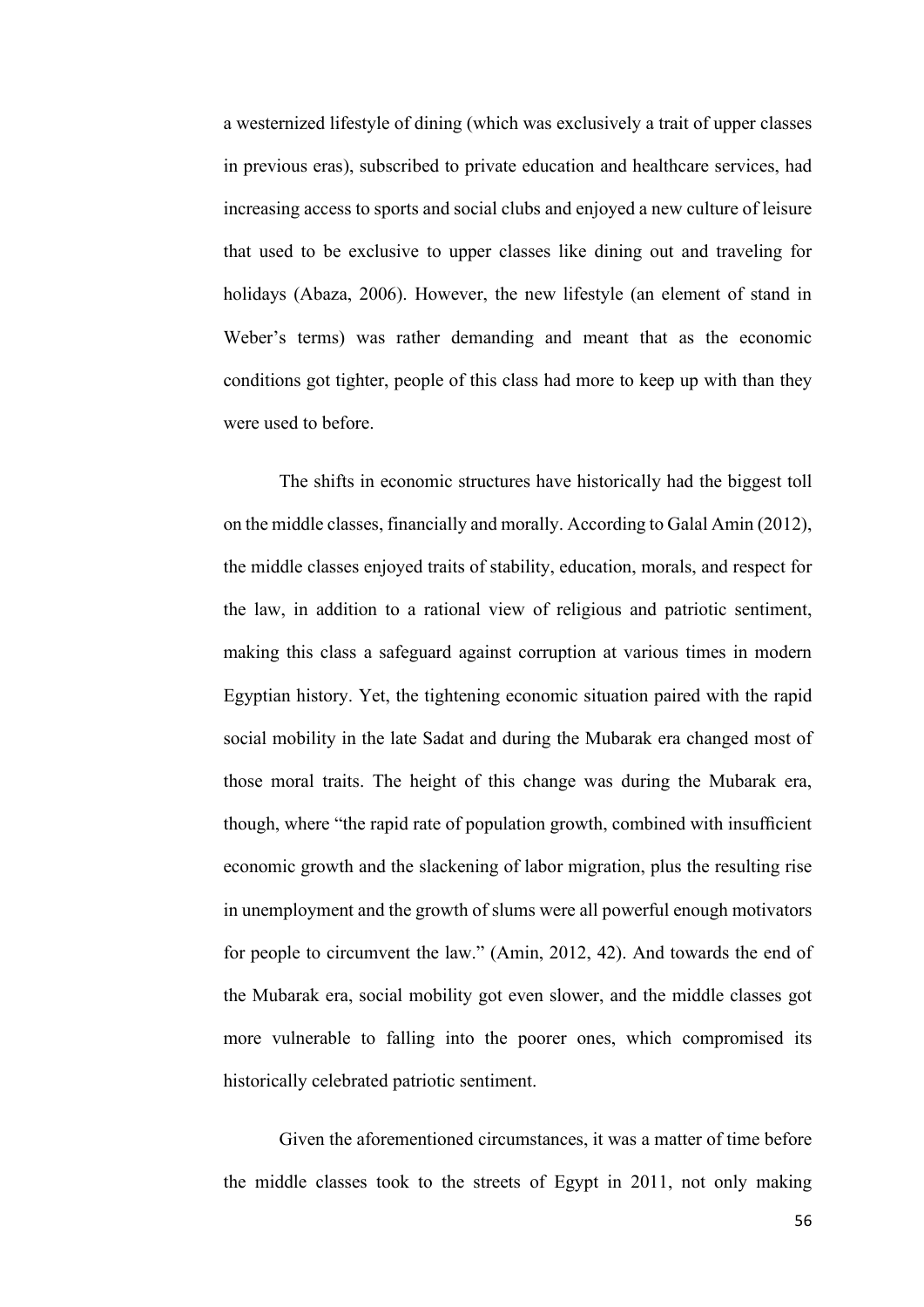a westernized lifestyle of dining (which was exclusively a trait of upper classes in previous eras), subscribed to private education and healthcare services, had increasing access to sports and social clubs and enjoyed a new culture of leisure that used to be exclusive to upper classes like dining out and traveling for holidays (Abaza, 2006). However, the new lifestyle (an element of stand in Weber's terms) was rather demanding and meant that as the economic conditions got tighter, people of this class had more to keep up with than they were used to before.

The shifts in economic structures have historically had the biggest toll on the middle classes, financially and morally. According to Galal Amin (2012), the middle classes enjoyed traits of stability, education, morals, and respect for the law, in addition to a rational view of religious and patriotic sentiment, making this class a safeguard against corruption at various times in modern Egyptian history. Yet, the tightening economic situation paired with the rapid social mobility in the late Sadat and during the Mubarak era changed most of those moral traits. The height of this change was during the Mubarak era, though, where "the rapid rate of population growth, combined with insufficient economic growth and the slackening of labor migration, plus the resulting rise in unemployment and the growth of slums were all powerful enough motivators for people to circumvent the law." (Amin, 2012, 42). And towards the end of the Mubarak era, social mobility got even slower, and the middle classes got more vulnerable to falling into the poorer ones, which compromised its historically celebrated patriotic sentiment.

Given the aforementioned circumstances, it was a matter of time before the middle classes took to the streets of Egypt in 2011, not only making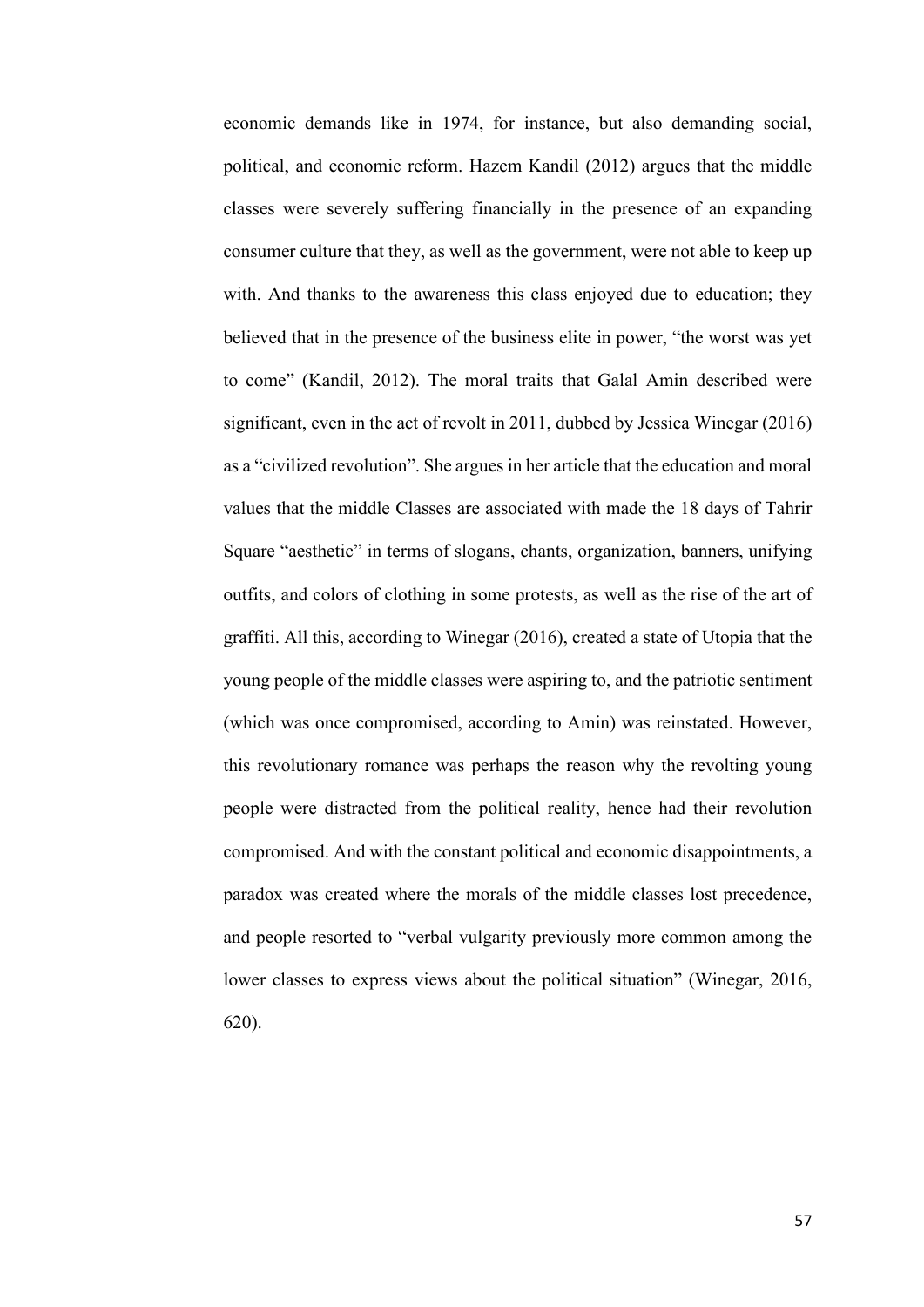economic demands like in 1974, for instance, but also demanding social, political, and economic reform. Hazem Kandil (2012) argues that the middle classes were severely suffering financially in the presence of an expanding consumer culture that they, as well as the government, were not able to keep up with. And thanks to the awareness this class enjoyed due to education; they believed that in the presence of the business elite in power, "the worst was yet to come" (Kandil, 2012). The moral traits that Galal Amin described were significant, even in the act of revolt in 2011, dubbed by Jessica Winegar (2016) as a "civilized revolution". She argues in her article that the education and moral values that the middle Classes are associated with made the 18 days of Tahrir Square "aesthetic" in terms of slogans, chants, organization, banners, unifying outfits, and colors of clothing in some protests, as well as the rise of the art of graffiti. All this, according to Winegar (2016), created a state of Utopia that the young people of the middle classes were aspiring to, and the patriotic sentiment (which was once compromised, according to Amin) was reinstated. However, this revolutionary romance was perhaps the reason why the revolting young people were distracted from the political reality, hence had their revolution compromised. And with the constant political and economic disappointments, a paradox was created where the morals of the middle classes lost precedence, and people resorted to "verbal vulgarity previously more common among the lower classes to express views about the political situation" (Winegar, 2016, 620).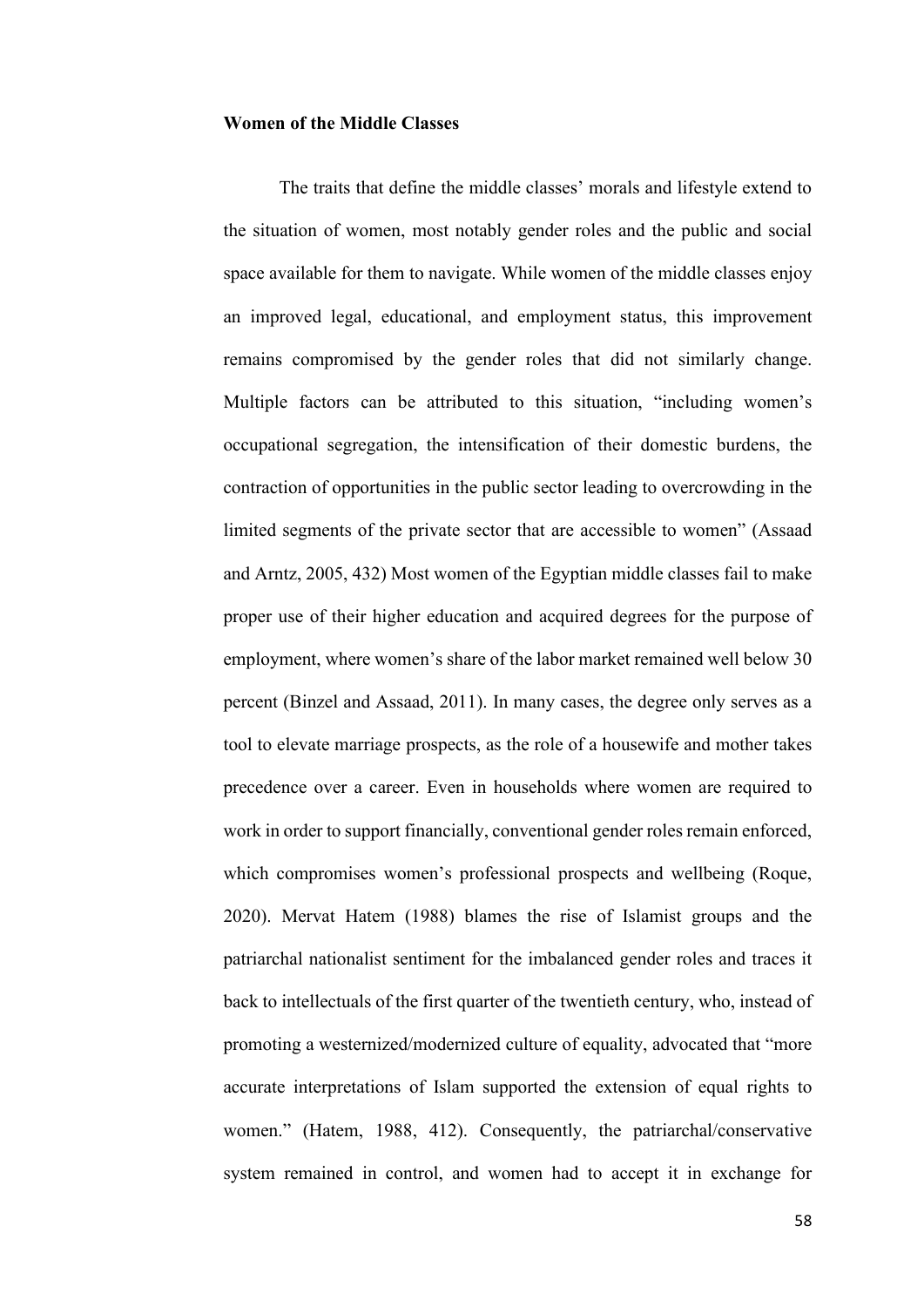### **Women of the Middle Classes**

The traits that define the middle classes' morals and lifestyle extend to the situation of women, most notably gender roles and the public and social space available for them to navigate. While women of the middle classes enjoy an improved legal, educational, and employment status, this improvement remains compromised by the gender roles that did not similarly change. Multiple factors can be attributed to this situation, "including women's occupational segregation, the intensification of their domestic burdens, the contraction of opportunities in the public sector leading to overcrowding in the limited segments of the private sector that are accessible to women" (Assaad and Arntz, 2005, 432) Most women of the Egyptian middle classes fail to make proper use of their higher education and acquired degrees for the purpose of employment, where women's share of the labor market remained well below 30 percent (Binzel and Assaad, 2011). In many cases, the degree only serves as a tool to elevate marriage prospects, as the role of a housewife and mother takes precedence over a career. Even in households where women are required to work in order to support financially, conventional gender roles remain enforced, which compromises women's professional prospects and wellbeing (Roque, 2020). Mervat Hatem (1988) blames the rise of Islamist groups and the patriarchal nationalist sentiment for the imbalanced gender roles and traces it back to intellectuals of the first quarter of the twentieth century, who, instead of promoting a westernized/modernized culture of equality, advocated that "more accurate interpretations of Islam supported the extension of equal rights to women." (Hatem, 1988, 412). Consequently, the patriarchal/conservative system remained in control, and women had to accept it in exchange for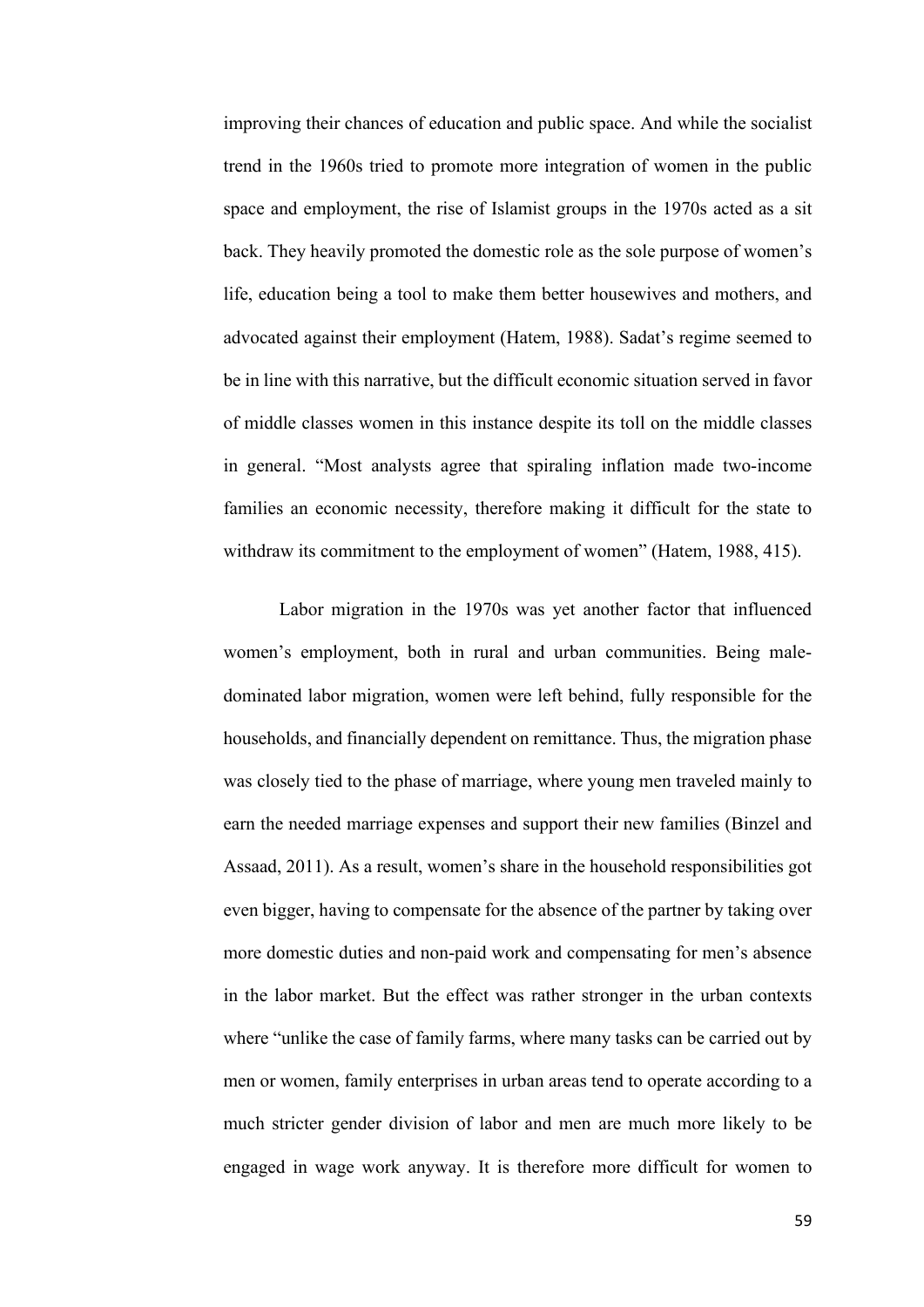improving their chances of education and public space. And while the socialist trend in the 1960s tried to promote more integration of women in the public space and employment, the rise of Islamist groups in the 1970s acted as a sit back. They heavily promoted the domestic role as the sole purpose of women's life, education being a tool to make them better housewives and mothers, and advocated against their employment (Hatem, 1988). Sadat's regime seemed to be in line with this narrative, but the difficult economic situation served in favor of middle classes women in this instance despite its toll on the middle classes in general. "Most analysts agree that spiraling inflation made two-income families an economic necessity, therefore making it difficult for the state to withdraw its commitment to the employment of women" (Hatem, 1988, 415).

Labor migration in the 1970s was yet another factor that influenced women's employment, both in rural and urban communities. Being maledominated labor migration, women were left behind, fully responsible for the households, and financially dependent on remittance. Thus, the migration phase was closely tied to the phase of marriage, where young men traveled mainly to earn the needed marriage expenses and support their new families (Binzel and Assaad, 2011). As a result, women's share in the household responsibilities got even bigger, having to compensate for the absence of the partner by taking over more domestic duties and non-paid work and compensating for men's absence in the labor market. But the effect was rather stronger in the urban contexts where "unlike the case of family farms, where many tasks can be carried out by men or women, family enterprises in urban areas tend to operate according to a much stricter gender division of labor and men are much more likely to be engaged in wage work anyway. It is therefore more difficult for women to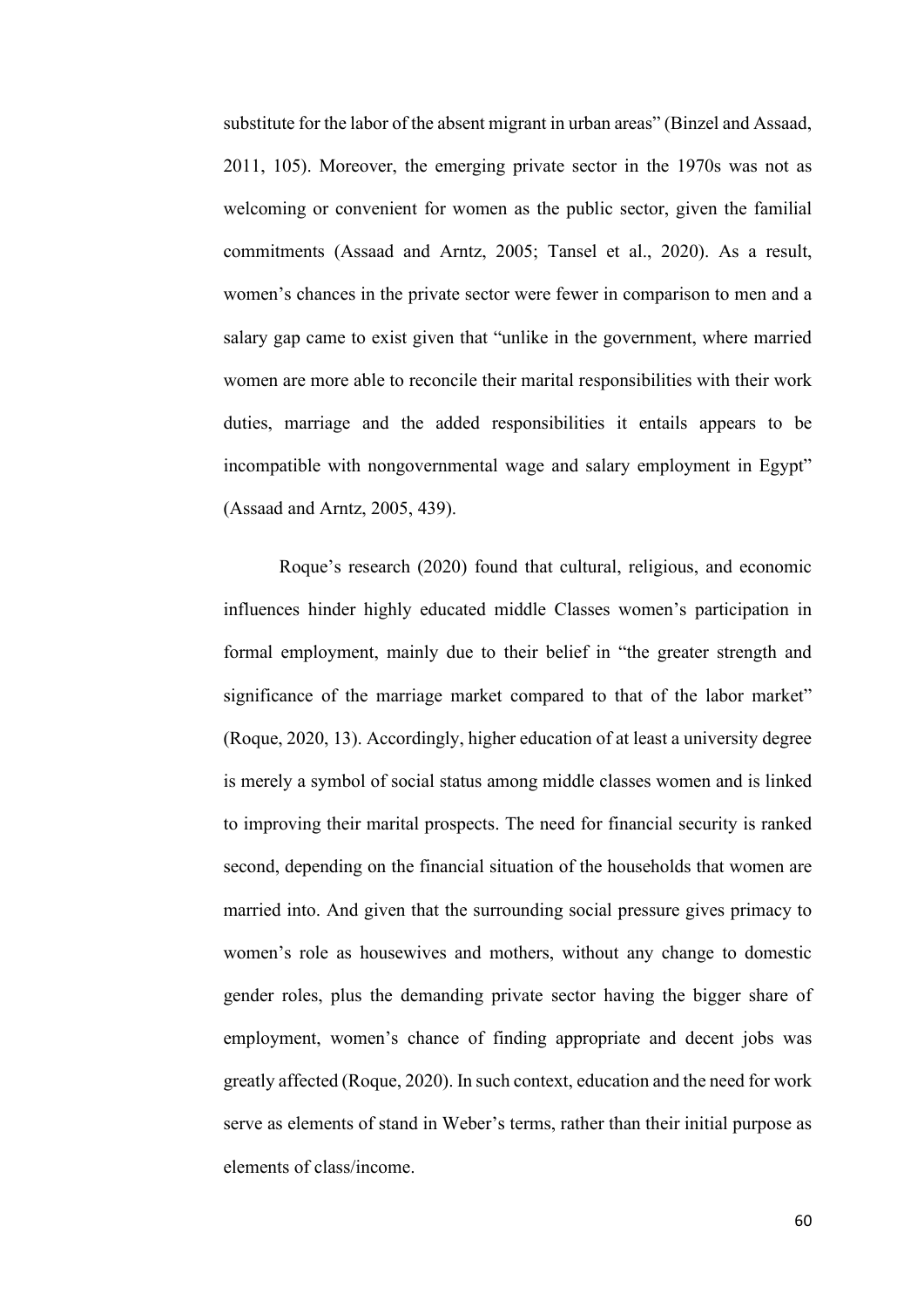substitute for the labor of the absent migrant in urban areas" (Binzel and Assaad, 2011, 105). Moreover, the emerging private sector in the 1970s was not as welcoming or convenient for women as the public sector, given the familial commitments (Assaad and Arntz, 2005; Tansel et al., 2020). As a result, women's chances in the private sector were fewer in comparison to men and a salary gap came to exist given that "unlike in the government, where married women are more able to reconcile their marital responsibilities with their work duties, marriage and the added responsibilities it entails appears to be incompatible with nongovernmental wage and salary employment in Egypt" (Assaad and Arntz, 2005, 439).

Roque's research (2020) found that cultural, religious, and economic influences hinder highly educated middle Classes women's participation in formal employment, mainly due to their belief in "the greater strength and significance of the marriage market compared to that of the labor market" (Roque, 2020, 13). Accordingly, higher education of at least a university degree is merely a symbol of social status among middle classes women and is linked to improving their marital prospects. The need for financial security is ranked second, depending on the financial situation of the households that women are married into. And given that the surrounding social pressure gives primacy to women's role as housewives and mothers, without any change to domestic gender roles, plus the demanding private sector having the bigger share of employment, women's chance of finding appropriate and decent jobs was greatly affected (Roque, 2020). In such context, education and the need for work serve as elements of stand in Weber's terms, rather than their initial purpose as elements of class/income.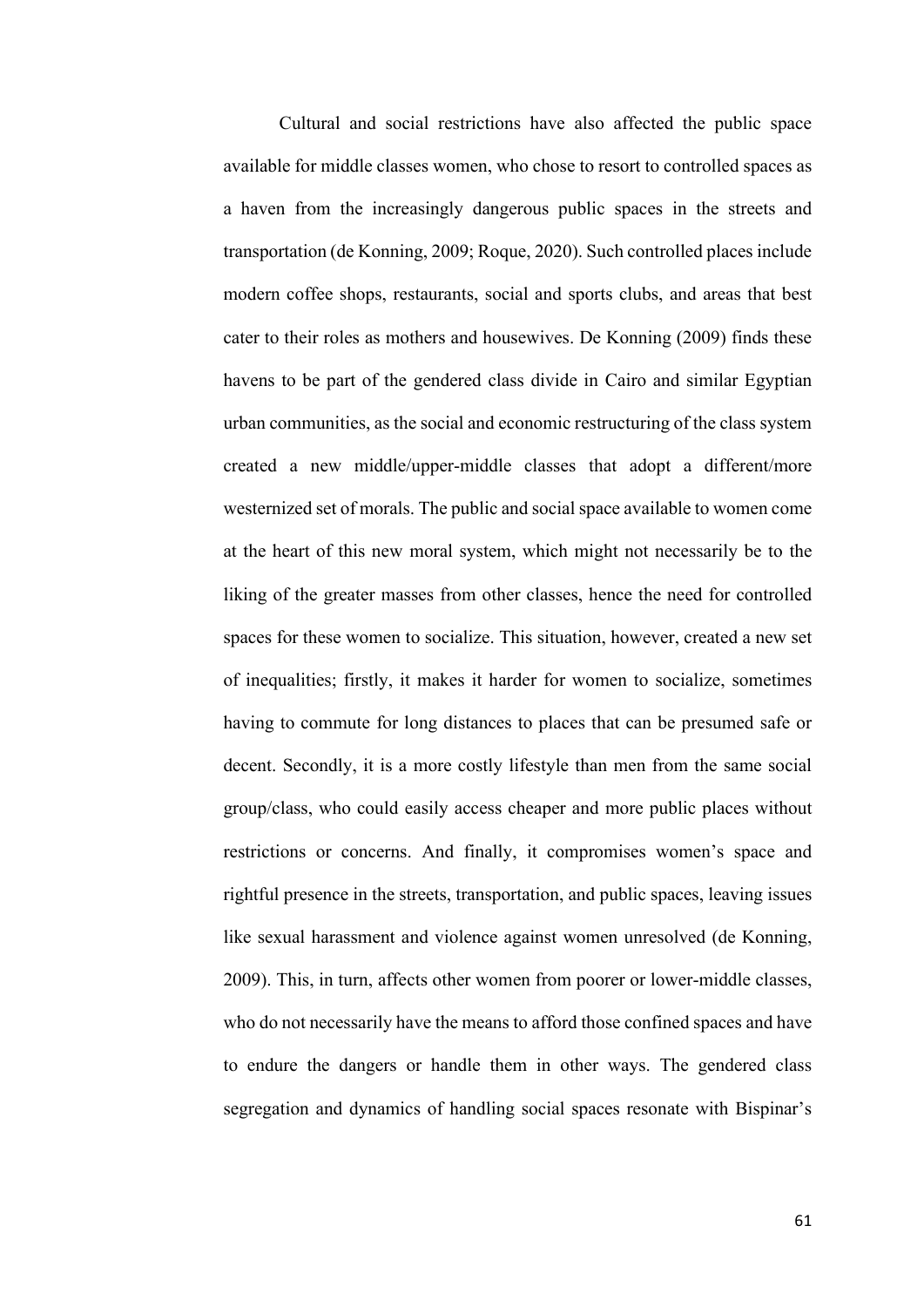Cultural and social restrictions have also affected the public space available for middle classes women, who chose to resort to controlled spaces as a haven from the increasingly dangerous public spaces in the streets and transportation (de Konning, 2009; Roque, 2020). Such controlled places include modern coffee shops, restaurants, social and sports clubs, and areas that best cater to their roles as mothers and housewives. De Konning (2009) finds these havens to be part of the gendered class divide in Cairo and similar Egyptian urban communities, as the social and economic restructuring of the class system created a new middle/upper-middle classes that adopt a different/more westernized set of morals. The public and social space available to women come at the heart of this new moral system, which might not necessarily be to the liking of the greater masses from other classes, hence the need for controlled spaces for these women to socialize. This situation, however, created a new set of inequalities; firstly, it makes it harder for women to socialize, sometimes having to commute for long distances to places that can be presumed safe or decent. Secondly, it is a more costly lifestyle than men from the same social group/class, who could easily access cheaper and more public places without restrictions or concerns. And finally, it compromises women's space and rightful presence in the streets, transportation, and public spaces, leaving issues like sexual harassment and violence against women unresolved (de Konning, 2009). This, in turn, affects other women from poorer or lower-middle classes, who do not necessarily have the means to afford those confined spaces and have to endure the dangers or handle them in other ways. The gendered class segregation and dynamics of handling social spaces resonate with Bispinar's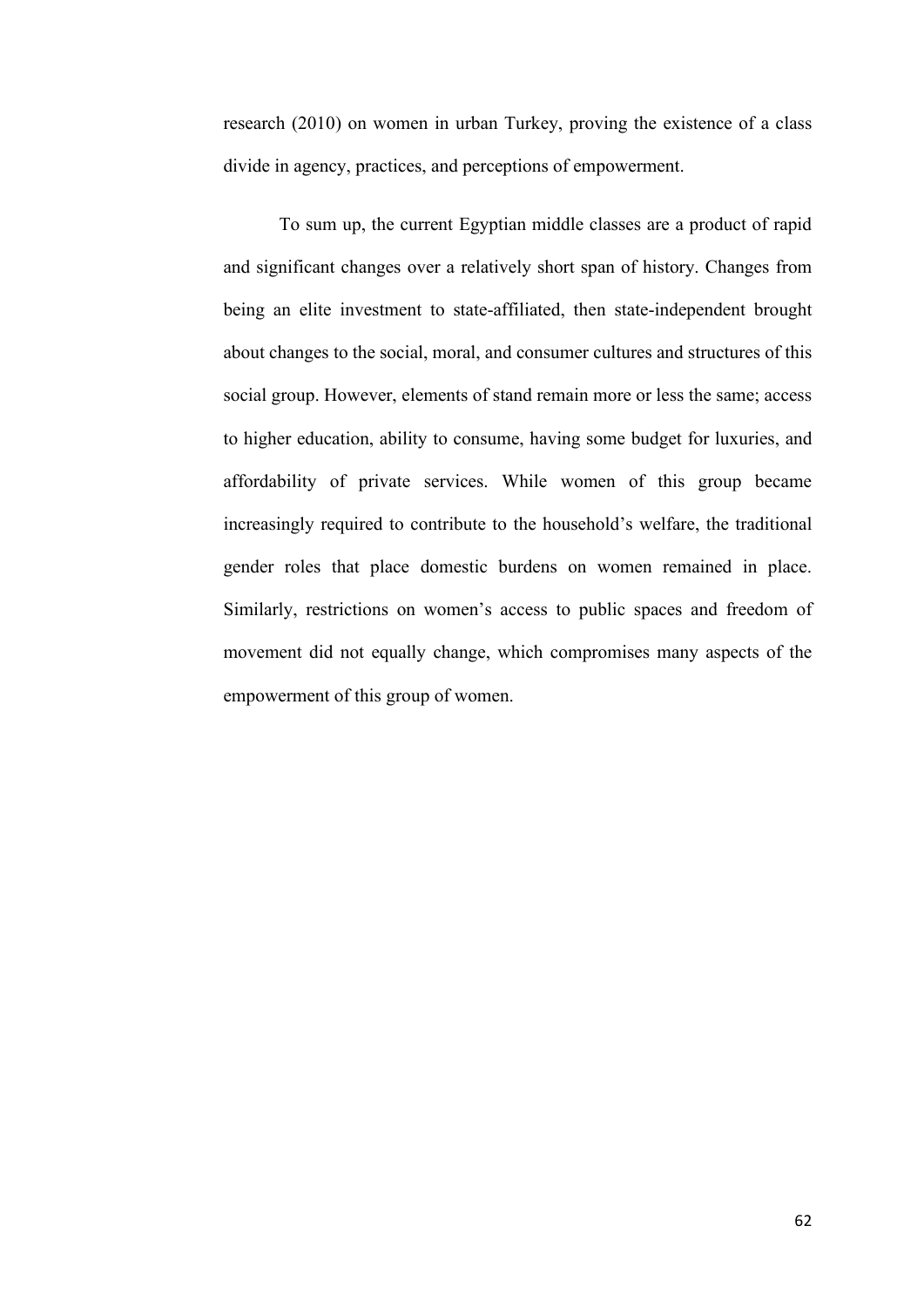research (2010) on women in urban Turkey, proving the existence of a class divide in agency, practices, and perceptions of empowerment.

To sum up, the current Egyptian middle classes are a product of rapid and significant changes over a relatively short span of history. Changes from being an elite investment to state-affiliated, then state-independent brought about changes to the social, moral, and consumer cultures and structures of this social group. However, elements of stand remain more or less the same; access to higher education, ability to consume, having some budget for luxuries, and affordability of private services. While women of this group became increasingly required to contribute to the household's welfare, the traditional gender roles that place domestic burdens on women remained in place. Similarly, restrictions on women's access to public spaces and freedom of movement did not equally change, which compromises many aspects of the empowerment of this group of women.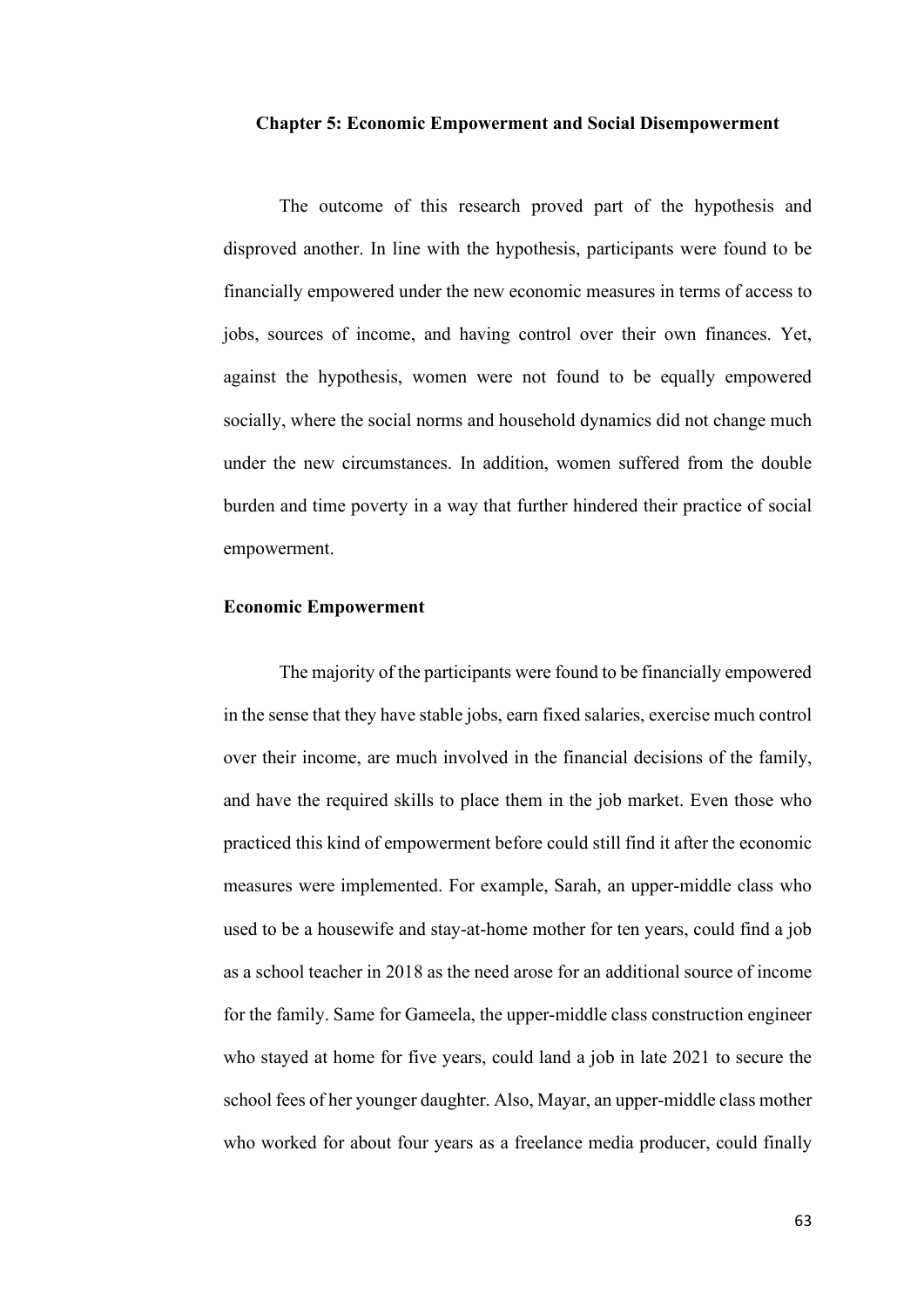#### **Chapter 5: Economic Empowerment and Social Disempowerment**

The outcome of this research proved part of the hypothesis and disproved another. In line with the hypothesis, participants were found to be financially empowered under the new economic measures in terms of access to jobs, sources of income, and having control over their own finances. Yet, against the hypothesis, women were not found to be equally empowered socially, where the social norms and household dynamics did not change much under the new circumstances. In addition, women suffered from the double burden and time poverty in a way that further hindered their practice of social empowerment.

### **Economic Empowerment**

The majority of the participants were found to be financially empowered in the sense that they have stable jobs, earn fixed salaries, exercise much control over their income, are much involved in the financial decisions of the family, and have the required skills to place them in the job market. Even those who practiced this kind of empowerment before could still find it after the economic measures were implemented. For example, Sarah, an upper-middle class who used to be a housewife and stay-at-home mother for ten years, could find a job as a school teacher in 2018 as the need arose for an additional source of income for the family. Same for Gameela, the upper-middle class construction engineer who stayed at home for five years, could land a job in late 2021 to secure the school fees of her younger daughter. Also, Mayar, an upper-middle class mother who worked for about four years as a freelance media producer, could finally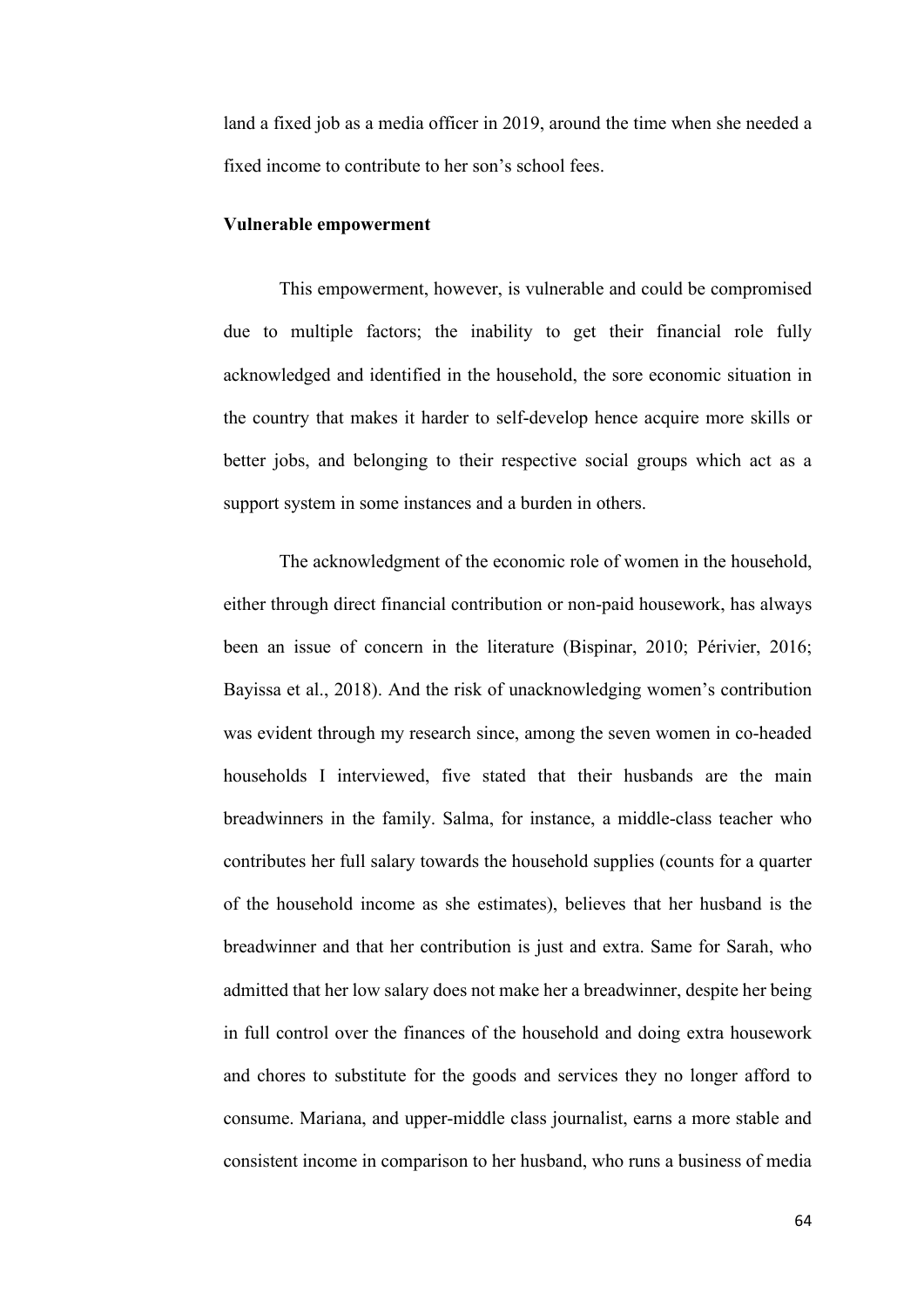land a fixed job as a media officer in 2019, around the time when she needed a fixed income to contribute to her son's school fees.

## **Vulnerable empowerment**

This empowerment, however, is vulnerable and could be compromised due to multiple factors; the inability to get their financial role fully acknowledged and identified in the household, the sore economic situation in the country that makes it harder to self-develop hence acquire more skills or better jobs, and belonging to their respective social groups which act as a support system in some instances and a burden in others.

The acknowledgment of the economic role of women in the household, either through direct financial contribution or non-paid housework, has always been an issue of concern in the literature (Bispinar, 2010; Périvier, 2016; Bayissa et al., 2018). And the risk of unacknowledging women's contribution was evident through my research since, among the seven women in co-headed households I interviewed, five stated that their husbands are the main breadwinners in the family. Salma, for instance, a middle-class teacher who contributes her full salary towards the household supplies (counts for a quarter of the household income as she estimates), believes that her husband is the breadwinner and that her contribution is just and extra. Same for Sarah, who admitted that her low salary does not make her a breadwinner, despite her being in full control over the finances of the household and doing extra housework and chores to substitute for the goods and services they no longer afford to consume. Mariana, and upper-middle class journalist, earns a more stable and consistent income in comparison to her husband, who runs a business of media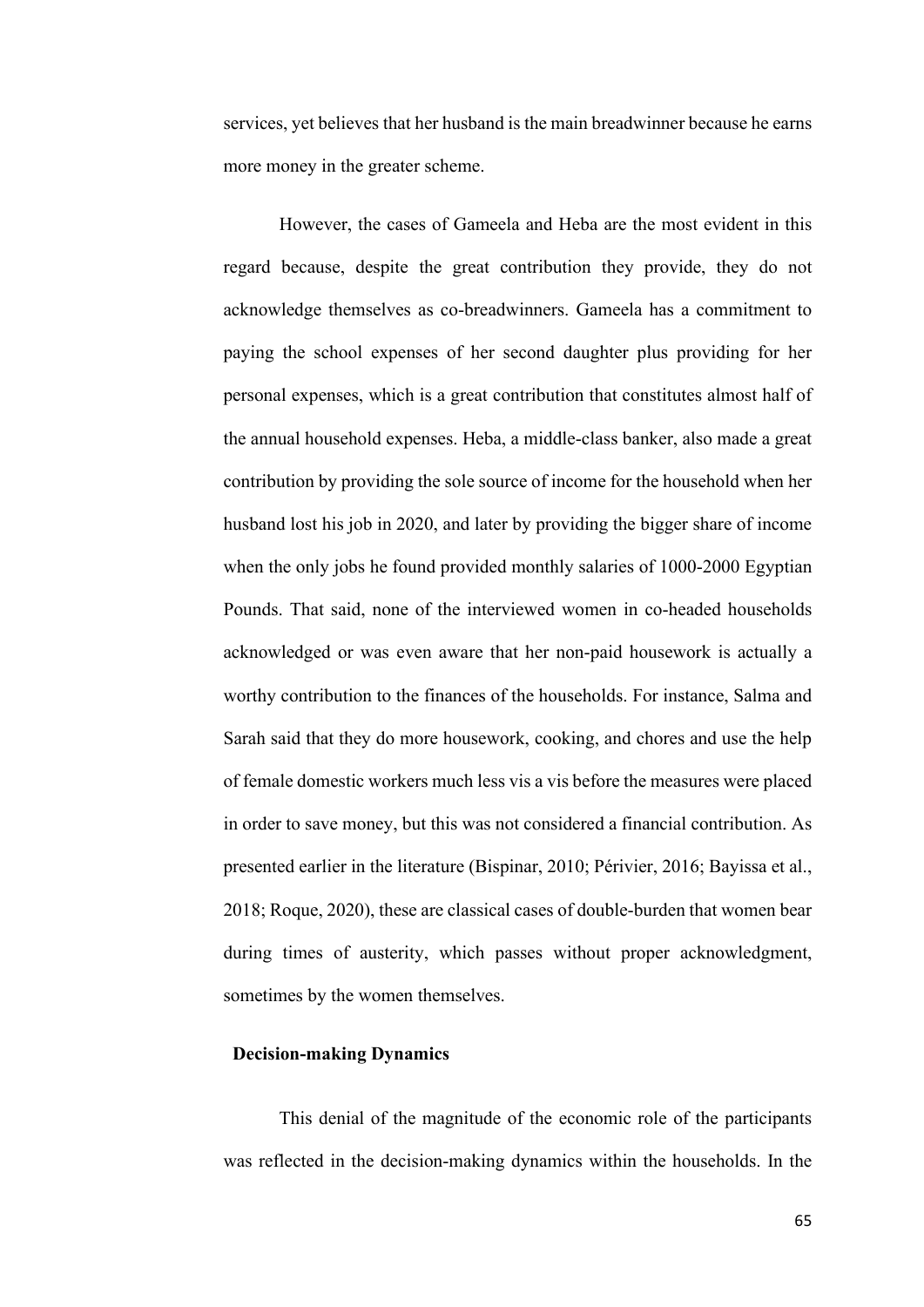services, yet believes that her husband is the main breadwinner because he earns more money in the greater scheme.

However, the cases of Gameela and Heba are the most evident in this regard because, despite the great contribution they provide, they do not acknowledge themselves as co-breadwinners. Gameela has a commitment to paying the school expenses of her second daughter plus providing for her personal expenses, which is a great contribution that constitutes almost half of the annual household expenses. Heba, a middle-class banker, also made a great contribution by providing the sole source of income for the household when her husband lost his job in 2020, and later by providing the bigger share of income when the only jobs he found provided monthly salaries of 1000-2000 Egyptian Pounds. That said, none of the interviewed women in co-headed households acknowledged or was even aware that her non-paid housework is actually a worthy contribution to the finances of the households. For instance, Salma and Sarah said that they do more housework, cooking, and chores and use the help of female domestic workers much less vis a vis before the measures were placed in order to save money, but this was not considered a financial contribution. As presented earlier in the literature (Bispinar, 2010; Périvier, 2016; Bayissa et al., 2018; Roque, 2020), these are classical cases of double-burden that women bear during times of austerity, which passes without proper acknowledgment, sometimes by the women themselves.

#### **Decision-making Dynamics**

This denial of the magnitude of the economic role of the participants was reflected in the decision-making dynamics within the households. In the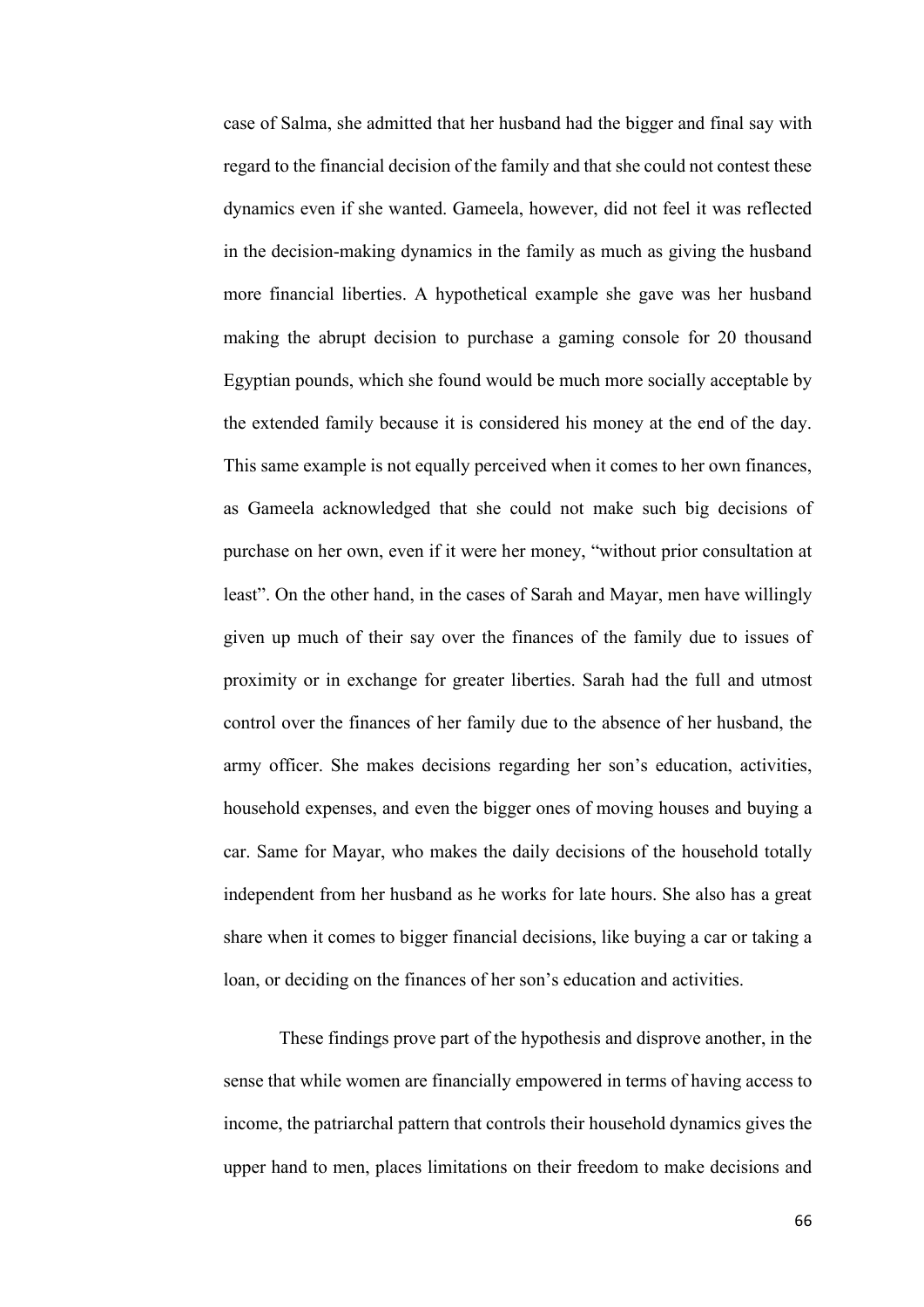case of Salma, she admitted that her husband had the bigger and final say with regard to the financial decision of the family and that she could not contest these dynamics even if she wanted. Gameela, however, did not feel it was reflected in the decision-making dynamics in the family as much as giving the husband more financial liberties. A hypothetical example she gave was her husband making the abrupt decision to purchase a gaming console for 20 thousand Egyptian pounds, which she found would be much more socially acceptable by the extended family because it is considered his money at the end of the day. This same example is not equally perceived when it comes to her own finances, as Gameela acknowledged that she could not make such big decisions of purchase on her own, even if it were her money, "without prior consultation at least". On the other hand, in the cases of Sarah and Mayar, men have willingly given up much of their say over the finances of the family due to issues of proximity or in exchange for greater liberties. Sarah had the full and utmost control over the finances of her family due to the absence of her husband, the army officer. She makes decisions regarding her son's education, activities, household expenses, and even the bigger ones of moving houses and buying a car. Same for Mayar, who makes the daily decisions of the household totally independent from her husband as he works for late hours. She also has a great share when it comes to bigger financial decisions, like buying a car or taking a loan, or deciding on the finances of her son's education and activities.

These findings prove part of the hypothesis and disprove another, in the sense that while women are financially empowered in terms of having access to income, the patriarchal pattern that controls their household dynamics gives the upper hand to men, places limitations on their freedom to make decisions and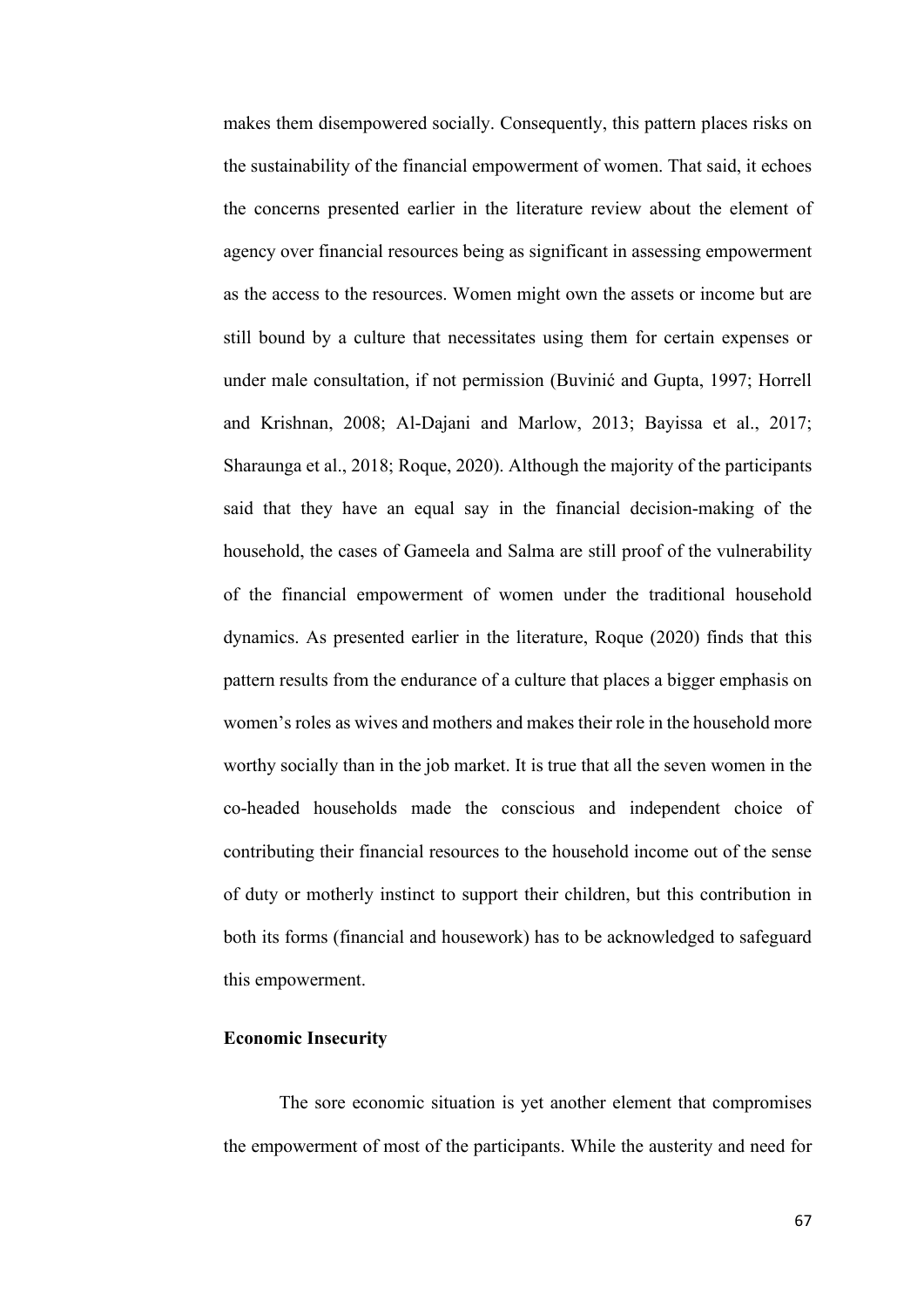makes them disempowered socially. Consequently, this pattern places risks on the sustainability of the financial empowerment of women. That said, it echoes the concerns presented earlier in the literature review about the element of agency over financial resources being as significant in assessing empowerment as the access to the resources. Women might own the assets or income but are still bound by a culture that necessitates using them for certain expenses or under male consultation, if not permission (Buvinić and Gupta, 1997; Horrell and Krishnan, 2008; Al-Dajani and Marlow, 2013; Bayissa et al., 2017; Sharaunga et al., 2018; Roque, 2020). Although the majority of the participants said that they have an equal say in the financial decision-making of the household, the cases of Gameela and Salma are still proof of the vulnerability of the financial empowerment of women under the traditional household dynamics. As presented earlier in the literature, Roque (2020) finds that this pattern results from the endurance of a culture that places a bigger emphasis on women's roles as wives and mothers and makes their role in the household more worthy socially than in the job market. It is true that all the seven women in the co-headed households made the conscious and independent choice of contributing their financial resources to the household income out of the sense of duty or motherly instinct to support their children, but this contribution in both its forms (financial and housework) has to be acknowledged to safeguard this empowerment.

## **Economic Insecurity**

The sore economic situation is yet another element that compromises the empowerment of most of the participants. While the austerity and need for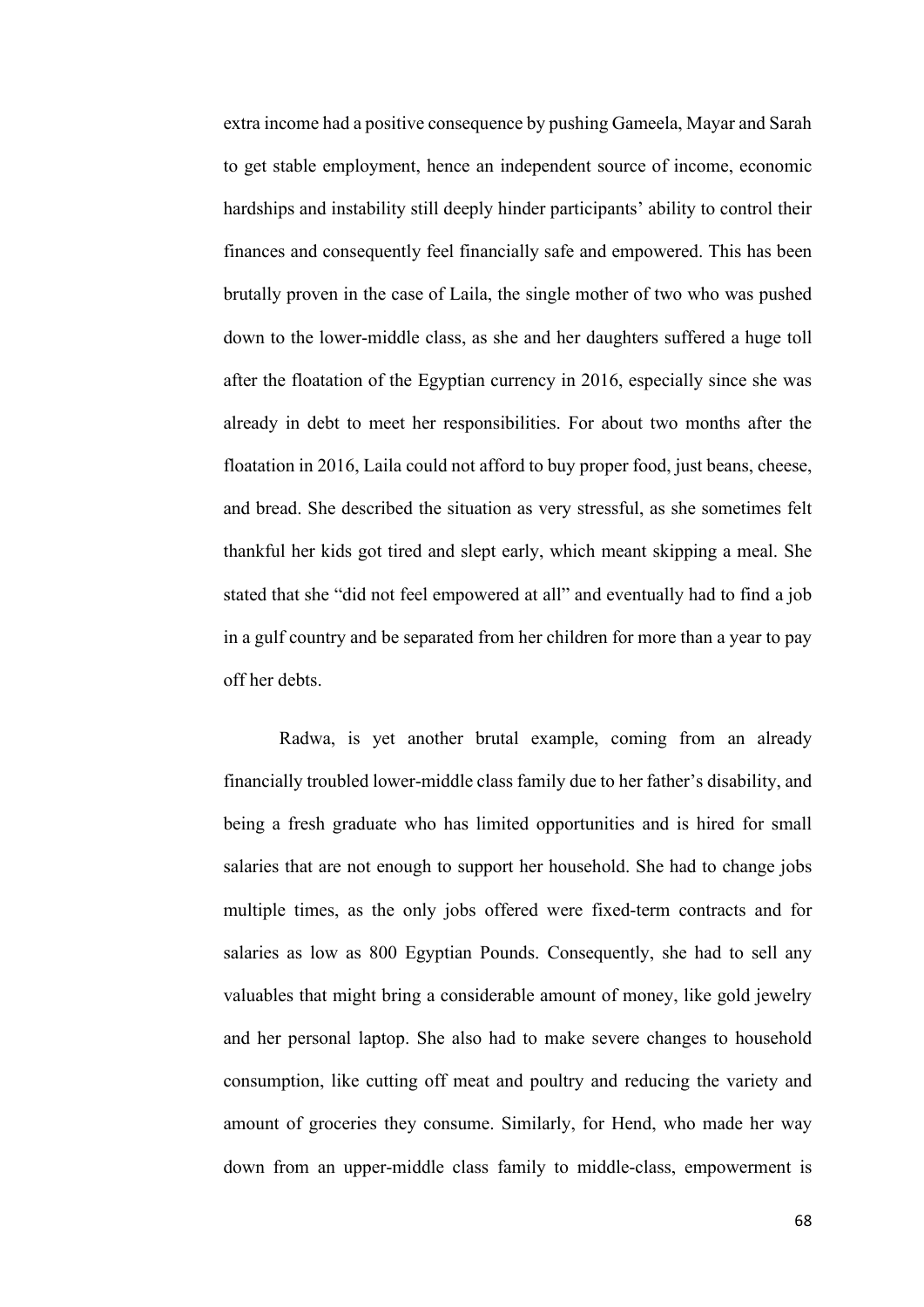extra income had a positive consequence by pushing Gameela, Mayar and Sarah to get stable employment, hence an independent source of income, economic hardships and instability still deeply hinder participants' ability to control their finances and consequently feel financially safe and empowered. This has been brutally proven in the case of Laila, the single mother of two who was pushed down to the lower-middle class, as she and her daughters suffered a huge toll after the floatation of the Egyptian currency in 2016, especially since she was already in debt to meet her responsibilities. For about two months after the floatation in 2016, Laila could not afford to buy proper food, just beans, cheese, and bread. She described the situation as very stressful, as she sometimes felt thankful her kids got tired and slept early, which meant skipping a meal. She stated that she "did not feel empowered at all" and eventually had to find a job in a gulf country and be separated from her children for more than a year to pay off her debts.

Radwa, is yet another brutal example, coming from an already financially troubled lower-middle class family due to her father's disability, and being a fresh graduate who has limited opportunities and is hired for small salaries that are not enough to support her household. She had to change jobs multiple times, as the only jobs offered were fixed-term contracts and for salaries as low as 800 Egyptian Pounds. Consequently, she had to sell any valuables that might bring a considerable amount of money, like gold jewelry and her personal laptop. She also had to make severe changes to household consumption, like cutting off meat and poultry and reducing the variety and amount of groceries they consume. Similarly, for Hend, who made her way down from an upper-middle class family to middle-class, empowerment is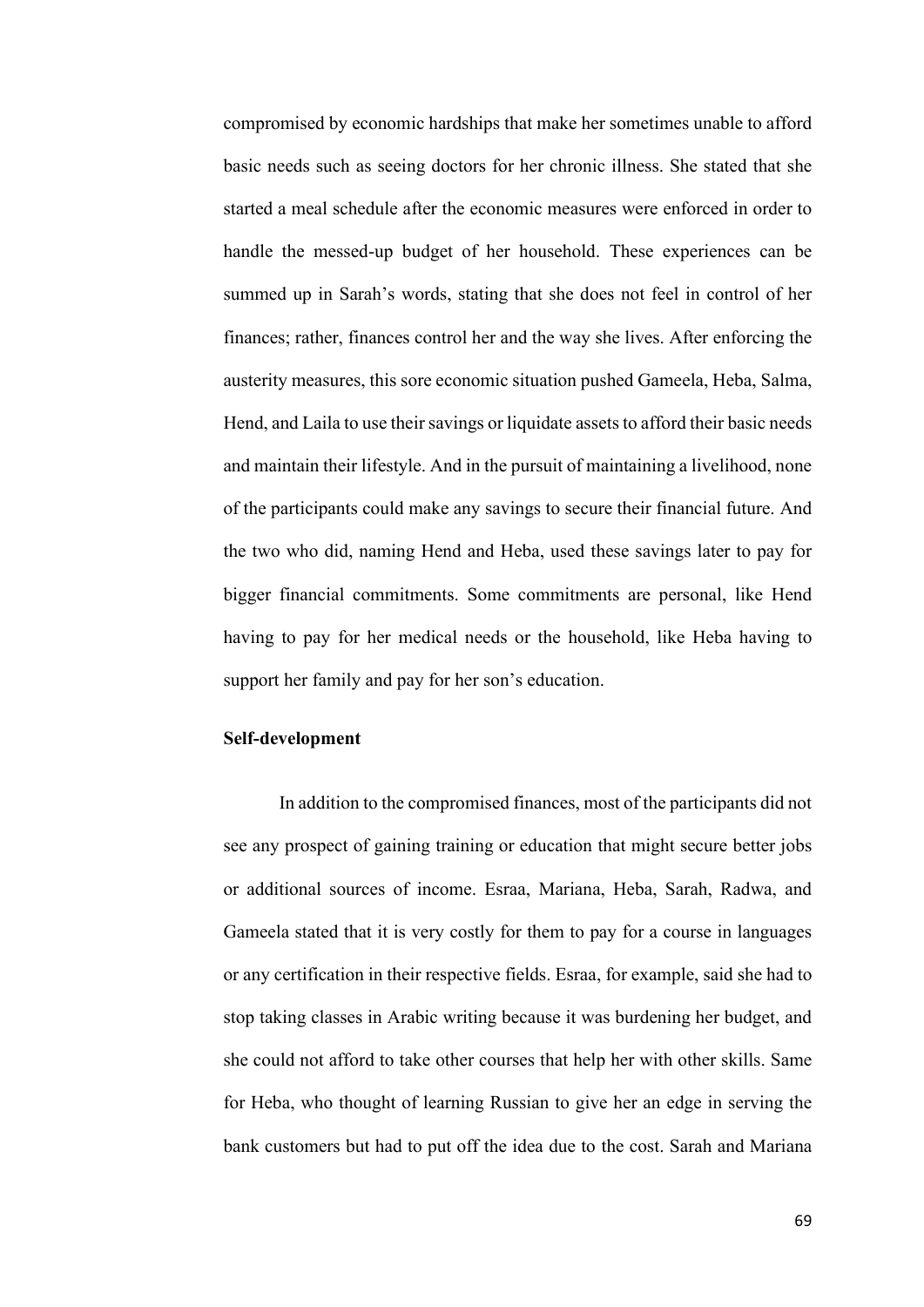compromised by economic hardships that make her sometimes unable to afford basic needs such as seeing doctors for her chronic illness. She stated that she started a meal schedule after the economic measures were enforced in order to handle the messed-up budget of her household. These experiences can be summed up in Sarah's words, stating that she does not feel in control of her finances; rather, finances control her and the way she lives. After enforcing the austerity measures, this sore economic situation pushed Gameela, Heba, Salma, Hend, and Laila to use their savings or liquidate assets to afford their basic needs and maintain their lifestyle. And in the pursuit of maintaining a livelihood, none of the participants could make any savings to secure their financial future. And the two who did, naming Hend and Heba, used these savings later to pay for bigger financial commitments. Some commitments are personal, like Hend having to pay for her medical needs or the household, like Heba having to support her family and pay for her son's education.

## **Self-development**

In addition to the compromised finances, most of the participants did not see any prospect of gaining training or education that might secure better jobs or additional sources of income. Esraa, Mariana, Heba, Sarah, Radwa, and Gameela stated that it is very costly for them to pay for a course in languages or any certification in their respective fields. Esraa, for example, said she had to stop taking classes in Arabic writing because it was burdening her budget, and she could not afford to take other courses that help her with other skills. Same for Heba, who thought of learning Russian to give her an edge in serving the bank customers but had to put off the idea due to the cost. Sarah and Mariana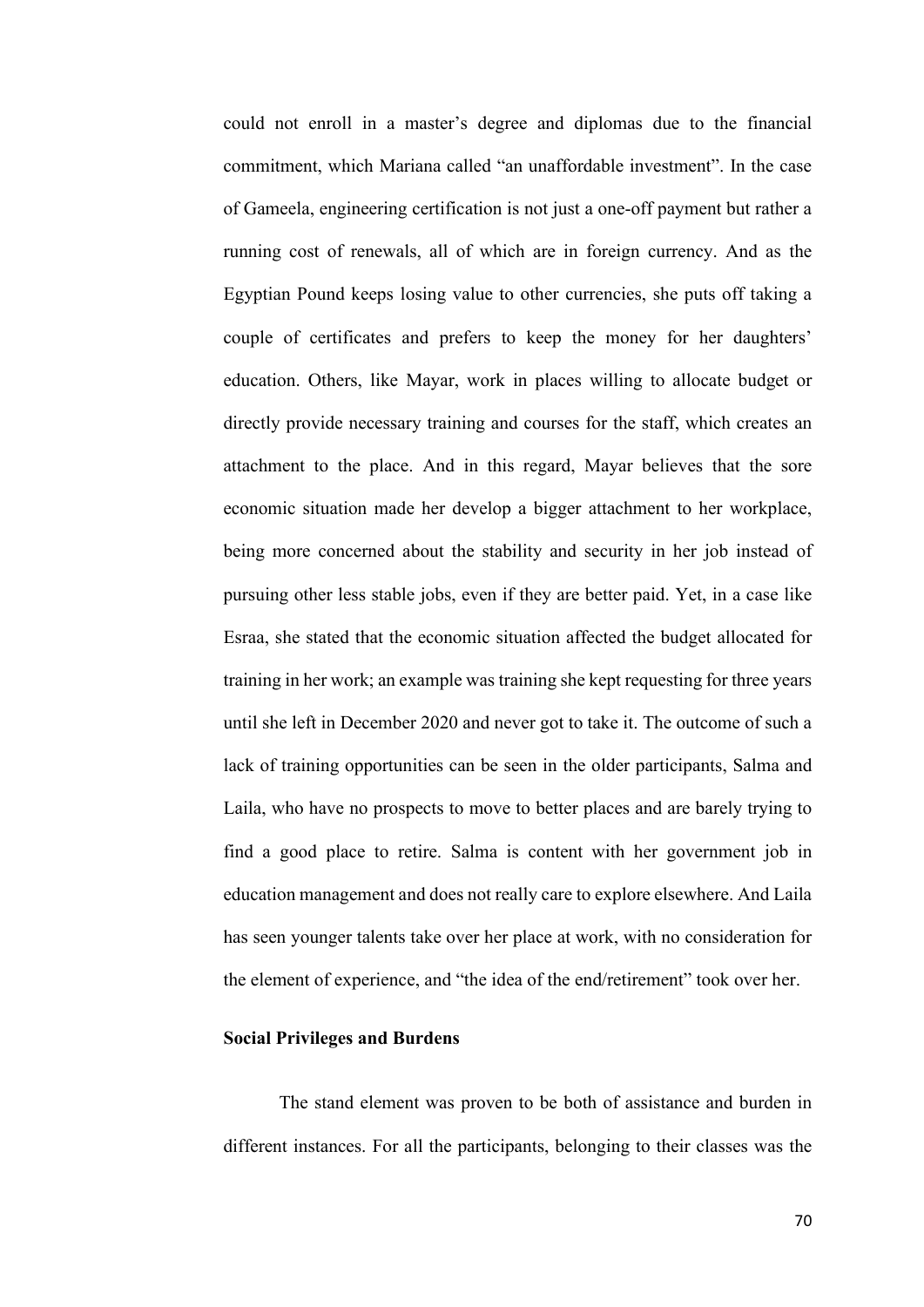could not enroll in a master's degree and diplomas due to the financial commitment, which Mariana called "an unaffordable investment". In the case of Gameela, engineering certification is not just a one-off payment but rather a running cost of renewals, all of which are in foreign currency. And as the Egyptian Pound keeps losing value to other currencies, she puts off taking a couple of certificates and prefers to keep the money for her daughters' education. Others, like Mayar, work in places willing to allocate budget or directly provide necessary training and courses for the staff, which creates an attachment to the place. And in this regard, Mayar believes that the sore economic situation made her develop a bigger attachment to her workplace, being more concerned about the stability and security in her job instead of pursuing other less stable jobs, even if they are better paid. Yet, in a case like Esraa, she stated that the economic situation affected the budget allocated for training in her work; an example was training she kept requesting for three years until she left in December 2020 and never got to take it. The outcome of such a lack of training opportunities can be seen in the older participants, Salma and Laila, who have no prospects to move to better places and are barely trying to find a good place to retire. Salma is content with her government job in education management and does not really care to explore elsewhere. And Laila has seen younger talents take over her place at work, with no consideration for the element of experience, and "the idea of the end/retirement" took over her.

## **Social Privileges and Burdens**

The stand element was proven to be both of assistance and burden in different instances. For all the participants, belonging to their classes was the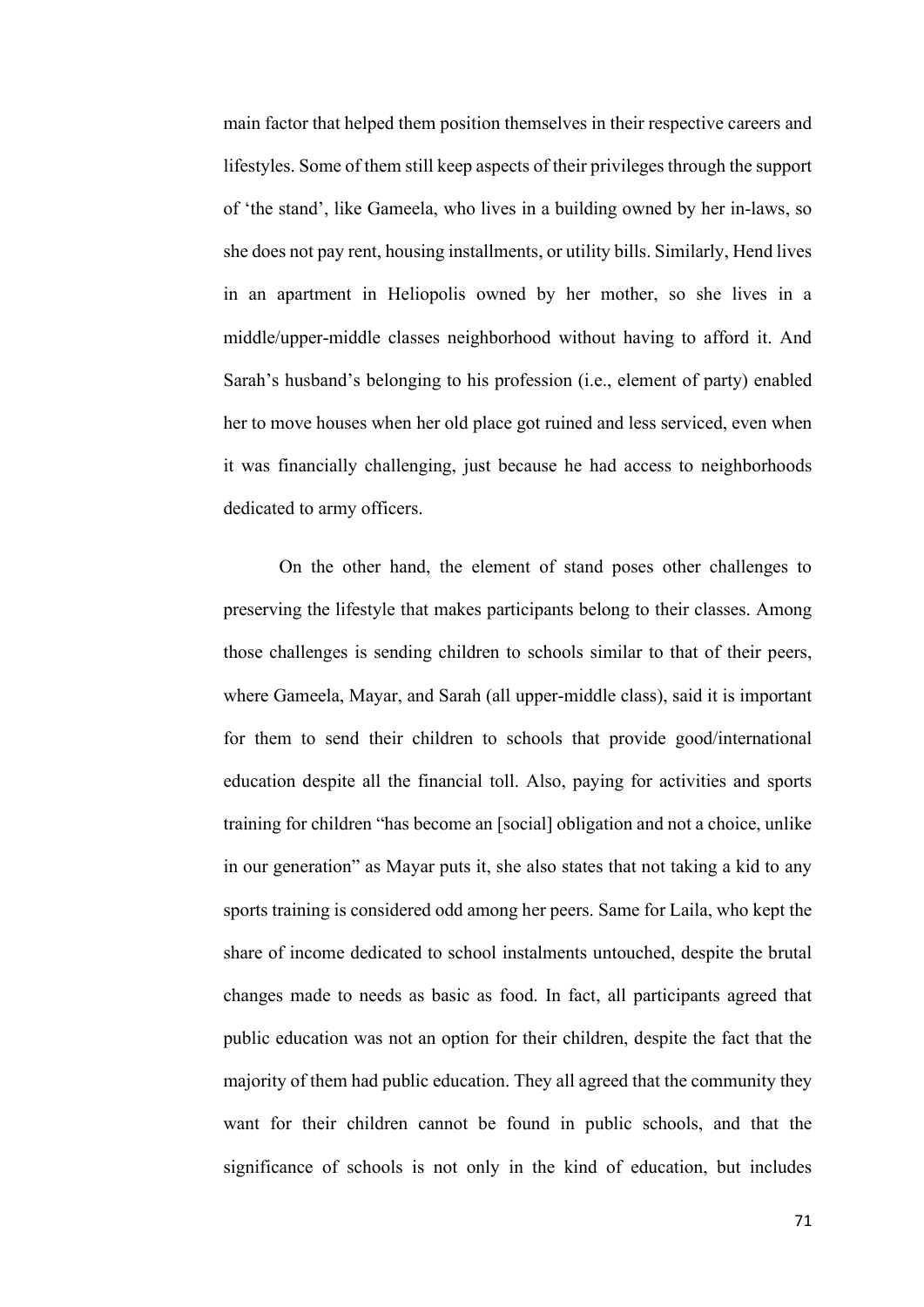main factor that helped them position themselves in their respective careers and lifestyles. Some of them still keep aspects of their privileges through the support of 'the stand', like Gameela, who lives in a building owned by her in-laws, so she does not pay rent, housing installments, or utility bills. Similarly, Hend lives in an apartment in Heliopolis owned by her mother, so she lives in a middle/upper-middle classes neighborhood without having to afford it. And Sarah's husband's belonging to his profession (i.e., element of party) enabled her to move houses when her old place got ruined and less serviced, even when it was financially challenging, just because he had access to neighborhoods dedicated to army officers.

On the other hand, the element of stand poses other challenges to preserving the lifestyle that makes participants belong to their classes. Among those challenges is sending children to schools similar to that of their peers, where Gameela, Mayar, and Sarah (all upper-middle class), said it is important for them to send their children to schools that provide good/international education despite all the financial toll. Also, paying for activities and sports training for children "has become an [social] obligation and not a choice, unlike in our generation" as Mayar puts it, she also states that not taking a kid to any sports training is considered odd among her peers. Same for Laila, who kept the share of income dedicated to school instalments untouched, despite the brutal changes made to needs as basic as food. In fact, all participants agreed that public education was not an option for their children, despite the fact that the majority of them had public education. They all agreed that the community they want for their children cannot be found in public schools, and that the significance of schools is not only in the kind of education, but includes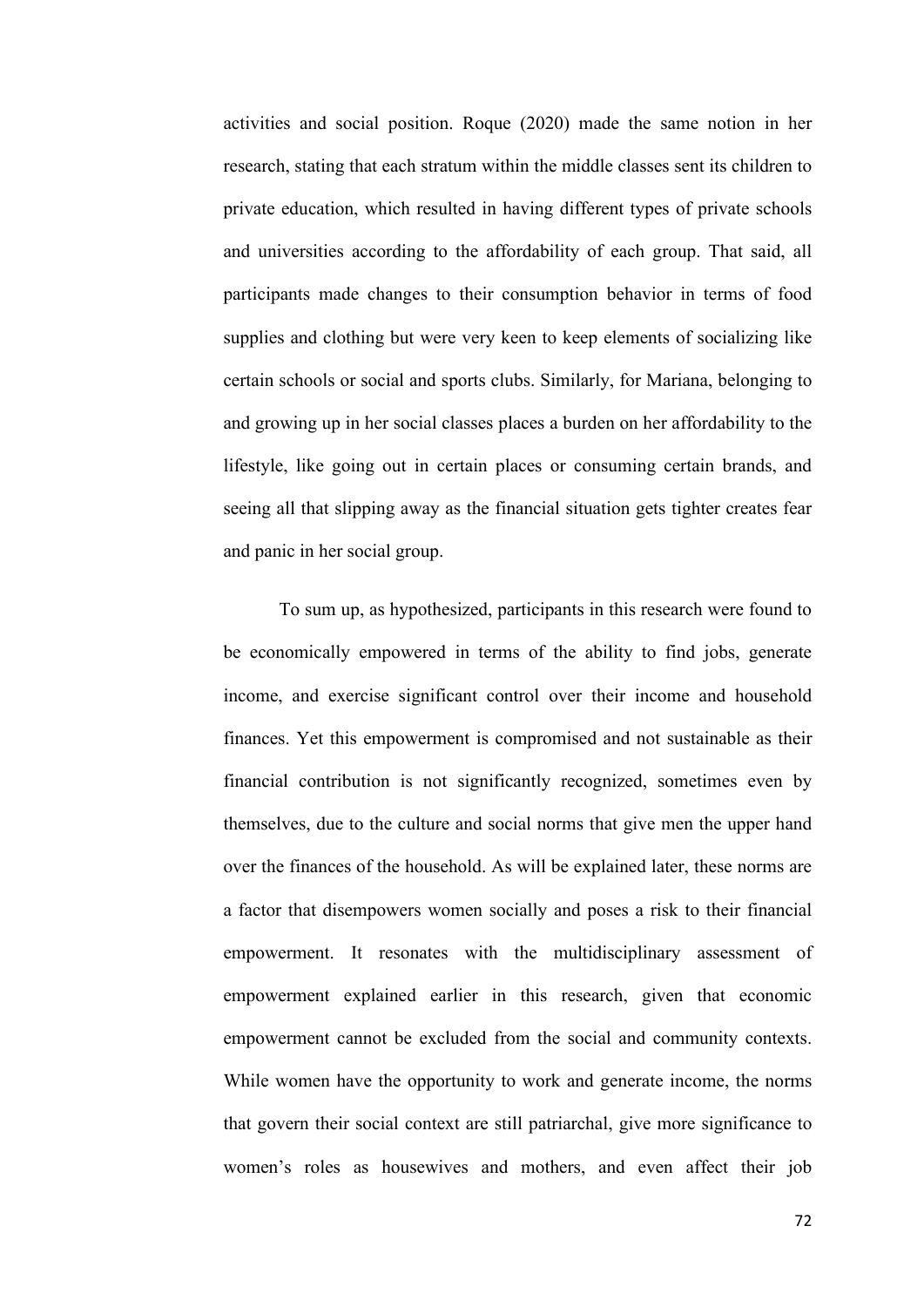activities and social position. Roque (2020) made the same notion in her research, stating that each stratum within the middle classes sent its children to private education, which resulted in having different types of private schools and universities according to the affordability of each group. That said, all participants made changes to their consumption behavior in terms of food supplies and clothing but were very keen to keep elements of socializing like certain schools or social and sports clubs. Similarly, for Mariana, belonging to and growing up in her social classes places a burden on her affordability to the lifestyle, like going out in certain places or consuming certain brands, and seeing all that slipping away as the financial situation gets tighter creates fear and panic in her social group.

To sum up, as hypothesized, participants in this research were found to be economically empowered in terms of the ability to find jobs, generate income, and exercise significant control over their income and household finances. Yet this empowerment is compromised and not sustainable as their financial contribution is not significantly recognized, sometimes even by themselves, due to the culture and social norms that give men the upper hand over the finances of the household. As will be explained later, these norms are a factor that disempowers women socially and poses a risk to their financial empowerment. It resonates with the multidisciplinary assessment of empowerment explained earlier in this research, given that economic empowerment cannot be excluded from the social and community contexts. While women have the opportunity to work and generate income, the norms that govern their social context are still patriarchal, give more significance to women's roles as housewives and mothers, and even affect their job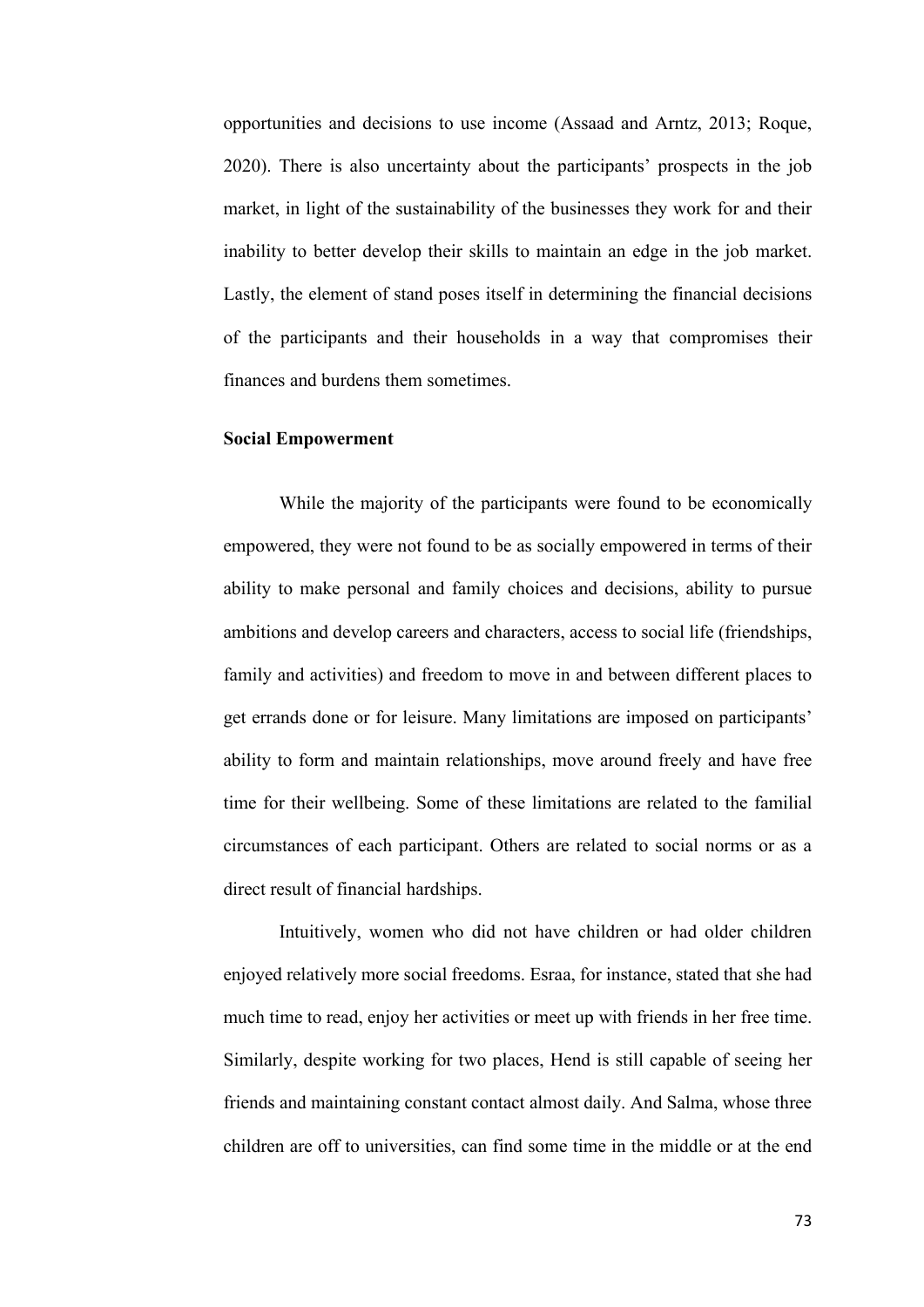opportunities and decisions to use income (Assaad and Arntz, 2013; Roque, 2020). There is also uncertainty about the participants' prospects in the job market, in light of the sustainability of the businesses they work for and their inability to better develop their skills to maintain an edge in the job market. Lastly, the element of stand poses itself in determining the financial decisions of the participants and their households in a way that compromises their finances and burdens them sometimes.

## **Social Empowerment**

While the majority of the participants were found to be economically empowered, they were not found to be as socially empowered in terms of their ability to make personal and family choices and decisions, ability to pursue ambitions and develop careers and characters, access to social life (friendships, family and activities) and freedom to move in and between different places to get errands done or for leisure. Many limitations are imposed on participants' ability to form and maintain relationships, move around freely and have free time for their wellbeing. Some of these limitations are related to the familial circumstances of each participant. Others are related to social norms or as a direct result of financial hardships.

Intuitively, women who did not have children or had older children enjoyed relatively more social freedoms. Esraa, for instance, stated that she had much time to read, enjoy her activities or meet up with friends in her free time. Similarly, despite working for two places, Hend is still capable of seeing her friends and maintaining constant contact almost daily. And Salma, whose three children are off to universities, can find some time in the middle or at the end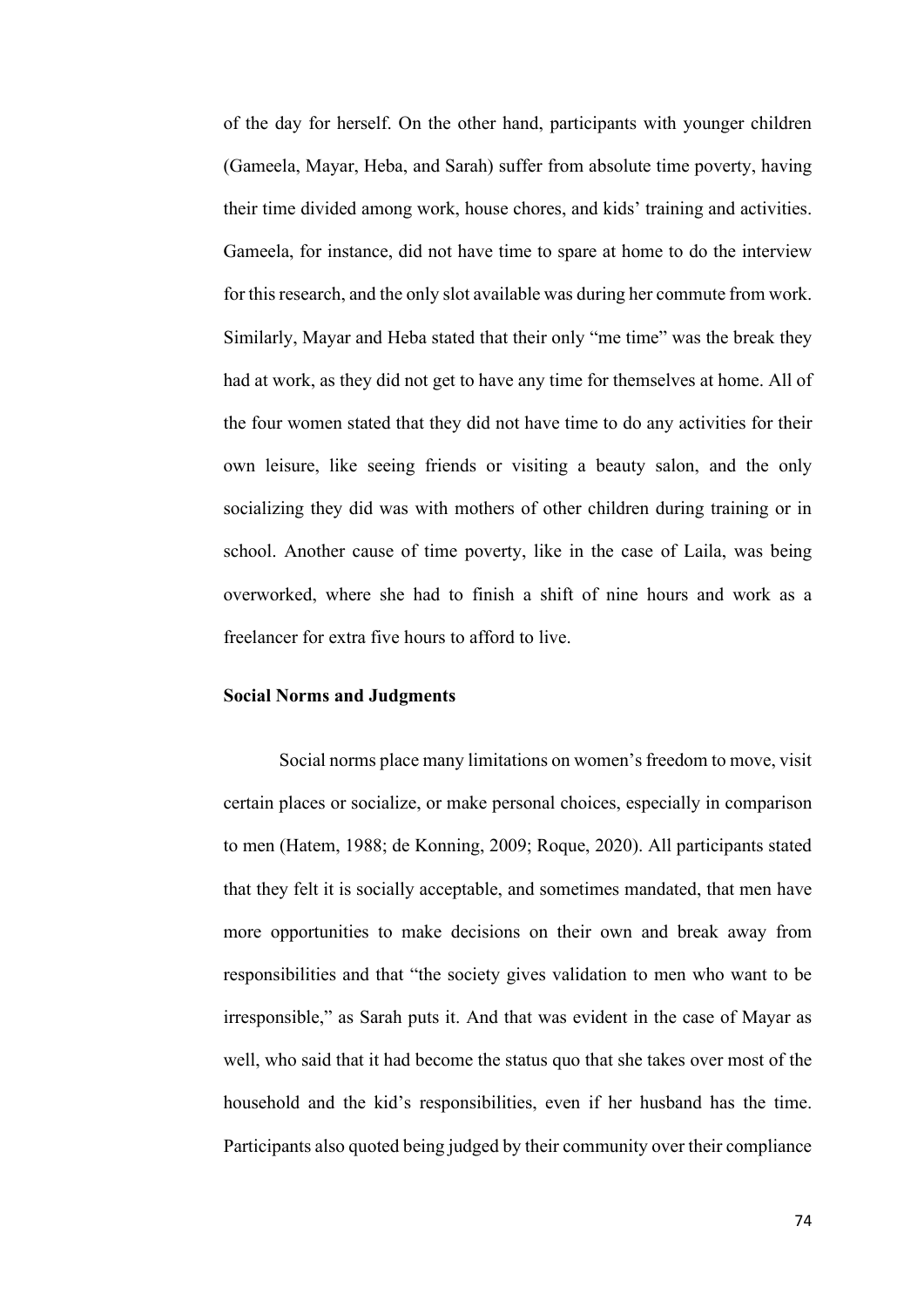of the day for herself. On the other hand, participants with younger children (Gameela, Mayar, Heba, and Sarah) suffer from absolute time poverty, having their time divided among work, house chores, and kids' training and activities. Gameela, for instance, did not have time to spare at home to do the interview for this research, and the only slot available was during her commute from work. Similarly, Mayar and Heba stated that their only "me time" was the break they had at work, as they did not get to have any time for themselves at home. All of the four women stated that they did not have time to do any activities for their own leisure, like seeing friends or visiting a beauty salon, and the only socializing they did was with mothers of other children during training or in school. Another cause of time poverty, like in the case of Laila, was being overworked, where she had to finish a shift of nine hours and work as a freelancer for extra five hours to afford to live.

#### **Social Norms and Judgments**

Social norms place many limitations on women's freedom to move, visit certain places or socialize, or make personal choices, especially in comparison to men (Hatem, 1988; de Konning, 2009; Roque, 2020). All participants stated that they felt it is socially acceptable, and sometimes mandated, that men have more opportunities to make decisions on their own and break away from responsibilities and that "the society gives validation to men who want to be irresponsible," as Sarah puts it. And that was evident in the case of Mayar as well, who said that it had become the status quo that she takes over most of the household and the kid's responsibilities, even if her husband has the time. Participants also quoted being judged by their community over their compliance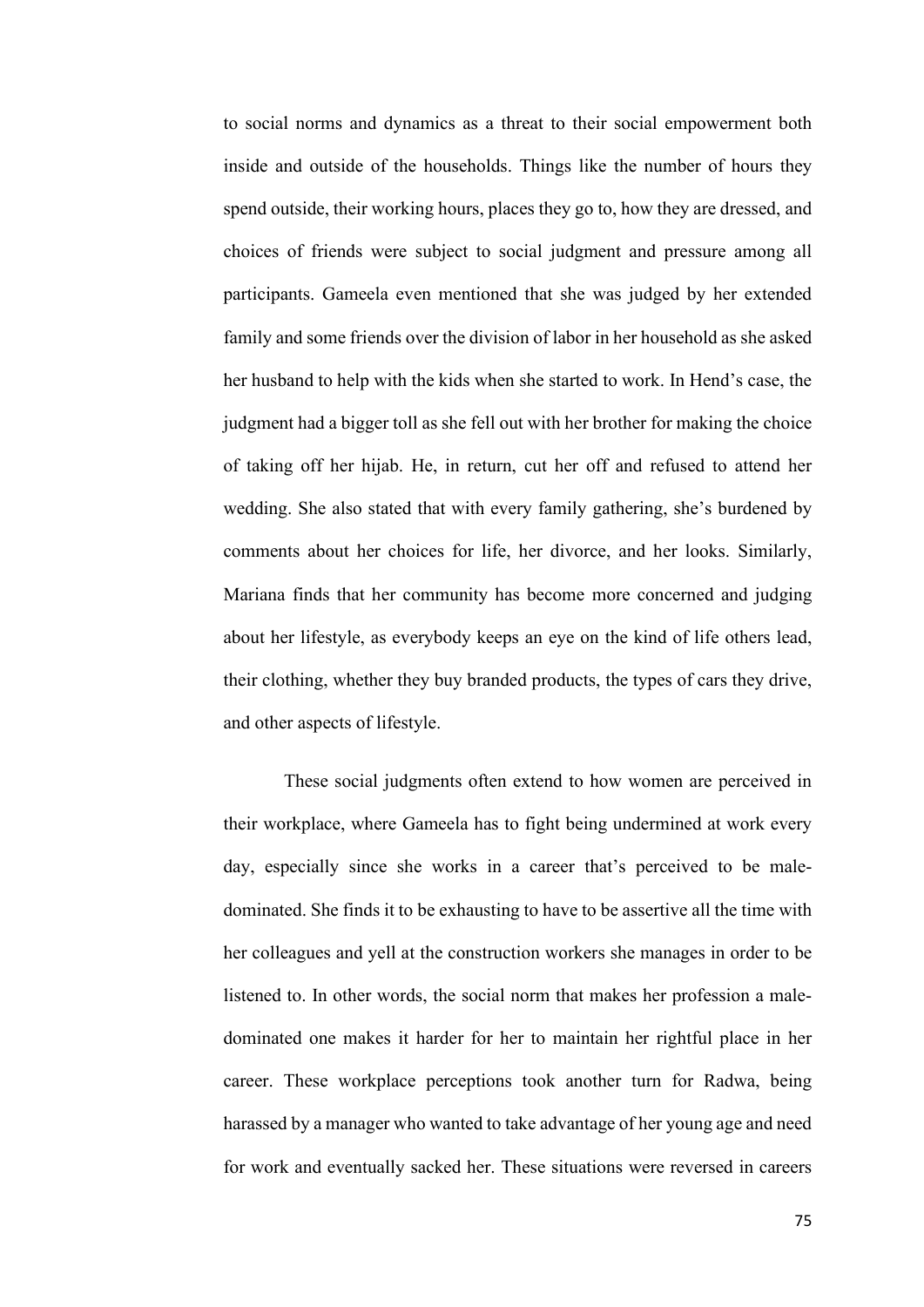to social norms and dynamics as a threat to their social empowerment both inside and outside of the households. Things like the number of hours they spend outside, their working hours, places they go to, how they are dressed, and choices of friends were subject to social judgment and pressure among all participants. Gameela even mentioned that she was judged by her extended family and some friends over the division of labor in her household as she asked her husband to help with the kids when she started to work. In Hend's case, the judgment had a bigger toll as she fell out with her brother for making the choice of taking off her hijab. He, in return, cut her off and refused to attend her wedding. She also stated that with every family gathering, she's burdened by comments about her choices for life, her divorce, and her looks. Similarly, Mariana finds that her community has become more concerned and judging about her lifestyle, as everybody keeps an eye on the kind of life others lead, their clothing, whether they buy branded products, the types of cars they drive, and other aspects of lifestyle.

These social judgments often extend to how women are perceived in their workplace, where Gameela has to fight being undermined at work every day, especially since she works in a career that's perceived to be maledominated. She finds it to be exhausting to have to be assertive all the time with her colleagues and yell at the construction workers she manages in order to be listened to. In other words, the social norm that makes her profession a maledominated one makes it harder for her to maintain her rightful place in her career. These workplace perceptions took another turn for Radwa, being harassed by a manager who wanted to take advantage of her young age and need for work and eventually sacked her. These situations were reversed in careers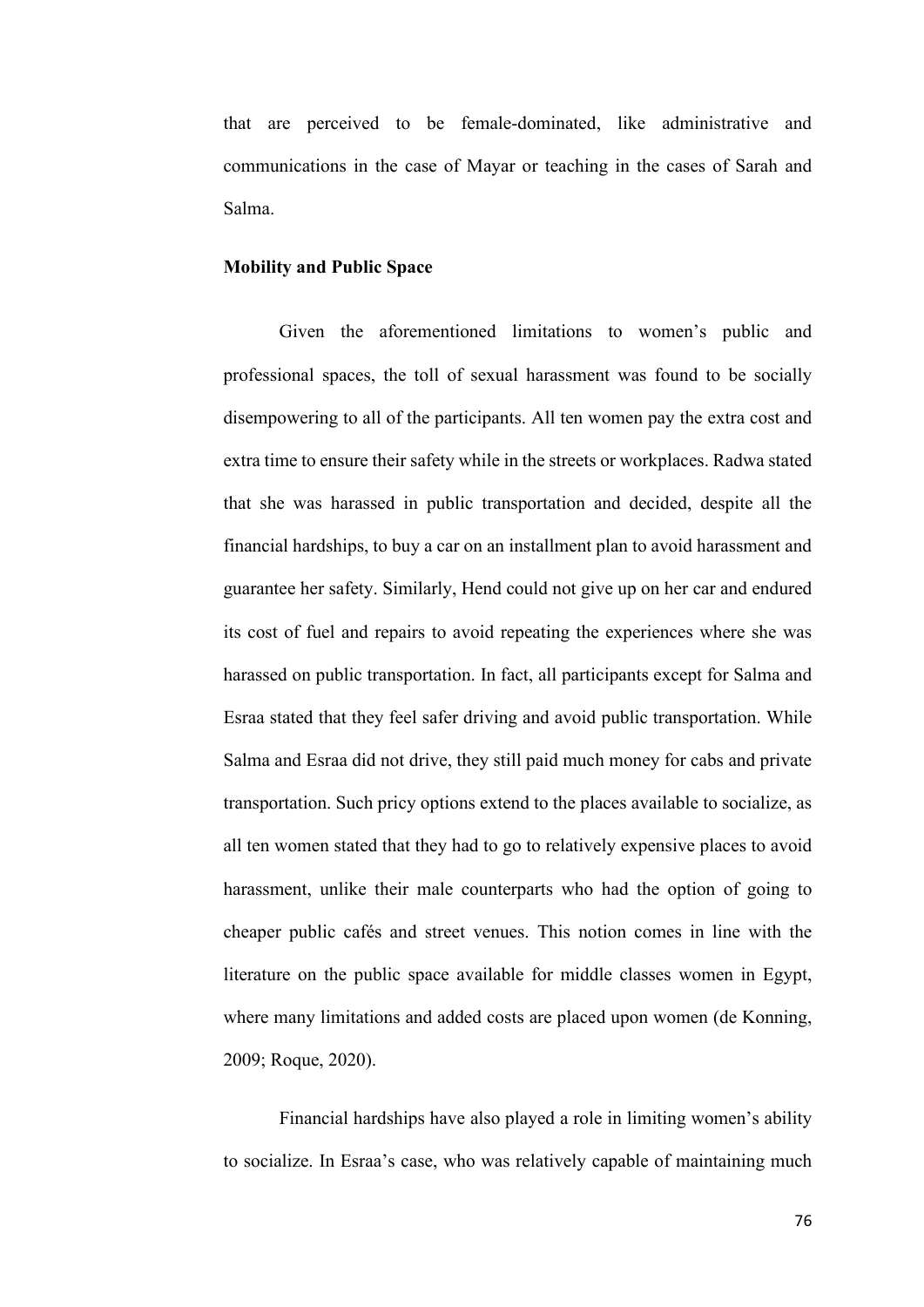that are perceived to be female-dominated, like administrative and communications in the case of Mayar or teaching in the cases of Sarah and Salma.

## **Mobility and Public Space**

Given the aforementioned limitations to women's public and professional spaces, the toll of sexual harassment was found to be socially disempowering to all of the participants. All ten women pay the extra cost and extra time to ensure their safety while in the streets or workplaces. Radwa stated that she was harassed in public transportation and decided, despite all the financial hardships, to buy a car on an installment plan to avoid harassment and guarantee her safety. Similarly, Hend could not give up on her car and endured its cost of fuel and repairs to avoid repeating the experiences where she was harassed on public transportation. In fact, all participants except for Salma and Esraa stated that they feel safer driving and avoid public transportation. While Salma and Esraa did not drive, they still paid much money for cabs and private transportation. Such pricy options extend to the places available to socialize, as all ten women stated that they had to go to relatively expensive places to avoid harassment, unlike their male counterparts who had the option of going to cheaper public cafés and street venues. This notion comes in line with the literature on the public space available for middle classes women in Egypt, where many limitations and added costs are placed upon women (de Konning, 2009; Roque, 2020).

Financial hardships have also played a role in limiting women's ability to socialize. In Esraa's case, who was relatively capable of maintaining much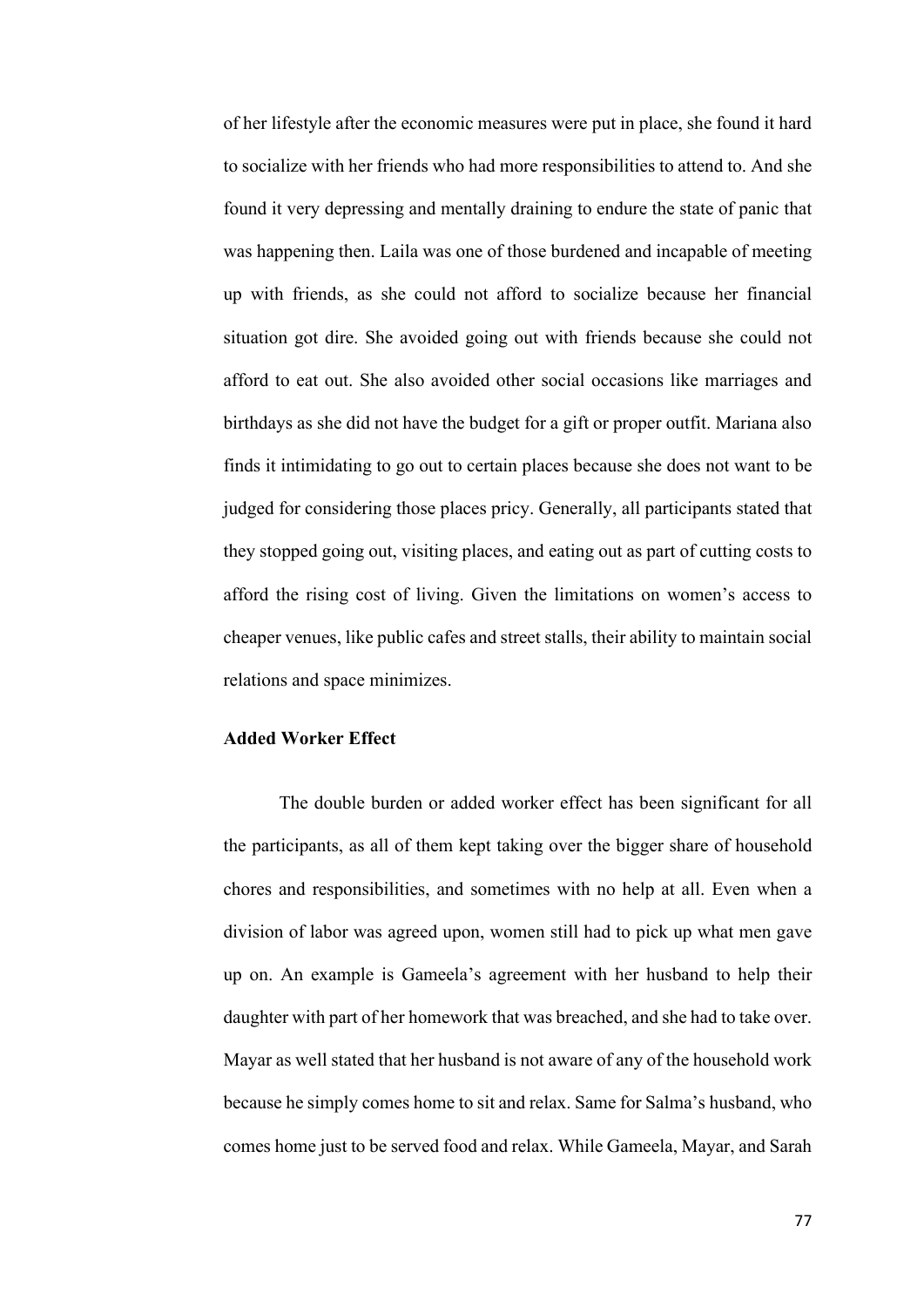of her lifestyle after the economic measures were put in place, she found it hard to socialize with her friends who had more responsibilities to attend to. And she found it very depressing and mentally draining to endure the state of panic that was happening then. Laila was one of those burdened and incapable of meeting up with friends, as she could not afford to socialize because her financial situation got dire. She avoided going out with friends because she could not afford to eat out. She also avoided other social occasions like marriages and birthdays as she did not have the budget for a gift or proper outfit. Mariana also finds it intimidating to go out to certain places because she does not want to be judged for considering those places pricy. Generally, all participants stated that they stopped going out, visiting places, and eating out as part of cutting costs to afford the rising cost of living. Given the limitations on women's access to cheaper venues, like public cafes and street stalls, their ability to maintain social relations and space minimizes.

## **Added Worker Effect**

The double burden or added worker effect has been significant for all the participants, as all of them kept taking over the bigger share of household chores and responsibilities, and sometimes with no help at all. Even when a division of labor was agreed upon, women still had to pick up what men gave up on. An example is Gameela's agreement with her husband to help their daughter with part of her homework that was breached, and she had to take over. Mayar as well stated that her husband is not aware of any of the household work because he simply comes home to sit and relax. Same for Salma's husband, who comes home just to be served food and relax. While Gameela, Mayar, and Sarah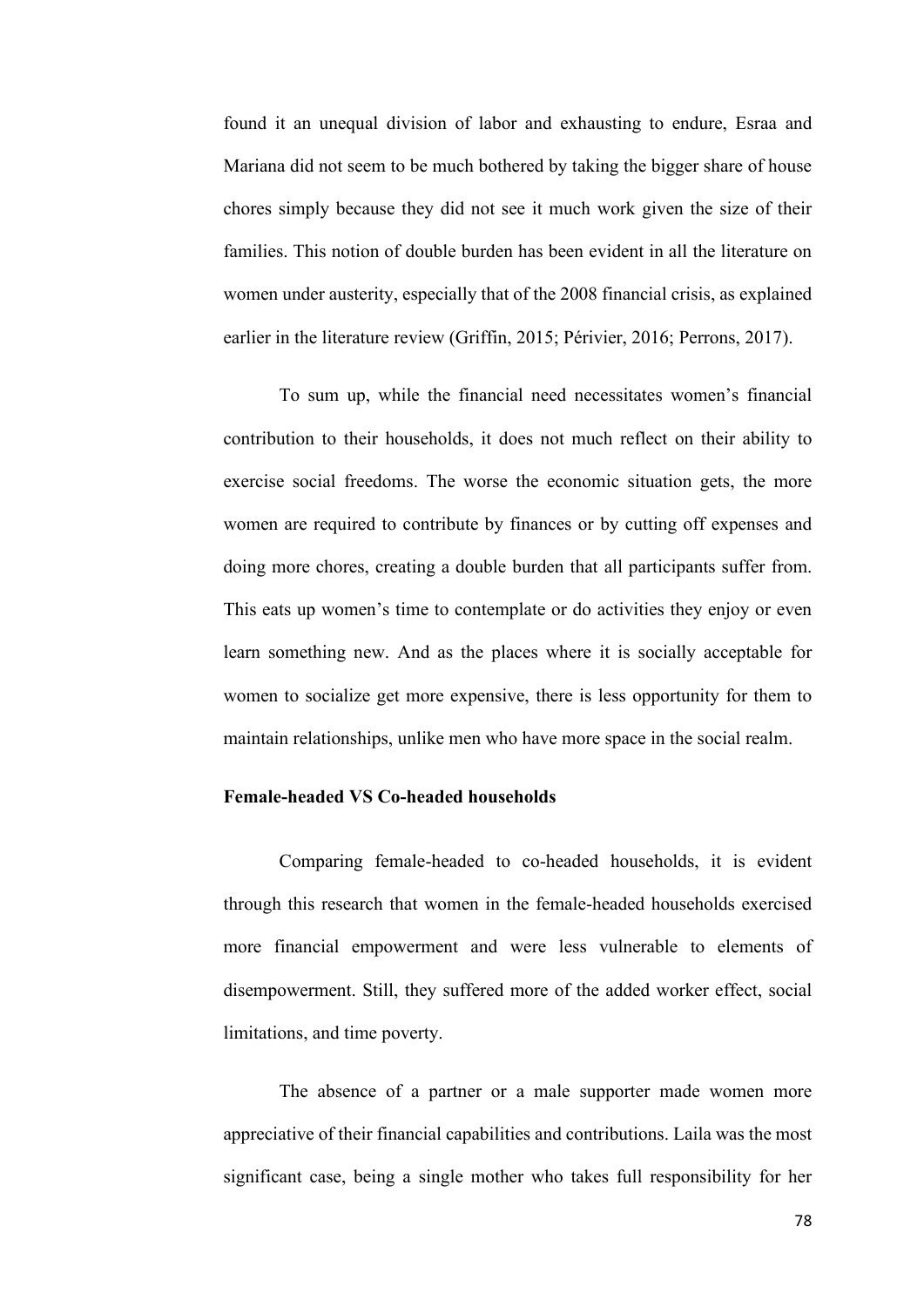found it an unequal division of labor and exhausting to endure, Esraa and Mariana did not seem to be much bothered by taking the bigger share of house chores simply because they did not see it much work given the size of their families. This notion of double burden has been evident in all the literature on women under austerity, especially that of the 2008 financial crisis, as explained earlier in the literature review (Griffin, 2015; Périvier, 2016; Perrons, 2017).

To sum up, while the financial need necessitates women's financial contribution to their households, it does not much reflect on their ability to exercise social freedoms. The worse the economic situation gets, the more women are required to contribute by finances or by cutting off expenses and doing more chores, creating a double burden that all participants suffer from. This eats up women's time to contemplate or do activities they enjoy or even learn something new. And as the places where it is socially acceptable for women to socialize get more expensive, there is less opportunity for them to maintain relationships, unlike men who have more space in the social realm.

## **Female-headed VS Co-headed households**

Comparing female-headed to co-headed households, it is evident through this research that women in the female-headed households exercised more financial empowerment and were less vulnerable to elements of disempowerment. Still, they suffered more of the added worker effect, social limitations, and time poverty.

The absence of a partner or a male supporter made women more appreciative of their financial capabilities and contributions. Laila was the most significant case, being a single mother who takes full responsibility for her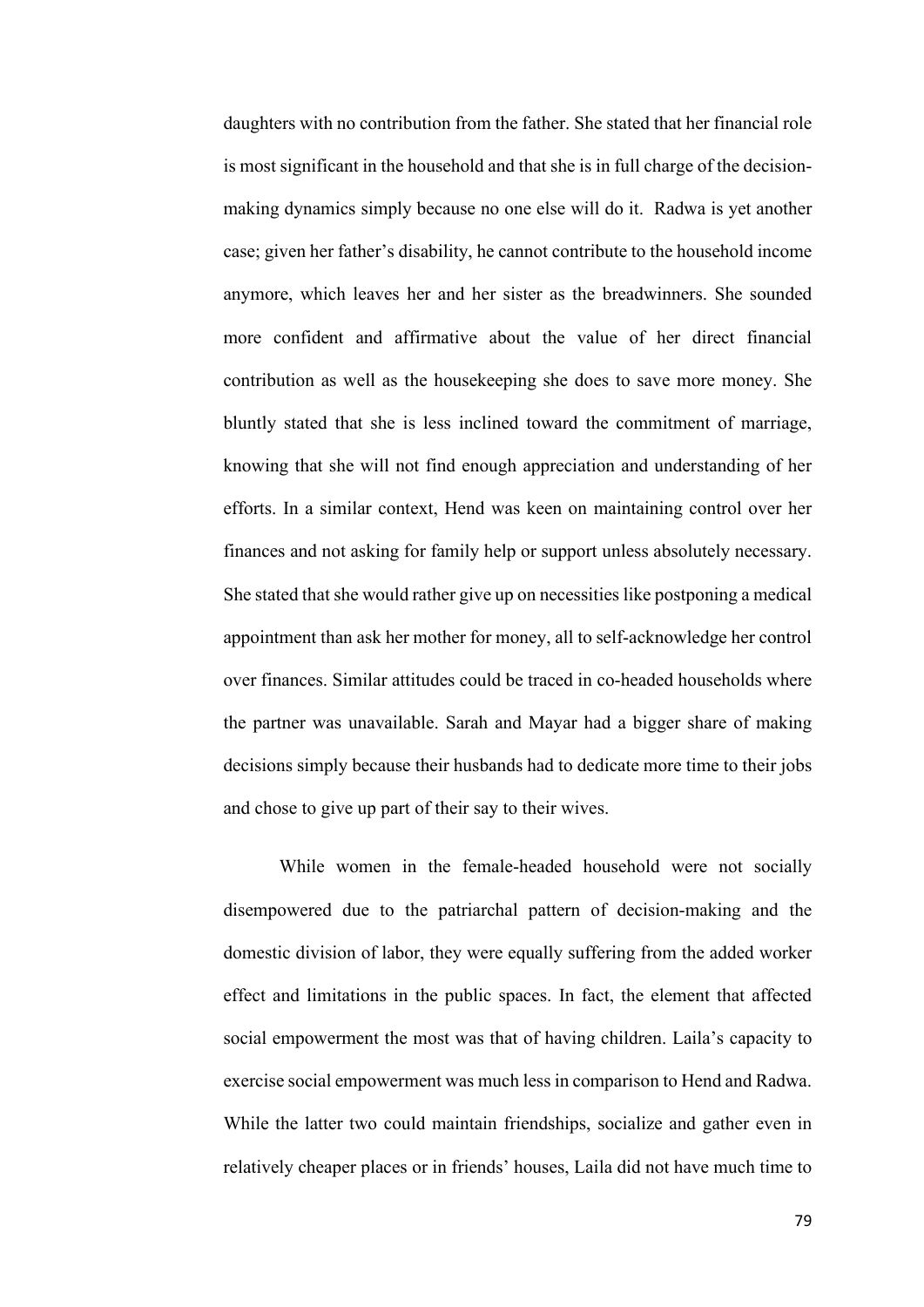daughters with no contribution from the father. She stated that her financial role is most significant in the household and that she is in full charge of the decisionmaking dynamics simply because no one else will do it. Radwa is yet another case; given her father's disability, he cannot contribute to the household income anymore, which leaves her and her sister as the breadwinners. She sounded more confident and affirmative about the value of her direct financial contribution as well as the housekeeping she does to save more money. She bluntly stated that she is less inclined toward the commitment of marriage, knowing that she will not find enough appreciation and understanding of her efforts. In a similar context, Hend was keen on maintaining control over her finances and not asking for family help or support unless absolutely necessary. She stated that she would rather give up on necessities like postponing a medical appointment than ask her mother for money, all to self-acknowledge her control over finances. Similar attitudes could be traced in co-headed households where the partner was unavailable. Sarah and Mayar had a bigger share of making decisions simply because their husbands had to dedicate more time to their jobs and chose to give up part of their say to their wives.

While women in the female-headed household were not socially disempowered due to the patriarchal pattern of decision-making and the domestic division of labor, they were equally suffering from the added worker effect and limitations in the public spaces. In fact, the element that affected social empowerment the most was that of having children. Laila's capacity to exercise social empowerment was much less in comparison to Hend and Radwa. While the latter two could maintain friendships, socialize and gather even in relatively cheaper places or in friends' houses, Laila did not have much time to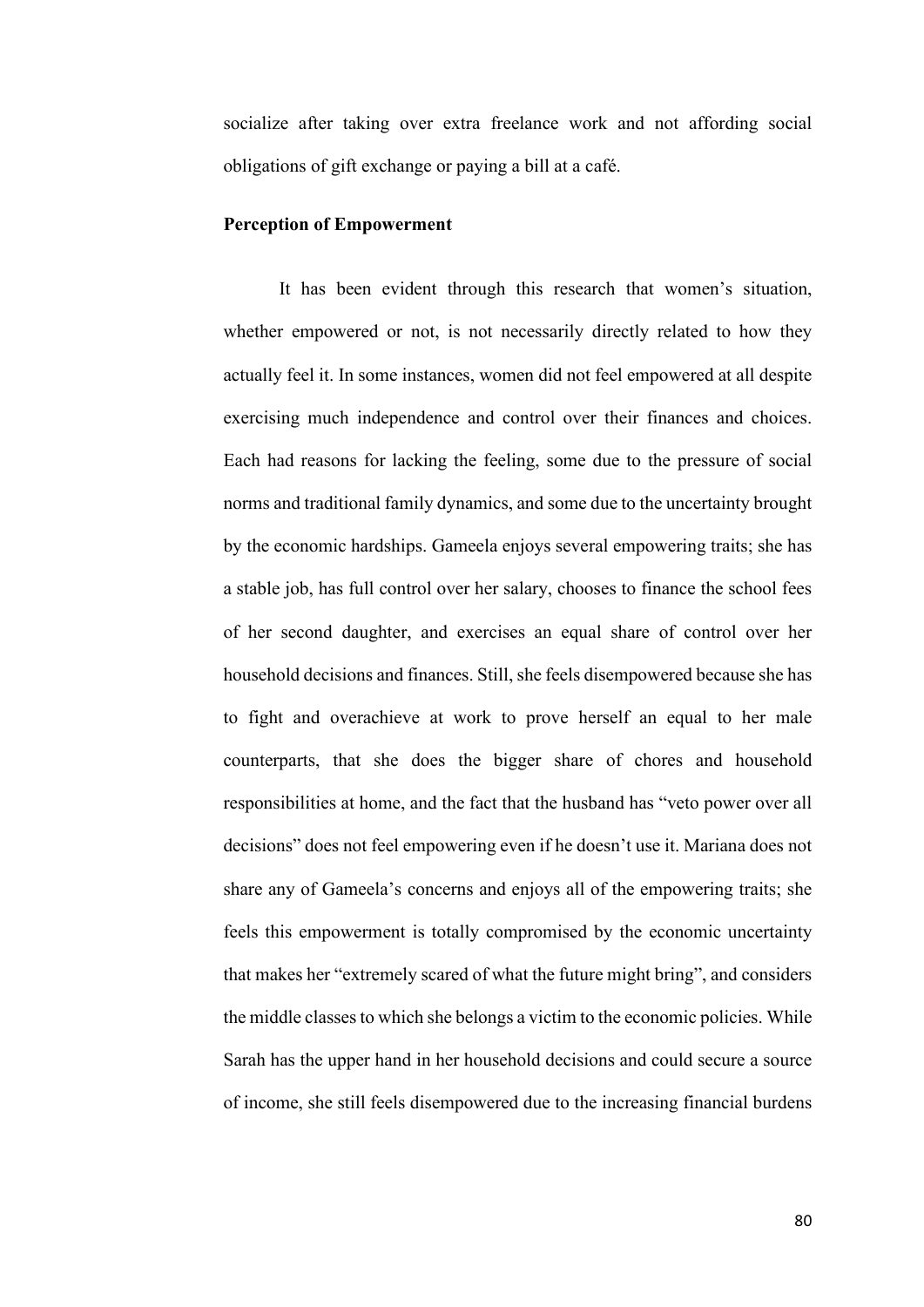socialize after taking over extra freelance work and not affording social obligations of gift exchange or paying a bill at a café.

## **Perception of Empowerment**

It has been evident through this research that women's situation, whether empowered or not, is not necessarily directly related to how they actually feel it. In some instances, women did not feel empowered at all despite exercising much independence and control over their finances and choices. Each had reasons for lacking the feeling, some due to the pressure of social norms and traditional family dynamics, and some due to the uncertainty brought by the economic hardships. Gameela enjoys several empowering traits; she has a stable job, has full control over her salary, chooses to finance the school fees of her second daughter, and exercises an equal share of control over her household decisions and finances. Still, she feels disempowered because she has to fight and overachieve at work to prove herself an equal to her male counterparts, that she does the bigger share of chores and household responsibilities at home, and the fact that the husband has "veto power over all decisions" does not feel empowering even if he doesn't use it. Mariana does not share any of Gameela's concerns and enjoys all of the empowering traits; she feels this empowerment is totally compromised by the economic uncertainty that makes her "extremely scared of what the future might bring", and considers the middle classes to which she belongs a victim to the economic policies. While Sarah has the upper hand in her household decisions and could secure a source of income, she still feels disempowered due to the increasing financial burdens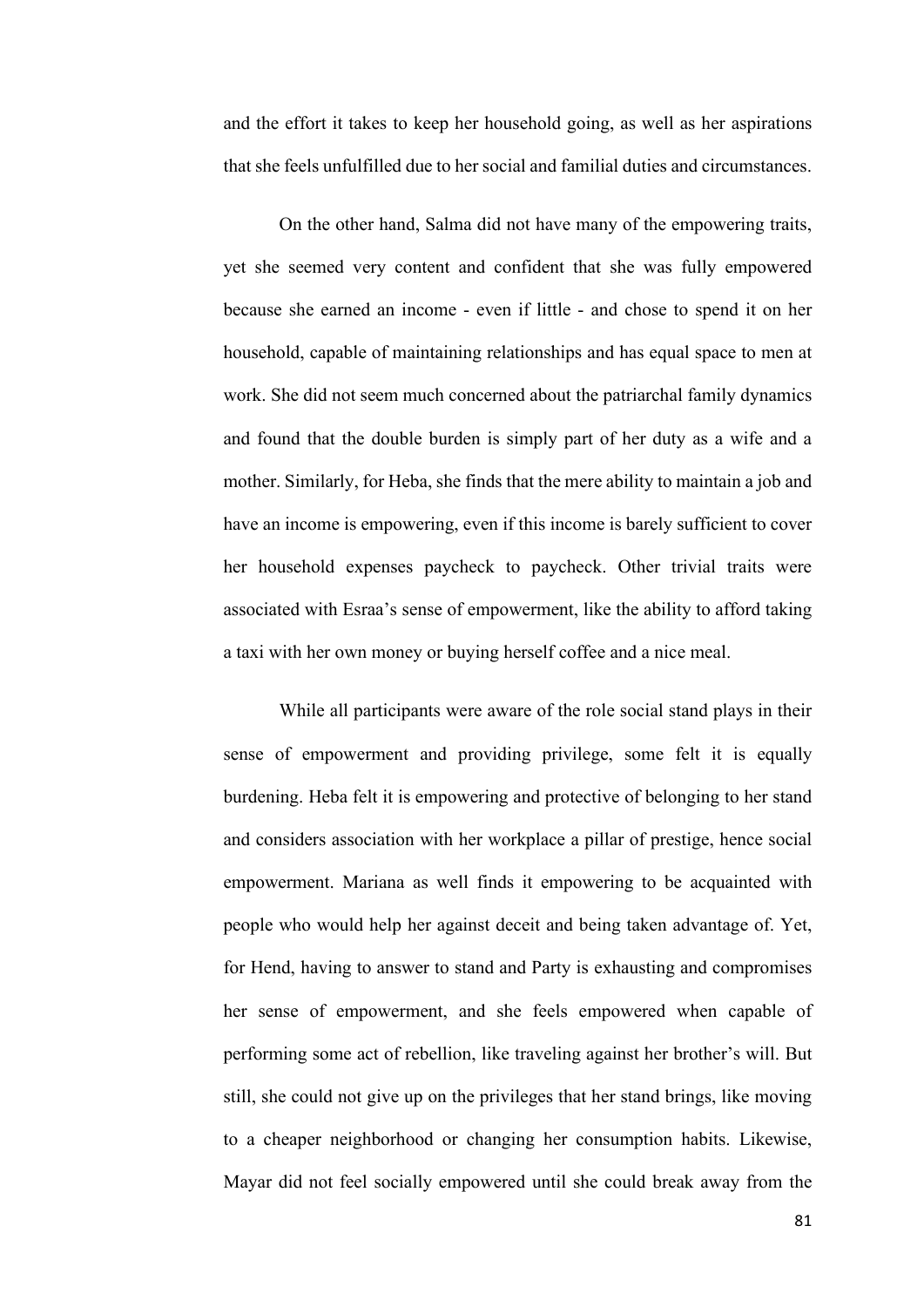and the effort it takes to keep her household going, as well as her aspirations that she feels unfulfilled due to her social and familial duties and circumstances.

On the other hand, Salma did not have many of the empowering traits, yet she seemed very content and confident that she was fully empowered because she earned an income - even if little - and chose to spend it on her household, capable of maintaining relationships and has equal space to men at work. She did not seem much concerned about the patriarchal family dynamics and found that the double burden is simply part of her duty as a wife and a mother. Similarly, for Heba, she finds that the mere ability to maintain a job and have an income is empowering, even if this income is barely sufficient to cover her household expenses paycheck to paycheck. Other trivial traits were associated with Esraa's sense of empowerment, like the ability to afford taking a taxi with her own money or buying herself coffee and a nice meal.

While all participants were aware of the role social stand plays in their sense of empowerment and providing privilege, some felt it is equally burdening. Heba felt it is empowering and protective of belonging to her stand and considers association with her workplace a pillar of prestige, hence social empowerment. Mariana as well finds it empowering to be acquainted with people who would help her against deceit and being taken advantage of. Yet, for Hend, having to answer to stand and Party is exhausting and compromises her sense of empowerment, and she feels empowered when capable of performing some act of rebellion, like traveling against her brother's will. But still, she could not give up on the privileges that her stand brings, like moving to a cheaper neighborhood or changing her consumption habits. Likewise, Mayar did not feel socially empowered until she could break away from the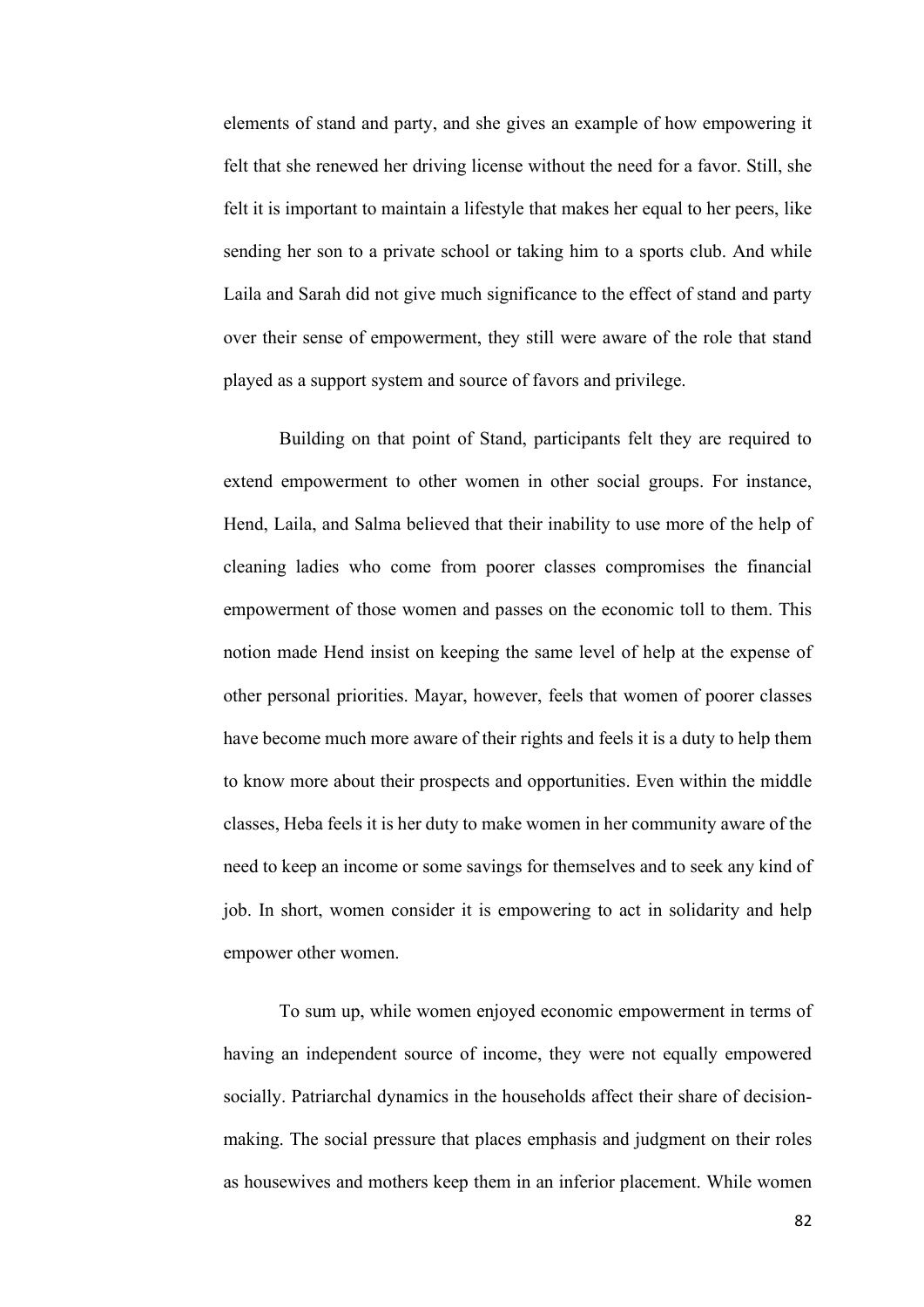elements of stand and party, and she gives an example of how empowering it felt that she renewed her driving license without the need for a favor. Still, she felt it is important to maintain a lifestyle that makes her equal to her peers, like sending her son to a private school or taking him to a sports club. And while Laila and Sarah did not give much significance to the effect of stand and party over their sense of empowerment, they still were aware of the role that stand played as a support system and source of favors and privilege.

Building on that point of Stand, participants felt they are required to extend empowerment to other women in other social groups. For instance, Hend, Laila, and Salma believed that their inability to use more of the help of cleaning ladies who come from poorer classes compromises the financial empowerment of those women and passes on the economic toll to them. This notion made Hend insist on keeping the same level of help at the expense of other personal priorities. Mayar, however, feels that women of poorer classes have become much more aware of their rights and feels it is a duty to help them to know more about their prospects and opportunities. Even within the middle classes, Heba feels it is her duty to make women in her community aware of the need to keep an income or some savings for themselves and to seek any kind of job. In short, women consider it is empowering to act in solidarity and help empower other women.

To sum up, while women enjoyed economic empowerment in terms of having an independent source of income, they were not equally empowered socially. Patriarchal dynamics in the households affect their share of decisionmaking. The social pressure that places emphasis and judgment on their roles as housewives and mothers keep them in an inferior placement. While women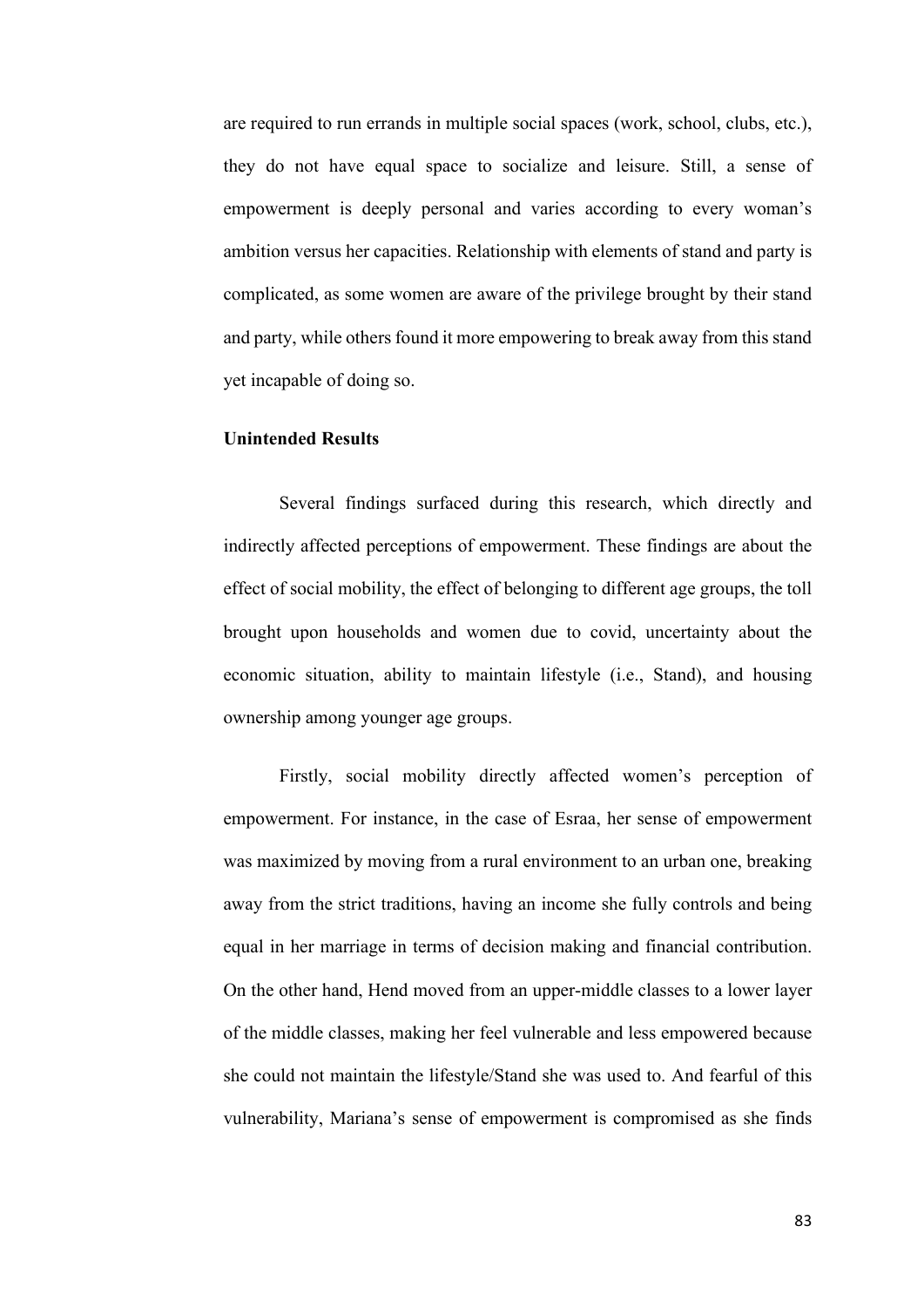are required to run errands in multiple social spaces (work, school, clubs, etc.), they do not have equal space to socialize and leisure. Still, a sense of empowerment is deeply personal and varies according to every woman's ambition versus her capacities. Relationship with elements of stand and party is complicated, as some women are aware of the privilege brought by their stand and party, while others found it more empowering to break away from this stand yet incapable of doing so.

## **Unintended Results**

Several findings surfaced during this research, which directly and indirectly affected perceptions of empowerment. These findings are about the effect of social mobility, the effect of belonging to different age groups, the toll brought upon households and women due to covid, uncertainty about the economic situation, ability to maintain lifestyle (i.e., Stand), and housing ownership among younger age groups.

Firstly, social mobility directly affected women's perception of empowerment. For instance, in the case of Esraa, her sense of empowerment was maximized by moving from a rural environment to an urban one, breaking away from the strict traditions, having an income she fully controls and being equal in her marriage in terms of decision making and financial contribution. On the other hand, Hend moved from an upper-middle classes to a lower layer of the middle classes, making her feel vulnerable and less empowered because she could not maintain the lifestyle/Stand she was used to. And fearful of this vulnerability, Mariana's sense of empowerment is compromised as she finds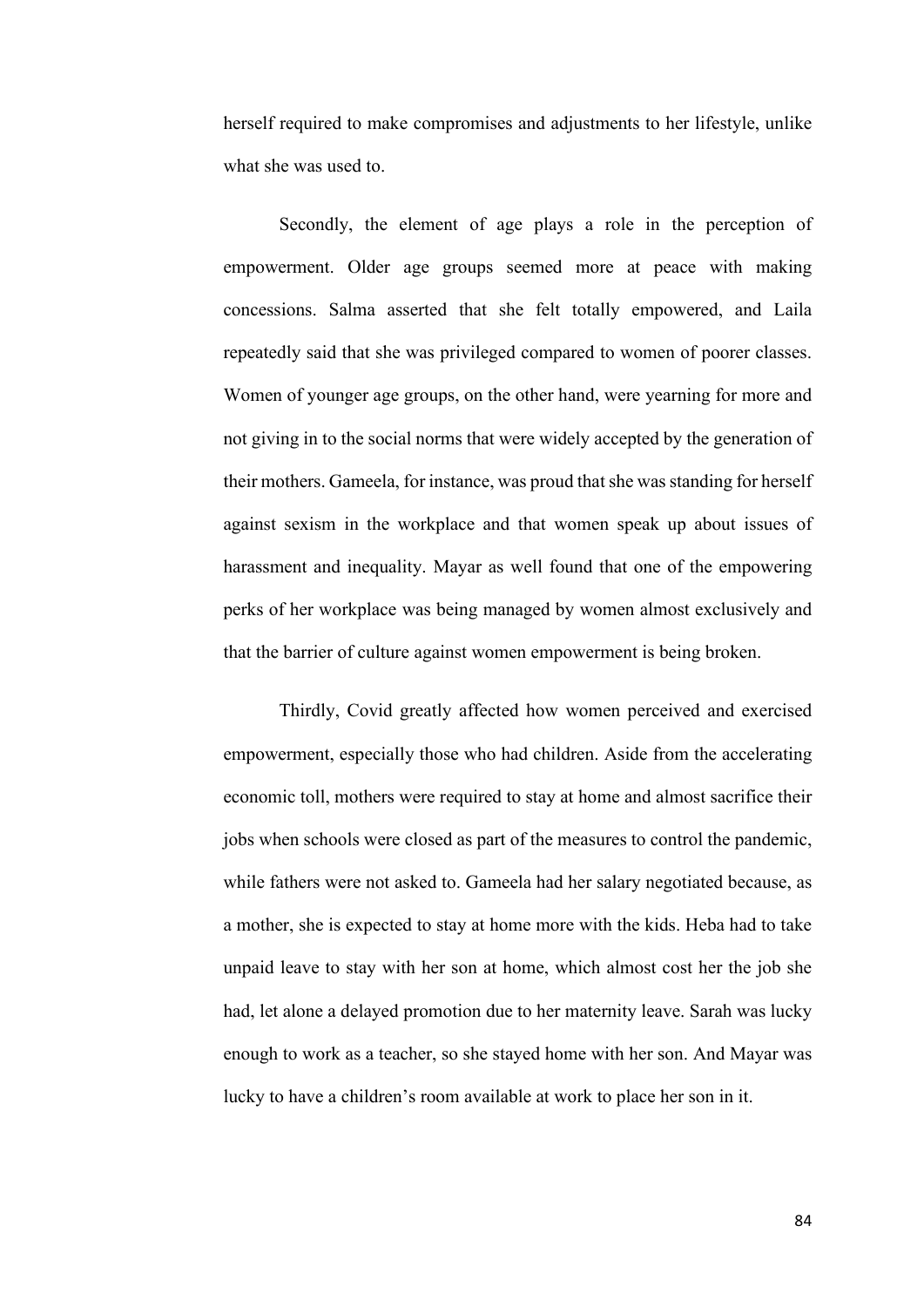herself required to make compromises and adjustments to her lifestyle, unlike what she was used to.

Secondly, the element of age plays a role in the perception of empowerment. Older age groups seemed more at peace with making concessions. Salma asserted that she felt totally empowered, and Laila repeatedly said that she was privileged compared to women of poorer classes. Women of younger age groups, on the other hand, were yearning for more and not giving in to the social norms that were widely accepted by the generation of their mothers. Gameela, for instance, was proud that she was standing for herself against sexism in the workplace and that women speak up about issues of harassment and inequality. Mayar as well found that one of the empowering perks of her workplace was being managed by women almost exclusively and that the barrier of culture against women empowerment is being broken.

Thirdly, Covid greatly affected how women perceived and exercised empowerment, especially those who had children. Aside from the accelerating economic toll, mothers were required to stay at home and almost sacrifice their jobs when schools were closed as part of the measures to control the pandemic, while fathers were not asked to. Gameela had her salary negotiated because, as a mother, she is expected to stay at home more with the kids. Heba had to take unpaid leave to stay with her son at home, which almost cost her the job she had, let alone a delayed promotion due to her maternity leave. Sarah was lucky enough to work as a teacher, so she stayed home with her son. And Mayar was lucky to have a children's room available at work to place her son in it.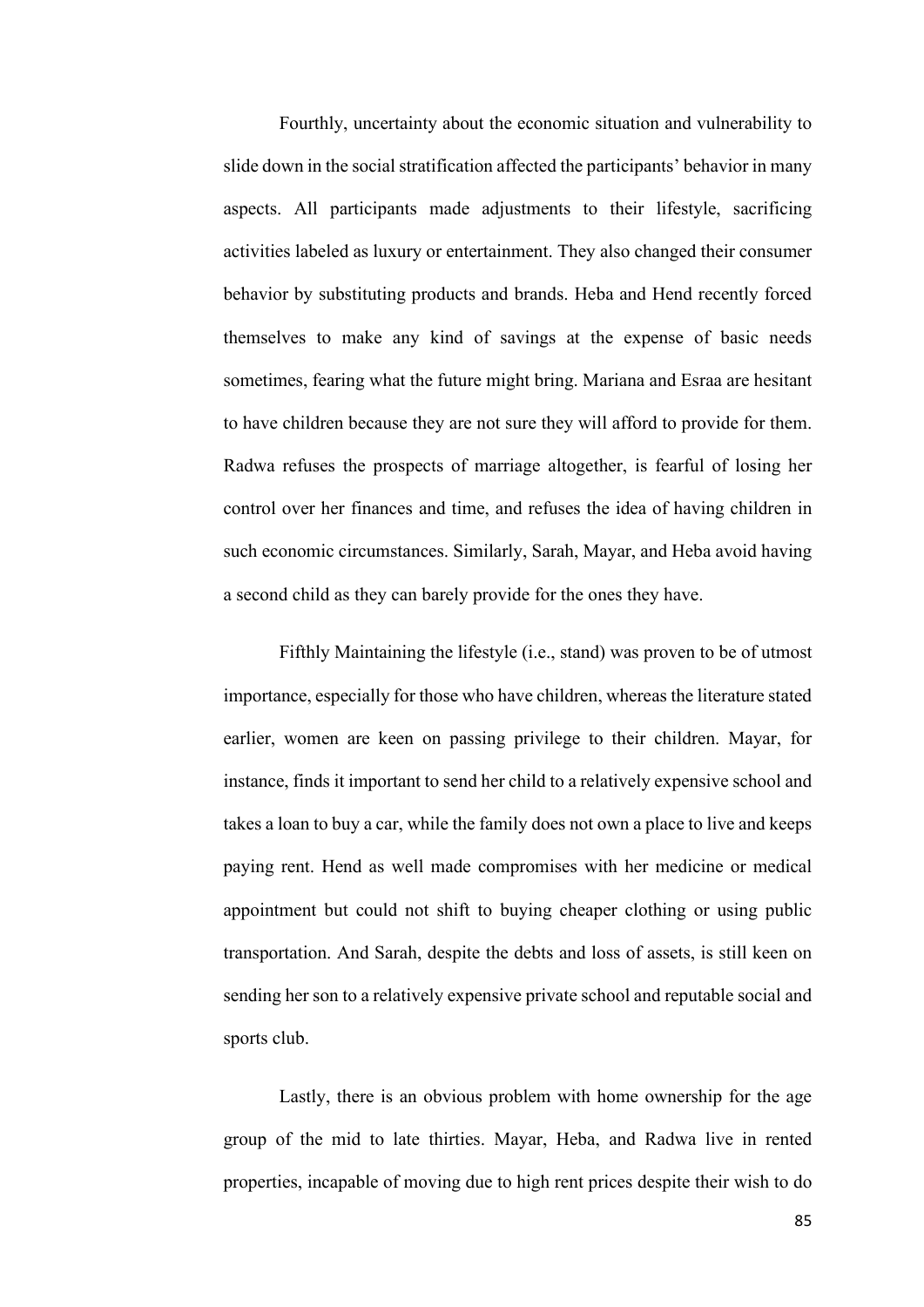Fourthly, uncertainty about the economic situation and vulnerability to slide down in the social stratification affected the participants' behavior in many aspects. All participants made adjustments to their lifestyle, sacrificing activities labeled as luxury or entertainment. They also changed their consumer behavior by substituting products and brands. Heba and Hend recently forced themselves to make any kind of savings at the expense of basic needs sometimes, fearing what the future might bring. Mariana and Esraa are hesitant to have children because they are not sure they will afford to provide for them. Radwa refuses the prospects of marriage altogether, is fearful of losing her control over her finances and time, and refuses the idea of having children in such economic circumstances. Similarly, Sarah, Mayar, and Heba avoid having a second child as they can barely provide for the ones they have.

Fifthly Maintaining the lifestyle (i.e., stand) was proven to be of utmost importance, especially for those who have children, whereas the literature stated earlier, women are keen on passing privilege to their children. Mayar, for instance, finds it important to send her child to a relatively expensive school and takes a loan to buy a car, while the family does not own a place to live and keeps paying rent. Hend as well made compromises with her medicine or medical appointment but could not shift to buying cheaper clothing or using public transportation. And Sarah, despite the debts and loss of assets, is still keen on sending her son to a relatively expensive private school and reputable social and sports club.

Lastly, there is an obvious problem with home ownership for the age group of the mid to late thirties. Mayar, Heba, and Radwa live in rented properties, incapable of moving due to high rent prices despite their wish to do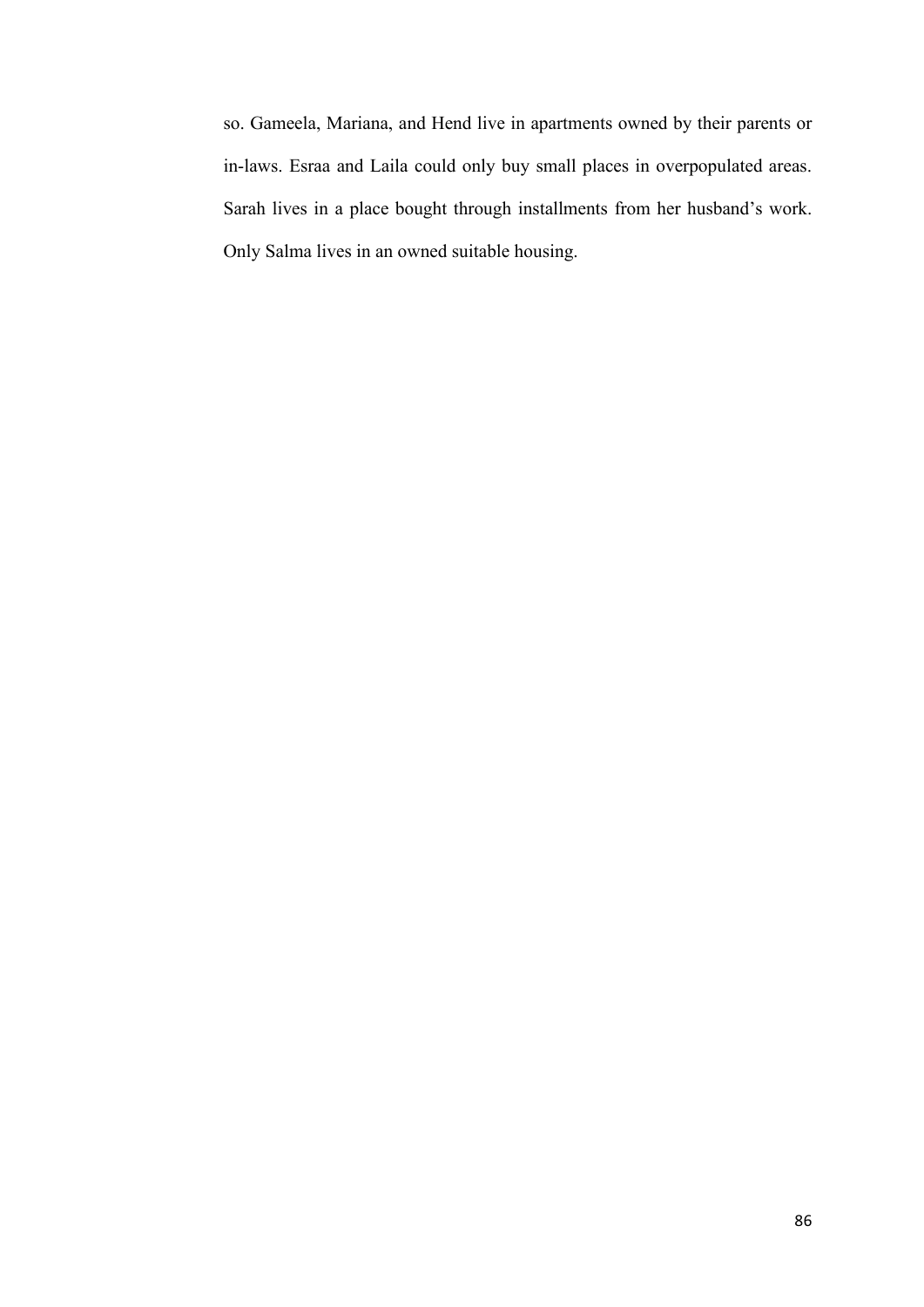so. Gameela, Mariana, and Hend live in apartments owned by their parents or in-laws. Esraa and Laila could only buy small places in overpopulated areas. Sarah lives in a place bought through installments from her husband's work. Only Salma lives in an owned suitable housing.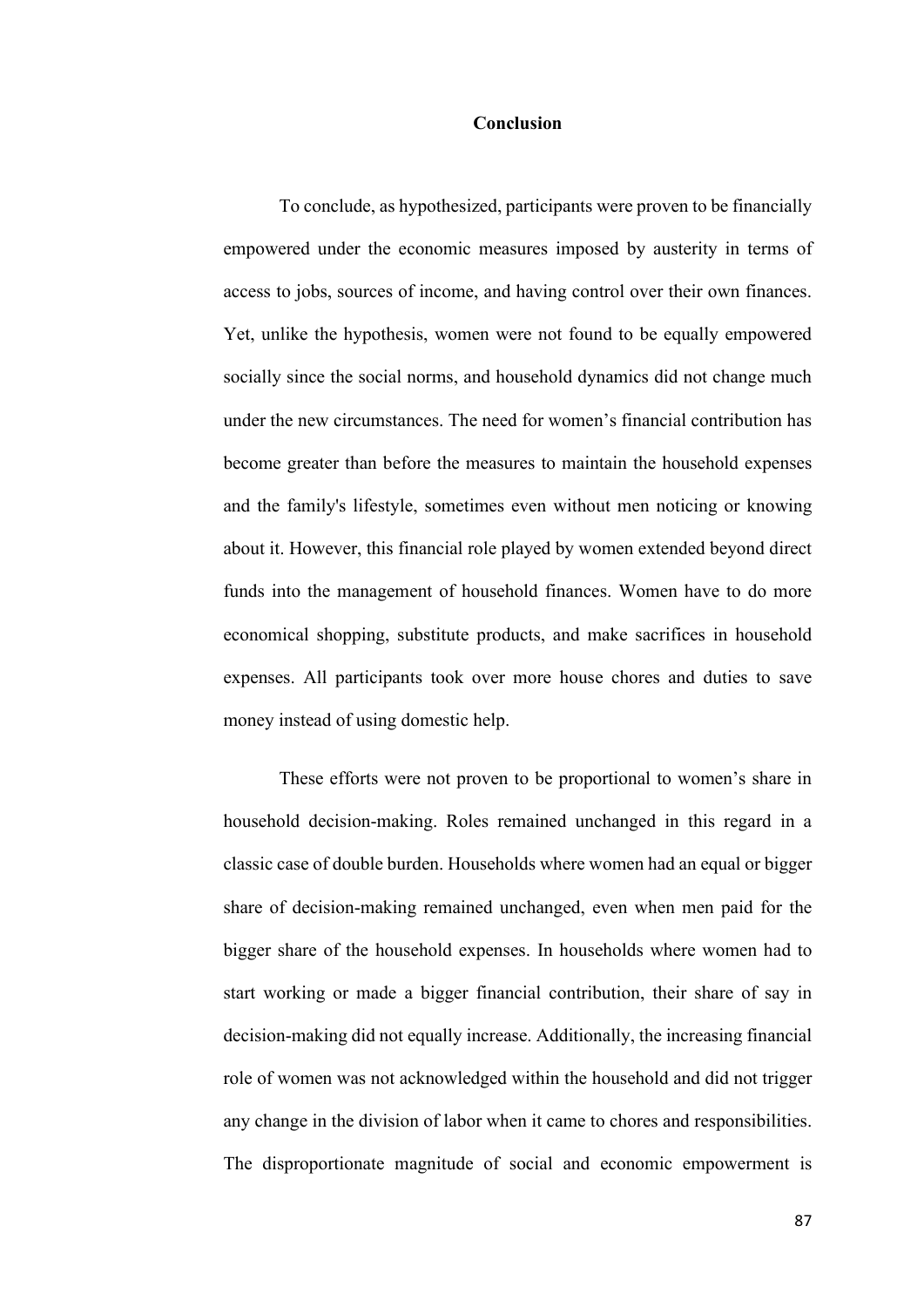#### **Conclusion**

To conclude, as hypothesized, participants were proven to be financially empowered under the economic measures imposed by austerity in terms of access to jobs, sources of income, and having control over their own finances. Yet, unlike the hypothesis, women were not found to be equally empowered socially since the social norms, and household dynamics did not change much under the new circumstances. The need for women's financial contribution has become greater than before the measures to maintain the household expenses and the family's lifestyle, sometimes even without men noticing or knowing about it. However, this financial role played by women extended beyond direct funds into the management of household finances. Women have to do more economical shopping, substitute products, and make sacrifices in household expenses. All participants took over more house chores and duties to save money instead of using domestic help.

These efforts were not proven to be proportional to women's share in household decision-making. Roles remained unchanged in this regard in a classic case of double burden. Households where women had an equal or bigger share of decision-making remained unchanged, even when men paid for the bigger share of the household expenses. In households where women had to start working or made a bigger financial contribution, their share of say in decision-making did not equally increase. Additionally, the increasing financial role of women was not acknowledged within the household and did not trigger any change in the division of labor when it came to chores and responsibilities. The disproportionate magnitude of social and economic empowerment is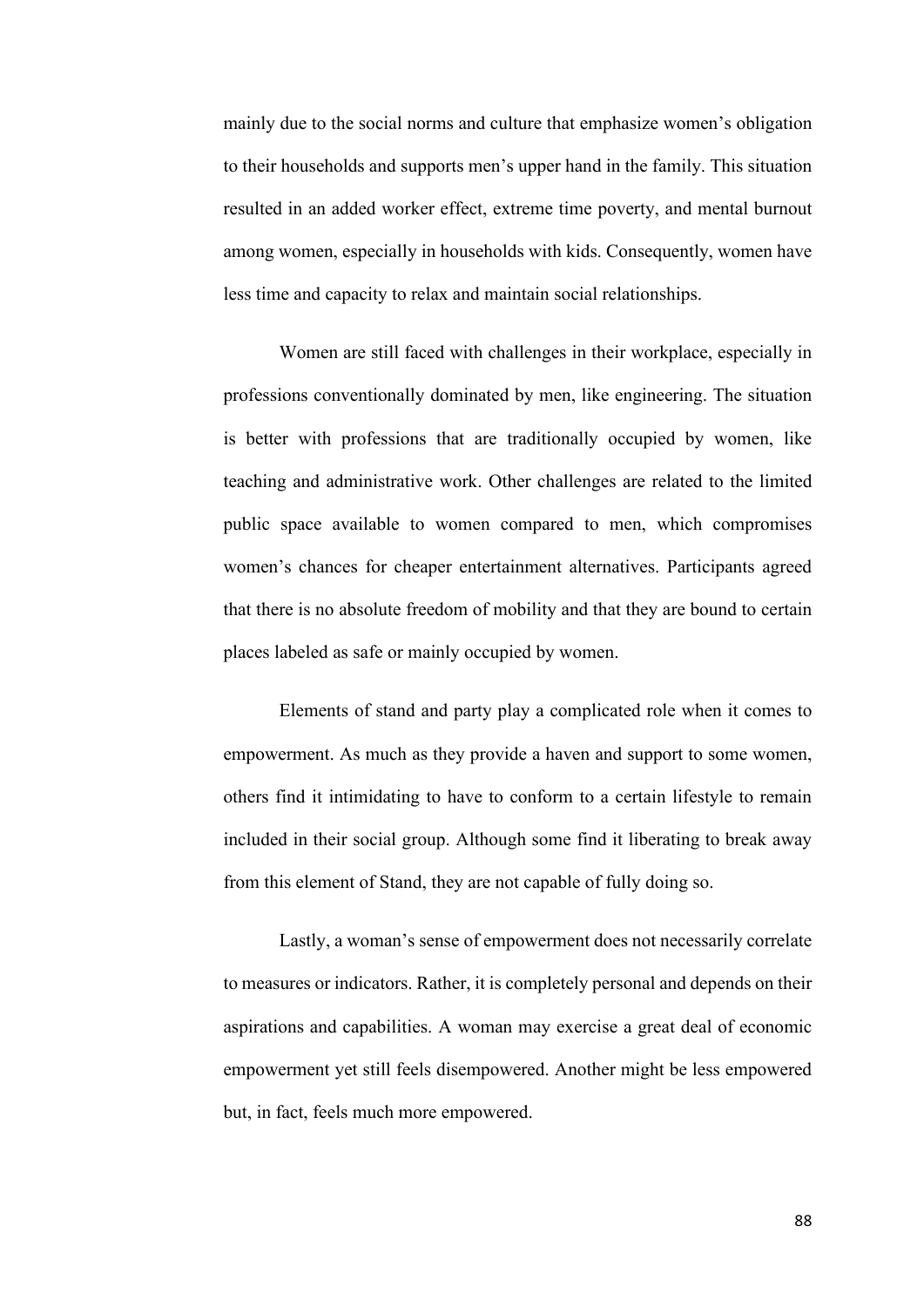mainly due to the social norms and culture that emphasize women's obligation to their households and supports men's upper hand in the family. This situation resulted in an added worker effect, extreme time poverty, and mental burnout among women, especially in households with kids. Consequently, women have less time and capacity to relax and maintain social relationships.

Women are still faced with challenges in their workplace, especially in professions conventionally dominated by men, like engineering. The situation is better with professions that are traditionally occupied by women, like teaching and administrative work. Other challenges are related to the limited public space available to women compared to men, which compromises women's chances for cheaper entertainment alternatives. Participants agreed that there is no absolute freedom of mobility and that they are bound to certain places labeled as safe or mainly occupied by women.

Elements of stand and party play a complicated role when it comes to empowerment. As much as they provide a haven and support to some women, others find it intimidating to have to conform to a certain lifestyle to remain included in their social group. Although some find it liberating to break away from this element of Stand, they are not capable of fully doing so.

Lastly, a woman's sense of empowerment does not necessarily correlate to measures or indicators. Rather, it is completely personal and depends on their aspirations and capabilities. A woman may exercise a great deal of economic empowerment yet still feels disempowered. Another might be less empowered but, in fact, feels much more empowered.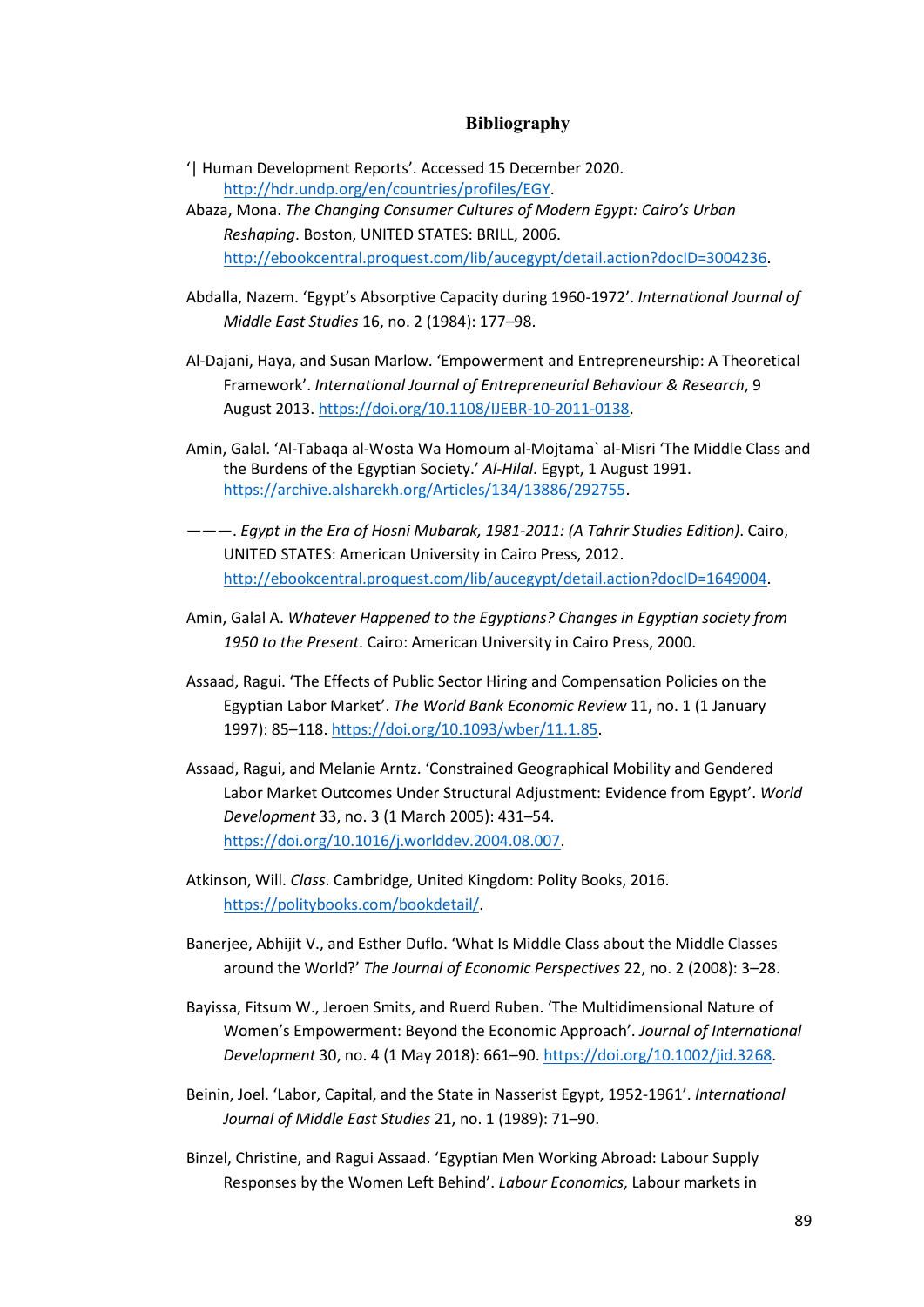### **Bibliography**

- '| Human Development Reports'. Accessed 15 December 2020. [http://hdr.undp.org/en/countries/profiles/EGY.](http://hdr.undp.org/en/countries/profiles/EGY)
- Abaza, Mona. *The Changing Consumer Cultures of Modern Egypt: Cairo's Urban Reshaping*. Boston, UNITED STATES: BRILL, 2006. [http://ebookcentral.proquest.com/lib/aucegypt/detail.action?docID=3004236.](http://ebookcentral.proquest.com/lib/aucegypt/detail.action?docID=3004236)
- Abdalla, Nazem. 'Egypt's Absorptive Capacity during 1960-1972'. *International Journal of Middle East Studies* 16, no. 2 (1984): 177–98.
- Al-Dajani, Haya, and Susan Marlow. 'Empowerment and Entrepreneurship: A Theoretical Framework'. *International Journal of Entrepreneurial Behaviour & Research*, 9 August 2013. [https://doi.org/10.1108/IJEBR-10-2011-0138.](https://doi.org/10.1108/IJEBR-10-2011-0138)
- Amin, Galal. 'Al-Tabaqa al-Wosta Wa Homoum al-Mojtama` al-Misri 'The Middle Class and the Burdens of the Egyptian Society.' *Al-Hilal*. Egypt, 1 August 1991. [https://archive.alsharekh.org/Articles/134/13886/292755.](https://archive.alsharekh.org/Articles/134/13886/292755)
- ———. *Egypt in the Era of Hosni Mubarak, 1981-2011: (A Tahrir Studies Edition)*. Cairo, UNITED STATES: American University in Cairo Press, 2012. [http://ebookcentral.proquest.com/lib/aucegypt/detail.action?docID=1649004.](http://ebookcentral.proquest.com/lib/aucegypt/detail.action?docID=1649004)
- Amin, Galal A. *Whatever Happened to the Egyptians? Changes in Egyptian society from 1950 to the Present*. Cairo: American University in Cairo Press, 2000.
- Assaad, Ragui. 'The Effects of Public Sector Hiring and Compensation Policies on the Egyptian Labor Market'. *The World Bank Economic Review* 11, no. 1 (1 January 1997): 85–118[. https://doi.org/10.1093/wber/11.1.85.](https://doi.org/10.1093/wber/11.1.85)
- Assaad, Ragui, and Melanie Arntz. 'Constrained Geographical Mobility and Gendered Labor Market Outcomes Under Structural Adjustment: Evidence from Egypt'. *World Development* 33, no. 3 (1 March 2005): 431–54. [https://doi.org/10.1016/j.worlddev.2004.08.007.](https://doi.org/10.1016/j.worlddev.2004.08.007)
- Atkinson, Will. *Class*. Cambridge, United Kingdom: Polity Books, 2016. [https://politybooks.com/bookdetail/.](https://politybooks.com/bookdetail/)
- Banerjee, Abhijit V., and Esther Duflo. 'What Is Middle Class about the Middle Classes around the World?' *The Journal of Economic Perspectives* 22, no. 2 (2008): 3–28.
- Bayissa, Fitsum W., Jeroen Smits, and Ruerd Ruben. 'The Multidimensional Nature of Women's Empowerment: Beyond the Economic Approach'. *Journal of International Development* 30, no. 4 (1 May 2018): 661–90. [https://doi.org/10.1002/jid.3268.](https://doi.org/10.1002/jid.3268)
- Beinin, Joel. 'Labor, Capital, and the State in Nasserist Egypt, 1952-1961'. *International Journal of Middle East Studies* 21, no. 1 (1989): 71–90.
- Binzel, Christine, and Ragui Assaad. 'Egyptian Men Working Abroad: Labour Supply Responses by the Women Left Behind'. *Labour Economics*, Labour markets in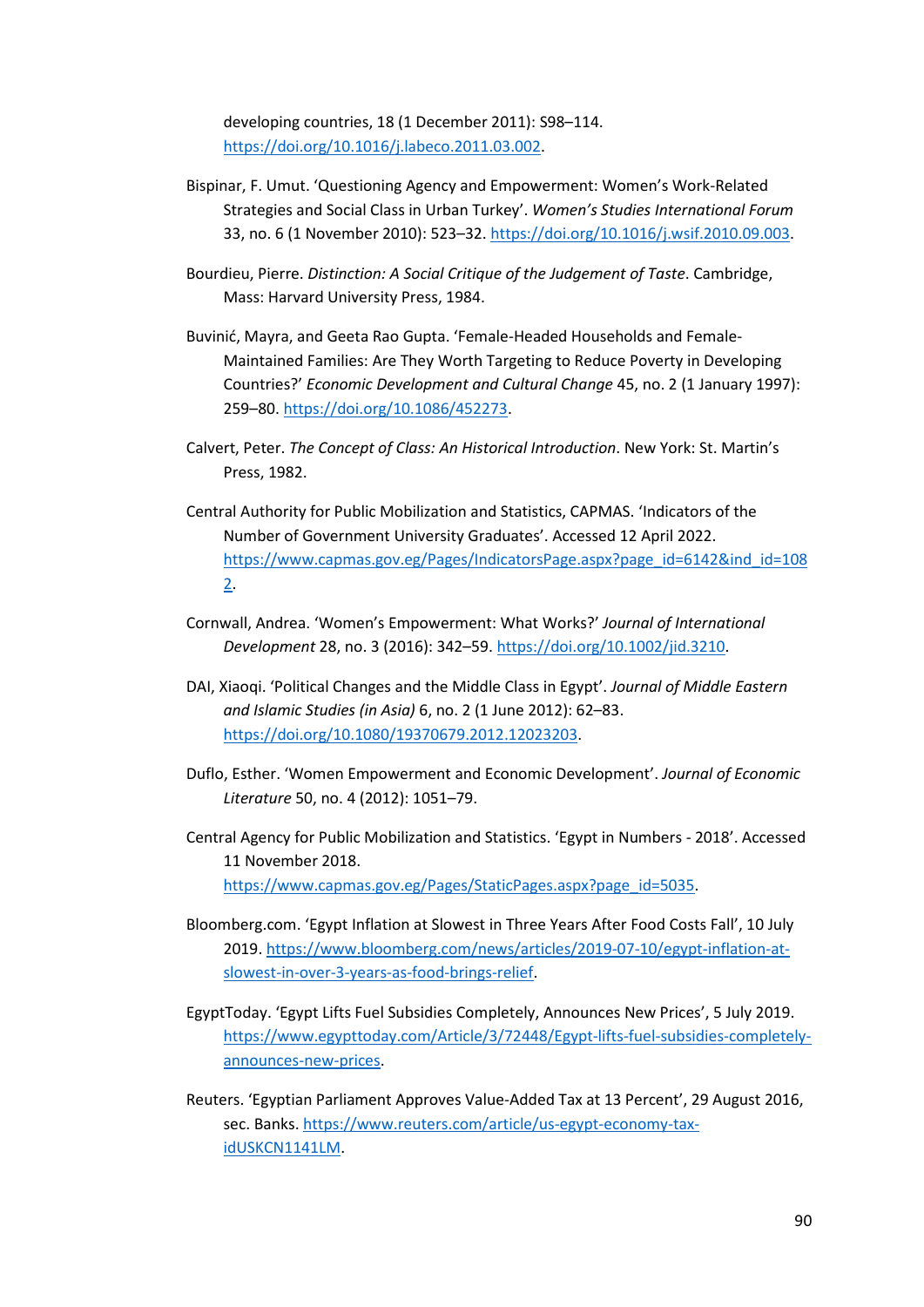developing countries, 18 (1 December 2011): S98–114. [https://doi.org/10.1016/j.labeco.2011.03.002.](https://doi.org/10.1016/j.labeco.2011.03.002)

- Bispinar, F. Umut. 'Questioning Agency and Empowerment: Women's Work-Related Strategies and Social Class in Urban Turkey'. *Women's Studies International Forum* 33, no. 6 (1 November 2010): 523–32. [https://doi.org/10.1016/j.wsif.2010.09.003.](https://doi.org/10.1016/j.wsif.2010.09.003)
- Bourdieu, Pierre. *Distinction: A Social Critique of the Judgement of Taste*. Cambridge, Mass: Harvard University Press, 1984.
- Buvinić, Mayra, and Geeta Rao Gupta. 'Female-Headed Households and Female-Maintained Families: Are They Worth Targeting to Reduce Poverty in Developing Countries?' *Economic Development and Cultural Change* 45, no. 2 (1 January 1997): 259–80[. https://doi.org/10.1086/452273.](https://doi.org/10.1086/452273)
- Calvert, Peter. *The Concept of Class: An Historical Introduction*. New York: St. Martin's Press, 1982.
- Central Authority for Public Mobilization and Statistics, CAPMAS. 'Indicators of the Number of Government University Graduates'. Accessed 12 April 2022. [https://www.capmas.gov.eg/Pages/IndicatorsPage.aspx?page\\_id=6142&ind\\_id=108](https://www.capmas.gov.eg/Pages/IndicatorsPage.aspx?page_id=6142&ind_id=1082) [2.](https://www.capmas.gov.eg/Pages/IndicatorsPage.aspx?page_id=6142&ind_id=1082)
- Cornwall, Andrea. 'Women's Empowerment: What Works?' *Journal of International Development* 28, no. 3 (2016): 342–59. [https://doi.org/10.1002/jid.3210.](https://doi.org/10.1002/jid.3210)
- DAI, Xiaoqi. 'Political Changes and the Middle Class in Egypt'. *Journal of Middle Eastern and Islamic Studies (in Asia)* 6, no. 2 (1 June 2012): 62–83. [https://doi.org/10.1080/19370679.2012.12023203.](https://doi.org/10.1080/19370679.2012.12023203)
- Duflo, Esther. 'Women Empowerment and Economic Development'. *Journal of Economic Literature* 50, no. 4 (2012): 1051–79.
- Central Agency for Public Mobilization and Statistics. 'Egypt in Numbers 2018'. Accessed 11 November 2018. [https://www.capmas.gov.eg/Pages/StaticPages.aspx?page\\_id=5035.](https://www.capmas.gov.eg/Pages/StaticPages.aspx?page_id=5035)
- Bloomberg.com. 'Egypt Inflation at Slowest in Three Years After Food Costs Fall', 10 July 2019[. https://www.bloomberg.com/news/articles/2019-07-10/egypt-inflation-at](https://www.bloomberg.com/news/articles/2019-07-10/egypt-inflation-at-slowest-in-over-3-years-as-food-brings-relief)[slowest-in-over-3-years-as-food-brings-relief.](https://www.bloomberg.com/news/articles/2019-07-10/egypt-inflation-at-slowest-in-over-3-years-as-food-brings-relief)
- EgyptToday. 'Egypt Lifts Fuel Subsidies Completely, Announces New Prices', 5 July 2019. [https://www.egypttoday.com/Article/3/72448/Egypt-lifts-fuel-subsidies-completely](https://www.egypttoday.com/Article/3/72448/Egypt-lifts-fuel-subsidies-completely-announces-new-prices)[announces-new-prices.](https://www.egypttoday.com/Article/3/72448/Egypt-lifts-fuel-subsidies-completely-announces-new-prices)
- Reuters. 'Egyptian Parliament Approves Value-Added Tax at 13 Percent', 29 August 2016, sec. Banks. [https://www.reuters.com/article/us-egypt-economy-tax](https://www.reuters.com/article/us-egypt-economy-tax-idUSKCN1141LM)[idUSKCN1141LM.](https://www.reuters.com/article/us-egypt-economy-tax-idUSKCN1141LM)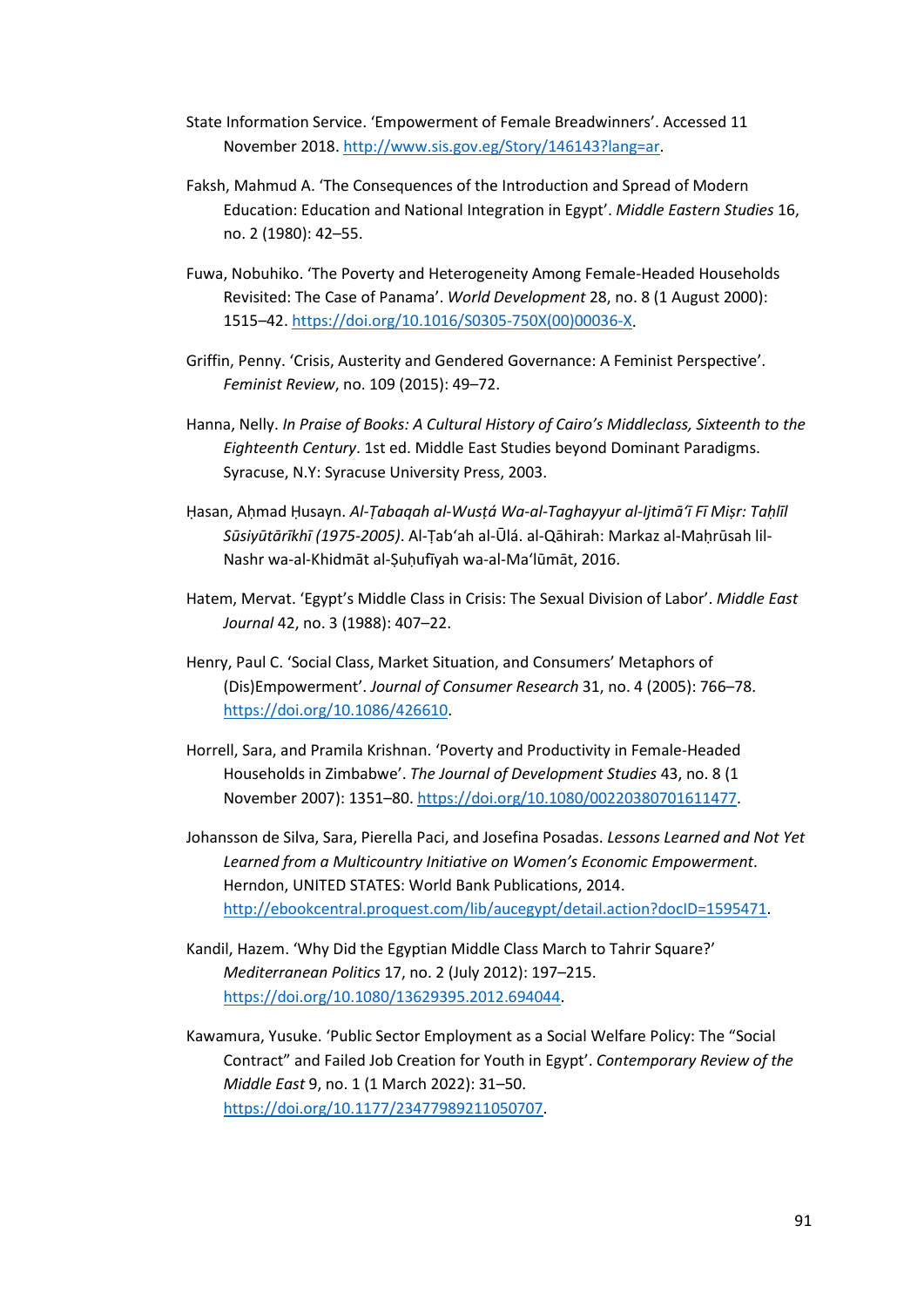- State Information Service. 'Empowerment of Female Breadwinners'. Accessed 11 November 2018. [http://www.sis.gov.eg/Story/146143?lang=ar.](http://www.sis.gov.eg/Story/146143?lang=ar)
- Faksh, Mahmud A. 'The Consequences of the Introduction and Spread of Modern Education: Education and National Integration in Egypt'. *Middle Eastern Studies* 16, no. 2 (1980): 42–55.
- Fuwa, Nobuhiko. 'The Poverty and Heterogeneity Among Female-Headed Households Revisited: The Case of Panama'. *World Development* 28, no. 8 (1 August 2000): 1515–42. [https://doi.org/10.1016/S0305-750X\(00\)00036-X.](https://doi.org/10.1016/S0305-750X(00)00036-X)
- Griffin, Penny. 'Crisis, Austerity and Gendered Governance: A Feminist Perspective'. *Feminist Review*, no. 109 (2015): 49–72.
- Hanna, Nelly. *In Praise of Books: A Cultural History of Cairo's Middleclass, Sixteenth to the Eighteenth Century*. 1st ed. Middle East Studies beyond Dominant Paradigms. Syracuse, N.Y: Syracuse University Press, 2003.
- Ḥasan, Aḥmad Ḥusayn. *Al-Ṭabaqah al-Wusṭá Wa-al-Taghayyur al-Ijtimāʻī Fī Miṣr: Taḥlīl Sūsiyūtārīkhī (1975-2005)*. Al-Ṭabʻah al-Ūlá. al-Qāhirah: Markaz al-Maḥrūsah lil-Nashr wa-al-Khidmāt al-Ṣuḥufīyah wa-al-Maʻlūmāt, 2016.
- Hatem, Mervat. 'Egypt's Middle Class in Crisis: The Sexual Division of Labor'. *Middle East Journal* 42, no. 3 (1988): 407–22.
- Henry, Paul C. 'Social Class, Market Situation, and Consumers' Metaphors of (Dis)Empowerment'. *Journal of Consumer Research* 31, no. 4 (2005): 766–78. [https://doi.org/10.1086/426610.](https://doi.org/10.1086/426610)
- Horrell, Sara, and Pramila Krishnan. 'Poverty and Productivity in Female-Headed Households in Zimbabwe'. *The Journal of Development Studies* 43, no. 8 (1 November 2007): 1351–80. [https://doi.org/10.1080/00220380701611477.](https://doi.org/10.1080/00220380701611477)
- Johansson de Silva, Sara, Pierella Paci, and Josefina Posadas. *Lessons Learned and Not Yet Learned from a Multicountry Initiative on Women's Economic Empowerment*. Herndon, UNITED STATES: World Bank Publications, 2014. [http://ebookcentral.proquest.com/lib/aucegypt/detail.action?docID=1595471.](http://ebookcentral.proquest.com/lib/aucegypt/detail.action?docID=1595471)
- Kandil, Hazem. 'Why Did the Egyptian Middle Class March to Tahrir Square?' *Mediterranean Politics* 17, no. 2 (July 2012): 197–215. [https://doi.org/10.1080/13629395.2012.694044.](https://doi.org/10.1080/13629395.2012.694044)
- Kawamura, Yusuke. 'Public Sector Employment as a Social Welfare Policy: The "Social Contract" and Failed Job Creation for Youth in Egypt'. *Contemporary Review of the Middle East* 9, no. 1 (1 March 2022): 31–50. [https://doi.org/10.1177/23477989211050707.](https://doi.org/10.1177/23477989211050707)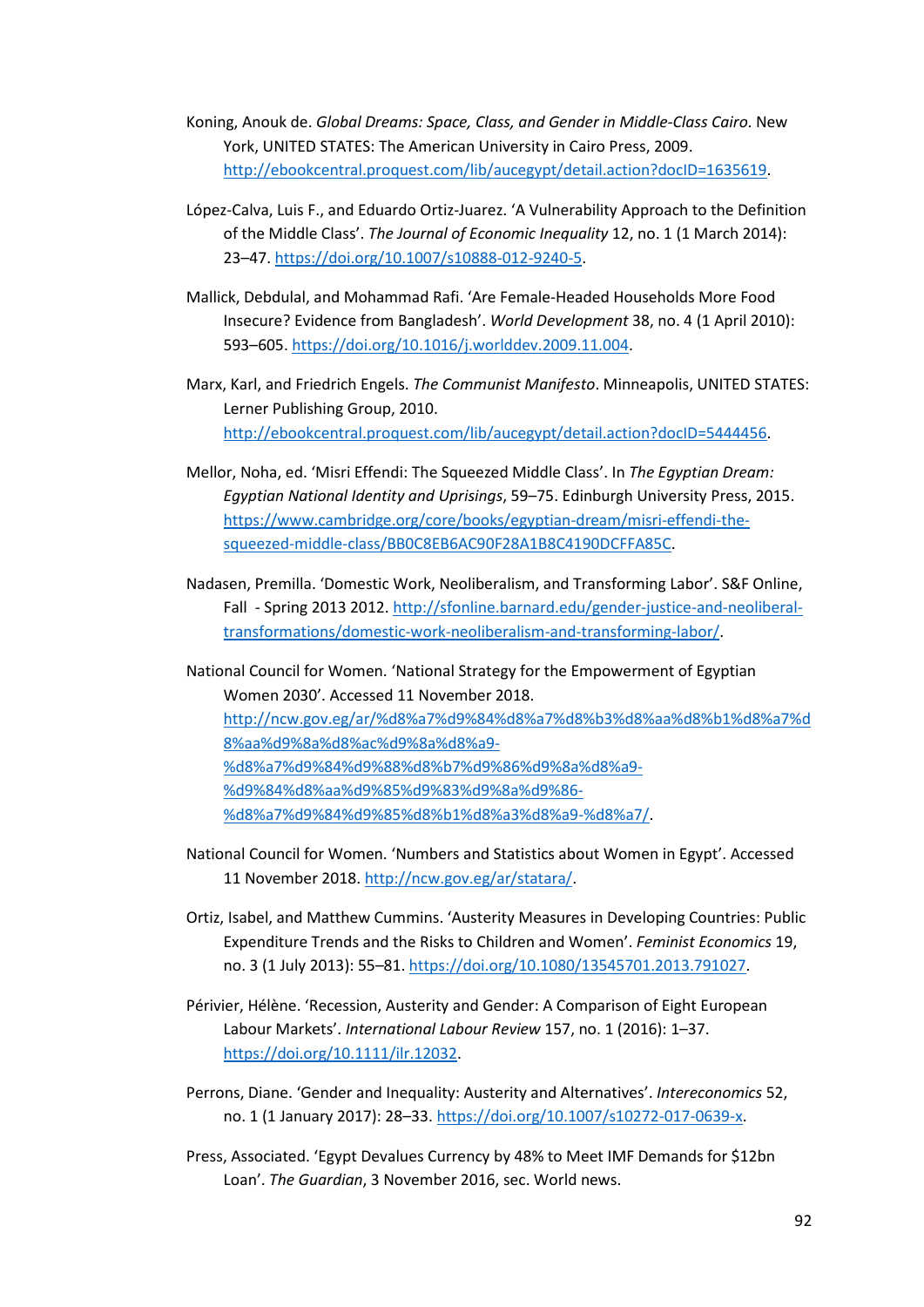- Koning, Anouk de. *Global Dreams: Space, Class, and Gender in Middle-Class Cairo*. New York, UNITED STATES: The American University in Cairo Press, 2009. [http://ebookcentral.proquest.com/lib/aucegypt/detail.action?docID=1635619.](http://ebookcentral.proquest.com/lib/aucegypt/detail.action?docID=1635619)
- López-Calva, Luis F., and Eduardo Ortiz-Juarez. 'A Vulnerability Approach to the Definition of the Middle Class'. *The Journal of Economic Inequality* 12, no. 1 (1 March 2014): 23–47. [https://doi.org/10.1007/s10888-012-9240-5.](https://doi.org/10.1007/s10888-012-9240-5)
- Mallick, Debdulal, and Mohammad Rafi. 'Are Female-Headed Households More Food Insecure? Evidence from Bangladesh'. *World Development* 38, no. 4 (1 April 2010): 593–605. [https://doi.org/10.1016/j.worlddev.2009.11.004.](https://doi.org/10.1016/j.worlddev.2009.11.004)
- Marx, Karl, and Friedrich Engels. *The Communist Manifesto*. Minneapolis, UNITED STATES: Lerner Publishing Group, 2010. [http://ebookcentral.proquest.com/lib/aucegypt/detail.action?docID=5444456.](http://ebookcentral.proquest.com/lib/aucegypt/detail.action?docID=5444456)
- Mellor, Noha, ed. 'Misri Effendi: The Squeezed Middle Class'. In *The Egyptian Dream: Egyptian National Identity and Uprisings*, 59–75. Edinburgh University Press, 2015. [https://www.cambridge.org/core/books/egyptian-dream/misri-effendi-the](https://www.cambridge.org/core/books/egyptian-dream/misri-effendi-the-squeezed-middle-class/BB0C8EB6AC90F28A1B8C4190DCFFA85C)[squeezed-middle-class/BB0C8EB6AC90F28A1B8C4190DCFFA85C.](https://www.cambridge.org/core/books/egyptian-dream/misri-effendi-the-squeezed-middle-class/BB0C8EB6AC90F28A1B8C4190DCFFA85C)
- Nadasen, Premilla. 'Domestic Work, Neoliberalism, and Transforming Labor'. S&F Online, Fall - Spring 2013 2012. [http://sfonline.barnard.edu/gender-justice-and-neoliberal](http://sfonline.barnard.edu/gender-justice-and-neoliberal-transformations/domestic-work-neoliberalism-and-transforming-labor/)[transformations/domestic-work-neoliberalism-and-transforming-labor/.](http://sfonline.barnard.edu/gender-justice-and-neoliberal-transformations/domestic-work-neoliberalism-and-transforming-labor/)
- National Council for Women. 'National Strategy for the Empowerment of Egyptian Women 2030'. Accessed 11 November 2018. [http://ncw.gov.eg/ar/%d8%a7%d9%84%d8%a7%d8%b3%d8%aa%d8%b1%d8%a7%d](http://ncw.gov.eg/ar/%d8%a7%d9%84%d8%a7%d8%b3%d8%aa%d8%b1%d8%a7%d8%aa%d9%8a%d8%ac%d9%8a%d8%a9-%d8%a7%d9%84%d9%88%d8%b7%d9%86%d9%8a%d8%a9-%d9%84%d8%aa%d9%85%d9%83%d9%8a%d9%86-%d8%a7%d9%84%d9%85%d8%b1%d8%a3%d8%a9-%d8%a7/) [8%aa%d9%8a%d8%ac%d9%8a%d8%a9-](http://ncw.gov.eg/ar/%d8%a7%d9%84%d8%a7%d8%b3%d8%aa%d8%b1%d8%a7%d8%aa%d9%8a%d8%ac%d9%8a%d8%a9-%d8%a7%d9%84%d9%88%d8%b7%d9%86%d9%8a%d8%a9-%d9%84%d8%aa%d9%85%d9%83%d9%8a%d9%86-%d8%a7%d9%84%d9%85%d8%b1%d8%a3%d8%a9-%d8%a7/) [%d8%a7%d9%84%d9%88%d8%b7%d9%86%d9%8a%d8%a9-](http://ncw.gov.eg/ar/%d8%a7%d9%84%d8%a7%d8%b3%d8%aa%d8%b1%d8%a7%d8%aa%d9%8a%d8%ac%d9%8a%d8%a9-%d8%a7%d9%84%d9%88%d8%b7%d9%86%d9%8a%d8%a9-%d9%84%d8%aa%d9%85%d9%83%d9%8a%d9%86-%d8%a7%d9%84%d9%85%d8%b1%d8%a3%d8%a9-%d8%a7/) [%d9%84%d8%aa%d9%85%d9%83%d9%8a%d9%86-](http://ncw.gov.eg/ar/%d8%a7%d9%84%d8%a7%d8%b3%d8%aa%d8%b1%d8%a7%d8%aa%d9%8a%d8%ac%d9%8a%d8%a9-%d8%a7%d9%84%d9%88%d8%b7%d9%86%d9%8a%d8%a9-%d9%84%d8%aa%d9%85%d9%83%d9%8a%d9%86-%d8%a7%d9%84%d9%85%d8%b1%d8%a3%d8%a9-%d8%a7/) [%d8%a7%d9%84%d9%85%d8%b1%d8%a3%d8%a9-%d8%a7/.](http://ncw.gov.eg/ar/%d8%a7%d9%84%d8%a7%d8%b3%d8%aa%d8%b1%d8%a7%d8%aa%d9%8a%d8%ac%d9%8a%d8%a9-%d8%a7%d9%84%d9%88%d8%b7%d9%86%d9%8a%d8%a9-%d9%84%d8%aa%d9%85%d9%83%d9%8a%d9%86-%d8%a7%d9%84%d9%85%d8%b1%d8%a3%d8%a9-%d8%a7/)
- National Council for Women. 'Numbers and Statistics about Women in Egypt'. Accessed 11 November 2018. [http://ncw.gov.eg/ar/statara/.](http://ncw.gov.eg/ar/statara/)
- Ortiz, Isabel, and Matthew Cummins. 'Austerity Measures in Developing Countries: Public Expenditure Trends and the Risks to Children and Women'. *Feminist Economics* 19, no. 3 (1 July 2013): 55–81[. https://doi.org/10.1080/13545701.2013.791027.](https://doi.org/10.1080/13545701.2013.791027)
- Périvier, Hélène. 'Recession, Austerity and Gender: A Comparison of Eight European Labour Markets'. *International Labour Review* 157, no. 1 (2016): 1–37. [https://doi.org/10.1111/ilr.12032.](https://doi.org/10.1111/ilr.12032)
- Perrons, Diane. 'Gender and Inequality: Austerity and Alternatives'. *Intereconomics* 52, no. 1 (1 January 2017): 28–33[. https://doi.org/10.1007/s10272-017-0639-x.](https://doi.org/10.1007/s10272-017-0639-x)
- Press, Associated. 'Egypt Devalues Currency by 48% to Meet IMF Demands for \$12bn Loan'. *The Guardian*, 3 November 2016, sec. World news.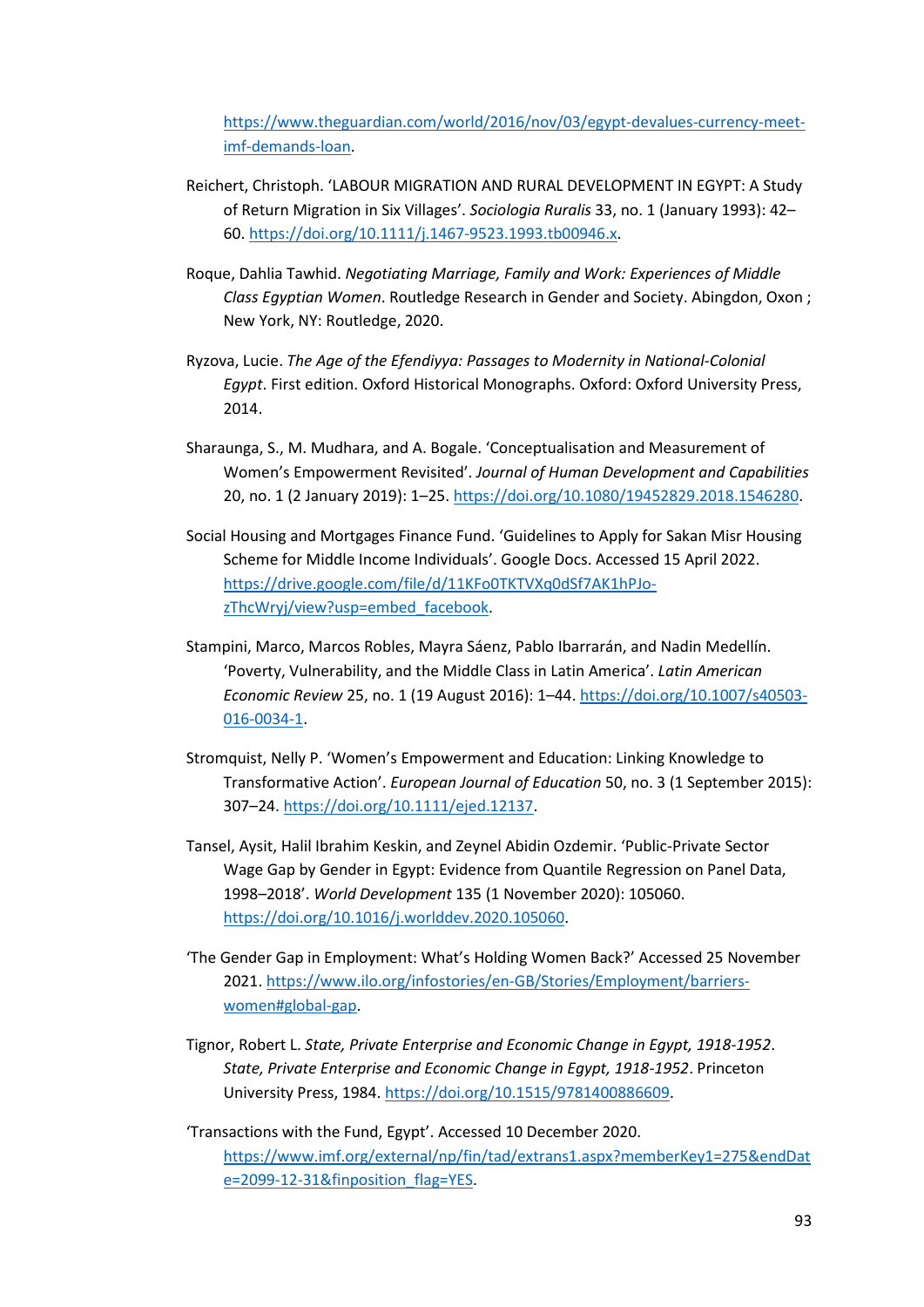[https://www.theguardian.com/world/2016/nov/03/egypt-devalues-currency-meet](https://www.theguardian.com/world/2016/nov/03/egypt-devalues-currency-meet-imf-demands-loan)[imf-demands-loan.](https://www.theguardian.com/world/2016/nov/03/egypt-devalues-currency-meet-imf-demands-loan)

- Reichert, Christoph. 'LABOUR MIGRATION AND RURAL DEVELOPMENT IN EGYPT: A Study of Return Migration in Six Villages'. *Sociologia Ruralis* 33, no. 1 (January 1993): 42– 60[. https://doi.org/10.1111/j.1467-9523.1993.tb00946.x.](https://doi.org/10.1111/j.1467-9523.1993.tb00946.x)
- Roque, Dahlia Tawhid. *Negotiating Marriage, Family and Work: Experiences of Middle Class Egyptian Women*. Routledge Research in Gender and Society. Abingdon, Oxon ; New York, NY: Routledge, 2020.
- Ryzova, Lucie. *The Age of the Efendiyya: Passages to Modernity in National-Colonial Egypt*. First edition. Oxford Historical Monographs. Oxford: Oxford University Press, 2014.
- Sharaunga, S., M. Mudhara, and A. Bogale. 'Conceptualisation and Measurement of Women's Empowerment Revisited'. *Journal of Human Development and Capabilities* 20, no. 1 (2 January 2019): 1–25. [https://doi.org/10.1080/19452829.2018.1546280.](https://doi.org/10.1080/19452829.2018.1546280)
- Social Housing and Mortgages Finance Fund. 'Guidelines to Apply for Sakan Misr Housing Scheme for Middle Income Individuals'. Google Docs. Accessed 15 April 2022. [https://drive.google.com/file/d/11KFo0TKTVXq0dSf7AK1hPJo](https://drive.google.com/file/d/11KFo0TKTVXq0dSf7AK1hPJo-zThcWryj/view?usp=embed_facebook)[zThcWryj/view?usp=embed\\_facebook.](https://drive.google.com/file/d/11KFo0TKTVXq0dSf7AK1hPJo-zThcWryj/view?usp=embed_facebook)
- Stampini, Marco, Marcos Robles, Mayra Sáenz, Pablo Ibarrarán, and Nadin Medellín. 'Poverty, Vulnerability, and the Middle Class in Latin America'. *Latin American Economic Review* 25, no. 1 (19 August 2016): 1–44. [https://doi.org/10.1007/s40503-](https://doi.org/10.1007/s40503-016-0034-1) [016-0034-1.](https://doi.org/10.1007/s40503-016-0034-1)
- Stromquist, Nelly P. 'Women's Empowerment and Education: Linking Knowledge to Transformative Action'. *European Journal of Education* 50, no. 3 (1 September 2015): 307–24[. https://doi.org/10.1111/ejed.12137.](https://doi.org/10.1111/ejed.12137)
- Tansel, Aysit, Halil Ibrahim Keskin, and Zeynel Abidin Ozdemir. 'Public-Private Sector Wage Gap by Gender in Egypt: Evidence from Quantile Regression on Panel Data, 1998–2018'. *World Development* 135 (1 November 2020): 105060. [https://doi.org/10.1016/j.worlddev.2020.105060.](https://doi.org/10.1016/j.worlddev.2020.105060)
- 'The Gender Gap in Employment: What's Holding Women Back?' Accessed 25 November 2021[. https://www.ilo.org/infostories/en-GB/Stories/Employment/barriers](https://www.ilo.org/infostories/en-GB/Stories/Employment/barriers-women#global-gap)[women#global-gap.](https://www.ilo.org/infostories/en-GB/Stories/Employment/barriers-women#global-gap)
- Tignor, Robert L. *State, Private Enterprise and Economic Change in Egypt, 1918-1952*. *State, Private Enterprise and Economic Change in Egypt, 1918-1952*. Princeton University Press, 1984. [https://doi.org/10.1515/9781400886609.](https://doi.org/10.1515/9781400886609)
- 'Transactions with the Fund, Egypt'. Accessed 10 December 2020. [https://www.imf.org/external/np/fin/tad/extrans1.aspx?memberKey1=275&endDat](https://www.imf.org/external/np/fin/tad/extrans1.aspx?memberKey1=275&endDate=2099-12-31&finposition_flag=YES) [e=2099-12-31&finposition\\_flag=YES.](https://www.imf.org/external/np/fin/tad/extrans1.aspx?memberKey1=275&endDate=2099-12-31&finposition_flag=YES)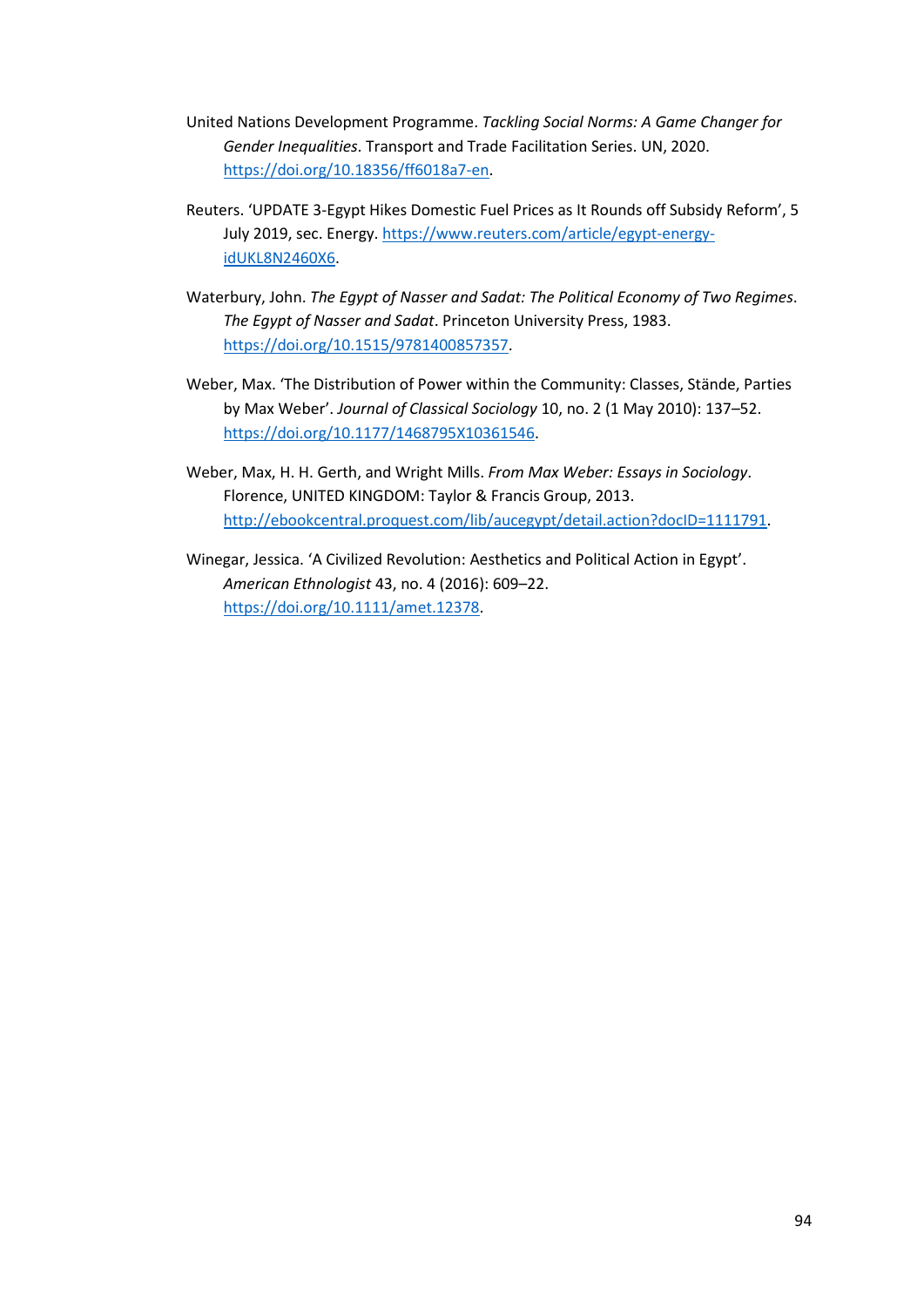- United Nations Development Programme. *Tackling Social Norms: A Game Changer for Gender Inequalities*. Transport and Trade Facilitation Series. UN, 2020. [https://doi.org/10.18356/ff6018a7-en.](https://doi.org/10.18356/ff6018a7-en)
- Reuters. 'UPDATE 3-Egypt Hikes Domestic Fuel Prices as It Rounds off Subsidy Reform', 5 July 2019, sec. Energy. [https://www.reuters.com/article/egypt-energy](https://www.reuters.com/article/egypt-energy-idUKL8N2460X6)[idUKL8N2460X6.](https://www.reuters.com/article/egypt-energy-idUKL8N2460X6)
- Waterbury, John. *The Egypt of Nasser and Sadat: The Political Economy of Two Regimes*. *The Egypt of Nasser and Sadat*. Princeton University Press, 1983. [https://doi.org/10.1515/9781400857357.](https://doi.org/10.1515/9781400857357)
- Weber, Max. 'The Distribution of Power within the Community: Classes, Stände, Parties by Max Weber'. *Journal of Classical Sociology* 10, no. 2 (1 May 2010): 137–52. [https://doi.org/10.1177/1468795X10361546.](https://doi.org/10.1177/1468795X10361546)
- Weber, Max, H. H. Gerth, and Wright Mills. *From Max Weber: Essays in Sociology*. Florence, UNITED KINGDOM: Taylor & Francis Group, 2013. [http://ebookcentral.proquest.com/lib/aucegypt/detail.action?docID=1111791.](http://ebookcentral.proquest.com/lib/aucegypt/detail.action?docID=1111791)
- Winegar, Jessica. 'A Civilized Revolution: Aesthetics and Political Action in Egypt'. *American Ethnologist* 43, no. 4 (2016): 609–22. [https://doi.org/10.1111/amet.12378.](https://doi.org/10.1111/amet.12378)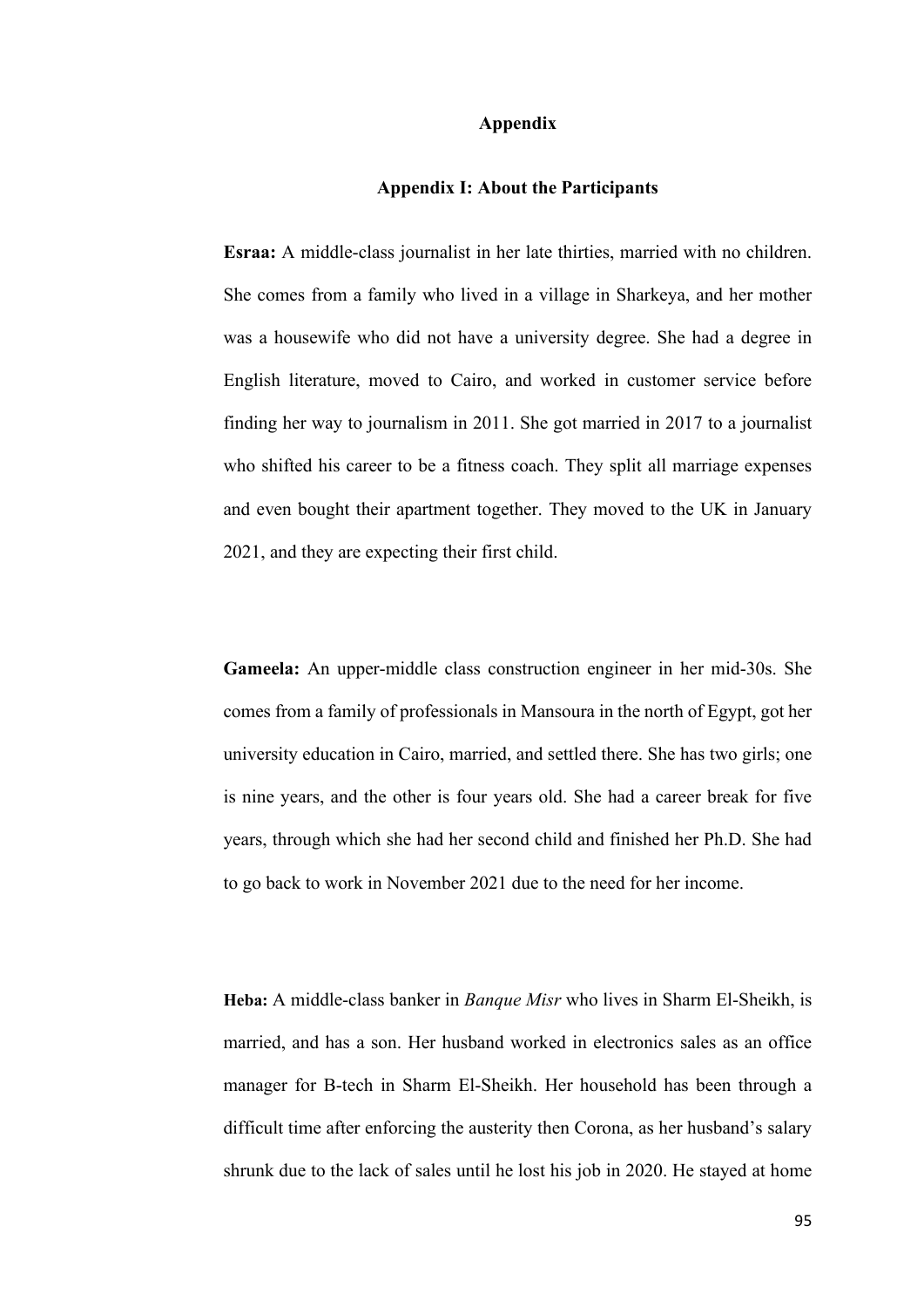## **Appendix**

## **Appendix I: About the Participants**

**Esraa:** A middle-class journalist in her late thirties, married with no children. She comes from a family who lived in a village in Sharkeya, and her mother was a housewife who did not have a university degree. She had a degree in English literature, moved to Cairo, and worked in customer service before finding her way to journalism in 2011. She got married in 2017 to a journalist who shifted his career to be a fitness coach. They split all marriage expenses and even bought their apartment together. They moved to the UK in January 2021, and they are expecting their first child.

**Gameela:** An upper-middle class construction engineer in her mid-30s. She comes from a family of professionals in Mansoura in the north of Egypt, got her university education in Cairo, married, and settled there. She has two girls; one is nine years, and the other is four years old. She had a career break for five years, through which she had her second child and finished her Ph.D. She had to go back to work in November 2021 due to the need for her income.

**Heba:** A middle-class banker in *Banque Misr* who lives in Sharm El-Sheikh, is married, and has a son. Her husband worked in electronics sales as an office manager for B-tech in Sharm El-Sheikh. Her household has been through a difficult time after enforcing the austerity then Corona, as her husband's salary shrunk due to the lack of sales until he lost his job in 2020. He stayed at home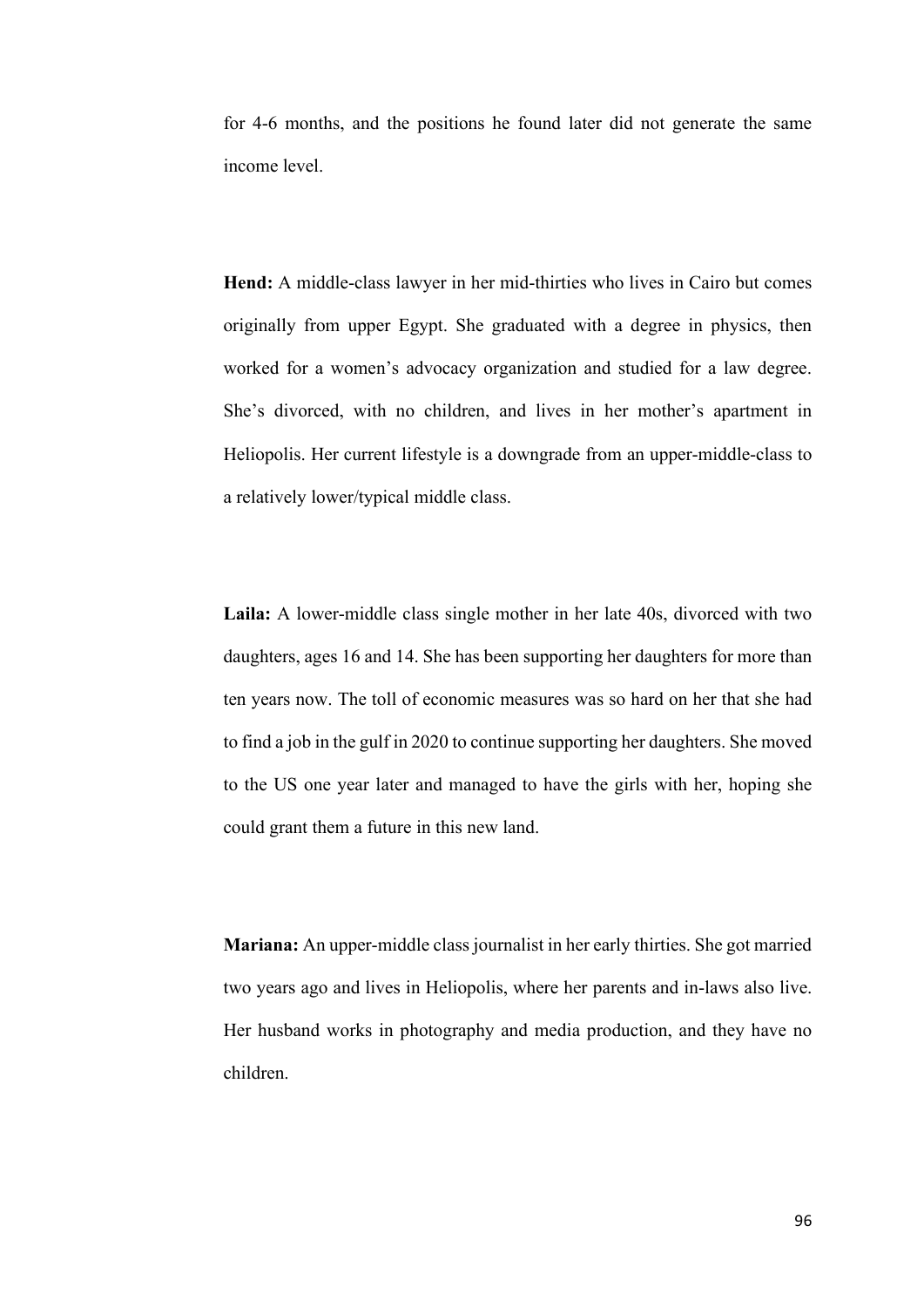for 4-6 months, and the positions he found later did not generate the same income level.

**Hend:** A middle-class lawyer in her mid-thirties who lives in Cairo but comes originally from upper Egypt. She graduated with a degree in physics, then worked for a women's advocacy organization and studied for a law degree. She's divorced, with no children, and lives in her mother's apartment in Heliopolis. Her current lifestyle is a downgrade from an upper-middle-class to a relatively lower/typical middle class.

**Laila:** A lower-middle class single mother in her late 40s, divorced with two daughters, ages 16 and 14. She has been supporting her daughters for more than ten years now. The toll of economic measures was so hard on her that she had to find a job in the gulf in 2020 to continue supporting her daughters. She moved to the US one year later and managed to have the girls with her, hoping she could grant them a future in this new land.

**Mariana:** An upper-middle class journalist in her early thirties. She got married two years ago and lives in Heliopolis, where her parents and in-laws also live. Her husband works in photography and media production, and they have no children.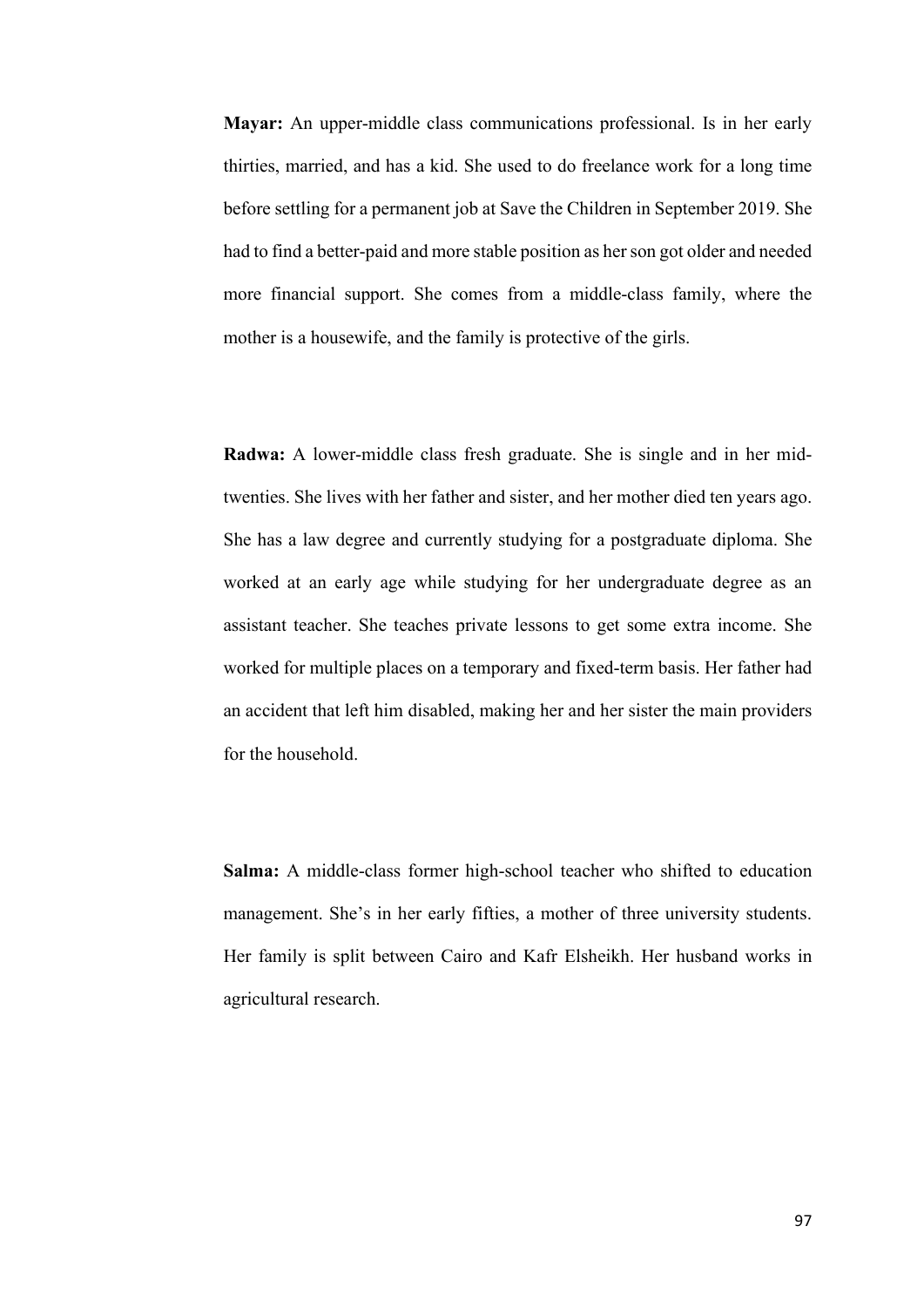**Mayar:** An upper-middle class communications professional. Is in her early thirties, married, and has a kid. She used to do freelance work for a long time before settling for a permanent job at Save the Children in September 2019. She had to find a better-paid and more stable position as her son got older and needed more financial support. She comes from a middle-class family, where the mother is a housewife, and the family is protective of the girls.

**Radwa:** A lower-middle class fresh graduate. She is single and in her midtwenties. She lives with her father and sister, and her mother died ten years ago. She has a law degree and currently studying for a postgraduate diploma. She worked at an early age while studying for her undergraduate degree as an assistant teacher. She teaches private lessons to get some extra income. She worked for multiple places on a temporary and fixed-term basis. Her father had an accident that left him disabled, making her and her sister the main providers for the household.

**Salma:** A middle-class former high-school teacher who shifted to education management. She's in her early fifties, a mother of three university students. Her family is split between Cairo and Kafr Elsheikh. Her husband works in agricultural research.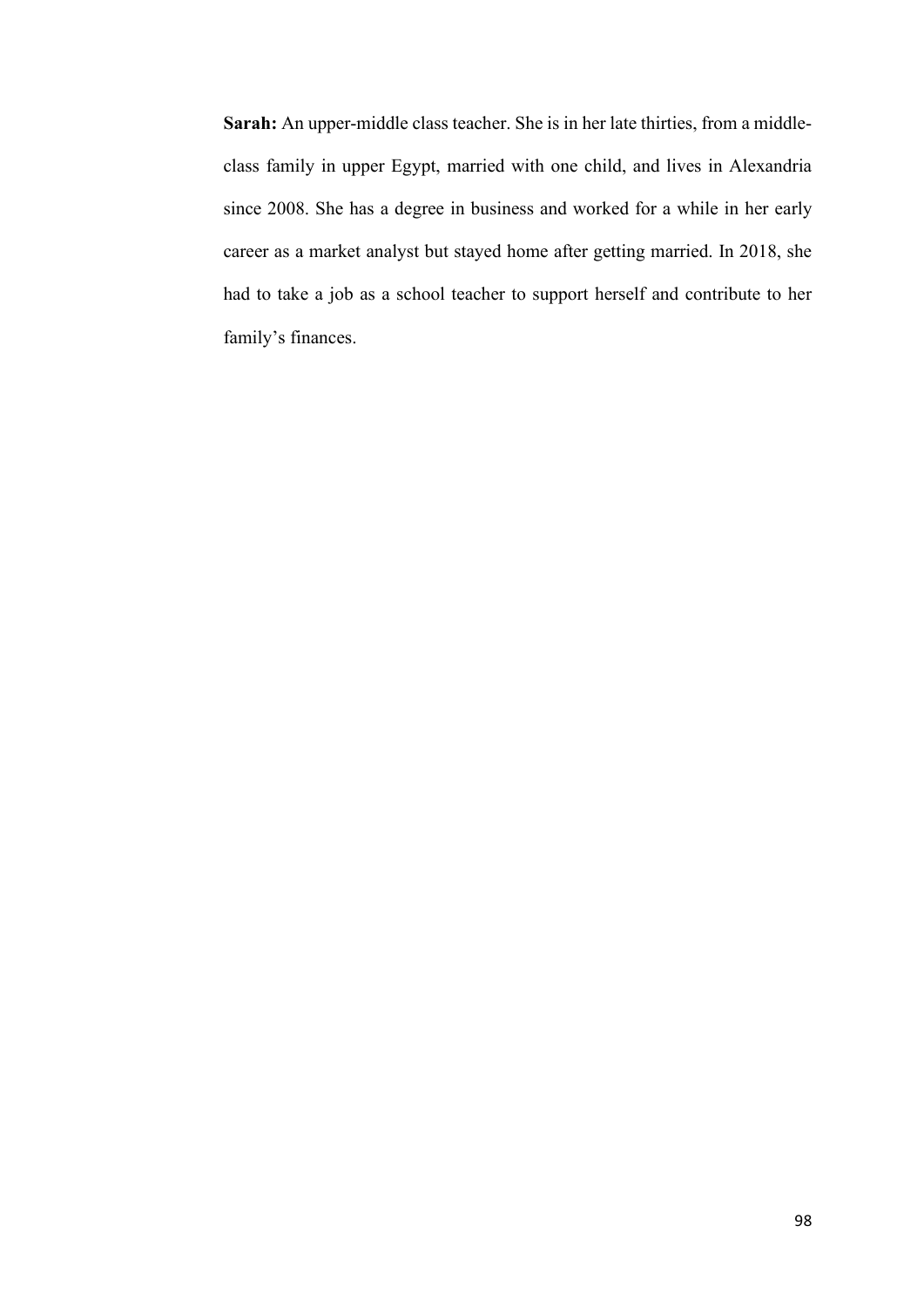**Sarah:** An upper-middle class teacher. She is in her late thirties, from a middleclass family in upper Egypt, married with one child, and lives in Alexandria since 2008. She has a degree in business and worked for a while in her early career as a market analyst but stayed home after getting married. In 2018, she had to take a job as a school teacher to support herself and contribute to her family's finances.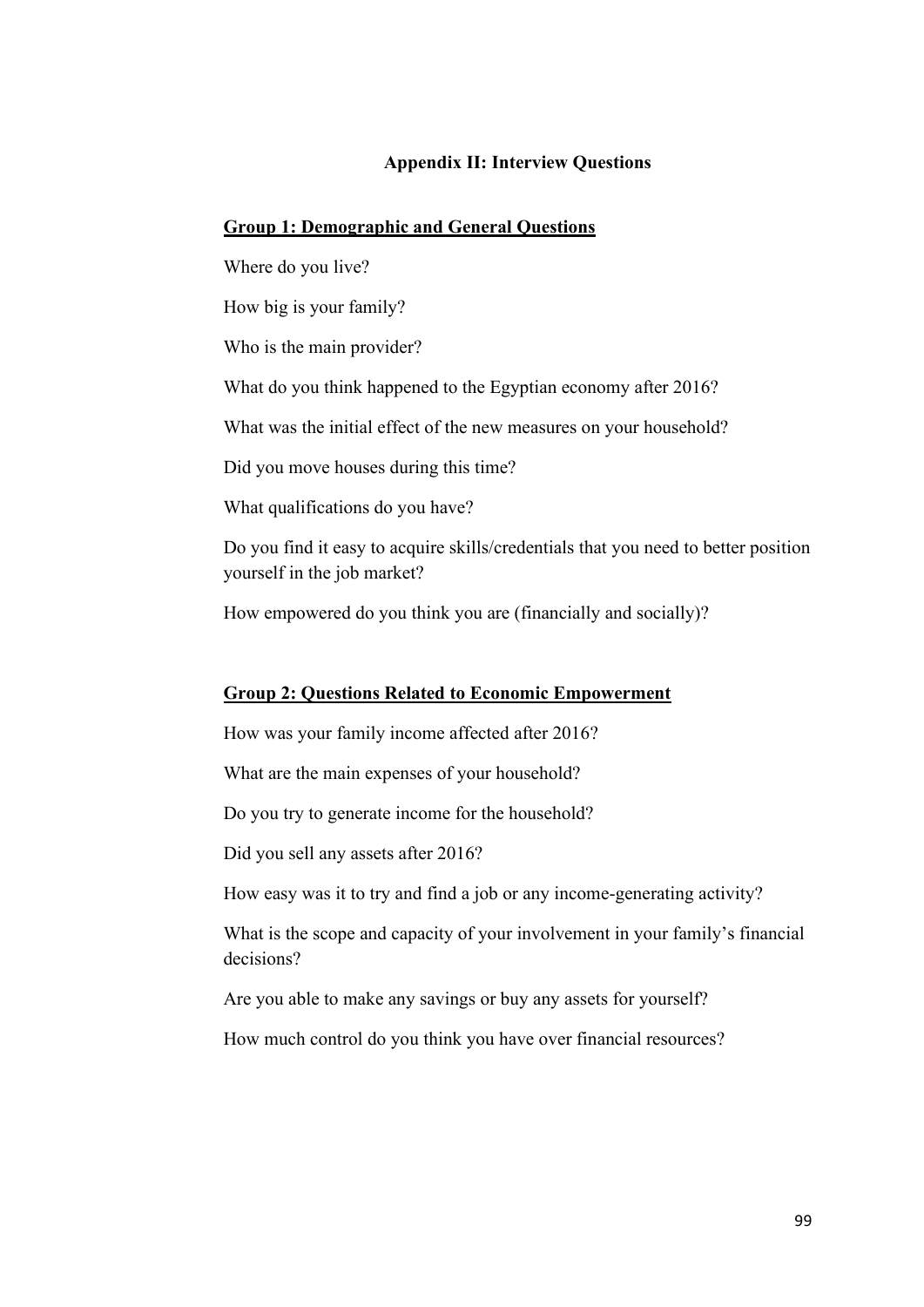## **Appendix II: Interview Questions**

## **Group 1: Demographic and General Questions**

Where do you live?

How big is your family?

Who is the main provider?

What do you think happened to the Egyptian economy after 2016?

What was the initial effect of the new measures on your household?

Did you move houses during this time?

What qualifications do you have?

Do you find it easy to acquire skills/credentials that you need to better position yourself in the job market?

How empowered do you think you are (financially and socially)?

## **Group 2: Questions Related to Economic Empowerment**

How was your family income affected after 2016?

What are the main expenses of your household?

Do you try to generate income for the household?

Did you sell any assets after 2016?

How easy was it to try and find a job or any income-generating activity?

What is the scope and capacity of your involvement in your family's financial decisions?

Are you able to make any savings or buy any assets for yourself?

How much control do you think you have over financial resources?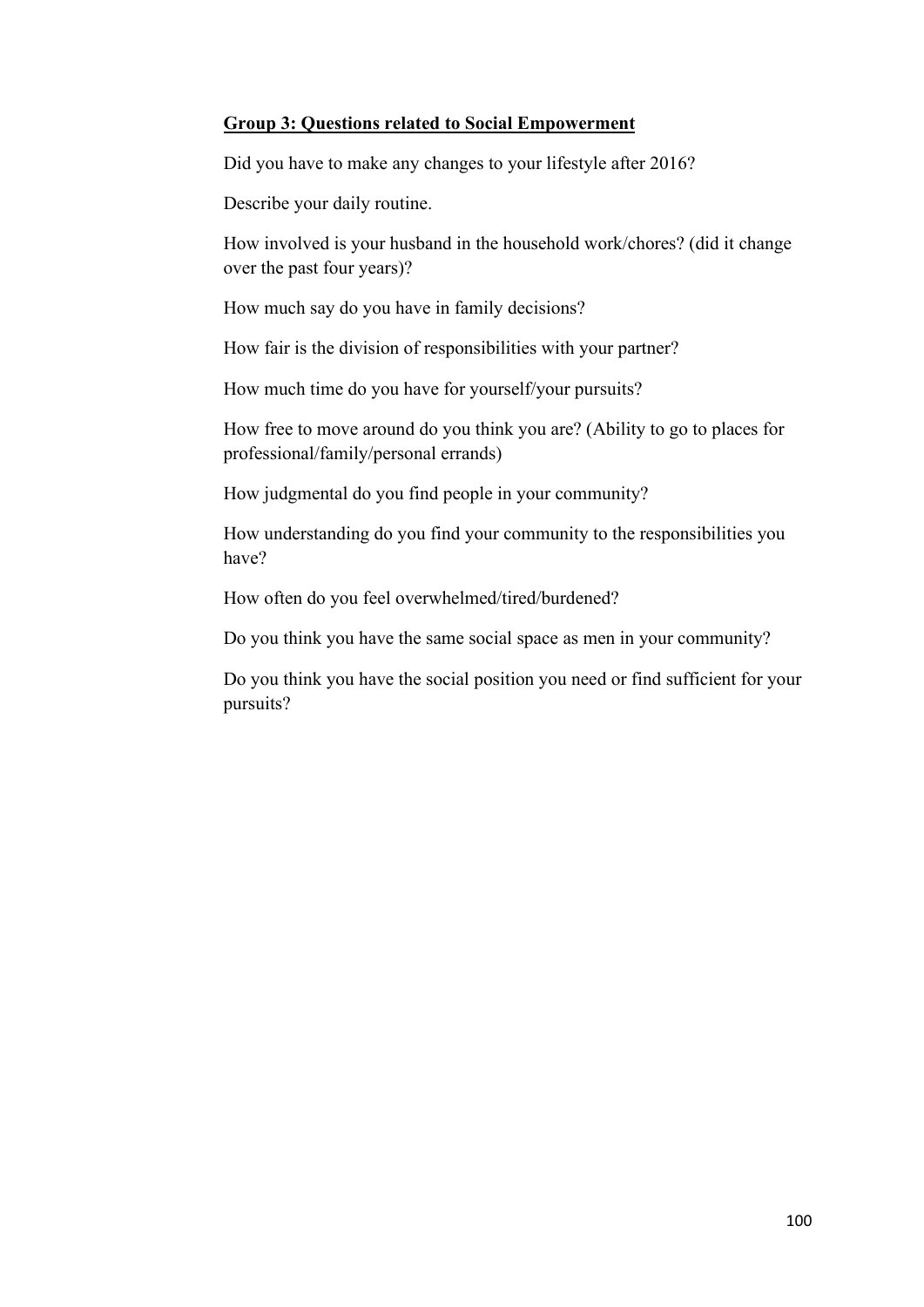# **Group 3: Questions related to Social Empowerment**

Did you have to make any changes to your lifestyle after 2016?

Describe your daily routine.

How involved is your husband in the household work/chores? (did it change over the past four years)?

How much say do you have in family decisions?

How fair is the division of responsibilities with your partner?

How much time do you have for yourself/your pursuits?

How free to move around do you think you are? (Ability to go to places for professional/family/personal errands)

How judgmental do you find people in your community?

How understanding do you find your community to the responsibilities you have?

How often do you feel overwhelmed/tired/burdened?

Do you think you have the same social space as men in your community?

Do you think you have the social position you need or find sufficient for your pursuits?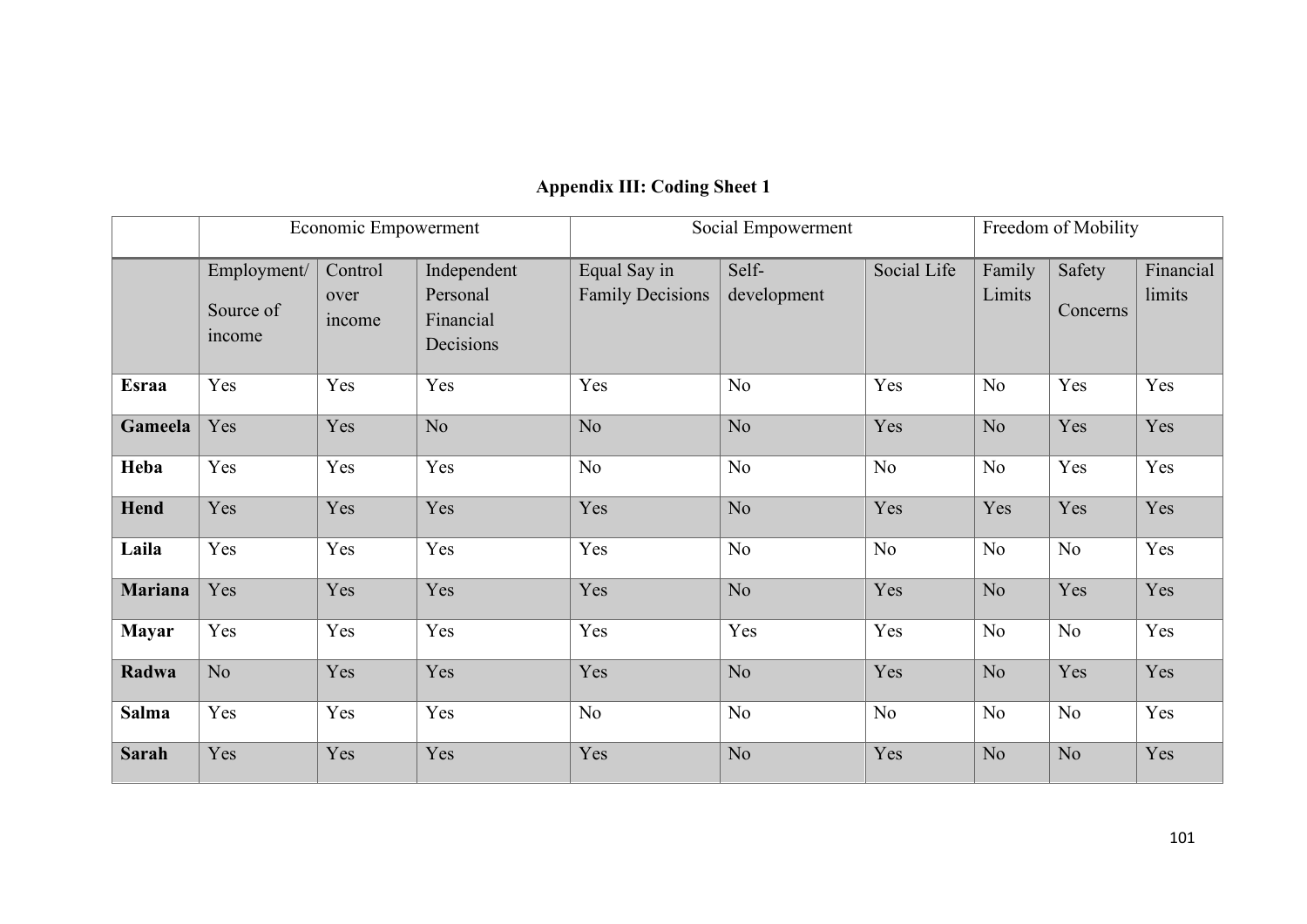|                |                                    | Economic Empowerment      |                                                   | Social Empowerment                      |                      |             | Freedom of Mobility |                    |                     |
|----------------|------------------------------------|---------------------------|---------------------------------------------------|-----------------------------------------|----------------------|-------------|---------------------|--------------------|---------------------|
|                | Employment/<br>Source of<br>income | Control<br>over<br>income | Independent<br>Personal<br>Financial<br>Decisions | Equal Say in<br><b>Family Decisions</b> | Self-<br>development | Social Life | Family<br>Limits    | Safety<br>Concerns | Financial<br>limits |
| <b>Esraa</b>   | Yes                                | Yes                       | Yes                                               | Yes                                     | N <sub>o</sub>       | Yes         | N <sub>o</sub>      | Yes                | Yes                 |
| Gameela        | Yes                                | Yes                       | No.                                               | No                                      | N <sub>o</sub>       | Yes         | No                  | Yes                | Yes                 |
| Heba           | Yes                                | Yes                       | Yes                                               | No                                      | No                   | No          | No                  | Yes                | Yes                 |
| Hend           | Yes                                | Yes                       | Yes                                               | Yes                                     | No                   | Yes         | Yes                 | Yes                | Yes                 |
| Laila          | Yes                                | Yes                       | Yes                                               | Yes                                     | N <sub>o</sub>       | No          | N <sub>o</sub>      | No                 | Yes                 |
| <b>Mariana</b> | Yes                                | Yes                       | Yes                                               | Yes                                     | N <sub>o</sub>       | Yes         | No.                 | Yes                | Yes                 |
| <b>Mayar</b>   | Yes                                | Yes                       | Yes                                               | Yes                                     | Yes                  | Yes         | No                  | No                 | Yes                 |
| Radwa          | No                                 | Yes                       | Yes                                               | Yes                                     | N <sub>o</sub>       | Yes         | No                  | Yes                | Yes                 |
| <b>Salma</b>   | Yes                                | Yes                       | Yes                                               | N <sub>o</sub>                          | N <sub>o</sub>       | No          | No                  | No                 | Yes                 |
| <b>Sarah</b>   | Yes                                | Yes                       | Yes                                               | Yes                                     | No                   | Yes         | No                  | No                 | Yes                 |

## **Appendix III: Coding Sheet 1**